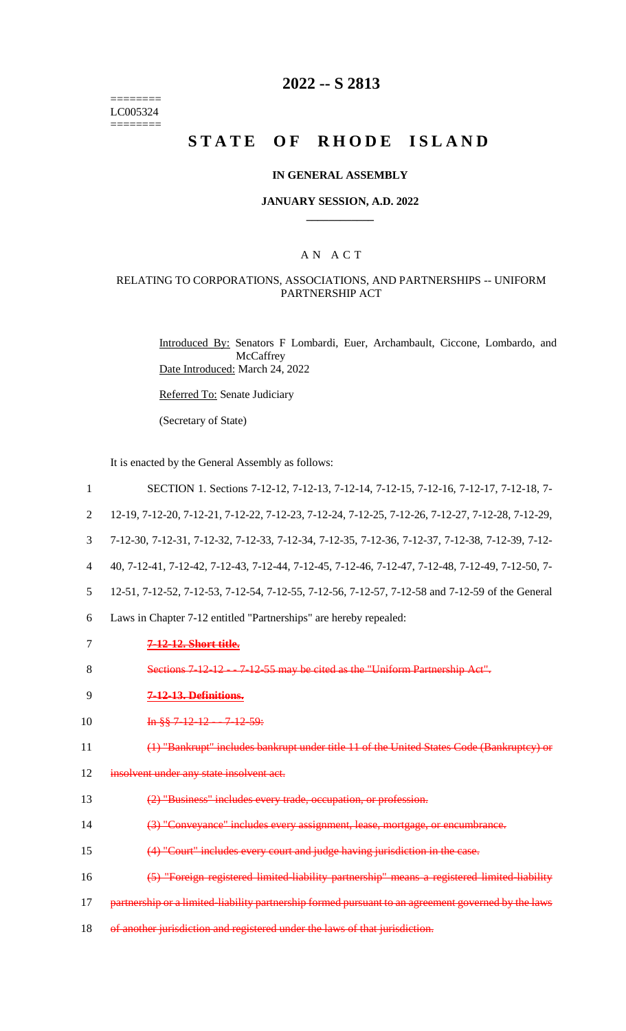======== LC005324 ========

## **2022 -- S 2813**

# **STATE OF RHODE ISLAND**

#### **IN GENERAL ASSEMBLY**

#### **JANUARY SESSION, A.D. 2022 \_\_\_\_\_\_\_\_\_\_\_\_**

### A N A C T

#### RELATING TO CORPORATIONS, ASSOCIATIONS, AND PARTNERSHIPS -- UNIFORM PARTNERSHIP ACT

Introduced By: Senators F Lombardi, Euer, Archambault, Ciccone, Lombardo, and **McCaffrey** Date Introduced: March 24, 2022

Referred To: Senate Judiciary

(Secretary of State)

It is enacted by the General Assembly as follows:

- 1 SECTION 1. Sections 7-12-12, 7-12-13, 7-12-14, 7-12-15, 7-12-16, 7-12-17, 7-12-18, 7-
- 2 12-19, 7-12-20, 7-12-21, 7-12-22, 7-12-23, 7-12-24, 7-12-25, 7-12-26, 7-12-27, 7-12-28, 7-12-29,
- 3 7-12-30, 7-12-31, 7-12-32, 7-12-33, 7-12-34, 7-12-35, 7-12-36, 7-12-37, 7-12-38, 7-12-39, 7-12-
- 4 40, 7-12-41, 7-12-42, 7-12-43, 7-12-44, 7-12-45, 7-12-46, 7-12-47, 7-12-48, 7-12-49, 7-12-50, 7-
- 5 12-51, 7-12-52, 7-12-53, 7-12-54, 7-12-55, 7-12-56, 7-12-57, 7-12-58 and 7-12-59 of the General
- 6 Laws in Chapter 7-12 entitled "Partnerships" are hereby repealed:
- 7 **7-12-12. Short title.**
- 8 Sections 7-12-12 - 7-12-55 may be cited as the "Uniform Partnership Act".
- 9 **7-12-13. Definitions.**

10 **In §§ 7-12-12 - 7-12-59:** 

- 11 (1) "Bankrupt" includes bankrupt under title 11 of the United States Code (Bankruptcy) or
- 12 insolvent under any state insolvent act.
- 13 (2) "Business" includes every trade, occupation, or profession.
- 14 (3) "Conveyance" includes every assignment, lease, mortgage, or encumbrance.
- 15 (4) "Court" includes every court and judge having jurisdiction in the case.
- 16 (5) "Foreign registered limited-liability partnership" means a registered limited-liability
- 17 partnership or a limited-liability partnership formed pursuant to an agreement governed by the laws
- 18 of another jurisdiction and registered under the laws of that jurisdiction.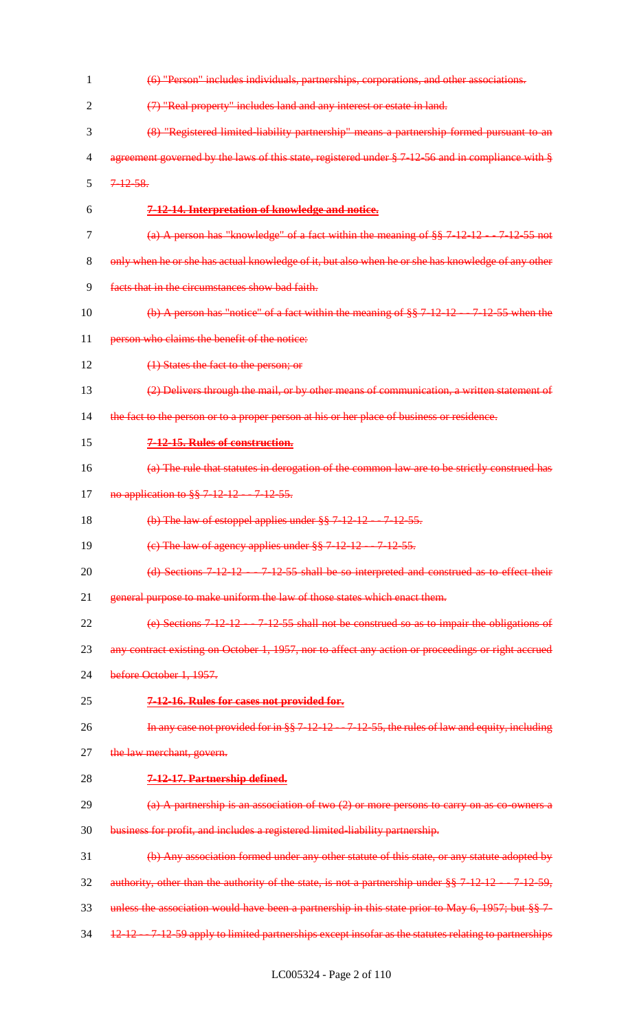| 1              | (6) "Person" includes individuals, partnerships, corporations, and other associations.                      |
|----------------|-------------------------------------------------------------------------------------------------------------|
| $\overline{2}$ | (7) "Real property" includes land and any interest or estate in land.                                       |
| 3              | (8) "Registered limited liability partnership" means a partnership formed pursuant to an                    |
| $\overline{4}$ | agreement governed by the laws of this state, registered under § 7-12-56 and in compliance with §           |
| 5              | $7 - 12 - 58$ .                                                                                             |
| 6              | 7-12-14. Interpretation of knowledge and notice.                                                            |
| 7              | (a) A person has "knowledge" of a fact within the meaning of $\S$ $\S$ 7-12-12 - 7-12-55 not                |
| 8              | only when he or she has actual knowledge of it, but also when he or she has knowledge of any other          |
| 9              | facts that in the circumstances show bad faith.                                                             |
| 10             | (b) A person has "notice" of a fact within the meaning of $\S$ $\frac{8}{9}$ 7-12-12 - - 7-12-55 when the   |
| 11             | person who claims the benefit of the notice:                                                                |
| 12             | (1) States the fact to the person; or                                                                       |
| 13             | (2) Delivers through the mail, or by other means of communication, a written statement of                   |
| 14             | the fact to the person or to a proper person at his or her place of business or residence.                  |
| 15             | 7-12-15. Rules of construction.                                                                             |
| 16             | (a) The rule that statutes in derogation of the common law are to be strictly construed has                 |
| 17             | no application to §§ 7-12-12 - 7-12-55.                                                                     |
| 18             | (b) The law of estoppel applies under $\S$ § 7-12-12 - 7-12-55.                                             |
| 19             | (e) The law of agency applies under $\S$ § 7-12-12 - 7-12-55.                                               |
| 20             | (d) Sections $7\overline{1212} - 7\overline{1255}$ shall be so interpreted and construed as to effect their |
| 21             | general purpose to make uniform the law of those states which enact them.                                   |
| 22             | (e) Sections $7-12-12-7-12-55$ shall not be construed so as to impair the obligations of                    |
| 23             | any contract existing on October 1, 1957, nor to affect any action or proceedings or right accrued          |
| 24             | before October 1, 1957.                                                                                     |
| 25             | 7-12-16. Rules for cases not provided for.                                                                  |
| 26             | In any case not provided for in §§ 7-12-12-7-12-55, the rules of law and equity, including                  |
| 27             | the law merchant, govern.                                                                                   |
| 28             | 7-12-17. Partnership defined.                                                                               |
| 29             | (a) A partnership is an association of two $(2)$ or more persons to carry on as co-owners a                 |
| 30             | business for profit, and includes a registered limited liability partnership.                               |
| 31             | (b) Any association formed under any other statute of this state, or any statute adopted by                 |
| 32             | authority, other than the authority of the state, is not a partnership under §§ 7-12-12 -- 7-12-59,         |
| 33             | unless the association would have been a partnership in this state prior to May 6, 1957; but §§ 7-          |
| 34             | 12-12-7-12-59 apply to limited partnerships except insofar as the statutes relating to partnerships         |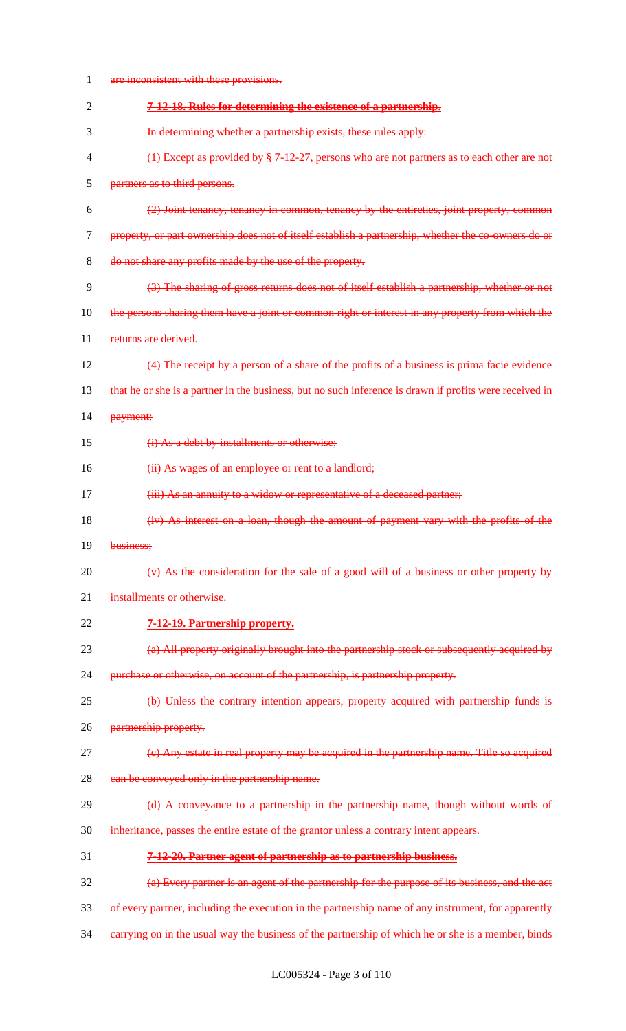| 1  | are inconsistent with these provisions.                                                                 |
|----|---------------------------------------------------------------------------------------------------------|
| 2  | 7-12-18. Rules for determining the existence of a partnership.                                          |
| 3  | In determining whether a partnership exists, these rules apply:                                         |
| 4  | (1) Except as provided by § 7-12-27, persons who are not partners as to each other are not              |
| 5  | partners as to third persons.                                                                           |
| 6  | (2) Joint tenancy, tenancy in common, tenancy by the entireties, joint property, common                 |
| 7  | property, or part ownership does not of itself establish a partnership, whether the co-owners do or     |
| 8  | do not share any profits made by the use of the property.                                               |
| 9  | (3) The sharing of gross returns does not of itself establish a partnership, whether or not             |
| 10 | the persons sharing them have a joint or common right or interest in any property from which the        |
| 11 | returns are derived.                                                                                    |
| 12 | (4) The receipt by a person of a share of the profits of a business is prima facie evidence             |
| 13 | that he or she is a partner in the business, but no such inference is drawn if profits were received in |
| 14 | payment:                                                                                                |
| 15 | (i) As a debt by installments or otherwise;                                                             |
| 16 | (ii) As wages of an employee or rent to a landlord;                                                     |
| 17 | (iii) As an annuity to a widow or representative of a deceased partner;                                 |
| 18 | (iv) As interest on a loan, though the amount of payment vary with the profits of the                   |
| 19 | business;                                                                                               |
| 20 | (v) As the consideration for the sale of a good will of a business or other property by                 |
| 21 | installments or otherwise.                                                                              |
| 22 | 7-12-19. Partnership property.                                                                          |
| 23 | (a) All property originally brought into the partnership stock or subsequently acquired by              |
| 24 | purchase or otherwise, on account of the partnership, is partnership property.                          |
| 25 | (b) Unless the contrary intention appears, property acquired with partnership funds is                  |
| 26 | partnership property.                                                                                   |
| 27 | (c) Any estate in real property may be acquired in the partnership name. Title so acquired              |
| 28 | can be conveyed only in the partnership name.                                                           |
| 29 | (d) A conveyance to a partnership in the partnership name, though without words of                      |
| 30 | inheritance, passes the entire estate of the grantor unless a contrary intent appears.                  |
| 31 | 7-12-20. Partner agent of partnership as to partnership business.                                       |
| 32 | (a) Every partner is an agent of the partnership for the purpose of its business, and the act           |
| 33 | of every partner, including the execution in the partnership name of any instrument, for apparently     |
| 34 | earrying on in the usual way the business of the partnership of which he or she is a member, binds      |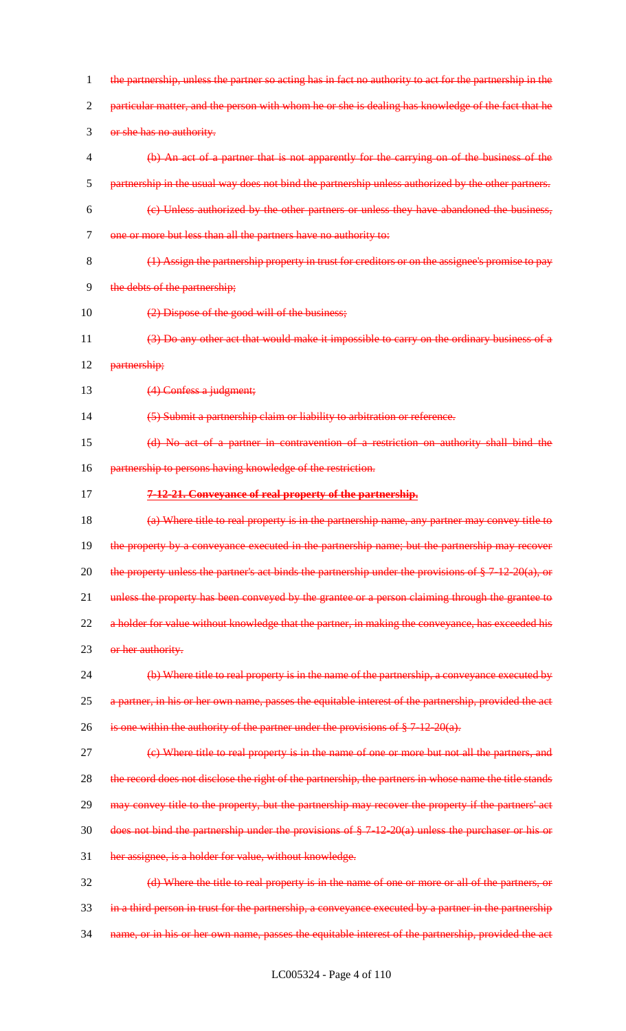| 1  | the partnership, unless the partner so acting has in fact no authority to act for the partnership in the |
|----|----------------------------------------------------------------------------------------------------------|
| 2  | particular matter, and the person with whom he or she is dealing has knowledge of the fact that he       |
| 3  | or she has no authority.                                                                                 |
| 4  | (b) An act of a partner that is not apparently for the carrying on of the business of the                |
| 5  | partnership in the usual way does not bind the partnership unless authorized by the other partners.      |
| 6  | (e) Unless authorized by the other partners or unless they have abandoned the business,                  |
| 7  | one or more but less than all the partners have no authority to:                                         |
| 8  | (1) Assign the partnership property in trust for creditors or on the assignee's promise to pay           |
| 9  | the debts of the partnership;                                                                            |
| 10 | (2) Dispose of the good will of the business;                                                            |
| 11 | (3) Do any other act that would make it impossible to carry on the ordinary business of a                |
| 12 | partnership;                                                                                             |
| 13 | (4) Confess a judgment;                                                                                  |
| 14 | (5) Submit a partnership claim or liability to arbitration or reference.                                 |
| 15 | (d) No act of a partner in contravention of a restriction on authority shall bind the                    |
| 16 | partnership to persons having knowledge of the restriction.                                              |
| 17 | 7-12-21. Conveyance of real property of the partnership.                                                 |
| 18 | (a) Where title to real property is in the partnership name, any partner may convey title to             |
| 19 | the property by a conveyance executed in the partnership name; but the partnership may recover           |
| 20 | the property unless the partner's act binds the partnership under the provisions of $\S 7.12.20(a)$ , or |
| 21 | unless the property has been conveyed by the grantee or a person claiming through the grantee to         |
| 22 | a holder for value without knowledge that the partner, in making the conveyance, has exceeded his        |
| 23 | or her authority.                                                                                        |
| 24 | (b) Where title to real property is in the name of the partnership, a conveyance executed by             |
| 25 | a partner, in his or her own name, passes the equitable interest of the partnership, provided the act    |
| 26 | is one within the authority of the partner under the provisions of $\S 7-12-20(a)$ .                     |
| 27 | (e) Where title to real property is in the name of one or more but not all the partners, and             |
| 28 | the record does not disclose the right of the partnership, the partners in whose name the title stands   |
| 29 | may convey title to the property, but the partnership may recover the property if the partners' act      |
| 30 | does not bind the partnership under the provisions of $$7-12-20(a)$ unless the purchaser or his or       |
| 31 | her assignee, is a holder for value, without knowledge.                                                  |
| 32 | (d) Where the title to real property is in the name of one or more or all of the partners, or            |
| 33 | in a third person in trust for the partnership, a conveyance executed by a partner in the partnership    |
| 34 | name, or in his or her own name, passes the equitable interest of the partnership, provided the act      |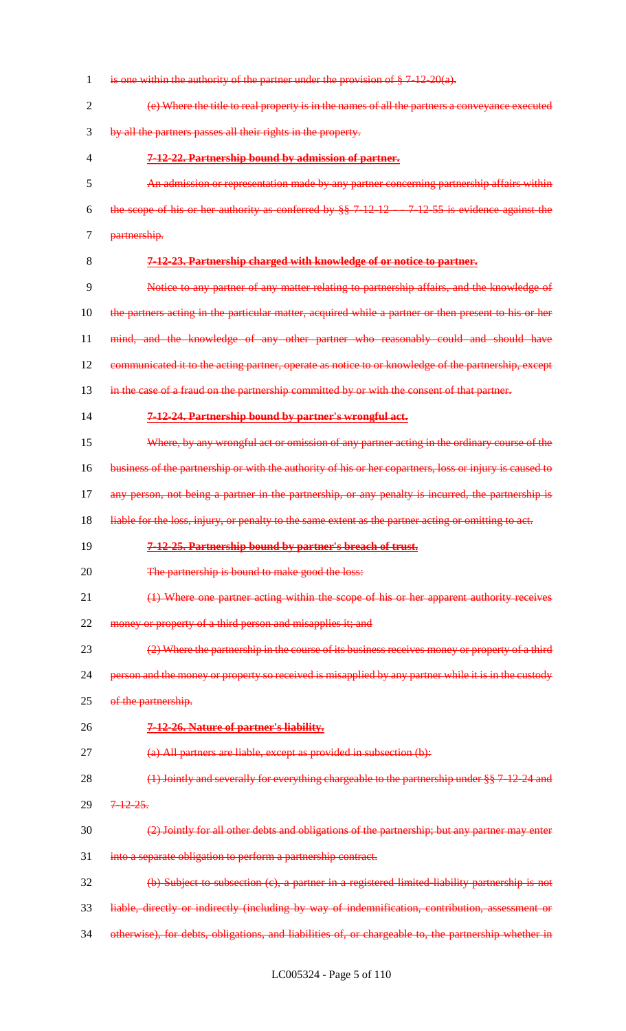1 is one within the authority of the partner under the provision of  $\frac{8}{3}$  7-12-20(a). 2 (e) Where the title to real property is in the names of all the partners a conveyance executed 3 by all the partners passes all their rights in the property. 4 **7-12-22. Partnership bound by admission of partner.** 5 An admission or representation made by any partner concerning partnership affairs within 6 the scope of his or her authority as conferred by  $\frac{8}{5}$  7-12-12 - 7-12-55 is evidence against the 7 partnership. 8 **7-12-23. Partnership charged with knowledge of or notice to partner.** 9 Notice to any partner of any matter relating to partnership affairs, and the knowledge of 10 the partners acting in the particular matter, acquired while a partner or then present to his or her 11 mind, and the knowledge of any other partner who reasonably could and should have 12 communicated it to the acting partner, operate as notice to or knowledge of the partnership, except 13 in the case of a fraud on the partnership committed by or with the consent of that partner. 14 **7-12-24. Partnership bound by partner's wrongful act.** 15 Where, by any wrongful act or omission of any partner acting in the ordinary course of the 16 business of the partnership or with the authority of his or her copartners, loss or injury is caused to 17 any person, not being a partner in the partnership, or any penalty is incurred, the partnership is 18 liable for the loss, injury, or penalty to the same extent as the partner acting or omitting to act. 19 **7-12-25. Partnership bound by partner's breach of trust.** 20 The partnership is bound to make good the loss: 21 (1) Where one partner acting within the scope of his or her apparent authority receives 22 money or property of a third person and misapplies it; and 23 (2) Where the partnership in the course of its business receives money or property of a third 24 person and the money or property so received is misapplied by any partner while it is in the custody 25 of the partnership. 26 **7-12-26. Nature of partner's liability.** 27 (a) All partners are liable, except as provided in subsection (b): 28 (1) Jointly and severally for everything chargeable to the partnership under §§ 7-12-24 and 29 7-12-25. 30 (2) Jointly for all other debts and obligations of the partnership; but any partner may enter 31 into a separate obligation to perform a partnership contract. 32 (b) Subject to subsection (c), a partner in a registered limited-liability partnership is not 33 liable, directly or indirectly (including by way of indemnification, contribution, assessment or 34 otherwise), for debts, obligations, and liabilities of, or chargeable to, the partnership whether in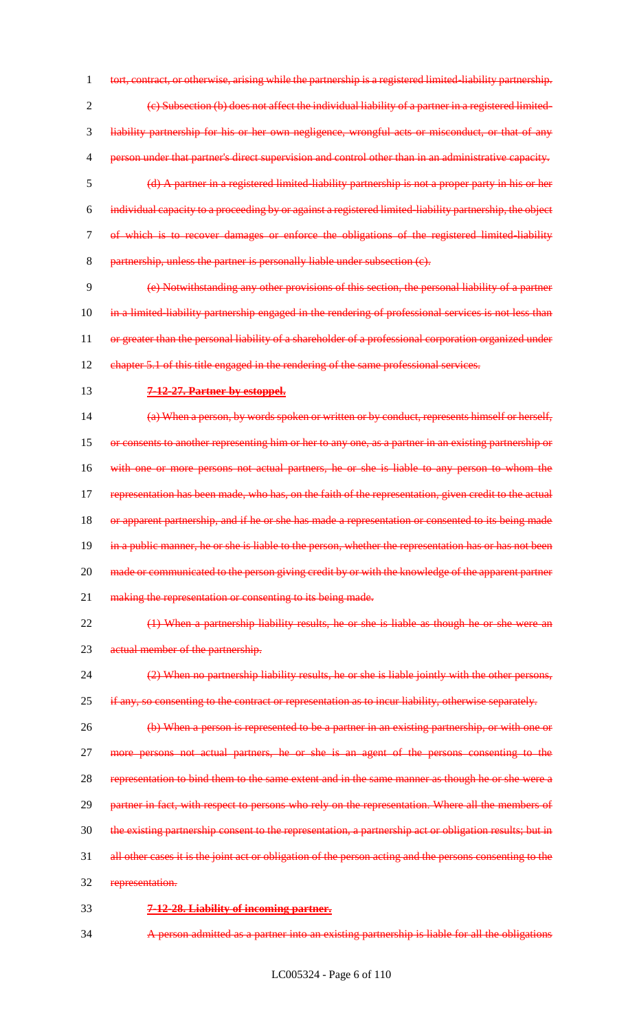1 tort, contract, or otherwise, arising while the partnership is a registered limited-liability partnership. (c) Subsection (b) does not affect the individual liability of a partner in a registered limited- liability partnership for his or her own negligence, wrongful acts or misconduct, or that of any person under that partner's direct supervision and control other than in an administrative capacity. (d) A partner in a registered limited-liability partnership is not a proper party in his or her individual capacity to a proceeding by or against a registered limited-liability partnership, the object of which is to recover damages or enforce the obligations of the registered limited-liability 8 partnership, unless the partner is personally liable under subsection (c).

9 (e) Notwithstanding any other provisions of this section, the personal liability of a partner 10 in a limited-liability partnership engaged in the rendering of professional services is not less than 11 or greater than the personal liability of a shareholder of a professional corporation organized under 12 chapter 5.1 of this title engaged in the rendering of the same professional services.

13 **7-12-27. Partner by estoppel.**

14 (a) When a person, by words spoken or written or by conduct, represents himself or herself, 15 or consents to another representing him or her to any one, as a partner in an existing partnership or 16 with one or more persons not actual partners, he or she is liable to any person to whom the 17 representation has been made, who has, on the faith of the representation, given credit to the actual 18 or apparent partnership, and if he or she has made a representation or consented to its being made 19 in a public manner, he or she is liable to the person, whether the representation has or has not been 20 made or communicated to the person giving credit by or with the knowledge of the apparent partner 21 making the representation or consenting to its being made.

22 (1) When a partnership liability results, he or she is liable as though he or she were an 23 actual member of the partnership.

24 (2) When no partnership liability results, he or she is liable jointly with the other persons, 25 if any, so consenting to the contract or representation as to incur liability, otherwise separately.

26 (b) When a person is represented to be a partner in an existing partnership, or with one or 27 more persons not actual partners, he or she is an agent of the persons consenting to the 28 representation to bind them to the same extent and in the same manner as though he or she were a

29 partner in fact, with respect to persons who rely on the representation. Where all the members of

30 the existing partnership consent to the representation, a partnership act or obligation results; but in

31 all other cases it is the joint act or obligation of the person acting and the persons consenting to the

32 representation.

33 **7-12-28. Liability of incoming partner.**

34 A person admitted as a partner into an existing partnership is liable for all the obligations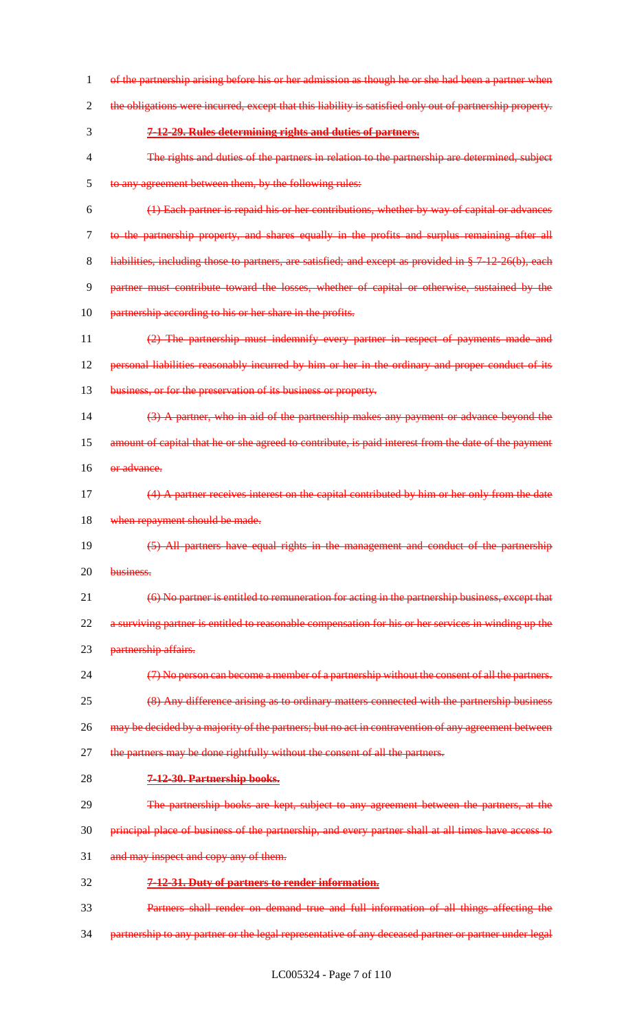| 1              | of the partnership arising before his or her admission as though he or she had been a partner when       |
|----------------|----------------------------------------------------------------------------------------------------------|
| $\overline{2}$ | the obligations were incurred, except that this liability is satisfied only out of partnership property. |
| 3              | 7-12-29. Rules determining rights and duties of partners.                                                |
| 4              | The rights and duties of the partners in relation to the partnership are determined, subject             |
| 5              | to any agreement between them, by the following rules:                                                   |
| 6              | (1) Each partner is repaid his or her contributions, whether by way of capital or advances               |
| 7              | to the partnership property, and shares equally in the profits and surplus remaining after all           |
| 8              | liabilities, including those to partners, are satisfied; and except as provided in § 7-12-26(b), each    |
| 9              | partner must contribute toward the losses, whether of capital or otherwise, sustained by the             |
| 10             | partnership according to his or her share in the profits.                                                |
| 11             | (2) The partnership must indemnify every partner in respect of payments made and                         |
| 12             | personal liabilities reasonably incurred by him or her in the ordinary and proper conduct of its         |
| 13             | business, or for the preservation of its business or property.                                           |
| 14             | (3) A partner, who in aid of the partnership makes any payment or advance beyond the                     |
| 15             | amount of capital that he or she agreed to contribute, is paid interest from the date of the payment     |
| 16             | or advance.                                                                                              |
| 17             | (4) A partner receives interest on the capital contributed by him or her only from the date              |
| 18             | when repayment should be made.                                                                           |
|                |                                                                                                          |
| 19             | (5) All partners have equal rights in the management and conduct of the partnership                      |
| 20             | business.                                                                                                |
| 21             | (6) No partner is entitled to remuneration for acting in the partnership business, except that           |
| 22             | a surviving partner is entitled to reasonable compensation for his or her services in winding up the     |
| 23             | partnership affairs.                                                                                     |
| 24             | (7) No person can become a member of a partnership without the consent of all the partners.              |
| 25             | (8) Any difference arising as to ordinary matters connected with the partnership business                |
| 26             | may be decided by a majority of the partners; but no act in contravention of any agreement between       |
| 27             | the partners may be done rightfully without the consent of all the partners.                             |
| 28             | 7-12-30. Partnership books.                                                                              |
| 29             | The partnership books are kept, subject to any agreement between the partners, at the                    |
| 30             | principal place of business of the partnership, and every partner shall at all times have access to      |
| 31             | and may inspect and copy any of them.                                                                    |
| 32             | 7-12-31. Duty of partners to render information.                                                         |
| 33             | Partners shall render on demand true and full information of all things affecting the                    |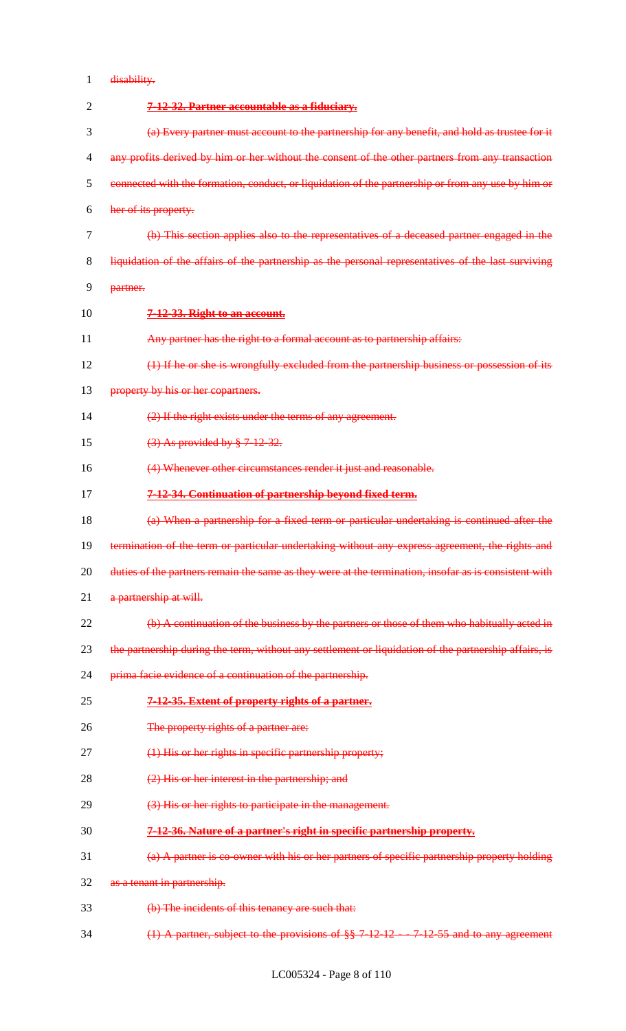disability.

| $\overline{2}$ | 7-12-32. Partner accountable as a fiduciary.                                                          |
|----------------|-------------------------------------------------------------------------------------------------------|
| 3              | (a) Every partner must account to the partnership for any benefit, and hold as trustee for it         |
| $\overline{4}$ | any profits derived by him or her without the consent of the other partners from any transaction      |
| 5              | connected with the formation, conduct, or liquidation of the partnership or from any use by him or    |
| 6              | her of its property.                                                                                  |
| 7              | (b) This section applies also to the representatives of a deceased partner engaged in the             |
| 8              | liquidation of the affairs of the partnership as the personal representatives of the last surviving   |
| 9              | partner.                                                                                              |
| 10             | 7-12-33. Right to an account.                                                                         |
| 11             | Any partner has the right to a formal account as to partnership affairs:                              |
| 12             | (1) If he or she is wrongfully excluded from the partnership business or possession of its            |
| 13             | property by his or her copartners.                                                                    |
| 14             | (2) If the right exists under the terms of any agreement.                                             |
| 15             | $(3)$ As provided by $§$ 7-12-32.                                                                     |
| 16             | (4) Whenever other circumstances render it just and reasonable.                                       |
| 17             | 7-12-34. Continuation of partnership beyond fixed term.                                               |
| 18             | (a) When a partnership for a fixed term or particular undertaking is continued after the              |
| 19             | termination of the term or particular undertaking without any express agreement, the rights and       |
| 20             | duties of the partners remain the same as they were at the termination, insofar as is consistent with |
| 21             | a partnership at will.                                                                                |
| 22             | (b) A continuation of the business by the partners or those of them who habitually acted in           |
| 23             | the partnership during the term, without any settlement or liquidation of the partnership affairs, is |
| 24             | prima facie evidence of a continuation of the partnership.                                            |
| 25             | 7-12-35. Extent of property rights of a partner.                                                      |
| 26             | The property rights of a partner are:                                                                 |
| 27             | (1) His or her rights in specific partnership property;                                               |
| 28             | (2) His or her interest in the partnership; and                                                       |
| 29             | (3) His or her rights to participate in the management.                                               |
| 30             | 7-12-36. Nature of a partner's right in specific partnership property.                                |
| 31             | (a) A partner is co-owner with his or her partners of specific partnership property holding           |
| 32             | as a tenant in partnership.                                                                           |
| 33             | (b) The incidents of this tenancy are such that:                                                      |
| 34             | (1) A partner, subject to the provisions of $\S$ $7-12-12$ -7-12-55 and to any agreement              |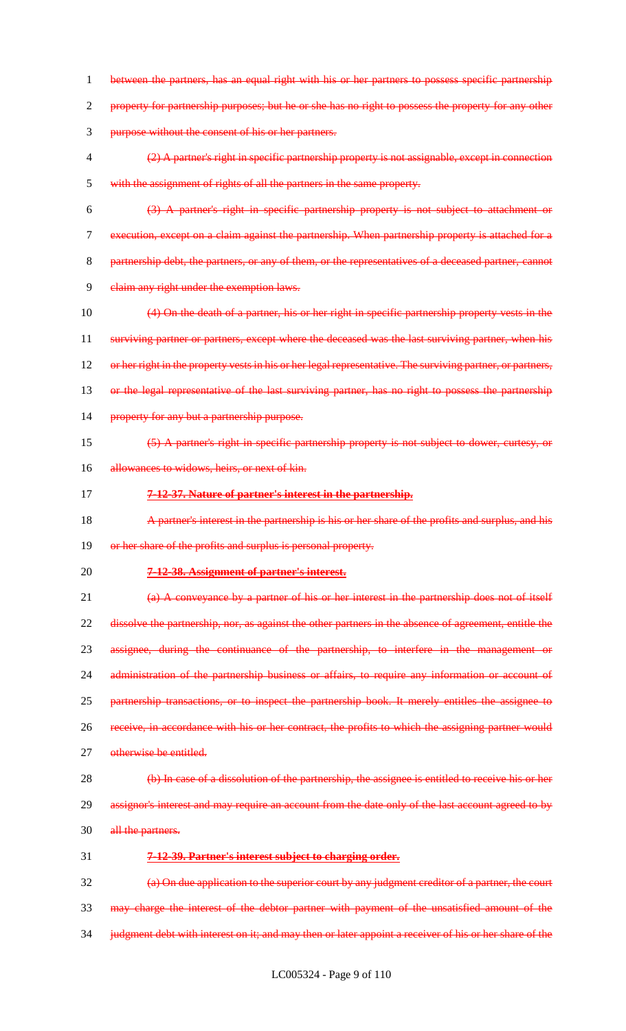1 between the partners, has an equal right with his or her partners to possess specific partnership 2 property for partnership purposes; but he or she has no right to possess the property for any other 3 purpose without the consent of his or her partners. 4 (2) A partner's right in specific partnership property is not assignable, except in connection 5 with the assignment of rights of all the partners in the same property. 6 (3) A partner's right in specific partnership property is not subject to attachment or 7 execution, except on a claim against the partnership. When partnership property is attached for a 8 partnership debt, the partners, or any of them, or the representatives of a deceased partner, cannot 9 claim any right under the exemption laws. 10 (4) On the death of a partner, his or her right in specific partnership property vests in the 11 surviving partner or partners, except where the deceased was the last surviving partner, when his 12 or her right in the property vests in his or her legal representative. The surviving partner, or partners, 13 or the legal representative of the last surviving partner, has no right to possess the partnership 14 property for any but a partnership purpose. 15 (5) A partner's right in specific partnership property is not subject to dower, curtesy, or 16 allowances to widows, heirs, or next of kin. 17 **7-12-37. Nature of partner's interest in the partnership.** 18 **A partner's interest in the partnership is his or her share of the profits and surplus, and his** 19 or her share of the profits and surplus is personal property. 20 **7-12-38. Assignment of partner's interest.** 21 (a) A conveyance by a partner of his or her interest in the partnership does not of itself 22 dissolve the partnership, nor, as against the other partners in the absence of agreement, entitle the 23 assignee, during the continuance of the partnership, to interfere in the management or 24 administration of the partnership business or affairs, to require any information or account of 25 partnership transactions, or to inspect the partnership book. It merely entitles the assignee to 26 receive, in accordance with his or her contract, the profits to which the assigning partner would 27 otherwise be entitled. 28 (b) In case of a dissolution of the partnership, the assignee is entitled to receive his or her 29 assignor's interest and may require an account from the date only of the last account agreed to by 30 all the partners. 31 **7-12-39. Partner's interest subject to charging order.** 32 (a) On due application to the superior court by any judgment creditor of a partner, the court 33 may charge the interest of the debtor partner with payment of the unsatisfied amount of the 34 judgment debt with interest on it; and may then or later appoint a receiver of his or her share of the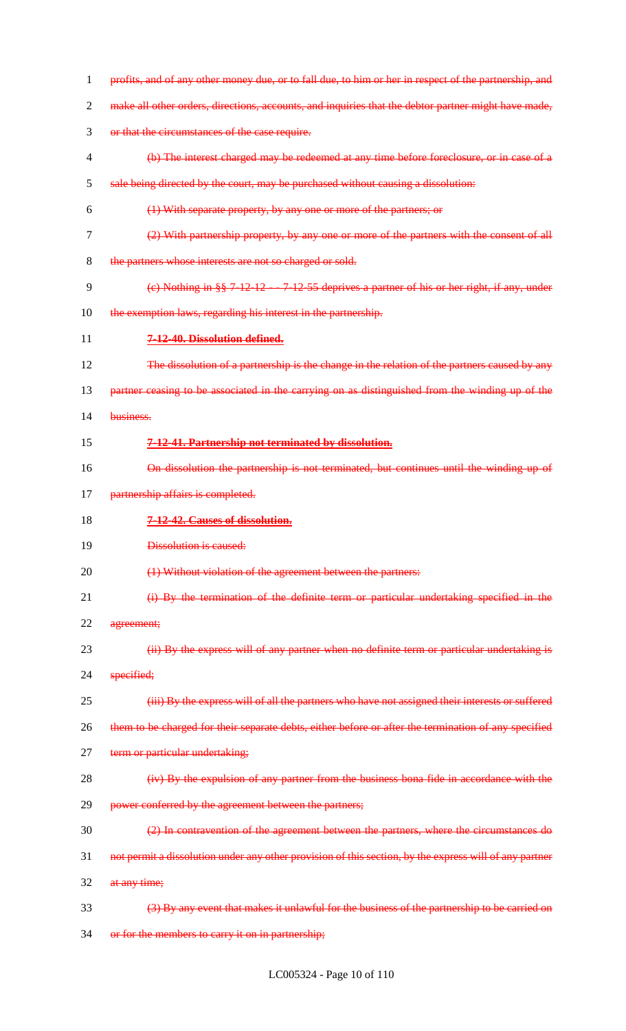| 1  | profits, and of any other money due, or to fall due, to him or her in respect of the partnership, and  |
|----|--------------------------------------------------------------------------------------------------------|
| 2  | make all other orders, directions, accounts, and inquiries that the debtor partner might have made,    |
| 3  | or that the circumstances of the case require.                                                         |
| 4  | (b) The interest charged may be redeemed at any time before foreclosure, or in case of a               |
| 5  | sale being directed by the court, may be purchased without causing a dissolution:                      |
| 6  | (1) With separate property, by any one or more of the partners; or                                     |
| 7  | (2) With partnership property, by any one or more of the partners with the consent of all              |
| 8  | the partners whose interests are not so charged or sold.                                               |
| 9  | (e) Nothing in $\S$ 7-12-12 - - 7-12-55 deprives a partner of his or her right, if any, under          |
| 10 | the exemption laws, regarding his interest in the partnership.                                         |
| 11 | 7-12-40. Dissolution defined.                                                                          |
| 12 | The dissolution of a partnership is the change in the relation of the partners caused by any           |
| 13 | partner ceasing to be associated in the carrying on as distinguished from the winding up of the        |
| 14 | business.                                                                                              |
| 15 | 7-12-41. Partnership not terminated by dissolution.                                                    |
| 16 | On dissolution the partnership is not terminated, but continues until the winding up of                |
| 17 | partnership affairs is completed.                                                                      |
| 18 | 7-12-42. Causes of dissolution.                                                                        |
| 19 | <b>Dissolution is caused:</b>                                                                          |
| 20 | (1) Without violation of the agreement between the partners:                                           |
| 21 | (i) By the termination of the definite term or particular undertaking specified in the                 |
| 22 | agreement;                                                                                             |
| 23 | (ii) By the express will of any partner when no definite term or particular undertaking is             |
| 24 | specified;                                                                                             |
| 25 | (iii) By the express will of all the partners who have not assigned their interests or suffered        |
| 26 | them to be charged for their separate debts, either before or after the termination of any specified   |
| 27 | term or particular undertaking;                                                                        |
| 28 | (iv) By the expulsion of any partner from the business bona fide in accordance with the                |
| 29 | power conferred by the agreement between the partners;                                                 |
| 30 | (2) In contravention of the agreement between the partners, where the circumstances do                 |
| 31 | not permit a dissolution under any other provision of this section, by the express will of any partner |
| 32 | at any time;                                                                                           |
| 33 | (3) By any event that makes it unlawful for the business of the partnership to be carried on           |
| 34 | or for the members to carry it on in partnership;                                                      |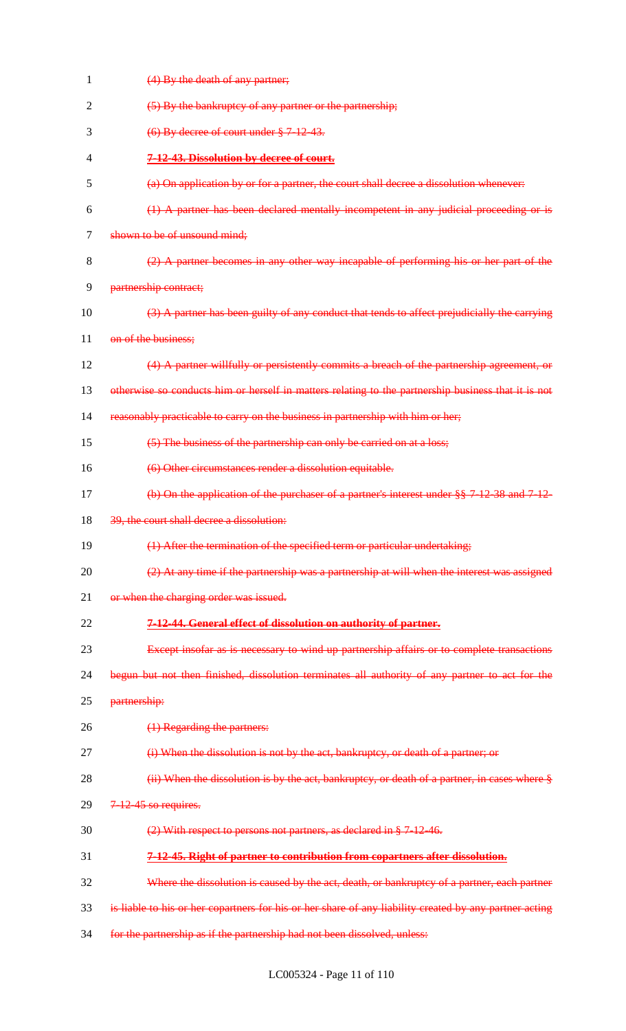| 1  | (4) By the death of any partner;                                                                       |
|----|--------------------------------------------------------------------------------------------------------|
| 2  | (5) By the bankruptcy of any partner or the partnership;                                               |
| 3  | $(6)$ By decree of court under $\frac{8}{3}$ 7-12-43.                                                  |
| 4  | 7-12-43. Dissolution by decree of court.                                                               |
| 5  | (a) On application by or for a partner, the court shall decree a dissolution whenever:                 |
| 6  | (1) A partner has been declared mentally incompetent in any judicial proceeding or is                  |
| 7  | shown to be of unsound mind:                                                                           |
| 8  | (2) A partner becomes in any other way incapable of performing his or her part of the                  |
| 9  | partnership contract;                                                                                  |
| 10 | (3) A partner has been guilty of any conduct that tends to affect prejudicially the carrying           |
| 11 | on of the business:                                                                                    |
| 12 | (4) A partner willfully or persistently commits a breach of the partnership agreement, or              |
| 13 | otherwise so conducts him or herself in matters relating to the partnership business that it is not    |
| 14 | reasonably practicable to carry on the business in partnership with him or her;                        |
| 15 | (5) The business of the partnership can only be carried on at a loss;                                  |
| 16 | (6) Other circumstances render a dissolution equitable.                                                |
| 17 | (b) On the application of the purchaser of a partner's interest under §§ 7-12-38 and 7-12-             |
| 18 | 39, the court shall decree a dissolution:                                                              |
| 19 | (1) After the termination of the specified term or particular undertaking;                             |
| 20 | (2) At any time if the partnership was a partnership at will when the interest was assigned            |
| 21 | or when the charging order was issued.                                                                 |
| 22 | 7-12-44. General effect of dissolution on authority of partner.                                        |
| 23 | Except insofar as is necessary to wind up partnership affairs or to complete transactions              |
| 24 | begun but not then finished, dissolution terminates all authority of any partner to act for the        |
| 25 | partnership:                                                                                           |
| 26 | (1) Regarding the partners:                                                                            |
| 27 | (i) When the dissolution is not by the act, bankruptcy, or death of a partner; or                      |
| 28 | (ii) When the dissolution is by the act, bankruptcy, or death of a partner, in cases where §           |
| 29 | 7-12-45 so requires.                                                                                   |
| 30 | $(2)$ With respect to persons not partners, as declared in § 7-12-46.                                  |
| 31 | 7-12-45. Right of partner to contribution from copartners after dissolution.                           |
| 32 | Where the dissolution is caused by the act, death, or bankruptcy of a partner, each partner            |
| 33 | is liable to his or her copartners for his or her share of any liability created by any partner acting |
|    |                                                                                                        |

for the partnership as if the partnership had not been dissolved, unless: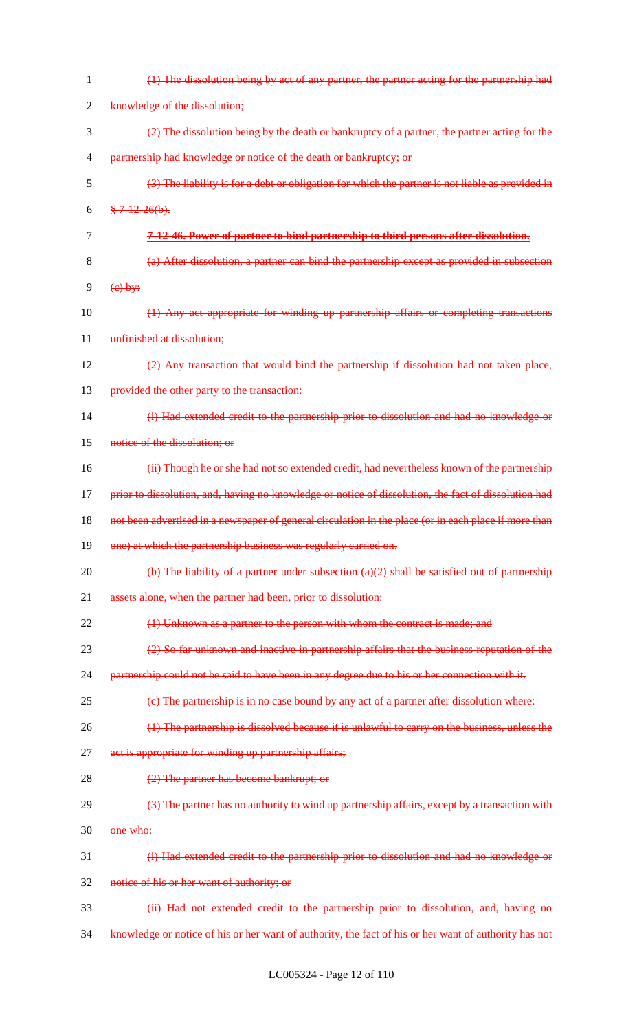| $\mathbf{1}$   | (1) The dissolution being by act of any partner, the partner acting for the partnership had           |
|----------------|-------------------------------------------------------------------------------------------------------|
| $\overline{2}$ | knowledge of the dissolution;                                                                         |
| 3              | (2) The dissolution being by the death or bankruptcy of a partner, the partner acting for the         |
| $\overline{4}$ | partnership had knowledge or notice of the death or bankruptcy; or                                    |
| 5              | (3) The liability is for a debt or obligation for which the partner is not liable as provided in      |
| 6              | $\frac{8}{3}$ 7 12 26(b).                                                                             |
| 7              | 7-12-46. Power of partner to bind partnership to third persons after dissolution.                     |
| 8              | (a) After dissolution, a partner can bind the partnership except as provided in subsection            |
| 9              | $(e)$ by:                                                                                             |
| 10             | (1) Any act appropriate for winding up partnership affairs or completing transactions                 |
| 11             | unfinished at dissolution;                                                                            |
| 12             | (2) Any transaction that would bind the partnership if dissolution had not taken place,               |
| 13             | provided the other party to the transaction:                                                          |
| 14             | (i) Had extended credit to the partnership prior to dissolution and had no knowledge or               |
| 15             | notice of the dissolution; or                                                                         |
| 16             | (ii) Though he or she had not so extended credit, had nevertheless known of the partnership           |
| 17             | prior to dissolution, and, having no knowledge or notice of dissolution, the fact of dissolution had  |
| 18             | not been advertised in a newspaper of general circulation in the place (or in each place if more than |
| 19             | one) at which the partnership business was regularly carried on.                                      |
| 20             | (b) The liability of a partner under subsection $(a)(2)$ shall be satisfied out of partnership        |
| 21             | assets alone, when the partner had been, prior to dissolution:                                        |
| 22             | (1) Unknown as a partner to the person with whom the contract is made; and                            |
| 23             | (2) So far unknown and inactive in partnership affairs that the business reputation of the            |
| 24             | partnership could not be said to have been in any degree due to his or her connection with it.        |
| 25             | (e) The partnership is in no case bound by any act of a partner after dissolution where:              |
| 26             | (1) The partnership is dissolved because it is unlawful to carry on the business, unless the          |
| 27             | act is appropriate for winding up partnership affairs;                                                |
| 28             | (2) The partner has become bankrupt; or                                                               |
| 29             | (3) The partner has no authority to wind up partnership affairs, except by a transaction with         |
| 30             | one who:                                                                                              |
| 31             | (i) Had extended credit to the partnership prior to dissolution and had no knowledge or               |
| 32             | notice of his or her want of authority; or                                                            |
| 33             | (ii) Had not extended credit to the partnership prior to dissolution, and, having no                  |
| 34             | knowledge or notice of his or her want of authority, the fact of his or her want of authority has not |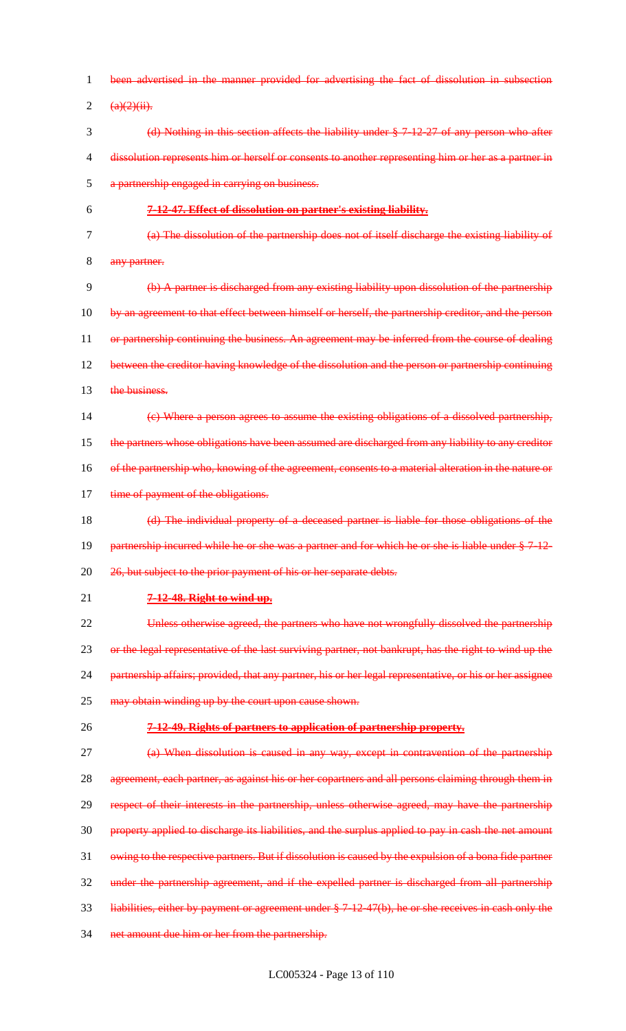| 1  | been advertised in the manner provided for advertising the fact of dissolution in subsection             |
|----|----------------------------------------------------------------------------------------------------------|
| 2  | $(a)(2)(ii)$ .                                                                                           |
| 3  | (d) Nothing in this section affects the liability under § 7-12-27 of any person who after                |
| 4  | dissolution represents him or herself or consents to another representing him or her as a partner in     |
| 5  | a partnership engaged in carrying on business.                                                           |
| 6  | 7-12-47. Effect of dissolution on partner's existing liability.                                          |
| 7  | (a) The dissolution of the partnership does not of itself discharge the existing liability of            |
| 8  | any partner.                                                                                             |
| 9  | (b) A partner is discharged from any existing liability upon dissolution of the partnership              |
| 10 | by an agreement to that effect between himself or herself, the partnership creditor, and the person      |
| 11 | or partnership continuing the business. An agreement may be inferred from the course of dealing          |
| 12 | between the creditor having knowledge of the dissolution and the person or partnership continuing        |
| 13 | the business.                                                                                            |
| 14 | (c) Where a person agrees to assume the existing obligations of a dissolved partnership,                 |
| 15 | the partners whose obligations have been assumed are discharged from any liability to any creditor       |
| 16 | of the partnership who, knowing of the agreement, consents to a material alteration in the nature or     |
| 17 | time of payment of the obligations.                                                                      |
| 18 | (d) The individual property of a deceased partner is liable for those obligations of the                 |
| 19 | partnership incurred while he or she was a partner and for which he or she is liable under § 7-12-       |
| 20 | 26, but subject to the prior payment of his or her separate debts.                                       |
| 21 | 7-12-48. Right to wind up.                                                                               |
| 22 | Unless otherwise agreed, the partners who have not wrongfully dissolved the partnership                  |
| 23 | or the legal representative of the last surviving partner, not bankrupt, has the right to wind up the    |
| 24 | partnership affairs; provided, that any partner, his or her legal representative, or his or her assignee |
| 25 | may obtain winding up by the court upon cause shown.                                                     |
| 26 | 7-12-49. Rights of partners to application of partnership property.                                      |
| 27 | (a) When dissolution is caused in any way, except in contravention of the partnership                    |
| 28 | agreement, each partner, as against his or her copartners and all persons claiming through them in       |
| 29 | respect of their interests in the partnership, unless otherwise agreed, may have the partnership         |
| 30 | property applied to discharge its liabilities, and the surplus applied to pay in cash the net amount     |
| 31 | owing to the respective partners. But if dissolution is caused by the expulsion of a bona fide partner   |
| 32 | under the partnership agreement, and if the expelled partner is discharged from all partnership          |
| 33 | liabilities, either by payment or agreement under § 7-12-47(b), he or she receives in cash only the      |
| 34 | net amount due him or her from the partnership.                                                          |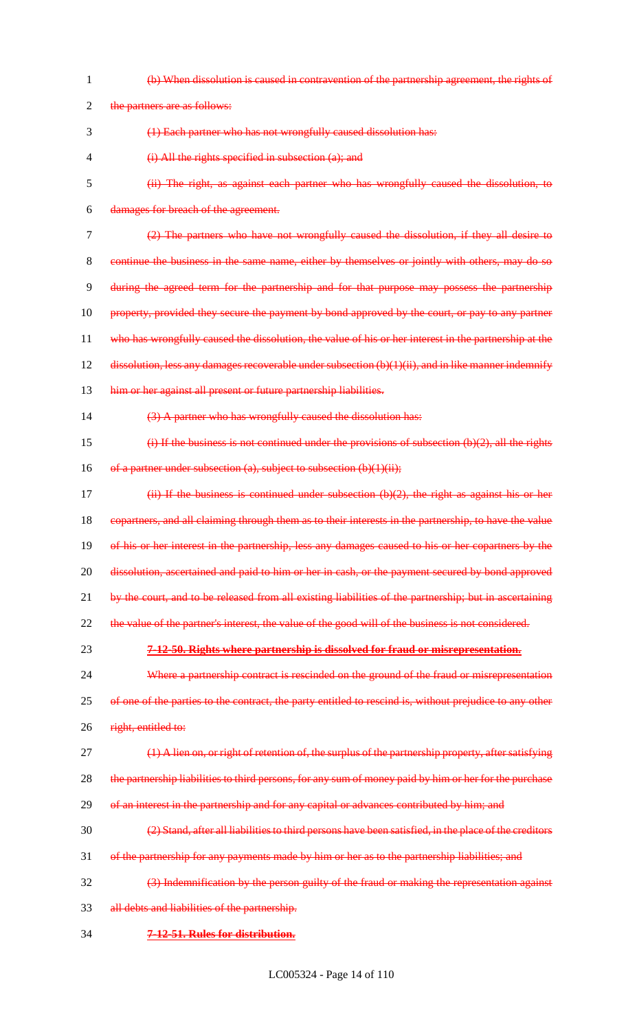| 1              | (b) When dissolution is caused in contravention of the partnership agreement, the rights of              |
|----------------|----------------------------------------------------------------------------------------------------------|
| $\overline{2}$ | the partners are as follows:                                                                             |
| 3              | (1) Each partner who has not wrongfully caused dissolution has:                                          |
| 4              | (i) All the rights specified in subsection (a); and                                                      |
| 5              | (ii) The right, as against each partner who has wrongfully caused the dissolution, to                    |
| 6              | damages for breach of the agreement.                                                                     |
| 7              | (2) The partners who have not wrongfully caused the dissolution, if they all desire to                   |
| 8              | continue the business in the same name, either by themselves or jointly with others, may do so           |
| 9              | during the agreed term for the partnership and for that purpose may possess the partnership              |
| 10             | property, provided they secure the payment by bond approved by the court, or pay to any partner          |
| 11             | who has wrongfully caused the dissolution, the value of his or her interest in the partnership at the    |
| 12             | $dissolution, less any damages$ recoverable under subsection $(b)(1)(ii)$ , and in like manner indemnity |
| 13             | him or her against all present or future partnership liabilities.                                        |
| 14             | (3) A partner who has wrongfully caused the dissolution has:                                             |
| 15             | (i) If the business is not continued under the provisions of subsection $(b)(2)$ , all the rights        |
| 16             | of a partner under subsection (a), subject to subsection $(b)(1)(ii)$ ;                                  |
| 17             | (ii) If the business is continued under subsection $(b)(2)$ , the right as against his or her            |
| 18             | copartners, and all claiming through them as to their interests in the partnership, to have the value    |
| 19             | of his or her interest in the partnership, less any damages caused to his or her copartners by the       |
| 20             | dissolution, ascertained and paid to him or her in cash, or the payment secured by bond approved         |
| 21             | by the court, and to be released from all existing liabilities of the partnership; but in ascertaining   |
| 22             | the value of the partner's interest, the value of the good will of the business is not considered.       |
| 23             | 7-12-50. Rights where partnership is dissolved for fraud or misrepresentation.                           |
| 24             | Where a partnership contract is rescinded on the ground of the fraud or misrepresentation                |
| 25             | of one of the parties to the contract, the party entitled to rescind is, without prejudice to any other  |
| 26             | right, entitled to:                                                                                      |
| 27             | (1) A lien on, or right of retention of, the surplus of the partnership property, after satisfying       |
| 28             | the partnership liabilities to third persons, for any sum of money paid by him or her for the purchase   |
| 29             | of an interest in the partnership and for any capital or advances contributed by him; and                |
| 30             | (2) Stand, after all liabilities to third persons have been satisfied, in the place of the creditors     |
| 31             | of the partnership for any payments made by him or her as to the partnership liabilities; and            |
| 32             | (3) Indemnification by the person guilty of the fraud or making the representation against               |
| 33             | all debts and liabilities of the partnership.                                                            |
| 34             | 7-12-51. Rules for distribution.                                                                         |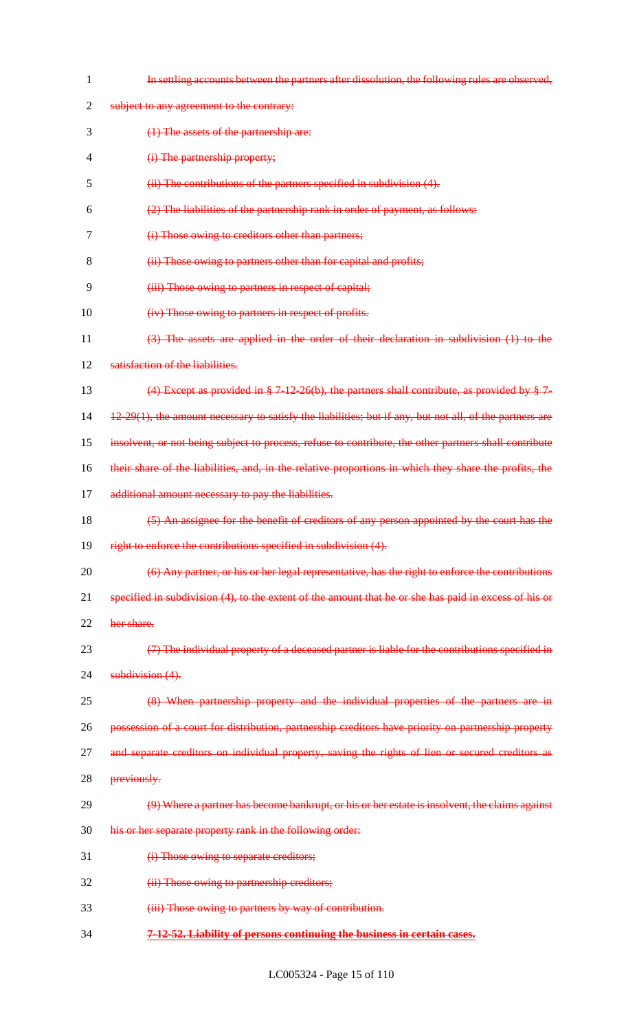| 1  | In settling accounts between the partners after dissolution, the following rules are observed,          |
|----|---------------------------------------------------------------------------------------------------------|
| 2  | subject to any agreement to the contrary:                                                               |
| 3  | (1) The assets of the partnership are:                                                                  |
| 4  | (i) The partnership property;                                                                           |
| 5  | (ii) The contributions of the partners specified in subdivision (4).                                    |
| 6  | (2) The liabilities of the partnership rank in order of payment, as follows:                            |
| 7  | (i) Those owing to creditors other than partners;                                                       |
| 8  | (ii) Those owing to partners other than for capital and profits;                                        |
| 9  | (iii) Those owing to partners in respect of capital;                                                    |
| 10 | (iv) Those owing to partners in respect of profits.                                                     |
| 11 | (3) The assets are applied in the order of their declaration in subdivision (1) to the                  |
| 12 | satisfaction of the liabilities.                                                                        |
| 13 | $(4)$ Except as provided in § 7-12-26(b), the partners shall contribute, as provided by § 7-            |
| 14 | 12-29(1), the amount necessary to satisfy the liabilities; but if any, but not all, of the partners are |
| 15 | insolvent, or not being subject to process, refuse to contribute, the other partners shall contribute   |
| 16 | their share of the liabilities, and, in the relative proportions in which they share the profits, the   |
| 17 | additional amount necessary to pay the liabilities.                                                     |
| 18 | (5) An assignee for the benefit of creditors of any person appointed by the court has the               |
| 19 | right to enforce the contributions specified in subdivision (4).                                        |
| 20 | (6) Any partner, or his or her legal representative, has the right to enforce the contributions         |
| 21 | specified in subdivision (4), to the extent of the amount that he or she has paid in excess of his or   |
| 22 | her share.                                                                                              |
| 23 | (7) The individual property of a deceased partner is liable for the contributions specified in          |
| 24 | subdivision (4).                                                                                        |
| 25 | (8) When partnership property and the individual properties of the partners are in                      |
| 26 | possession of a court for distribution, partnership creditors have priority on partnership property     |
| 27 | and separate creditors on individual property, saving the rights of lien or secured creditors as        |
| 28 | previously.                                                                                             |
| 29 | (9) Where a partner has become bankrupt, or his or her estate is insolvent, the claims against          |
| 30 | his or her separate property rank in the following order:                                               |
| 31 | (i) Those owing to separate creditors;                                                                  |
| 32 | (ii) Those owing to partnership creditors;                                                              |
| 33 | (iii) Those owing to partners by way of contribution.                                                   |
| 34 | 7-12-52. Liability of persons continuing the business in certain cases.                                 |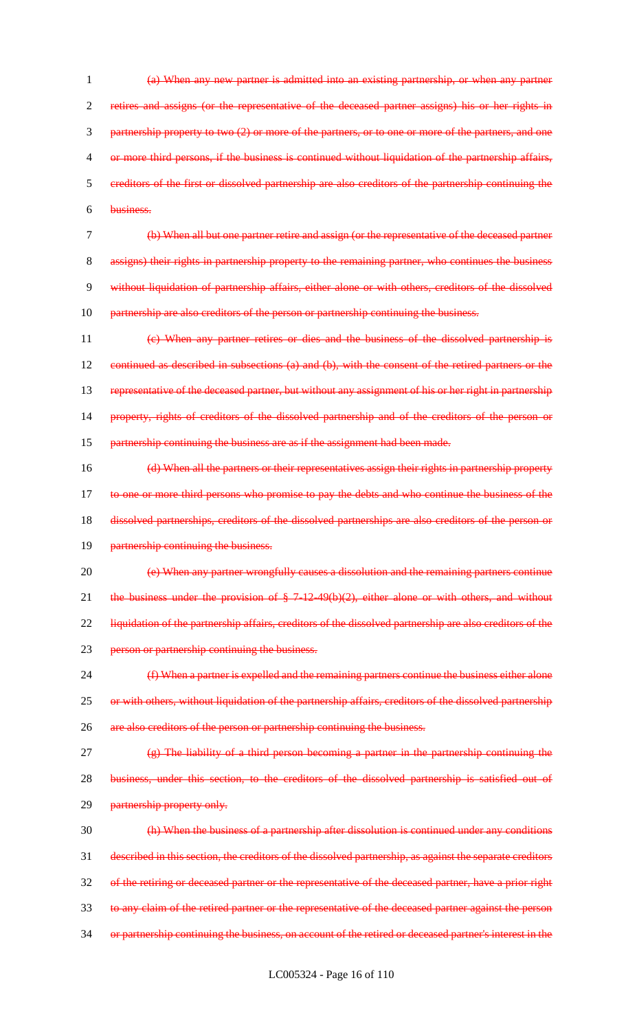(a) When any new partner is admitted into an existing partnership, or when any partner retires and assigns (or the representative of the deceased partner assigns) his or her rights in partnership property to two (2) or more of the partners, or to one or more of the partners, and one or more third persons, if the business is continued without liquidation of the partnership affairs, creditors of the first or dissolved partnership are also creditors of the partnership continuing the business.

7 (b) When all but one partner retire and assign (or the representative of the deceased partner 8 assigns) their rights in partnership property to the remaining partner, who continues the business 9 without liquidation of partnership affairs, either alone or with others, creditors of the dissolved 10 partnership are also creditors of the person or partnership continuing the business.

11 (c) When any partner retires or dies and the business of the dissolved partnership is 12 continued as described in subsections (a) and (b), with the consent of the retired partners or the 13 representative of the deceased partner, but without any assignment of his or her right in partnership 14 property, rights of creditors of the dissolved partnership and of the creditors of the person or 15 partnership continuing the business are as if the assignment had been made.

16 (d) When all the partners or their representatives assign their rights in partnership property 17 to one or more third persons who promise to pay the debts and who continue the business of the 18 dissolved partnerships, creditors of the dissolved partnerships are also creditors of the person or 19 partnership continuing the business.

20 (e) When any partner wrongfully causes a dissolution and the remaining partners continue 21 the business under the provision of  $$ 7-12-49(b)(2)$ , either alone or with others, and without 22 liquidation of the partnership affairs, creditors of the dissolved partnership are also creditors of the

23 person or partnership continuing the business.

24 (f) When a partner is expelled and the remaining partners continue the business either alone 25 or with others, without liquidation of the partnership affairs, creditors of the dissolved partnership 26 are also creditors of the person or partnership continuing the business.

27 (g) The liability of a third person becoming a partner in the partnership continuing the 28 business, under this section, to the creditors of the dissolved partnership is satisfied out of 29 partnership property only.

30 (h) When the business of a partnership after dissolution is continued under any conditions 31 described in this section, the creditors of the dissolved partnership, as against the separate creditors 32 of the retiring or deceased partner or the representative of the deceased partner, have a prior right 33 to any claim of the retired partner or the representative of the deceased partner against the person 34 or partnership continuing the business, on account of the retired or deceased partner's interest in the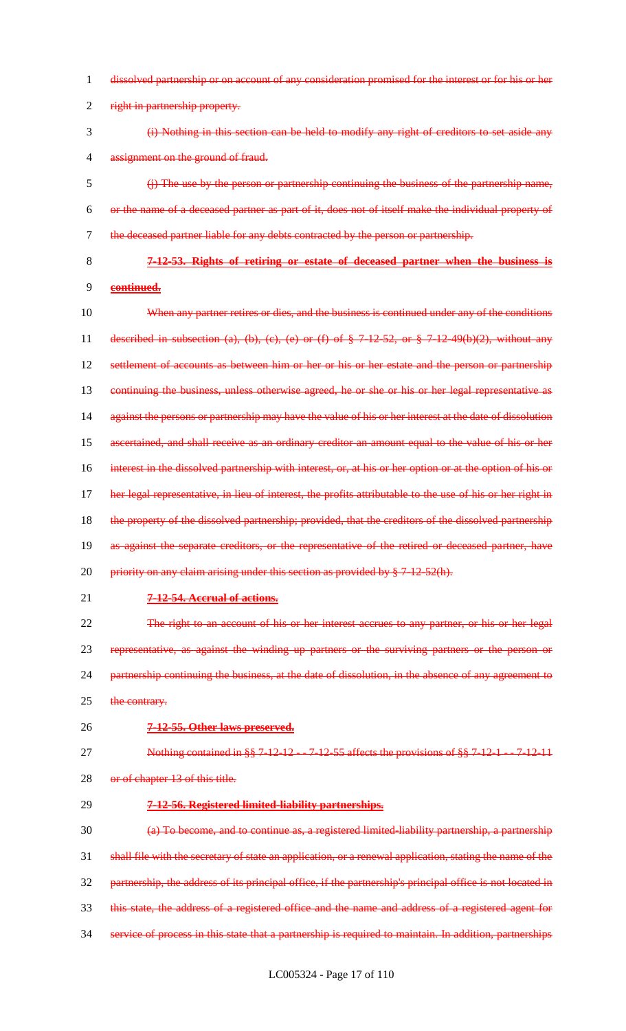dissolved partnership or on account of any consideration promised for the interest or for his or her right in partnership property. (i) Nothing in this section can be held to modify any right of creditors to set aside any 4 assignment on the ground of fraud. (j) The use by the person or partnership continuing the business of the partnership name, or the name of a deceased partner as part of it, does not of itself make the individual property of the deceased partner liable for any debts contracted by the person or partnership. **7-12-53. Rights of retiring or estate of deceased partner when the business is continued.** 10 When any partner retires or dies, and the business is continued under any of the conditions 11 described in subsection (a), (b), (c), (e) or (f) of  $\S$  7-12-52, or  $\S$  7-12-49(b)(2), without any settlement of accounts as between him or her or his or her estate and the person or partnership 13 continuing the business, unless otherwise agreed, he or she or his or her legal representative as 14 against the persons or partnership may have the value of his or her interest at the date of dissolution ascertained, and shall receive as an ordinary creditor an amount equal to the value of his or her interest in the dissolved partnership with interest, or, at his or her option or at the option of his or 17 her legal representative, in lieu of interest, the profits attributable to the use of his or her right in 18 the property of the dissolved partnership; provided, that the creditors of the dissolved partnership 19 as against the separate creditors, or the representative of the retired or deceased partner, have 20 priority on any claim arising under this section as provided by  $§ 7-12-52(h)$ . **7-12-54. Accrual of actions.** The right to an account of his or her interest accrues to any partner, or his or her legal representative, as against the winding up partners or the surviving partners or the person or partnership continuing the business, at the date of dissolution, in the absence of any agreement to 25 the contrary. **7-12-55. Other laws preserved.** 27 Nothing contained in  $\frac{88}{9}$  7 12 12 - 7 12 55 affects the provisions of  $\frac{88}{9}$  7 12 1 - 7 12 11 28 or of chapter 13 of this title. **7-12-56. Registered limited-liability partnerships.** (a) To become, and to continue as, a registered limited-liability partnership, a partnership shall file with the secretary of state an application, or a renewal application, stating the name of the partnership, the address of its principal office, if the partnership's principal office is not located in this state, the address of a registered office and the name and address of a registered agent for service of process in this state that a partnership is required to maintain. In addition, partnerships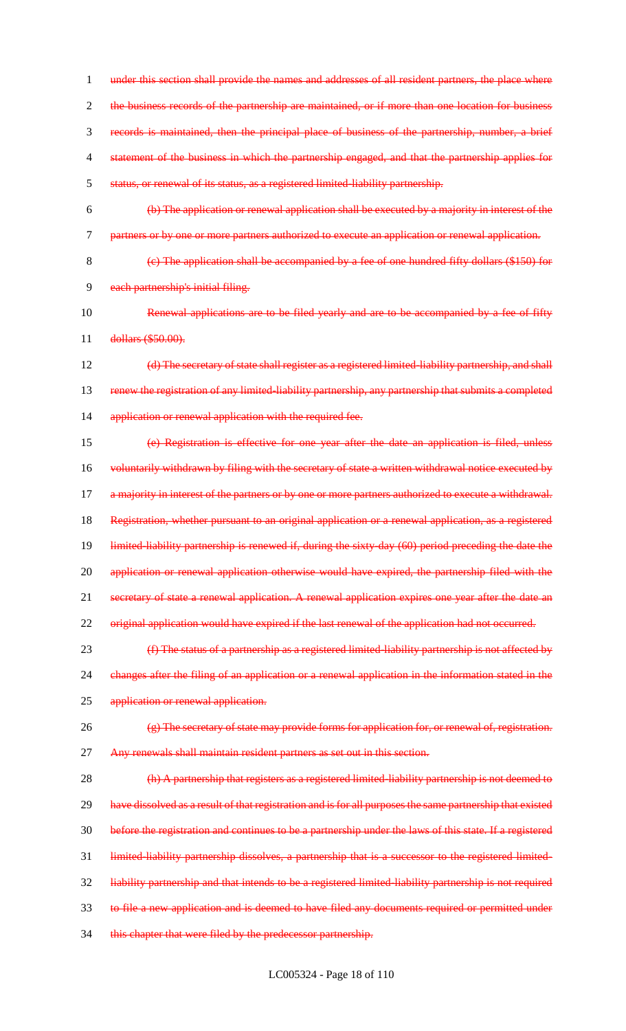under this section shall provide the names and addresses of all resident partners, the place where the business records of the partnership are maintained, or if more than one location for business records is maintained, then the principal place of business of the partnership, number, a brief 4 statement of the business in which the partnership engaged, and that the partnership applies for status, or renewal of its status, as a registered limited-liability partnership. (b) The application or renewal application shall be executed by a majority in interest of the partners or by one or more partners authorized to execute an application or renewal application. (c) The application shall be accompanied by a fee of one hundred fifty dollars (\$150) for each partnership's initial filing.

10 Renewal applications are to be filed yearly and are to be accompanied by a fee of fifty 11 dollars (\$50.00).

12 (d) The secretary of state shall register as a registered limited-liability partnership, and shall 13 renew the registration of any limited-liability partnership, any partnership that submits a completed 14 application or renewal application with the required fee.

15 (e) Registration is effective for one year after the date an application is filed, unless 16 voluntarily withdrawn by filing with the secretary of state a written withdrawal notice executed by 17 a majority in interest of the partners or by one or more partners authorized to execute a withdrawal. 18 Registration, whether pursuant to an original application or a renewal application, as a registered 19 limited-liability partnership is renewed if, during the sixty-day (60) period preceding the date the 20 application or renewal application otherwise would have expired, the partnership filed with the 21 secretary of state a renewal application. A renewal application expires one year after the date an 22 original application would have expired if the last renewal of the application had not occurred.

23 (f) The status of a partnership as a registered limited-liability partnership is not affected by 24 changes after the filing of an application or a renewal application in the information stated in the

25 application or renewal application.

26 (g) The secretary of state may provide forms for application for, or renewal of, registration. 27 Any renewals shall maintain resident partners as set out in this section.

28 (h) A partnership that registers as a registered limited-liability partnership is not deemed to 29 have dissolved as a result of that registration and is for all purposes the same partnership that existed 30 before the registration and continues to be a partnership under the laws of this state. If a registered 31 limited-liability partnership dissolves, a partnership that is a successor to the registered limited-32 liability partnership and that intends to be a registered limited-liability partnership is not required 33 to file a new application and is deemed to have filed any documents required or permitted under 34 this chapter that were filed by the predecessor partnership.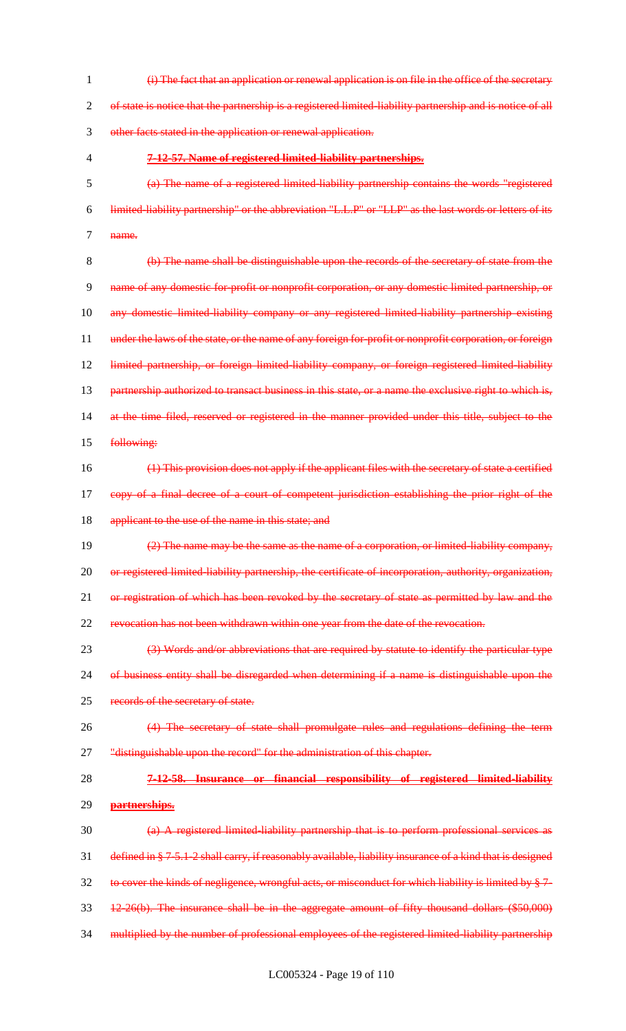1 (i) The fact that an application or renewal application is on file in the office of the secretary 2 of state is notice that the partnership is a registered limited-liability partnership and is notice of all 3 other facts stated in the application or renewal application. 4 **7-12-57. Name of registered limited-liability partnerships.** 5 (a) The name of a registered limited-liability partnership contains the words "registered 6 limited-liability partnership" or the abbreviation "L.L.P" or "LLP" as the last words or letters of its 7 name. 8 (b) The name shall be distinguishable upon the records of the secretary of state from the 9 name of any domestic for-profit or nonprofit corporation, or any domestic limited partnership, or 10 any domestic limited liability company or any registered limited liability partnership existing 11 under the laws of the state, or the name of any foreign for-profit or nonprofit corporation, or foreign 12 limited partnership, or foreign limited liability company, or foreign registered limited liability 13 partnership authorized to transact business in this state, or a name the exclusive right to which is, 14 at the time filed, reserved or registered in the manner provided under this title, subject to the 15 following: 16 (1) This provision does not apply if the applicant files with the secretary of state a certified 17 copy of a final decree of a court of competent jurisdiction establishing the prior right of the 18 applicant to the use of the name in this state; and 19 (2) The name may be the same as the name of a corporation, or limited-liability company, 20 or registered limited-liability partnership, the certificate of incorporation, authority, organization, 21 or registration of which has been revoked by the secretary of state as permitted by law and the 22 revocation has not been withdrawn within one year from the date of the revocation. 23 (3) Words and/or abbreviations that are required by statute to identify the particular type 24 of business entity shall be disregarded when determining if a name is distinguishable upon the 25 records of the secretary of state. 26 (4) The secretary of state shall promulgate rules and regulations defining the term 27 "distinguishable upon the record" for the administration of this chapter. 28 **7-12-58. Insurance or financial responsibility of registered limited-liability**  29 **partnerships.** 30 (a) A registered limited-liability partnership that is to perform professional services as 31 defined in § 7-5.1-2 shall carry, if reasonably available, liability insurance of a kind that is designed 32 to cover the kinds of negligence, wrongful acts, or misconduct for which liability is limited by § 7- 33 12-26(b). The insurance shall be in the aggregate amount of fifty thousand dollars (\$50,000) 34 multiplied by the number of professional employees of the registered limited-liability partnership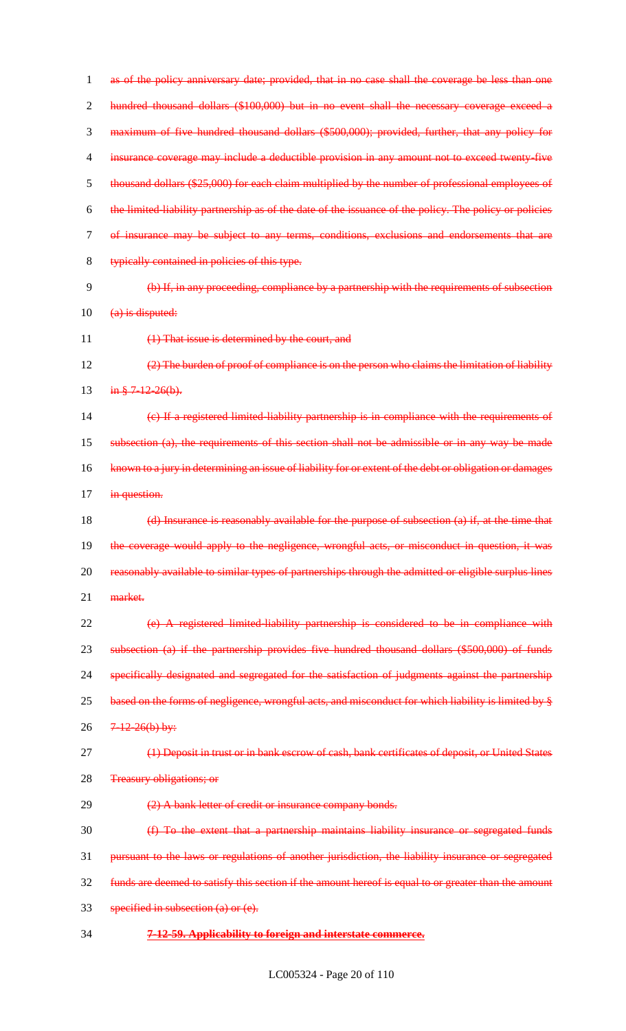1 as of the policy anniversary date; provided, that in no case shall the coverage be less than one hundred thousand dollars (\$100,000) but in no event shall the necessary coverage exceed a maximum of five hundred thousand dollars (\$500,000); provided, further, that any policy for insurance coverage may include a deductible provision in any amount not to exceed twenty-five thousand dollars (\$25,000) for each claim multiplied by the number of professional employees of the limited-liability partnership as of the date of the issuance of the policy. The policy or policies of insurance may be subject to any terms, conditions, exclusions and endorsements that are typically contained in policies of this type. (b) If, in any proceeding, compliance by a partnership with the requirements of subsection  $10 \quad$  (a) is disputed: 11 (1) That issue is determined by the court, and (2) The burden of proof of compliance is on the person who claims the limitation of liability 13 in  $\frac{1}{5}$  7-12-26(b). (c) If a registered limited-liability partnership is in compliance with the requirements of subsection (a), the requirements of this section shall not be admissible or in any way be made known to a jury in determining an issue of liability for or extent of the debt or obligation or damages 17 in question. (d) Insurance is reasonably available for the purpose of subsection (a) if, at the time that the coverage would apply to the negligence, wrongful acts, or misconduct in question, it was 20 reasonably available to similar types of partnerships through the admitted or eligible surplus lines market. (e) A registered limited-liability partnership is considered to be in compliance with subsection (a) if the partnership provides five hundred thousand dollars (\$500,000) of funds specifically designated and segregated for the satisfaction of judgments against the partnership based on the forms of negligence, wrongful acts, and misconduct for which liability is limited by §  $26 \frac{7-12-26(b) \text{ by:}}{}$ 27 (1) Deposit in trust or in bank escrow of cash, bank certificates of deposit, or United States 28 Treasury obligations; or 29 (2) A bank letter of credit or insurance company bonds. (f) To the extent that a partnership maintains liability insurance or segregated funds pursuant to the laws or regulations of another jurisdiction, the liability insurance or segregated funds are deemed to satisfy this section if the amount hereof is equal to or greater than the amount specified in subsection (a) or (e). **7-12-59. Applicability to foreign and interstate commerce.**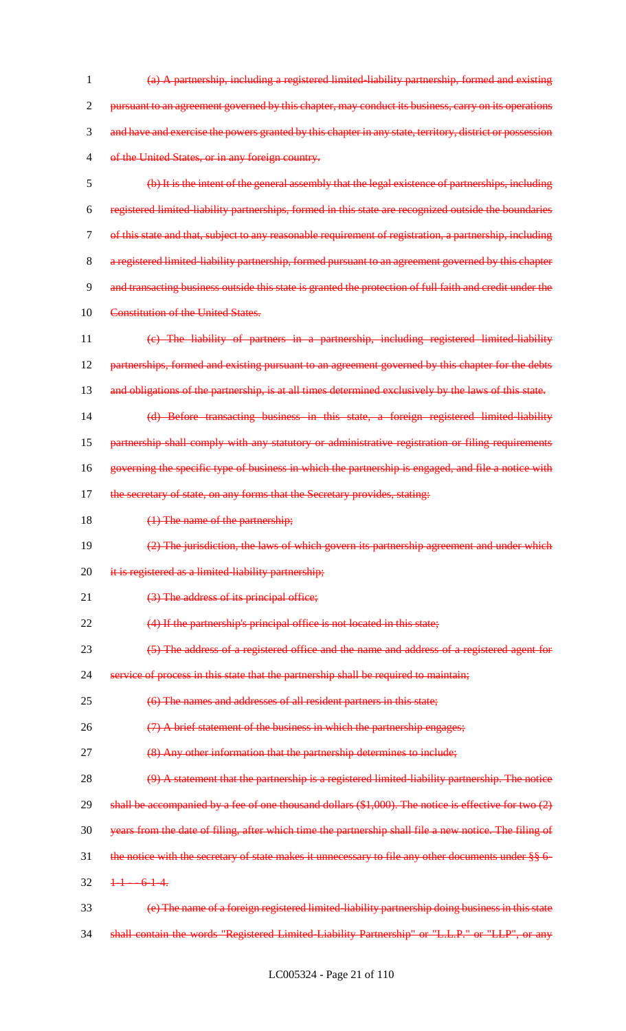2 pursuant to an agreement governed by this chapter, may conduct its business, carry on its operations 3 and have and exercise the powers granted by this chapter in any state, territory, district or possession 4 of the United States, or in any foreign country. 5 (b) It is the intent of the general assembly that the legal existence of partnerships, including 6 registered limited-liability partnerships, formed in this state are recognized outside the boundaries 7 of this state and that, subject to any reasonable requirement of registration, a partnership, including 8 a registered limited-liability partnership, formed pursuant to an agreement governed by this chapter 9 and transacting business outside this state is granted the protection of full faith and credit under the 10 Constitution of the United States. 11 (c) The liability of partners in a partnership, including registered limited-liability 12 partnerships, formed and existing pursuant to an agreement governed by this chapter for the debts 13 and obligations of the partnership, is at all times determined exclusively by the laws of this state. 14 (d) Before transacting business in this state, a foreign registered limited-liability 15 partnership shall comply with any statutory or administrative registration or filing requirements 16 governing the specific type of business in which the partnership is engaged, and file a notice with 17 the secretary of state, on any forms that the Secretary provides, stating: 18 (1) The name of the partnership; 19 (2) The jurisdiction, the laws of which govern its partnership agreement and under which 20 it is registered as a limited-liability partnership; 21 (3) The address of its principal office; 22 (4) If the partnership's principal office is not located in this state; 23 (5) The address of a registered office and the name and address of a registered agent for 24 service of process in this state that the partnership shall be required to maintain; 25 (6) The names and addresses of all resident partners in this state; 26 (7) A brief statement of the business in which the partnership engages; 27 (8) Any other information that the partnership determines to include; 28 (9) A statement that the partnership is a registered limited-liability partnership. The notice 29 shall be accompanied by a fee of one thousand dollars (\$1,000). The notice is effective for two (2) 30 years from the date of filing, after which time the partnership shall file a new notice. The filing of 31 the notice with the secretary of state makes it unnecessary to file any other documents under §§ 6-  $32 + 1 - 6 + 4.$ 33 (e) The name of a foreign registered limited-liability partnership doing business in this state 34 shall contain the words "Registered Limited-Liability Partnership" or "L.L.P." or "LLP", or any

1 (a) A partnership, including a registered limited-liability partnership, formed and existing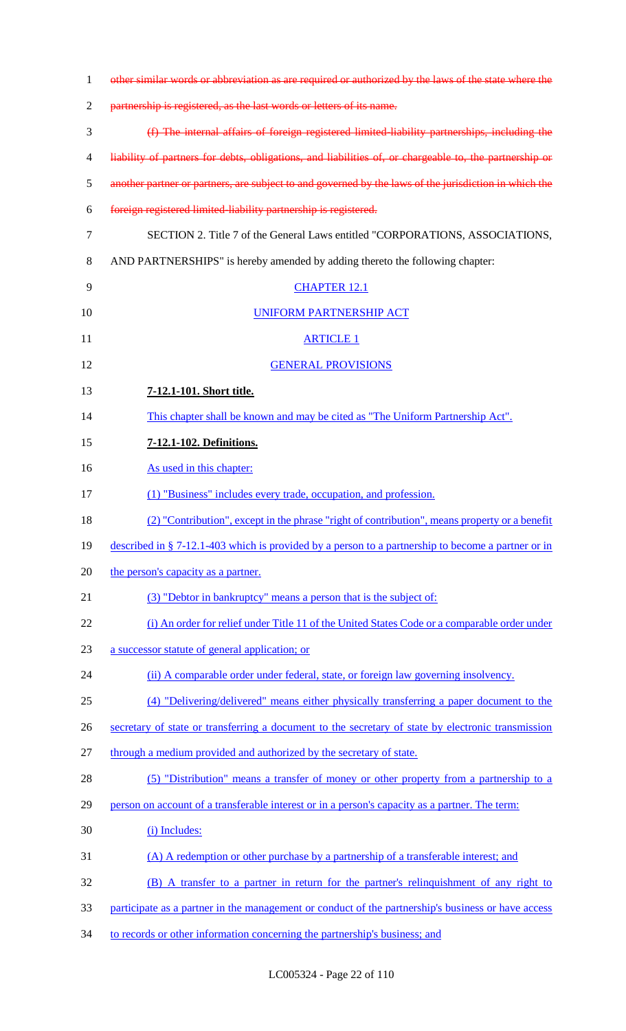| 1              | other similar words or abbreviation as are required or authorized by the laws of the state where the   |
|----------------|--------------------------------------------------------------------------------------------------------|
| $\overline{2}$ | partnership is registered, as the last words or letters of its name.                                   |
| 3              | (f) The internal affairs of foreign registered limited liability partnerships, including the           |
| $\overline{4}$ | liability of partners for debts, obligations, and liabilities of, or chargeable to, the partnership or |
| 5              | another partner or partners, are subject to and governed by the laws of the jurisdiction in which the  |
| 6              | foreign registered limited liability partnership is registered.                                        |
| $\overline{7}$ | SECTION 2. Title 7 of the General Laws entitled "CORPORATIONS, ASSOCIATIONS,                           |
| 8              | AND PARTNERSHIPS" is hereby amended by adding thereto the following chapter:                           |
| 9              | <b>CHAPTER 12.1</b>                                                                                    |
| 10             | <b>UNIFORM PARTNERSHIP ACT</b>                                                                         |
| 11             | <b>ARTICLE 1</b>                                                                                       |
| 12             | <b>GENERAL PROVISIONS</b>                                                                              |
| 13             | 7-12.1-101. Short title.                                                                               |
| 14             | This chapter shall be known and may be cited as "The Uniform Partnership Act".                         |
| 15             | 7-12.1-102. Definitions.                                                                               |
| 16             | As used in this chapter:                                                                               |
| 17             | (1) "Business" includes every trade, occupation, and profession.                                       |
| 18             | (2) "Contribution", except in the phrase "right of contribution", means property or a benefit          |
| 19             | described in $\S$ 7-12.1-403 which is provided by a person to a partnership to become a partner or in  |
| 20             | the person's capacity as a partner.                                                                    |
| 21             | (3) "Debtor in bankruptcy" means a person that is the subject of:                                      |
| 22             | (i) An order for relief under Title 11 of the United States Code or a comparable order under           |
| 23             | a successor statute of general application; or                                                         |
| 24             | (ii) A comparable order under federal, state, or foreign law governing insolvency.                     |
| 25             | (4) "Delivering/delivered" means either physically transferring a paper document to the                |
| 26             | secretary of state or transferring a document to the secretary of state by electronic transmission     |
| 27             | through a medium provided and authorized by the secretary of state.                                    |
| 28             | (5) "Distribution" means a transfer of money or other property from a partnership to a                 |
| 29             | person on account of a transferable interest or in a person's capacity as a partner. The term:         |
| 30             | (i) Includes:                                                                                          |
| 31             | (A) A redemption or other purchase by a partnership of a transferable interest; and                    |
| 32             | (B) A transfer to a partner in return for the partner's relinquishment of any right to                 |
| 33             | participate as a partner in the management or conduct of the partnership's business or have access     |
| 34             | to records or other information concerning the partnership's business; and                             |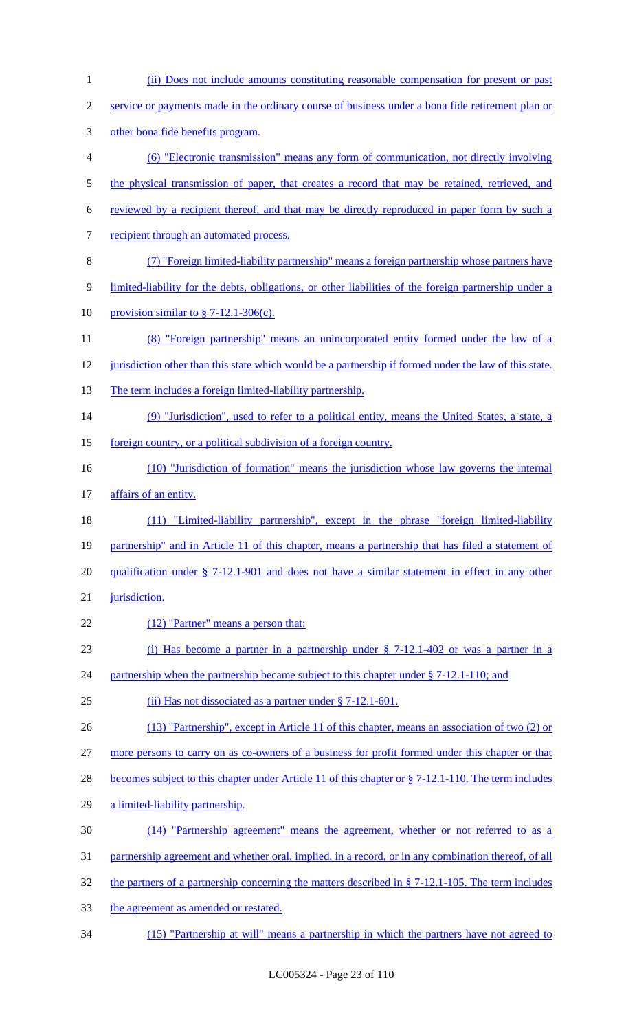- (ii) Does not include amounts constituting reasonable compensation for present or past service or payments made in the ordinary course of business under a bona fide retirement plan or other bona fide benefits program. (6) "Electronic transmission" means any form of communication, not directly involving 5 the physical transmission of paper, that creates a record that may be retained, retrieved, and reviewed by a recipient thereof, and that may be directly reproduced in paper form by such a 7 recipient through an automated process. (7) "Foreign limited-liability partnership" means a foreign partnership whose partners have limited-liability for the debts, obligations, or other liabilities of the foreign partnership under a provision similar to § 7-12.1-306(c). (8) "Foreign partnership" means an unincorporated entity formed under the law of a 12 jurisdiction other than this state which would be a partnership if formed under the law of this state. 13 The term includes a foreign limited-liability partnership. (9) "Jurisdiction", used to refer to a political entity, means the United States, a state, a 15 foreign country, or a political subdivision of a foreign country. (10) "Jurisdiction of formation" means the jurisdiction whose law governs the internal 17 affairs of an entity. (11) "Limited-liability partnership", except in the phrase "foreign limited-liability partnership" and in Article 11 of this chapter, means a partnership that has filed a statement of qualification under § 7-12.1-901 and does not have a similar statement in effect in any other 21 jurisdiction. 22 (12) "Partner" means a person that: (i) Has become a partner in a partnership under § 7-12.1-402 or was a partner in a 24 partnership when the partnership became subject to this chapter under § 7-12.1-110; and (ii) Has not dissociated as a partner under § 7-12.1-601. (13) "Partnership", except in Article 11 of this chapter, means an association of two (2) or more persons to carry on as co-owners of a business for profit formed under this chapter or that 28 becomes subject to this chapter under Article 11 of this chapter or § 7-12.1-110. The term includes a limited-liability partnership. (14) "Partnership agreement" means the agreement, whether or not referred to as a partnership agreement and whether oral, implied, in a record, or in any combination thereof, of all 32 the partners of a partnership concerning the matters described in § 7-12.1-105. The term includes 33 the agreement as amended or restated.
- (15) "Partnership at will" means a partnership in which the partners have not agreed to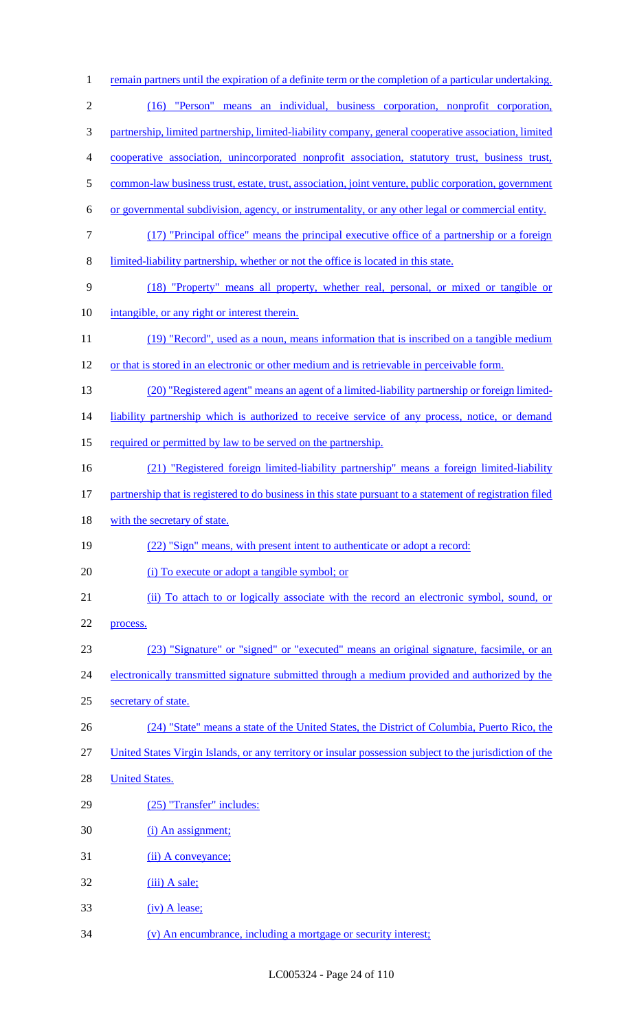| $\mathbf{1}$     | remain partners until the expiration of a definite term or the completion of a particular undertaking.    |
|------------------|-----------------------------------------------------------------------------------------------------------|
| $\sqrt{2}$       | (16) "Person" means an individual, business corporation, nonprofit corporation,                           |
| 3                | partnership, limited partnership, limited-liability company, general cooperative association, limited     |
| $\overline{4}$   | cooperative association, unincorporated nonprofit association, statutory trust, business trust,           |
| $\mathfrak{S}$   | common-law business trust, estate, trust, association, joint venture, public corporation, government      |
| 6                | or governmental subdivision, agency, or instrumentality, or any other legal or commercial entity.         |
| $\boldsymbol{7}$ | (17) "Principal office" means the principal executive office of a partnership or a foreign                |
| $8\,$            | limited-liability partnership, whether or not the office is located in this state.                        |
| 9                | (18) "Property" means all property, whether real, personal, or mixed or tangible or                       |
| 10               | intangible, or any right or interest therein.                                                             |
| 11               | (19) "Record", used as a noun, means information that is inscribed on a tangible medium                   |
| 12               | or that is stored in an electronic or other medium and is retrievable in perceivable form.                |
| 13               | (20) "Registered agent" means an agent of a limited-liability partnership or foreign limited-             |
| 14               | liability partnership which is authorized to receive service of any process, notice, or demand            |
| 15               | required or permitted by law to be served on the partnership.                                             |
| 16               | (21) "Registered foreign limited-liability partnership" means a foreign limited-liability                 |
| 17               | partnership that is registered to do business in this state pursuant to a statement of registration filed |
| 18               | with the secretary of state.                                                                              |
|                  |                                                                                                           |
| 19               | (22) "Sign" means, with present intent to authenticate or adopt a record:                                 |
| 20               | (i) To execute or adopt a tangible symbol; or                                                             |
| 21               | (ii) To attach to or logically associate with the record an electronic symbol, sound, or                  |
| 22               | process.                                                                                                  |
| 23               | (23) "Signature" or "signed" or "executed" means an original signature, facsimile, or an                  |
| 24               | electronically transmitted signature submitted through a medium provided and authorized by the            |
| 25               | secretary of state.                                                                                       |
| 26               | (24) "State" means a state of the United States, the District of Columbia, Puerto Rico, the               |
| 27               | United States Virgin Islands, or any territory or insular possession subject to the jurisdiction of the   |
| 28               | <b>United States.</b>                                                                                     |
| 29               | (25) "Transfer" includes:                                                                                 |
| 30               | (i) An assignment;                                                                                        |
| 31               | (ii) A conveyance;                                                                                        |
| 32               | $(iii)$ A sale;                                                                                           |
| 33               | $(iv)$ A lease;                                                                                           |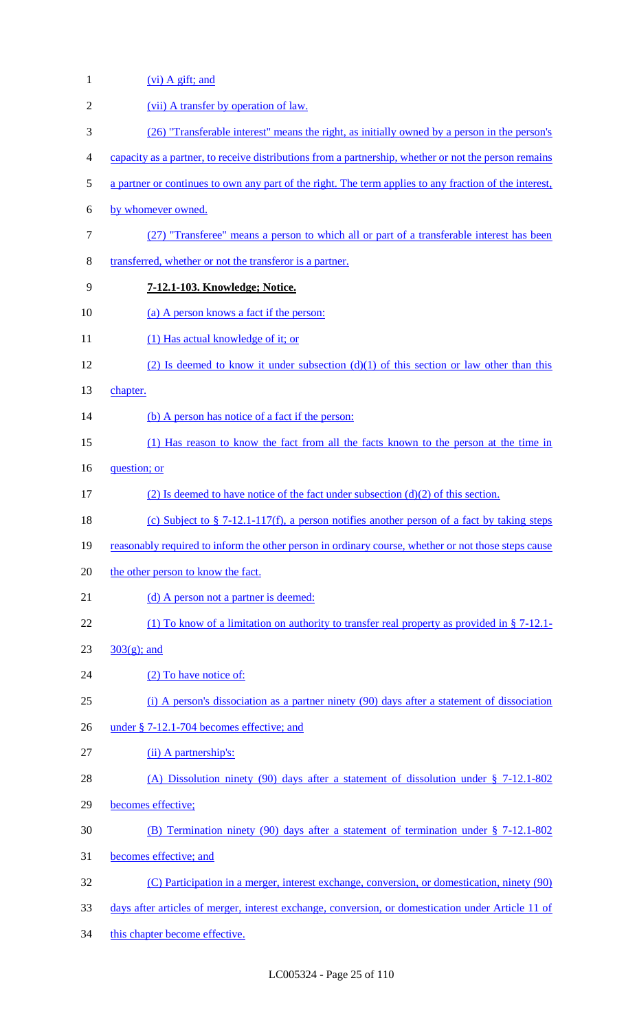| $\mathbf{1}$   | $(vi)$ A gift; and                                                                                     |
|----------------|--------------------------------------------------------------------------------------------------------|
| $\overline{2}$ | (vii) A transfer by operation of law.                                                                  |
| 3              | (26) "Transferable interest" means the right, as initially owned by a person in the person's           |
| 4              | capacity as a partner, to receive distributions from a partnership, whether or not the person remains  |
| 5              | a partner or continues to own any part of the right. The term applies to any fraction of the interest, |
| 6              | by whomever owned.                                                                                     |
| $\tau$         | (27) "Transferee" means a person to which all or part of a transferable interest has been              |
| 8              | transferred, whether or not the transferor is a partner.                                               |
| 9              | 7-12.1-103. Knowledge; Notice.                                                                         |
| 10             | (a) A person knows a fact if the person:                                                               |
| 11             | (1) Has actual knowledge of it; or                                                                     |
| 12             | (2) Is deemed to know it under subsection (d)(1) of this section or law other than this                |
| 13             | chapter.                                                                                               |
| 14             | (b) A person has notice of a fact if the person:                                                       |
| 15             | (1) Has reason to know the fact from all the facts known to the person at the time in                  |
| 16             | question; or                                                                                           |
| 17             | $(2)$ Is deemed to have notice of the fact under subsection $(d)(2)$ of this section.                  |
| 18             | (c) Subject to $\S$ 7-12.1-117(f), a person notifies another person of a fact by taking steps          |
| 19             | reasonably required to inform the other person in ordinary course, whether or not those steps cause    |
| 20             | the other person to know the fact.                                                                     |
| 21             | (d) A person not a partner is deemed:                                                                  |
| 22             | (1) To know of a limitation on authority to transfer real property as provided in $\S$ 7-12.1-         |
| 23             | $303(g)$ ; and                                                                                         |
| 24             | (2) To have notice of:                                                                                 |
| 25             | $(i)$ A person's dissociation as a partner ninety (90) days after a statement of dissociation          |
| 26             | under § 7-12.1-704 becomes effective; and                                                              |
| 27             | (ii) A partnership's:                                                                                  |
| 28             | (A) Dissolution ninety (90) days after a statement of dissolution under § 7-12.1-802                   |
| 29             | becomes effective;                                                                                     |
| 30             | (B) Termination ninety (90) days after a statement of termination under § 7-12.1-802                   |
| 31             | becomes effective; and                                                                                 |
| 32             | (C) Participation in a merger, interest exchange, conversion, or domestication, ninety (90)            |
| 33             | days after articles of merger, interest exchange, conversion, or domestication under Article 11 of     |
| 34             | this chapter become effective.                                                                         |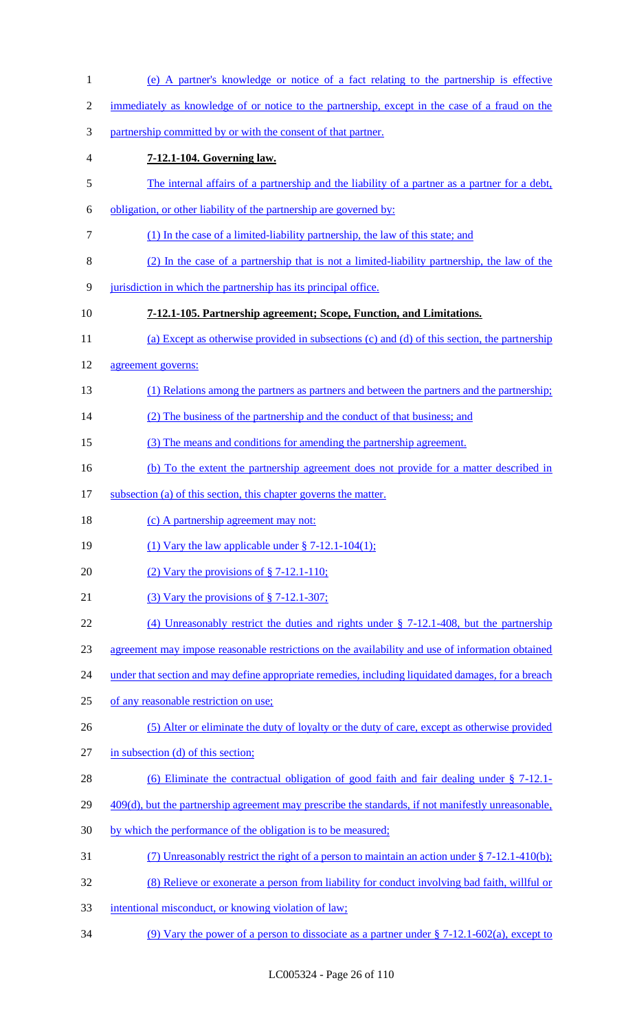| $\mathbf{1}$   | (e) A partner's knowledge or notice of a fact relating to the partnership is effective             |
|----------------|----------------------------------------------------------------------------------------------------|
| $\overline{c}$ | immediately as knowledge of or notice to the partnership, except in the case of a fraud on the     |
| 3              | partnership committed by or with the consent of that partner.                                      |
| 4              | 7-12.1-104. Governing law.                                                                         |
| 5              | The internal affairs of a partnership and the liability of a partner as a partner for a debt,      |
| 6              | obligation, or other liability of the partnership are governed by:                                 |
| 7              | (1) In the case of a limited-liability partnership, the law of this state; and                     |
| 8              | (2) In the case of a partnership that is not a limited-liability partnership, the law of the       |
| 9              | jurisdiction in which the partnership has its principal office.                                    |
| 10             | 7-12.1-105. Partnership agreement; Scope, Function, and Limitations.                               |
| 11             | (a) Except as otherwise provided in subsections (c) and (d) of this section, the partnership       |
| 12             | agreement governs:                                                                                 |
| 13             | (1) Relations among the partners as partners and between the partners and the partnership;         |
| 14             | (2) The business of the partnership and the conduct of that business; and                          |
| 15             | (3) The means and conditions for amending the partnership agreement.                               |
| 16             | (b) To the extent the partnership agreement does not provide for a matter described in             |
| 17             | subsection (a) of this section, this chapter governs the matter.                                   |
| 18             | (c) A partnership agreement may not:                                                               |
| 19             | (1) Vary the law applicable under $\S$ 7-12.1-104(1);                                              |
| 20             | (2) Vary the provisions of $\S$ 7-12.1-110;                                                        |
| 21             | (3) Vary the provisions of $\S$ 7-12.1-307;                                                        |
| 22             | (4) Unreasonably restrict the duties and rights under $\S$ 7-12.1-408, but the partnership         |
| 23             | agreement may impose reasonable restrictions on the availability and use of information obtained   |
| 24             | under that section and may define appropriate remedies, including liquidated damages, for a breach |
| 25             | of any reasonable restriction on use;                                                              |
| 26             | (5) Alter or eliminate the duty of loyalty or the duty of care, except as otherwise provided       |
| 27             | in subsection (d) of this section;                                                                 |
| 28             | (6) Eliminate the contractual obligation of good faith and fair dealing under $\S$ 7-12.1-         |
| 29             | 409(d), but the partnership agreement may prescribe the standards, if not manifestly unreasonable, |
| 30             | by which the performance of the obligation is to be measured;                                      |
| 31             | (7) Unreasonably restrict the right of a person to maintain an action under $\S$ 7-12.1-410(b);    |
| 32             | (8) Relieve or exonerate a person from liability for conduct involving bad faith, willful or       |
| 33             | intentional misconduct, or knowing violation of law;                                               |
| 34             | (9) Vary the power of a person to dissociate as a partner under $\S$ 7-12.1-602(a), except to      |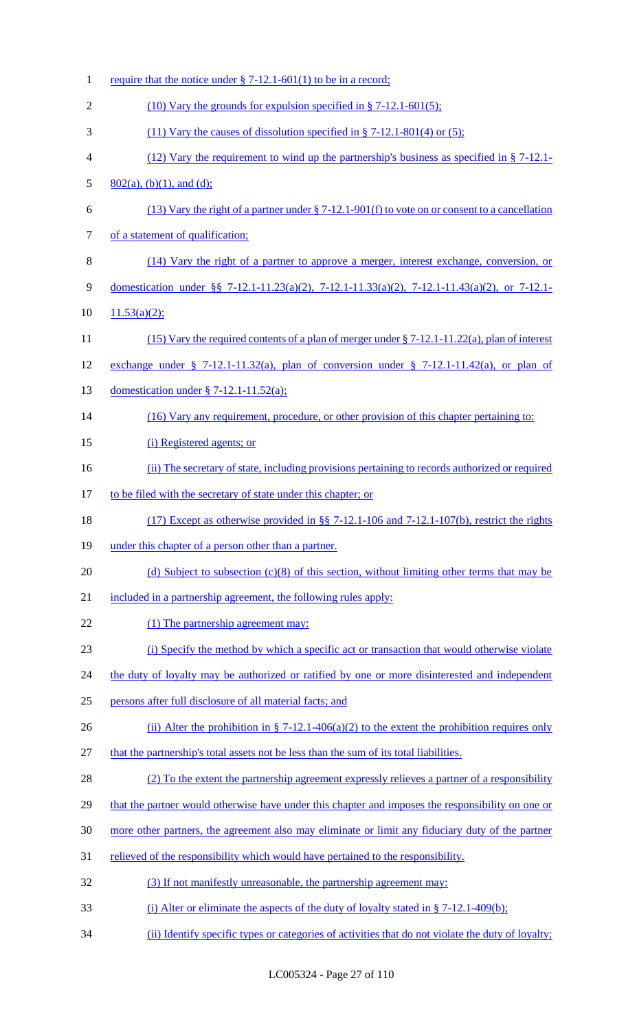| $\mathbf{1}$   | require that the notice under $\S$ 7-12.1-601(1) to be in a record;                               |
|----------------|---------------------------------------------------------------------------------------------------|
| $\overline{2}$ | (10) Vary the grounds for expulsion specified in $\S$ 7-12.1-601(5);                              |
| 3              | (11) Vary the causes of dissolution specified in $\S$ 7-12.1-801(4) or (5);                       |
| 4              | $(12)$ Vary the requirement to wind up the partnership's business as specified in § 7-12.1-       |
| 5              | $802(a)$ , (b)(1), and (d);                                                                       |
| 6              | $(13)$ Vary the right of a partner under § 7-12.1-901(f) to vote on or consent to a cancellation  |
| 7              | of a statement of qualification;                                                                  |
| $8\,$          | (14) Vary the right of a partner to approve a merger, interest exchange, conversion, or           |
| 9              | domestication under §§ 7-12.1-11.23(a)(2), 7-12.1-11.33(a)(2), 7-12.1-11.43(a)(2), or 7-12.1-     |
| 10             | $11.53(a)(2)$ ;                                                                                   |
| 11             | $(15)$ Vary the required contents of a plan of merger under § 7-12.1-11.22(a), plan of interest   |
| 12             | exchange under § 7-12.1-11.32(a), plan of conversion under § 7-12.1-11.42(a), or plan of          |
| 13             | domestication under $\S$ 7-12.1-11.52(a);                                                         |
| 14             | (16) Vary any requirement, procedure, or other provision of this chapter pertaining to:           |
| 15             | (i) Registered agents; or                                                                         |
| 16             | (ii) The secretary of state, including provisions pertaining to records authorized or required    |
| 17             | to be filed with the secretary of state under this chapter; or                                    |
| 18             | $(17)$ Except as otherwise provided in §§ 7-12.1-106 and 7-12.1-107(b), restrict the rights       |
| 19             | under this chapter of a person other than a partner.                                              |
| 20             | (d) Subject to subsection $(c)(8)$ of this section, without limiting other terms that may be      |
| 21             | included in a partnership agreement, the following rules apply:                                   |
| 22             | (1) The partnership agreement may:                                                                |
| 23             | (i) Specify the method by which a specific act or transaction that would otherwise violate        |
| 24             | the duty of loyalty may be authorized or ratified by one or more disinterested and independent    |
| 25             | persons after full disclosure of all material facts; and                                          |
| 26             | (ii) Alter the prohibition in § 7-12.1-406(a)(2) to the extent the prohibition requires only      |
| 27             | that the partnership's total assets not be less than the sum of its total liabilities.            |
| 28             | (2) To the extent the partnership agreement expressly relieves a partner of a responsibility      |
| 29             | that the partner would otherwise have under this chapter and imposes the responsibility on one or |
| 30             | more other partners, the agreement also may eliminate or limit any fiduciary duty of the partner  |
| 31             | relieved of the responsibility which would have pertained to the responsibility.                  |
| 32             | (3) If not manifestly unreasonable, the partnership agreement may:                                |
| 33             | (i) Alter or eliminate the aspects of the duty of loyalty stated in $\S$ 7-12.1-409(b);           |
| 34             | (ii) Identify specific types or categories of activities that do not violate the duty of loyalty; |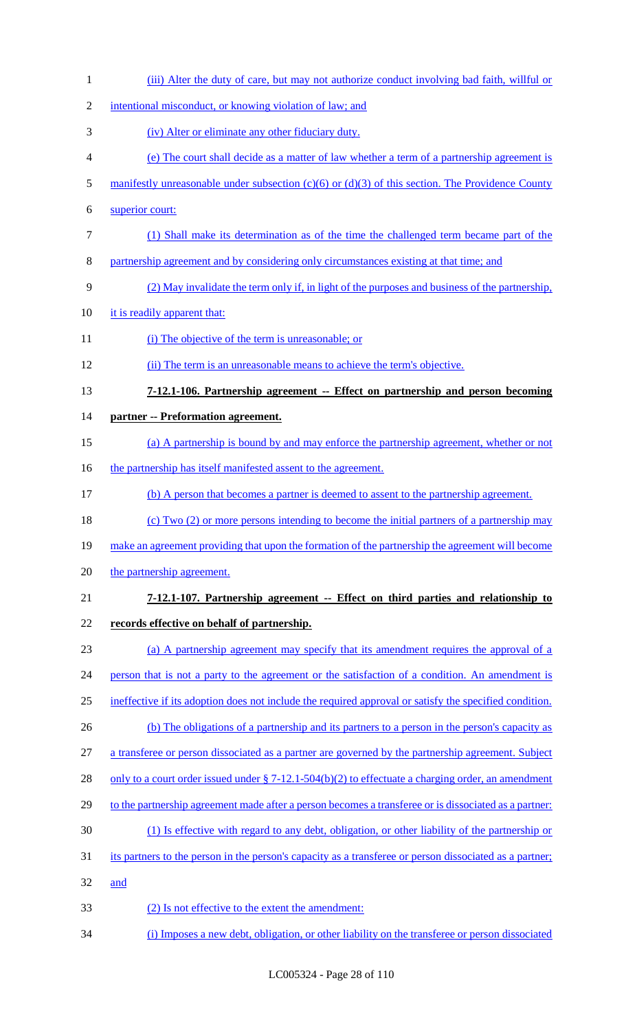| $\mathbf{1}$   | (iii) Alter the duty of care, but may not authorize conduct involving bad faith, willful or             |
|----------------|---------------------------------------------------------------------------------------------------------|
| $\overline{2}$ | intentional misconduct, or knowing violation of law; and                                                |
| 3              | (iv) Alter or eliminate any other fiduciary duty.                                                       |
| 4              | (e) The court shall decide as a matter of law whether a term of a partnership agreement is              |
| 5              | manifestly unreasonable under subsection $(c)(6)$ or $(d)(3)$ of this section. The Providence County    |
| 6              | superior court:                                                                                         |
| 7              | (1) Shall make its determination as of the time the challenged term became part of the                  |
| 8              | partnership agreement and by considering only circumstances existing at that time; and                  |
| 9              | (2) May invalidate the term only if, in light of the purposes and business of the partnership,          |
| 10             | it is readily apparent that:                                                                            |
| 11             | (i) The objective of the term is unreasonable; or                                                       |
| 12             | (ii) The term is an unreasonable means to achieve the term's objective.                                 |
| 13             | 7-12.1-106. Partnership agreement -- Effect on partnership and person becoming                          |
| 14             | partner -- Preformation agreement.                                                                      |
| 15             | (a) A partnership is bound by and may enforce the partnership agreement, whether or not                 |
| 16             | the partnership has itself manifested assent to the agreement.                                          |
| 17             | (b) A person that becomes a partner is deemed to assent to the partnership agreement.                   |
| 18             | (c) Two (2) or more persons intending to become the initial partners of a partnership may               |
| 19             | make an agreement providing that upon the formation of the partnership the agreement will become        |
| 20             | the partnership agreement.                                                                              |
| 21             | 7-12.1-107. Partnership agreement -- Effect on third parties and relationship to                        |
| 22             | records effective on behalf of partnership.                                                             |
| 23             | (a) A partnership agreement may specify that its amendment requires the approval of a                   |
| 24             | person that is not a party to the agreement or the satisfaction of a condition. An amendment is         |
| 25             | ineffective if its adoption does not include the required approval or satisfy the specified condition.  |
| 26             | (b) The obligations of a partnership and its partners to a person in the person's capacity as           |
| 27             | a transferee or person dissociated as a partner are governed by the partnership agreement. Subject      |
| 28             | only to a court order issued under $\S 7-12.1-504(b)(2)$ to effectuate a charging order, an amendment   |
| 29             | to the partnership agreement made after a person becomes a transferee or is dissociated as a partner:   |
| 30             | (1) Is effective with regard to any debt, obligation, or other liability of the partnership or          |
| 31             | its partners to the person in the person's capacity as a transferee or person dissociated as a partner; |
| 32             | and                                                                                                     |
| 33             | (2) Is not effective to the extent the amendment:                                                       |
| 34             | (i) Imposes a new debt, obligation, or other liability on the transferee or person dissociated          |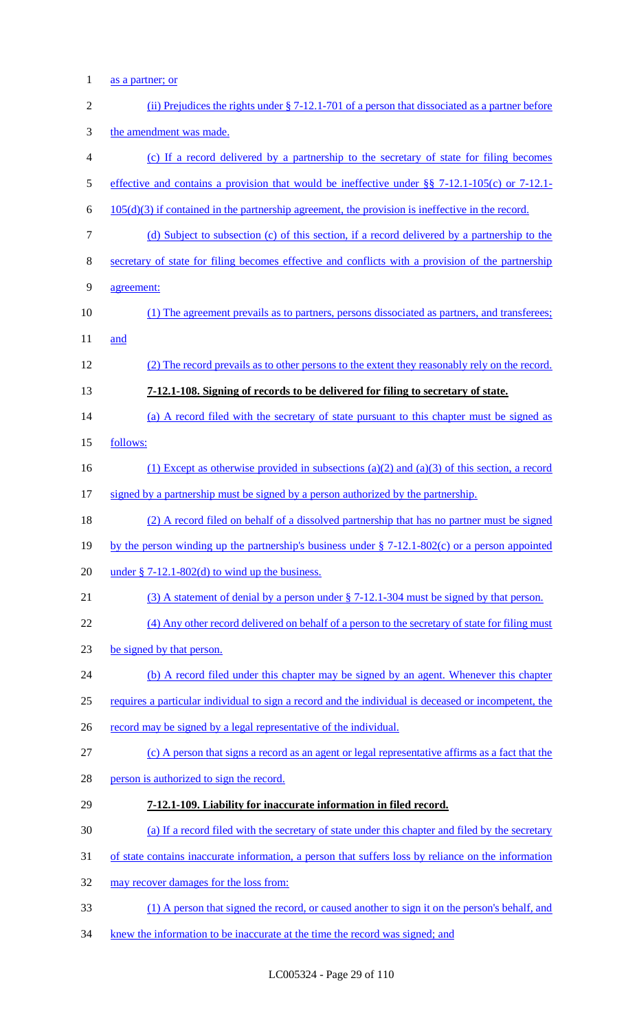1 as a partner; or

| $\overline{2}$           | (ii) Prejudices the rights under $\S$ 7-12.1-701 of a person that dissociated as a partner before    |
|--------------------------|------------------------------------------------------------------------------------------------------|
| 3                        | the amendment was made.                                                                              |
| $\overline{\mathcal{A}}$ | (c) If a record delivered by a partnership to the secretary of state for filing becomes              |
| 5                        | effective and contains a provision that would be ineffective under $\S$ 7-12.1-105(c) or 7-12.1-     |
| 6                        | $105(d)(3)$ if contained in the partnership agreement, the provision is ineffective in the record.   |
| $\tau$                   | (d) Subject to subsection (c) of this section, if a record delivered by a partnership to the         |
| 8                        | secretary of state for filing becomes effective and conflicts with a provision of the partnership    |
| 9                        | agreement:                                                                                           |
| 10                       | (1) The agreement prevails as to partners, persons dissociated as partners, and transferees;         |
| 11                       | and                                                                                                  |
| 12                       | (2) The record prevails as to other persons to the extent they reasonably rely on the record.        |
| 13                       | 7-12.1-108. Signing of records to be delivered for filing to secretary of state.                     |
| 14                       | (a) A record filed with the secretary of state pursuant to this chapter must be signed as            |
| 15                       | follows:                                                                                             |
| 16                       | (1) Except as otherwise provided in subsections (a)(2) and (a)(3) of this section, a record          |
| 17                       | signed by a partnership must be signed by a person authorized by the partnership.                    |
| 18                       | (2) A record filed on behalf of a dissolved partnership that has no partner must be signed           |
| 19                       | by the person winding up the partnership's business under $\S$ 7-12.1-802(c) or a person appointed   |
| 20                       | under $\S$ 7-12.1-802(d) to wind up the business.                                                    |
| 21                       | (3) A statement of denial by a person under $\S$ 7-12.1-304 must be signed by that person.           |
| 22                       | (4) Any other record delivered on behalf of a person to the secretary of state for filing must       |
| 23                       | be signed by that person.                                                                            |
| 24                       | (b) A record filed under this chapter may be signed by an agent. Whenever this chapter               |
| 25                       | requires a particular individual to sign a record and the individual is deceased or incompetent, the |
| 26                       | record may be signed by a legal representative of the individual.                                    |
| 27                       | (c) A person that signs a record as an agent or legal representative affirms as a fact that the      |
| 28                       | person is authorized to sign the record.                                                             |
| 29                       | 7-12.1-109. Liability for inaccurate information in filed record.                                    |
| 30                       | (a) If a record filed with the secretary of state under this chapter and filed by the secretary      |
| 31                       | of state contains inaccurate information, a person that suffers loss by reliance on the information  |
| 32                       | may recover damages for the loss from:                                                               |
| 33                       | (1) A person that signed the record, or caused another to sign it on the person's behalf, and        |

34 knew the information to be inaccurate at the time the record was signed; and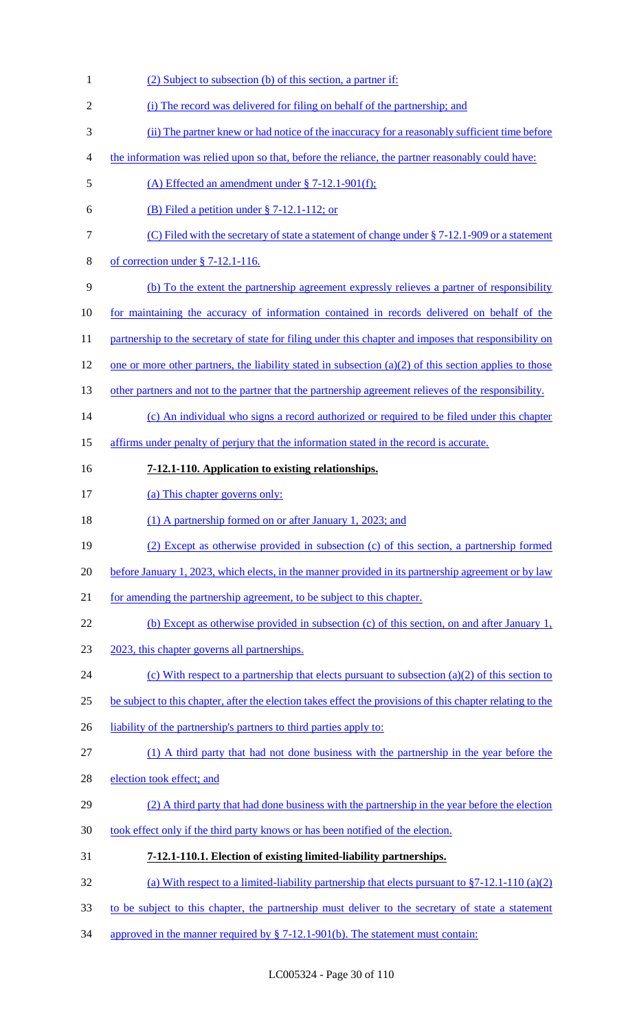| $\mathbf{1}$   | (2) Subject to subsection (b) of this section, a partner if:                                               |
|----------------|------------------------------------------------------------------------------------------------------------|
| $\overline{2}$ | (i) The record was delivered for filing on behalf of the partnership; and                                  |
| 3              | (ii) The partner knew or had notice of the inaccuracy for a reasonably sufficient time before              |
| 4              | the information was relied upon so that, before the reliance, the partner reasonably could have:           |
| 5              | (A) Effected an amendment under $\S$ 7-12.1-901(f);                                                        |
| 6              | (B) Filed a petition under $\S$ 7-12.1-112; or                                                             |
| $\tau$         | (C) Filed with the secretary of state a statement of change under $\S$ 7-12.1-909 or a statement           |
| 8              | of correction under $\S$ 7-12.1-116.                                                                       |
| 9              | (b) To the extent the partnership agreement expressly relieves a partner of responsibility                 |
| 10             | for maintaining the accuracy of information contained in records delivered on behalf of the                |
| 11             | partnership to the secretary of state for filing under this chapter and imposes that responsibility on     |
| 12             | one or more other partners, the liability stated in subsection $(a)(2)$ of this section applies to those   |
| 13             | other partners and not to the partner that the partnership agreement relieves of the responsibility.       |
| 14             | (c) An individual who signs a record authorized or required to be filed under this chapter                 |
| 15             | affirms under penalty of perjury that the information stated in the record is accurate.                    |
| 16             | 7-12.1-110. Application to existing relationships.                                                         |
| 17             | (a) This chapter governs only:                                                                             |
| 18             | (1) A partnership formed on or after January 1, 2023; and                                                  |
| 19             | (2) Except as otherwise provided in subsection (c) of this section, a partnership formed                   |
| 20             | before January 1, 2023, which elects, in the manner provided in its partnership agreement or by law        |
| 21             | for amending the partnership agreement, to be subject to this chapter.                                     |
| 22             | (b) Except as otherwise provided in subsection (c) of this section, on and after January 1,                |
| 23             | 2023, this chapter governs all partnerships.                                                               |
| 24             | (c) With respect to a partnership that elects pursuant to subsection (a)(2) of this section to             |
| 25             | be subject to this chapter, after the election takes effect the provisions of this chapter relating to the |
| 26             | liability of the partnership's partners to third parties apply to:                                         |
| 27             | (1) A third party that had not done business with the partnership in the year before the                   |
| 28             | election took effect; and                                                                                  |
| 29             | (2) A third party that had done business with the partnership in the year before the election              |
| 30             | took effect only if the third party knows or has been notified of the election.                            |
|                |                                                                                                            |
| 31             | 7-12.1-110.1. Election of existing limited-liability partnerships.                                         |
| 32             | (a) With respect to a limited-liability partnership that elects pursuant to $\S$ 7-12.1-110 (a)(2)         |
| 33             | to be subject to this chapter, the partnership must deliver to the secretary of state a statement          |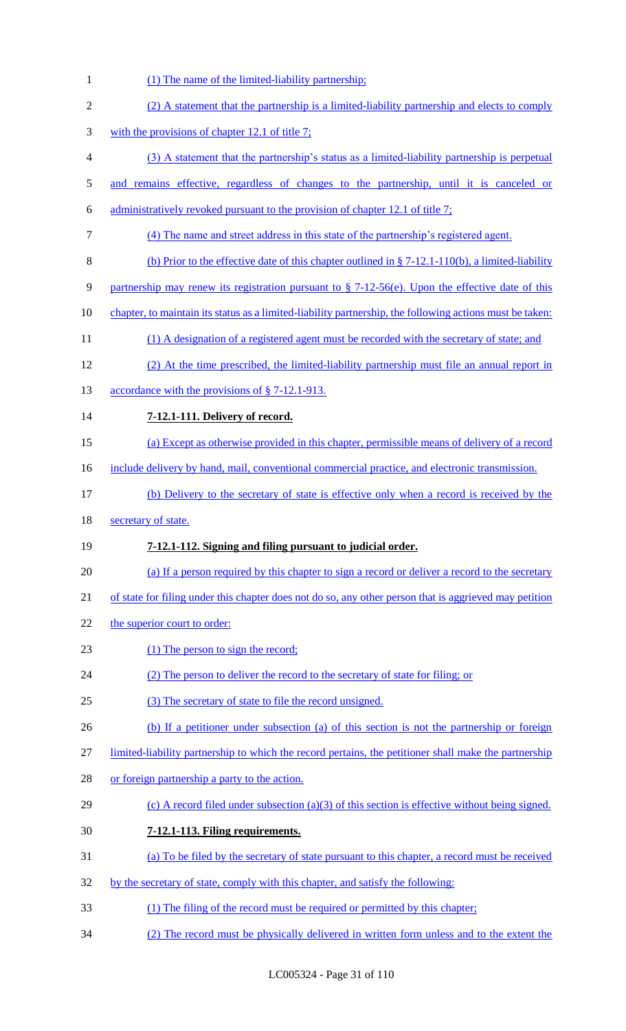(1) The name of the limited-liability partnership; (2) A statement that the partnership is a limited-liability partnership and elects to comply 3 with the provisions of chapter 12.1 of title 7; (3) A statement that the partnership's status as a limited-liability partnership is perpetual and remains effective, regardless of changes to the partnership, until it is canceled or administratively revoked pursuant to the provision of chapter 12.1 of title 7; (4) The name and street address in this state of the partnership's registered agent. (b) Prior to the effective date of this chapter outlined in § 7-12.1-110(b), a limited-liability partnership may renew its registration pursuant to § 7-12-56(e). Upon the effective date of this chapter, to maintain its status as a limited-liability partnership, the following actions must be taken: 11 (1) A designation of a registered agent must be recorded with the secretary of state; and (2) At the time prescribed, the limited-liability partnership must file an annual report in 13 accordance with the provisions of § 7-12.1-913. **7-12.1-111. Delivery of record.**  (a) Except as otherwise provided in this chapter, permissible means of delivery of a record 16 include delivery by hand, mail, conventional commercial practice, and electronic transmission. (b) Delivery to the secretary of state is effective only when a record is received by the 18 secretary of state. **7-12.1-112. Signing and filing pursuant to judicial order.**  (a) If a person required by this chapter to sign a record or deliver a record to the secretary of state for filing under this chapter does not do so, any other person that is aggrieved may petition 22 the superior court to order: 23 (1) The person to sign the record; (2) The person to deliver the record to the secretary of state for filing; or (3) The secretary of state to file the record unsigned. 26 (b) If a petitioner under subsection (a) of this section is not the partnership or foreign limited-liability partnership to which the record pertains, the petitioner shall make the partnership or foreign partnership a party to the action. (c) A record filed under subsection (a)(3) of this section is effective without being signed. **7-12.1-113. Filing requirements.**  (a) To be filed by the secretary of state pursuant to this chapter, a record must be received by the secretary of state, comply with this chapter, and satisfy the following: (1) The filing of the record must be required or permitted by this chapter; (2) The record must be physically delivered in written form unless and to the extent the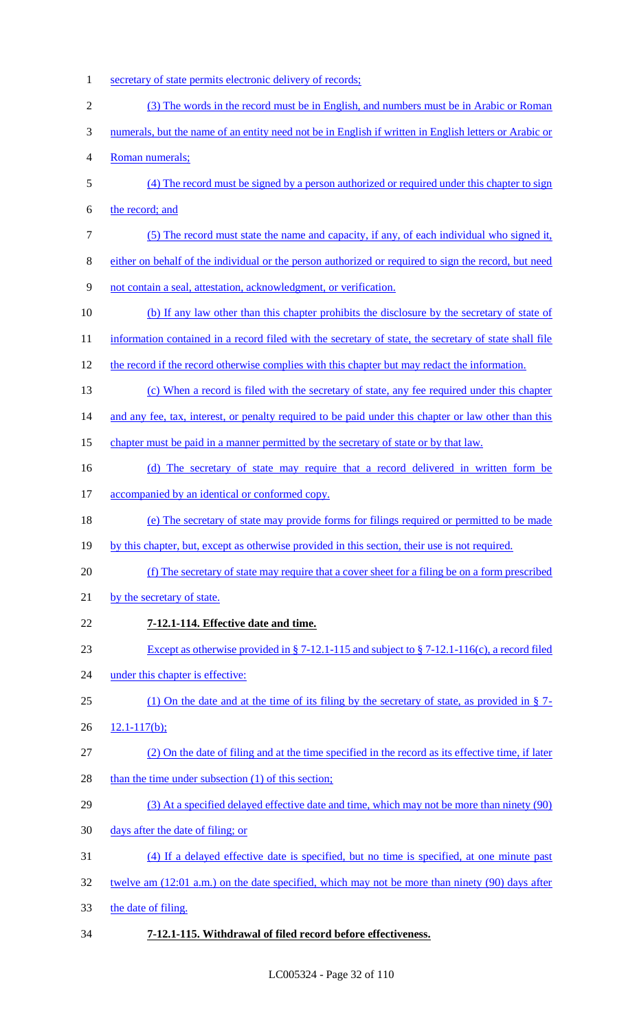secretary of state permits electronic delivery of records; (3) The words in the record must be in English, and numbers must be in Arabic or Roman numerals, but the name of an entity need not be in English if written in English letters or Arabic or Roman numerals; (4) The record must be signed by a person authorized or required under this chapter to sign the record; and (5) The record must state the name and capacity, if any, of each individual who signed it, either on behalf of the individual or the person authorized or required to sign the record, but need not contain a seal, attestation, acknowledgment, or verification. (b) If any law other than this chapter prohibits the disclosure by the secretary of state of 11 information contained in a record filed with the secretary of state, the secretary of state shall file 12 the record if the record otherwise complies with this chapter but may redact the information. (c) When a record is filed with the secretary of state, any fee required under this chapter 14 and any fee, tax, interest, or penalty required to be paid under this chapter or law other than this 15 chapter must be paid in a manner permitted by the secretary of state or by that law. (d) The secretary of state may require that a record delivered in written form be 17 accompanied by an identical or conformed copy. (e) The secretary of state may provide forms for filings required or permitted to be made by this chapter, but, except as otherwise provided in this section, their use is not required. (f) The secretary of state may require that a cover sheet for a filing be on a form prescribed 21 by the secretary of state. **7-12.1-114. Effective date and time.**  Except as otherwise provided in § 7-12.1-115 and subject to § 7-12.1-116(c), a record filed 24 under this chapter is effective: (1) On the date and at the time of its filing by the secretary of state, as provided in § 7-  $26 \frac{12.1 - 117(b)}{5}$  (2) On the date of filing and at the time specified in the record as its effective time, if later 28 than the time under subsection (1) of this section; (3) At a specified delayed effective date and time, which may not be more than ninety (90) days after the date of filing; or (4) If a delayed effective date is specified, but no time is specified, at one minute past twelve am (12:01 a.m.) on the date specified, which may not be more than ninety (90) days after the date of filing. **7-12.1-115. Withdrawal of filed record before effectiveness.**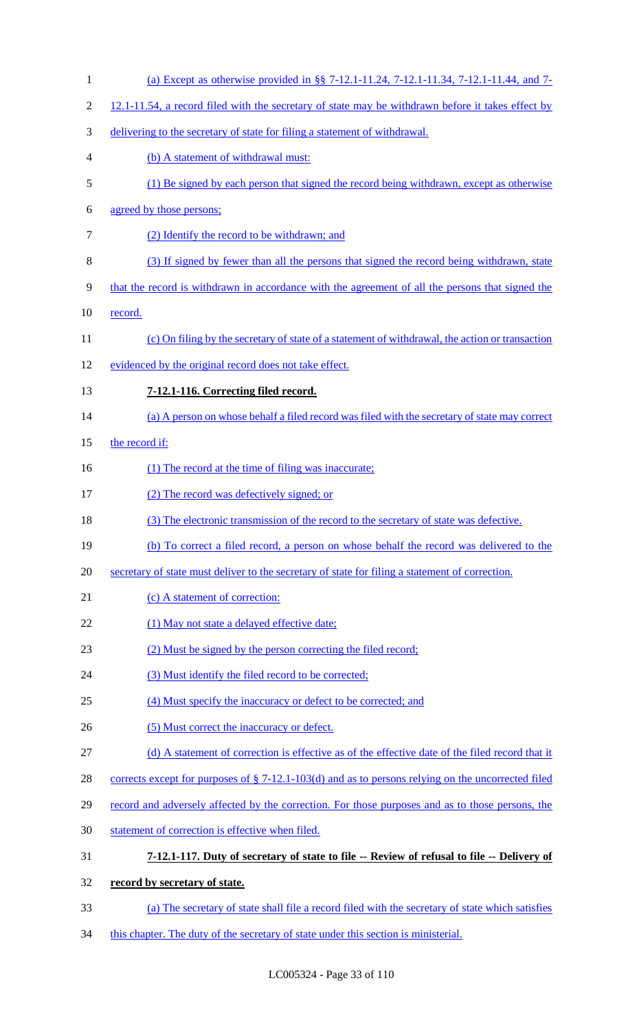(a) Except as otherwise provided in §§ 7-12.1-11.24, 7-12.1-11.34, 7-12.1-11.44, and 7- 2 12.1-11.54, a record filed with the secretary of state may be withdrawn before it takes effect by delivering to the secretary of state for filing a statement of withdrawal. (b) A statement of withdrawal must: (1) Be signed by each person that signed the record being withdrawn, except as otherwise agreed by those persons; (2) Identify the record to be withdrawn; and (3) If signed by fewer than all the persons that signed the record being withdrawn, state that the record is withdrawn in accordance with the agreement of all the persons that signed the record. (c) On filing by the secretary of state of a statement of withdrawal, the action or transaction evidenced by the original record does not take effect. **7-12.1-116. Correcting filed record.**  (a) A person on whose behalf a filed record was filed with the secretary of state may correct 15 the record if: 16 (1) The record at the time of filing was inaccurate; (2) The record was defectively signed; or (3) The electronic transmission of the record to the secretary of state was defective. (b) To correct a filed record, a person on whose behalf the record was delivered to the secretary of state must deliver to the secretary of state for filing a statement of correction. 21 (c) A statement of correction: 22 (1) May not state a delayed effective date; (2) Must be signed by the person correcting the filed record; 24 (3) Must identify the filed record to be corrected; (4) Must specify the inaccuracy or defect to be corrected; and 26 (5) Must correct the inaccuracy or defect. (d) A statement of correction is effective as of the effective date of the filed record that it corrects except for purposes of § 7-12.1-103(d) and as to persons relying on the uncorrected filed 29 record and adversely affected by the correction. For those purposes and as to those persons, the statement of correction is effective when filed. **7-12.1-117. Duty of secretary of state to file -- Review of refusal to file -- Delivery of record by secretary of state.**  (a) The secretary of state shall file a record filed with the secretary of state which satisfies 34 this chapter. The duty of the secretary of state under this section is ministerial.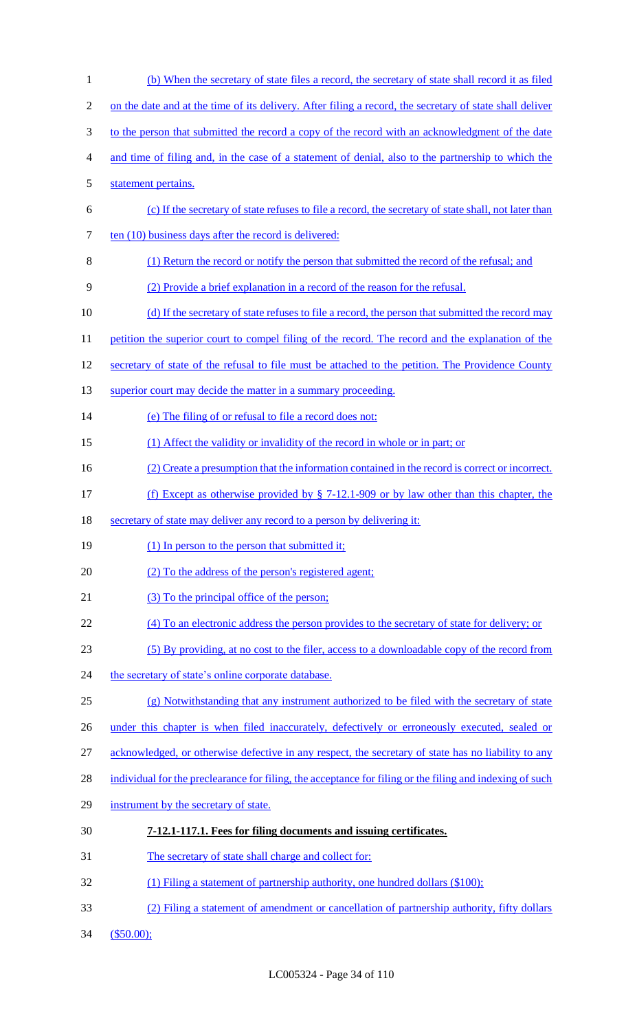| $\mathbf{1}$   | (b) When the secretary of state files a record, the secretary of state shall record it as filed          |
|----------------|----------------------------------------------------------------------------------------------------------|
| $\overline{c}$ | on the date and at the time of its delivery. After filing a record, the secretary of state shall deliver |
| 3              | to the person that submitted the record a copy of the record with an acknowledgment of the date          |
| 4              | and time of filing and, in the case of a statement of denial, also to the partnership to which the       |
| 5              | statement pertains.                                                                                      |
| 6              | (c) If the secretary of state refuses to file a record, the secretary of state shall, not later than     |
| $\tau$         | ten (10) business days after the record is delivered:                                                    |
| $8\,$          | (1) Return the record or notify the person that submitted the record of the refusal; and                 |
| 9              | (2) Provide a brief explanation in a record of the reason for the refusal.                               |
| 10             | (d) If the secretary of state refuses to file a record, the person that submitted the record may         |
| 11             | petition the superior court to compel filing of the record. The record and the explanation of the        |
| 12             | secretary of state of the refusal to file must be attached to the petition. The Providence County        |
| 13             | superior court may decide the matter in a summary proceeding.                                            |
| 14             | (e) The filing of or refusal to file a record does not:                                                  |
| 15             | (1) Affect the validity or invalidity of the record in whole or in part; or                              |
| 16             | (2) Create a presumption that the information contained in the record is correct or incorrect.           |
| 17             | (f) Except as otherwise provided by $\S$ 7-12.1-909 or by law other than this chapter, the               |
|                |                                                                                                          |
| 18             | secretary of state may deliver any record to a person by delivering it:                                  |
| 19             | $(1)$ In person to the person that submitted it;                                                         |
| 20             | (2) To the address of the person's registered agent;                                                     |
| 21             | (3) To the principal office of the person;                                                               |
| 22             | (4) To an electronic address the person provides to the secretary of state for delivery; or              |
| 23             | (5) By providing, at no cost to the filer, access to a downloadable copy of the record from              |
| 24             | the secretary of state's online corporate database.                                                      |
| 25             | (g) Notwithstanding that any instrument authorized to be filed with the secretary of state               |
| 26             | under this chapter is when filed inaccurately, defectively or erroneously executed, sealed or            |
| 27             | acknowledged, or otherwise defective in any respect, the secretary of state has no liability to any      |
| 28             | individual for the preclearance for filing, the acceptance for filing or the filing and indexing of such |
| 29             | instrument by the secretary of state.                                                                    |
| 30             | 7-12.1-117.1. Fees for filing documents and issuing certificates.                                        |
| 31             | The secretary of state shall charge and collect for:                                                     |
| 32             | (1) Filing a statement of partnership authority, one hundred dollars (\$100);                            |
| 33             | (2) Filing a statement of amendment or cancellation of partnership authority, fifty dollars              |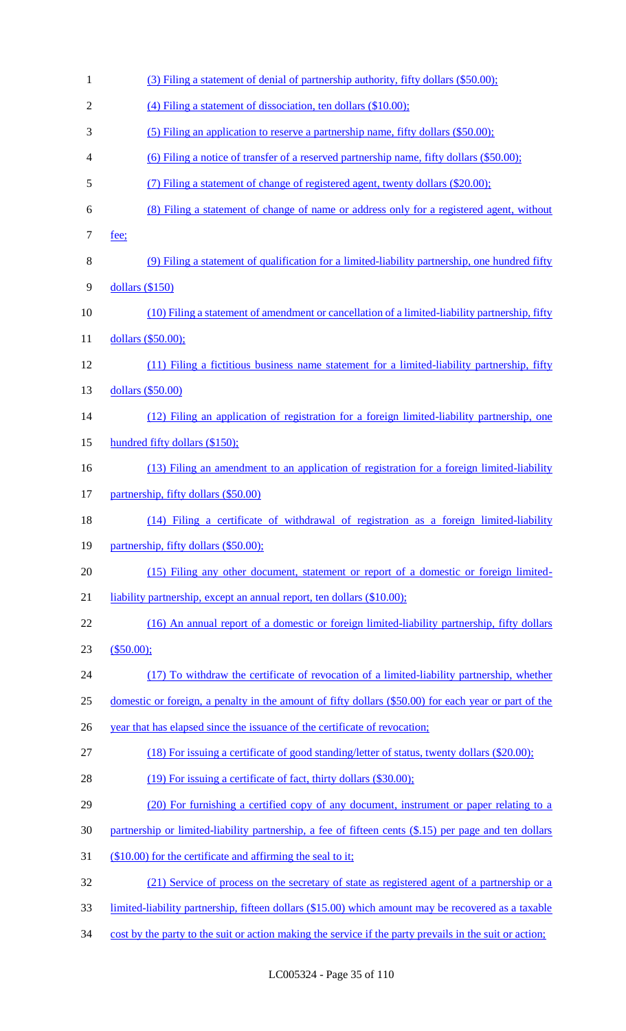| $\mathbf{1}$   | (3) Filing a statement of denial of partnership authority, fifty dollars (\$50.00);                     |
|----------------|---------------------------------------------------------------------------------------------------------|
| $\mathfrak{2}$ | (4) Filing a statement of dissociation, ten dollars (\$10.00);                                          |
| 3              | (5) Filing an application to reserve a partnership name, fifty dollars (\$50.00);                       |
| 4              | (6) Filing a notice of transfer of a reserved partnership name, fifty dollars (\$50.00);                |
| 5              | (7) Filing a statement of change of registered agent, twenty dollars (\$20.00);                         |
| 6              | (8) Filing a statement of change of name or address only for a registered agent, without                |
| $\tau$         | fee;                                                                                                    |
| 8              | (9) Filing a statement of qualification for a limited-liability partnership, one hundred fifty          |
| 9              | dollars $(\$150)$                                                                                       |
| 10             | (10) Filing a statement of amendment or cancellation of a limited-liability partnership, fifty          |
| 11             | dollars (\$50.00);                                                                                      |
| 12             | (11) Filing a fictitious business name statement for a limited-liability partnership, fifty             |
| 13             | dollars (\$50.00)                                                                                       |
| 14             | (12) Filing an application of registration for a foreign limited-liability partnership, one             |
| 15             | hundred fifty dollars (\$150);                                                                          |
| 16             | (13) Filing an amendment to an application of registration for a foreign limited-liability              |
| 17             | partnership, fifty dollars (\$50.00)                                                                    |
| 18             | (14) Filing a certificate of withdrawal of registration as a foreign limited-liability                  |
| 19             | partnership, fifty dollars (\$50.00);                                                                   |
| 20             | (15) Filing any other document, statement or report of a domestic or foreign limited-                   |
| 21             | liability partnership, except an annual report, ten dollars (\$10.00);                                  |
| 22             | (16) An annual report of a domestic or foreign limited-liability partnership, fifty dollars             |
| 23             | $( $50.00)$ ;                                                                                           |
| 24             | (17) To withdraw the certificate of revocation of a limited-liability partnership, whether              |
| 25             | domestic or foreign, a penalty in the amount of fifty dollars (\$50.00) for each year or part of the    |
| 26             | year that has elapsed since the issuance of the certificate of revocation;                              |
| 27             | (18) For issuing a certificate of good standing/letter of status, twenty dollars (\$20.00);             |
| 28             | (19) For issuing a certificate of fact, thirty dollars (\$30.00);                                       |
| 29             | (20) For furnishing a certified copy of any document, instrument or paper relating to a                 |
| 30             | partnership or limited-liability partnership, a fee of fifteen cents (\$.15) per page and ten dollars   |
| 31             | $($10.00)$ for the certificate and affirming the seal to it:                                            |
| 32             | (21) Service of process on the secretary of state as registered agent of a partnership or a             |
| 33             | limited-liability partnership, fifteen dollars (\$15.00) which amount may be recovered as a taxable     |
| 34             | cost by the party to the suit or action making the service if the party prevails in the suit or action; |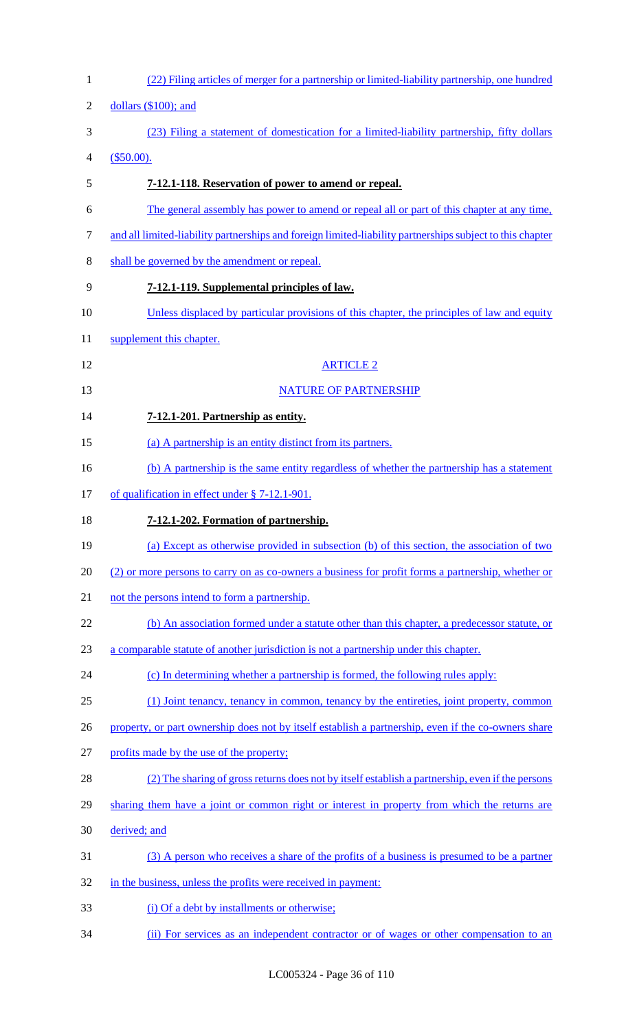| $\mathbf{1}$   | (22) Filing articles of merger for a partnership or limited-liability partnership, one hundred            |
|----------------|-----------------------------------------------------------------------------------------------------------|
| $\overline{2}$ | dollars (\$100); and                                                                                      |
| 3              | (23) Filing a statement of domestication for a limited-liability partnership, fifty dollars               |
| $\overline{4}$ | (\$50.00).                                                                                                |
| 5              | 7-12.1-118. Reservation of power to amend or repeal.                                                      |
| 6              | The general assembly has power to amend or repeal all or part of this chapter at any time,                |
| $\overline{7}$ | and all limited-liability partnerships and foreign limited-liability partnerships subject to this chapter |
| 8              | shall be governed by the amendment or repeal.                                                             |
| 9              | 7-12.1-119. Supplemental principles of law.                                                               |
| 10             | Unless displaced by particular provisions of this chapter, the principles of law and equity               |
| 11             | supplement this chapter.                                                                                  |
| 12             | <b>ARTICLE 2</b>                                                                                          |
| 13             | <b>NATURE OF PARTNERSHIP</b>                                                                              |
| 14             | 7-12.1-201. Partnership as entity.                                                                        |
| 15             | (a) A partnership is an entity distinct from its partners.                                                |
| 16             | (b) A partnership is the same entity regardless of whether the partnership has a statement                |
| 17             | of qualification in effect under § 7-12.1-901.                                                            |
| 18             | 7-12.1-202. Formation of partnership.                                                                     |
| 19             | (a) Except as otherwise provided in subsection (b) of this section, the association of two                |
| 20             | (2) or more persons to carry on as co-owners a business for profit forms a partnership, whether or        |
| 21             | not the persons intend to form a partnership.                                                             |
| 22             | (b) An association formed under a statute other than this chapter, a predecessor statute, or              |
| 23             | a comparable statute of another jurisdiction is not a partnership under this chapter.                     |
| 24             | (c) In determining whether a partnership is formed, the following rules apply:                            |
| 25             | (1) Joint tenancy, tenancy in common, tenancy by the entireties, joint property, common                   |
| 26             | property, or part ownership does not by itself establish a partnership, even if the co-owners share       |
| 27             | profits made by the use of the property;                                                                  |
| 28             | (2) The sharing of gross returns does not by itself establish a partnership, even if the persons          |
| 29             | sharing them have a joint or common right or interest in property from which the returns are              |
| 30             | derived; and                                                                                              |
| 31             | (3) A person who receives a share of the profits of a business is presumed to be a partner                |
| 32             | in the business, unless the profits were received in payment:                                             |
| 33             | (i) Of a debt by installments or otherwise;                                                               |
| 34             | (ii) For services as an independent contractor or of wages or other compensation to an                    |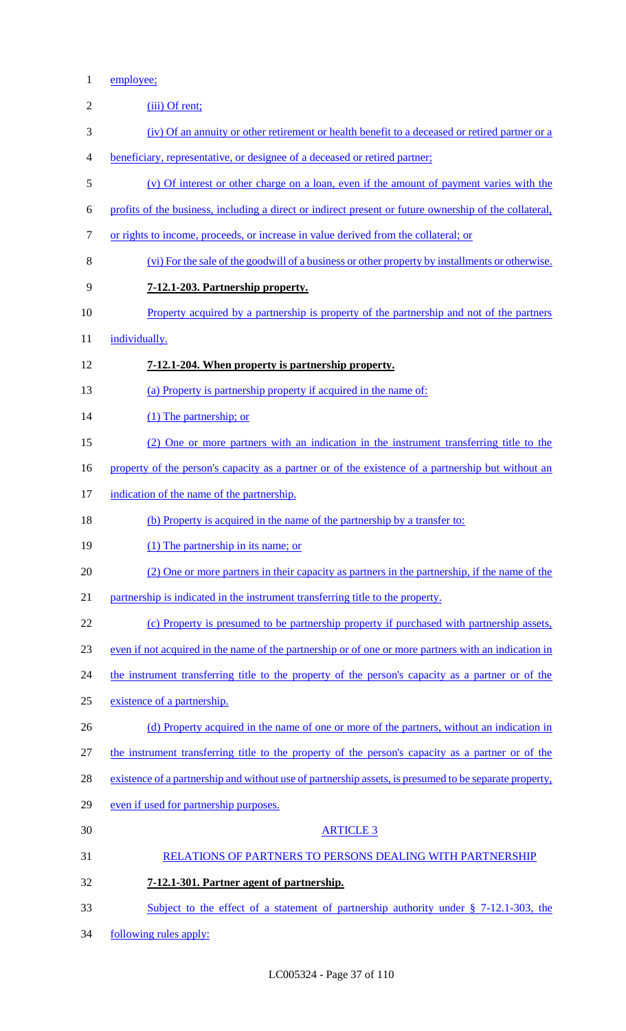employee;

| $\mathbf{2}$     | (iii) Of rent;                                                                                             |
|------------------|------------------------------------------------------------------------------------------------------------|
| 3                | (iv) Of an annuity or other retirement or health benefit to a deceased or retired partner or a             |
| 4                | beneficiary, representative, or designee of a deceased or retired partner;                                 |
| 5                | (v) Of interest or other charge on a loan, even if the amount of payment varies with the                   |
| 6                | profits of the business, including a direct or indirect present or future ownership of the collateral,     |
| $\boldsymbol{7}$ | or rights to income, proceeds, or increase in value derived from the collateral; or                        |
| 8                | (vi) For the sale of the goodwill of a business or other property by installments or otherwise.            |
| 9                | 7-12.1-203. Partnership property.                                                                          |
| 10               | <u>Property acquired by a partnership is property of the partnership and not of the partners</u>           |
| 11               | individually.                                                                                              |
| 12               | 7-12.1-204. When property is partnership property.                                                         |
| 13               | (a) Property is partnership property if acquired in the name of:                                           |
| 14               | (1) The partnership; or                                                                                    |
| 15               | (2) One or more partners with an indication in the instrument transferring title to the                    |
| 16               | property of the person's capacity as a partner or of the existence of a partnership but without an         |
| 17               | indication of the name of the partnership.                                                                 |
| 18               | (b) Property is acquired in the name of the partnership by a transfer to:                                  |
| 19               | $(1)$ The partnership in its name; or                                                                      |
| 20               | (2) One or more partners in their capacity as partners in the partnership, if the name of the              |
| 21               | partnership is indicated in the instrument transferring title to the property.                             |
| 22               | (c) Property is presumed to be partnership property if purchased with partnership assets,                  |
| 23               | even if not acquired in the name of the partnership or of one or more partners with an indication in       |
| 24               | the instrument transferring title to the property of the person's capacity as a partner or of the          |
| 25               | existence of a partnership.                                                                                |
| 26               | (d) Property acquired in the name of one or more of the partners, without an indication in                 |
| 27               | the instrument transferring title to the property of the person's capacity as a partner or of the          |
| 28               | existence of a partnership and without use of partnership assets, is presumed to be separate property,     |
| 29               | even if used for partnership purposes.                                                                     |
| 30               | <b>ARTICLE 3</b>                                                                                           |
| 31               | RELATIONS OF PARTNERS TO PERSONS DEALING WITH PARTNERSHIP                                                  |
| 32               | 7-12.1-301. Partner agent of partnership.                                                                  |
| 33               | <u>Subject to the effect of a statement of partnership authority under <math>\S</math> 7-12.1-303, the</u> |
| 34               | following rules apply:                                                                                     |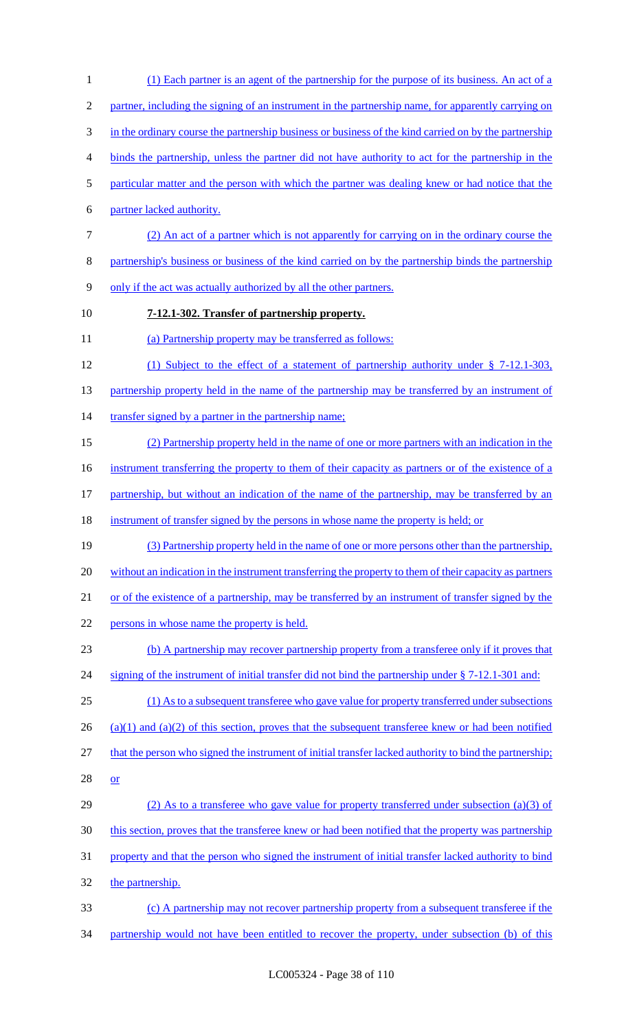(1) Each partner is an agent of the partnership for the purpose of its business. An act of a partner, including the signing of an instrument in the partnership name, for apparently carrying on 3 in the ordinary course the partnership business or business of the kind carried on by the partnership binds the partnership, unless the partner did not have authority to act for the partnership in the 5 particular matter and the person with which the partner was dealing knew or had notice that the partner lacked authority. (2) An act of a partner which is not apparently for carrying on in the ordinary course the partnership's business or business of the kind carried on by the partnership binds the partnership only if the act was actually authorized by all the other partners. **7-12.1-302. Transfer of partnership property.**  11 (a) Partnership property may be transferred as follows: (1) Subject to the effect of a statement of partnership authority under § 7-12.1-303, 13 partnership property held in the name of the partnership may be transferred by an instrument of 14 transfer signed by a partner in the partnership name; (2) Partnership property held in the name of one or more partners with an indication in the 16 instrument transferring the property to them of their capacity as partners or of the existence of a partnership, but without an indication of the name of the partnership, may be transferred by an 18 instrument of transfer signed by the persons in whose name the property is held; or (3) Partnership property held in the name of one or more persons other than the partnership, 20 without an indication in the instrument transferring the property to them of their capacity as partners or of the existence of a partnership, may be transferred by an instrument of transfer signed by the 22 persons in whose name the property is held. (b) A partnership may recover partnership property from a transferee only if it proves that 24 signing of the instrument of initial transfer did not bind the partnership under § 7-12.1-301 and: (1) As to a subsequent transferee who gave value for property transferred under subsections (a)(1) and (a)(2) of this section, proves that the subsequent transferee knew or had been notified that the person who signed the instrument of initial transfer lacked authority to bind the partnership; or (2) As to a transferee who gave value for property transferred under subsection (a)(3) of this section, proves that the transferee knew or had been notified that the property was partnership property and that the person who signed the instrument of initial transfer lacked authority to bind 32 the partnership. (c) A partnership may not recover partnership property from a subsequent transferee if the partnership would not have been entitled to recover the property, under subsection (b) of this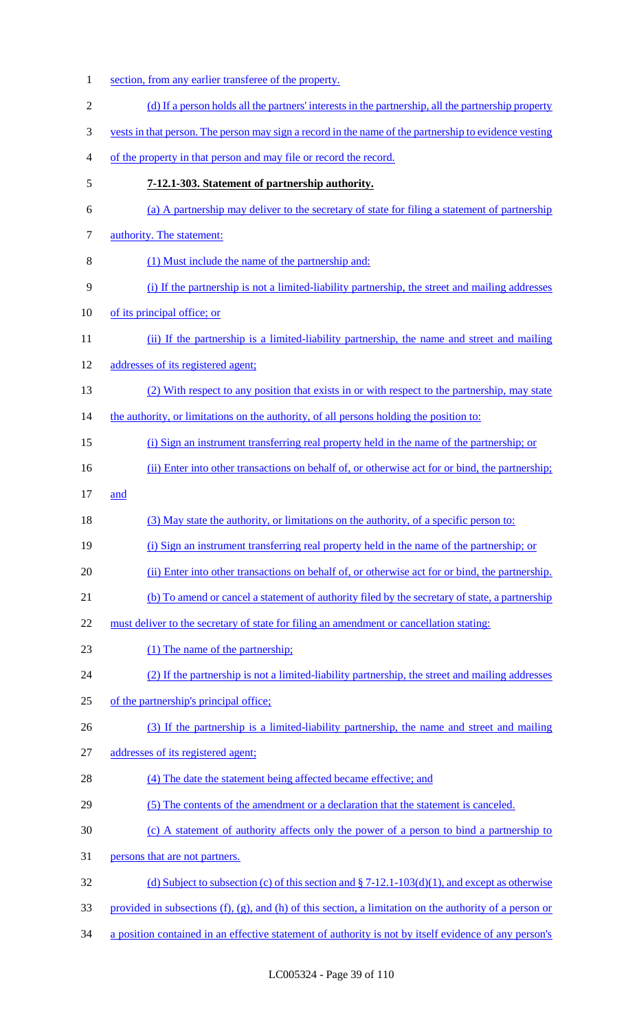section, from any earlier transferee of the property. 2 (d) If a person holds all the partners' interests in the partnership, all the partnership property vests in that person. The person may sign a record in the name of the partnership to evidence vesting of the property in that person and may file or record the record. **7-12.1-303. Statement of partnership authority.**  (a) A partnership may deliver to the secretary of state for filing a statement of partnership 7 authority. The statement: (1) Must include the name of the partnership and: (i) If the partnership is not a limited-liability partnership, the street and mailing addresses of its principal office; or (ii) If the partnership is a limited-liability partnership, the name and street and mailing addresses of its registered agent; (2) With respect to any position that exists in or with respect to the partnership, may state 14 the authority, or limitations on the authority, of all persons holding the position to: (i) Sign an instrument transferring real property held in the name of the partnership; or 16 (ii) Enter into other transactions on behalf of, or otherwise act for or bind, the partnership; and (3) May state the authority, or limitations on the authority, of a specific person to: (i) Sign an instrument transferring real property held in the name of the partnership; or (ii) Enter into other transactions on behalf of, or otherwise act for or bind, the partnership. (b) To amend or cancel a statement of authority filed by the secretary of state, a partnership 22 must deliver to the secretary of state for filing an amendment or cancellation stating: 23 (1) The name of the partnership; (2) If the partnership is not a limited-liability partnership, the street and mailing addresses of the partnership's principal office; (3) If the partnership is a limited-liability partnership, the name and street and mailing addresses of its registered agent; 28 (4) The date the statement being affected became effective; and (5) The contents of the amendment or a declaration that the statement is canceled. (c) A statement of authority affects only the power of a person to bind a partnership to persons that are not partners. 32 (d) Subject to subsection (c) of this section and § 7-12.1-103(d)(1), and except as otherwise provided in subsections (f), (g), and (h) of this section, a limitation on the authority of a person or a position contained in an effective statement of authority is not by itself evidence of any person's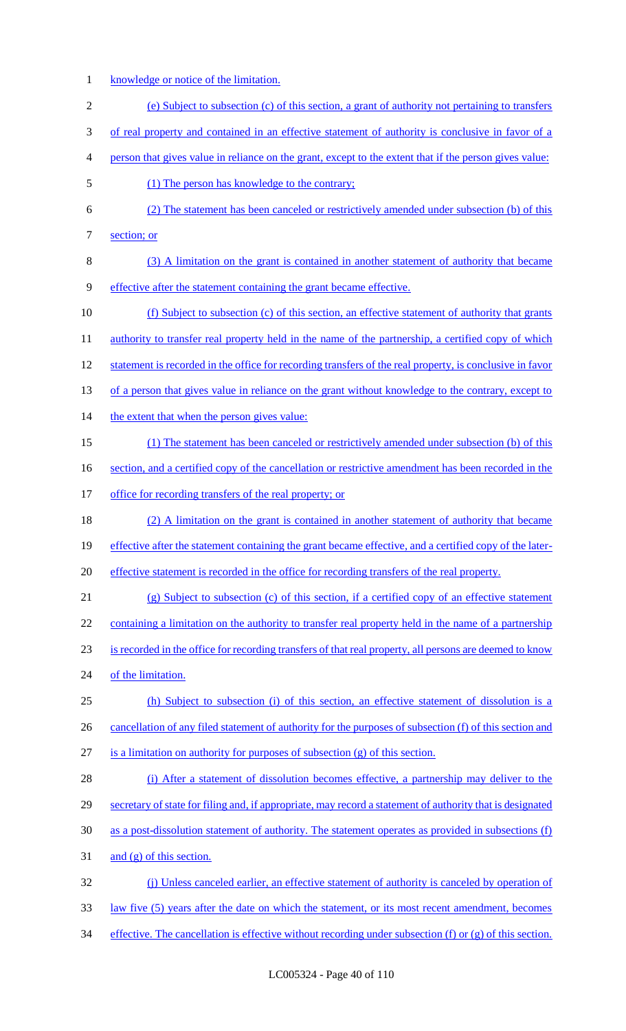1 knowledge or notice of the limitation.

| $\sqrt{2}$ | (e) Subject to subsection (c) of this section, a grant of authority not pertaining to transfers             |
|------------|-------------------------------------------------------------------------------------------------------------|
| 3          | of real property and contained in an effective statement of authority is conclusive in favor of a           |
| 4          | person that gives value in reliance on the grant, except to the extent that if the person gives value:      |
| 5          | (1) The person has knowledge to the contrary;                                                               |
| 6          | (2) The statement has been canceled or restrictively amended under subsection (b) of this                   |
| 7          | section; or                                                                                                 |
| $8\,$      | (3) A limitation on the grant is contained in another statement of authority that became                    |
| 9          | effective after the statement containing the grant became effective.                                        |
| 10         | (f) Subject to subsection (c) of this section, an effective statement of authority that grants              |
| 11         | authority to transfer real property held in the name of the partnership, a certified copy of which          |
| 12         | statement is recorded in the office for recording transfers of the real property, is conclusive in favor    |
| 13         | of a person that gives value in reliance on the grant without knowledge to the contrary, except to          |
| 14         | the extent that when the person gives value:                                                                |
| 15         | (1) The statement has been canceled or restrictively amended under subsection (b) of this                   |
| 16         | section, and a certified copy of the cancellation or restrictive amendment has been recorded in the         |
| 17         | office for recording transfers of the real property; or                                                     |
| 18         | (2) A limitation on the grant is contained in another statement of authority that became                    |
| 19         | effective after the statement containing the grant became effective, and a certified copy of the later-     |
| 20         | effective statement is recorded in the office for recording transfers of the real property.                 |
| 21         | $(g)$ Subject to subsection $(c)$ of this section, if a certified copy of an effective statement            |
| 22         | containing a limitation on the authority to transfer real property held in the name of a partnership        |
| 23         | is recorded in the office for recording transfers of that real property, all persons are deemed to know     |
| 24         | of the limitation.                                                                                          |
| 25         | (h) Subject to subsection (i) of this section, an effective statement of dissolution is a                   |
| 26         | cancellation of any filed statement of authority for the purposes of subsection (f) of this section and     |
| 27         | is a limitation on authority for purposes of subsection $(g)$ of this section.                              |
| 28         | (i) After a statement of dissolution becomes effective, a partnership may deliver to the                    |
| 29         | secretary of state for filing and, if appropriate, may record a statement of authority that is designated   |
| 30         | as a post-dissolution statement of authority. The statement operates as provided in subsections (f)         |
| 31         | and $(g)$ of this section.                                                                                  |
| 32         | (j) Unless canceled earlier, an effective statement of authority is canceled by operation of                |
| 33         | <u>law five (5) years after the date on which the statement, or its most recent amendment, becomes</u>      |
| 34         | effective. The cancellation is effective without recording under subsection $(f)$ or $(g)$ of this section. |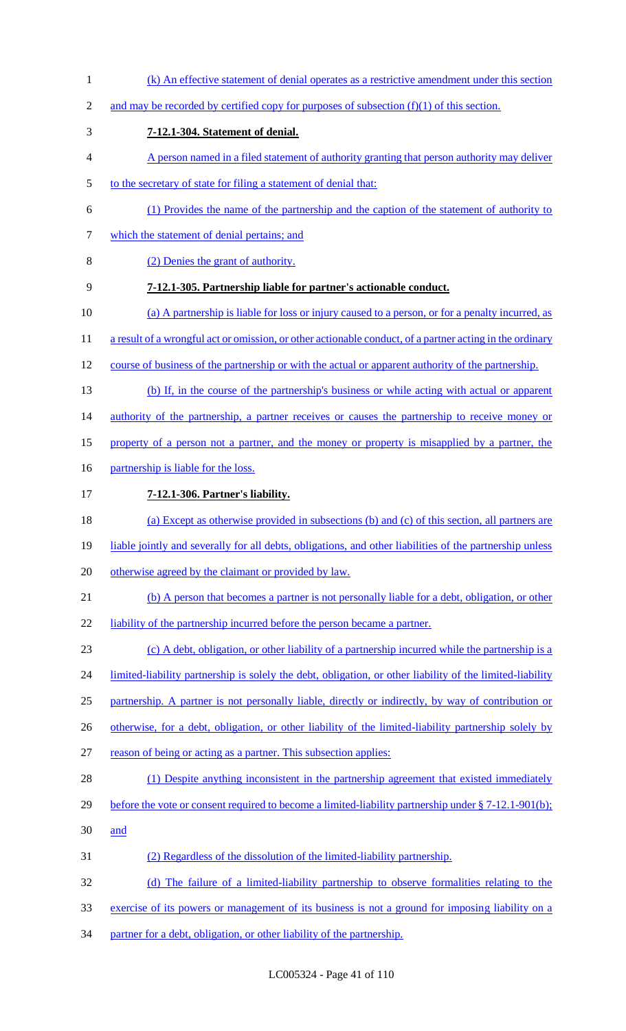1 (k) An effective statement of denial operates as a restrictive amendment under this section 2 and may be recorded by certified copy for purposes of subsection  $(f)(1)$  of this section. 3 **7-12.1-304. Statement of denial.**  4 A person named in a filed statement of authority granting that person authority may deliver 5 to the secretary of state for filing a statement of denial that: 6 (1) Provides the name of the partnership and the caption of the statement of authority to 7 which the statement of denial pertains; and 8 (2) Denies the grant of authority. 9 **7-12.1-305. Partnership liable for partner's actionable conduct.**  10 (a) A partnership is liable for loss or injury caused to a person, or for a penalty incurred, as 11 a result of a wrongful act or omission, or other actionable conduct, of a partner acting in the ordinary 12 course of business of the partnership or with the actual or apparent authority of the partnership. 13 (b) If, in the course of the partnership's business or while acting with actual or apparent 14 authority of the partnership, a partner receives or causes the partnership to receive money or 15 property of a person not a partner, and the money or property is misapplied by a partner, the 16 partnership is liable for the loss. 17 **7-12.1-306. Partner's liability.**  18 (a) Except as otherwise provided in subsections (b) and (c) of this section, all partners are 19 liable jointly and severally for all debts, obligations, and other liabilities of the partnership unless 20 otherwise agreed by the claimant or provided by law. 21 (b) A person that becomes a partner is not personally liable for a debt, obligation, or other 22 liability of the partnership incurred before the person became a partner. 23 (c) A debt, obligation, or other liability of a partnership incurred while the partnership is a 24 limited-liability partnership is solely the debt, obligation, or other liability of the limited-liability 25 partnership. A partner is not personally liable, directly or indirectly, by way of contribution or 26 otherwise, for a debt, obligation, or other liability of the limited-liability partnership solely by 27 reason of being or acting as a partner. This subsection applies: 28 (1) Despite anything inconsistent in the partnership agreement that existed immediately 29 before the vote or consent required to become a limited-liability partnership under § 7-12.1-901(b); 30 and 31 (2) Regardless of the dissolution of the limited-liability partnership. 32 (d) The failure of a limited-liability partnership to observe formalities relating to the 33 exercise of its powers or management of its business is not a ground for imposing liability on a 34 partner for a debt, obligation, or other liability of the partnership.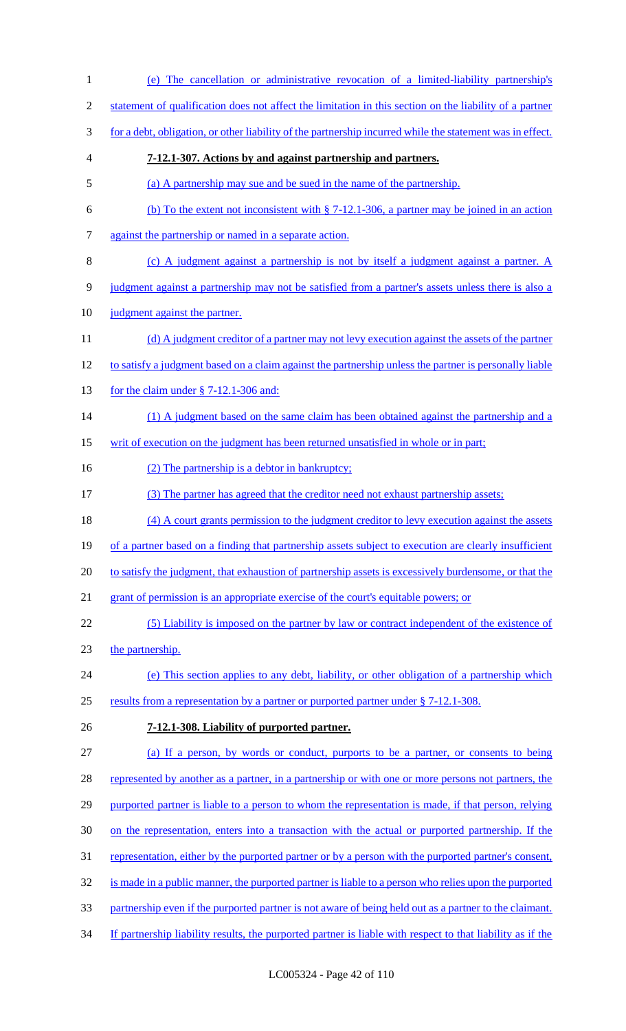(e) The cancellation or administrative revocation of a limited-liability partnership's statement of qualification does not affect the limitation in this section on the liability of a partner for a debt, obligation, or other liability of the partnership incurred while the statement was in effect. **7-12.1-307. Actions by and against partnership and partners.**  (a) A partnership may sue and be sued in the name of the partnership. (b) To the extent not inconsistent with § 7-12.1-306, a partner may be joined in an action against the partnership or named in a separate action. (c) A judgment against a partnership is not by itself a judgment against a partner. A judgment against a partnership may not be satisfied from a partner's assets unless there is also a 10 judgment against the partner. 11 (d) A judgment creditor of a partner may not levy execution against the assets of the partner to satisfy a judgment based on a claim against the partnership unless the partner is personally liable 13 for the claim under § 7-12.1-306 and: 14 (1) A judgment based on the same claim has been obtained against the partnership and a 15 writ of execution on the judgment has been returned unsatisfied in whole or in part; 16 (2) The partnership is a debtor in bankruptcy; (3) The partner has agreed that the creditor need not exhaust partnership assets; (4) A court grants permission to the judgment creditor to levy execution against the assets of a partner based on a finding that partnership assets subject to execution are clearly insufficient 20 to satisfy the judgment, that exhaustion of partnership assets is excessively burdensome, or that the grant of permission is an appropriate exercise of the court's equitable powers; or (5) Liability is imposed on the partner by law or contract independent of the existence of the partnership. (e) This section applies to any debt, liability, or other obligation of a partnership which 25 results from a representation by a partner or purported partner under § 7-12.1-308. **7-12.1-308. Liability of purported partner.**  (a) If a person, by words or conduct, purports to be a partner, or consents to being 28 represented by another as a partner, in a partnership or with one or more persons not partners, the 29 purported partner is liable to a person to whom the representation is made, if that person, relying on the representation, enters into a transaction with the actual or purported partnership. If the 31 representation, either by the purported partner or by a person with the purported partner's consent, 32 is made in a public manner, the purported partner is liable to a person who relies upon the purported partnership even if the purported partner is not aware of being held out as a partner to the claimant. If partnership liability results, the purported partner is liable with respect to that liability as if the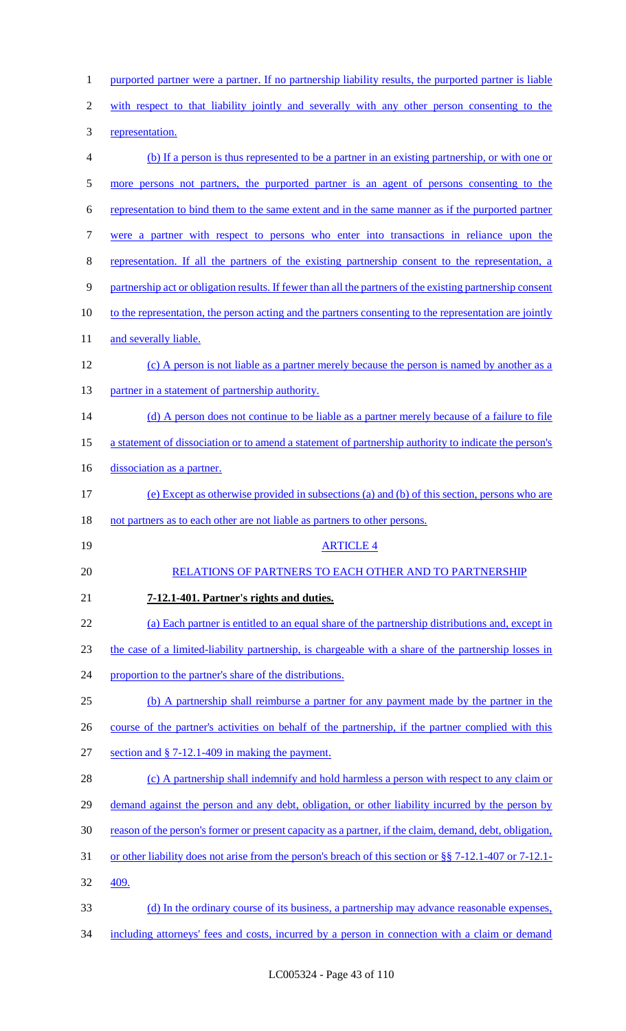| 1  | purported partner were a partner. If no partnership liability results, the purported partner is liable    |
|----|-----------------------------------------------------------------------------------------------------------|
| 2  | with respect to that liability jointly and severally with any other person consenting to the              |
| 3  | representation.                                                                                           |
| 4  | (b) If a person is thus represented to be a partner in an existing partnership, or with one or            |
| 5  | more persons not partners, the purported partner is an agent of persons consenting to the                 |
| 6  | representation to bind them to the same extent and in the same manner as if the purported partner         |
| 7  | were a partner with respect to persons who enter into transactions in reliance upon the                   |
| 8  | representation. If all the partners of the existing partnership consent to the representation, a          |
| 9  | partnership act or obligation results. If fewer than all the partners of the existing partnership consent |
| 10 | to the representation, the person acting and the partners consenting to the representation are jointly    |
| 11 | and severally liable.                                                                                     |
| 12 | (c) A person is not liable as a partner merely because the person is named by another as a                |
| 13 | partner in a statement of partnership authority.                                                          |
| 14 | (d) A person does not continue to be liable as a partner merely because of a failure to file              |
| 15 | a statement of dissociation or to amend a statement of partnership authority to indicate the person's     |
| 16 | dissociation as a partner.                                                                                |
| 17 | (e) Except as otherwise provided in subsections (a) and (b) of this section, persons who are              |
|    |                                                                                                           |
| 18 | not partners as to each other are not liable as partners to other persons.                                |
| 19 | <b>ARTICLE 4</b>                                                                                          |
| 20 | RELATIONS OF PARTNERS TO EACH OTHER AND TO PARTNERSHIP                                                    |
| 21 | 7-12.1-401. Partner's rights and duties.                                                                  |
| 22 | (a) Each partner is entitled to an equal share of the partnership distributions and, except in            |
| 23 | the case of a limited-liability partnership, is chargeable with a share of the partnership losses in      |
| 24 | proportion to the partner's share of the distributions.                                                   |
| 25 | (b) A partnership shall reimburse a partner for any payment made by the partner in the                    |
| 26 | course of the partner's activities on behalf of the partnership, if the partner complied with this        |
| 27 | section and $\S$ 7-12.1-409 in making the payment.                                                        |
| 28 | (c) A partnership shall indemnify and hold harmless a person with respect to any claim or                 |
| 29 | demand against the person and any debt, obligation, or other liability incurred by the person by          |
| 30 | reason of the person's former or present capacity as a partner, if the claim, demand, debt, obligation,   |
| 31 | or other liability does not arise from the person's breach of this section or $\S$ 7-12.1-407 or 7-12.1-  |
| 32 | 409.                                                                                                      |
| 33 | (d) In the ordinary course of its business, a partnership may advance reasonable expenses,                |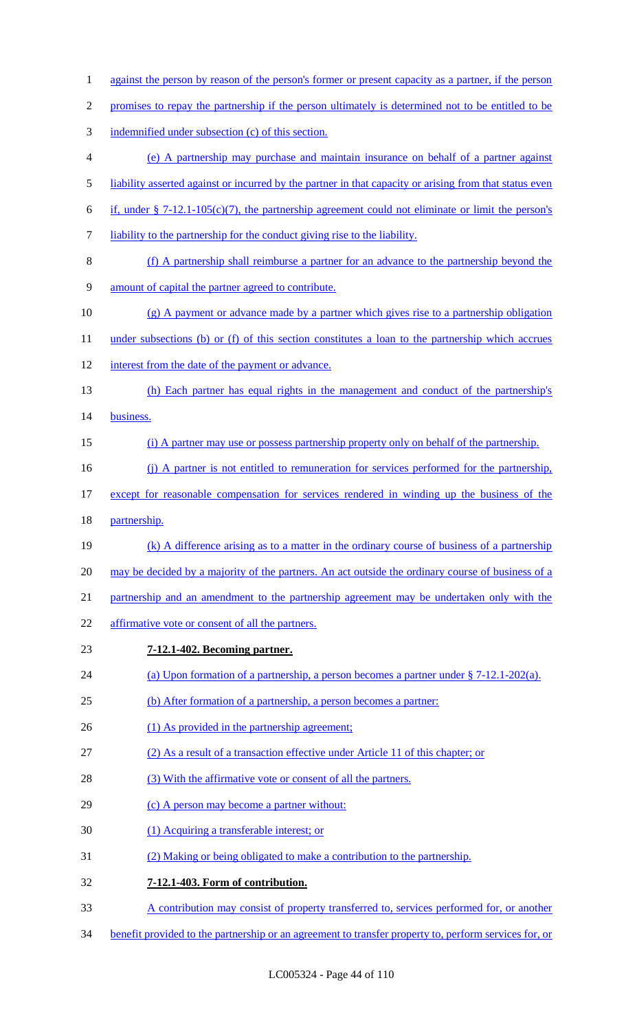1 against the person by reason of the person's former or present capacity as a partner, if the person promises to repay the partnership if the person ultimately is determined not to be entitled to be indemnified under subsection (c) of this section. (e) A partnership may purchase and maintain insurance on behalf of a partner against 5 liability asserted against or incurred by the partner in that capacity or arising from that status even if, under § 7-12.1-105(c)(7), the partnership agreement could not eliminate or limit the person's liability to the partnership for the conduct giving rise to the liability. (f) A partnership shall reimburse a partner for an advance to the partnership beyond the amount of capital the partner agreed to contribute. (g) A payment or advance made by a partner which gives rise to a partnership obligation 11 under subsections (b) or (f) of this section constitutes a loan to the partnership which accrues interest from the date of the payment or advance. (h) Each partner has equal rights in the management and conduct of the partnership's business. (i) A partner may use or possess partnership property only on behalf of the partnership. 16 (j) A partner is not entitled to remuneration for services performed for the partnership, except for reasonable compensation for services rendered in winding up the business of the 18 partnership. (k) A difference arising as to a matter in the ordinary course of business of a partnership 20 may be decided by a majority of the partners. An act outside the ordinary course of business of a partnership and an amendment to the partnership agreement may be undertaken only with the 22 affirmative vote or consent of all the partners. **7-12.1-402. Becoming partner.**  (a) Upon formation of a partnership, a person becomes a partner under § 7-12.1-202(a). (b) After formation of a partnership, a person becomes a partner: 26 (1) As provided in the partnership agreement; (2) As a result of a transaction effective under Article 11 of this chapter; or 28 (3) With the affirmative vote or consent of all the partners. (c) A person may become a partner without: (1) Acquiring a transferable interest; or (2) Making or being obligated to make a contribution to the partnership. **7-12.1-403. Form of contribution.**  A contribution may consist of property transferred to, services performed for, or another 34 benefit provided to the partnership or an agreement to transfer property to, perform services for, or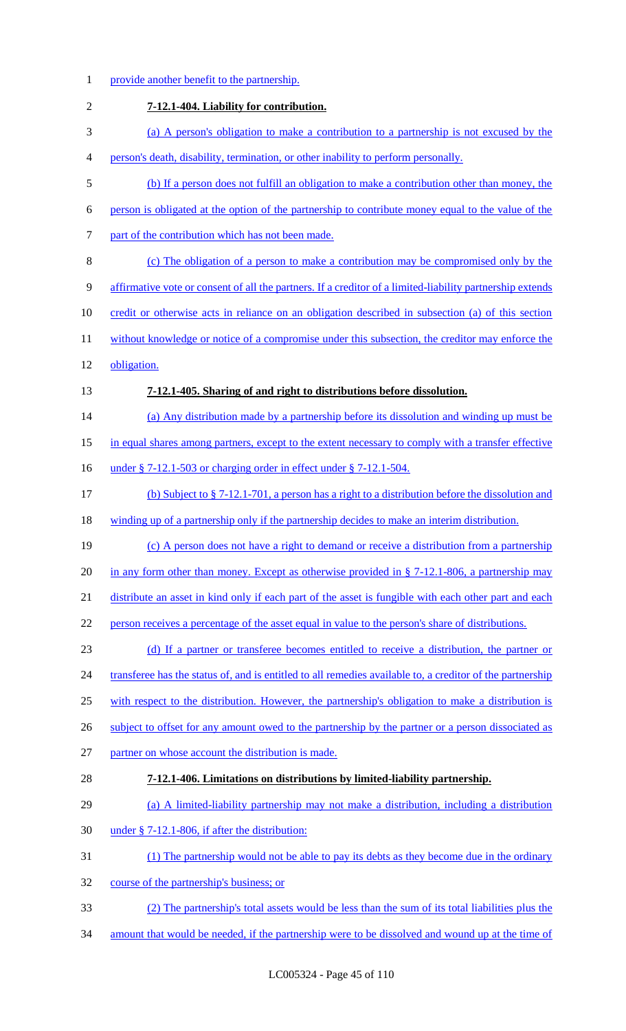1 provide another benefit to the partnership. **7-12.1-404. Liability for contribution.**  (a) A person's obligation to make a contribution to a partnership is not excused by the person's death, disability, termination, or other inability to perform personally. (b) If a person does not fulfill an obligation to make a contribution other than money, the person is obligated at the option of the partnership to contribute money equal to the value of the 7 part of the contribution which has not been made. (c) The obligation of a person to make a contribution may be compromised only by the affirmative vote or consent of all the partners. If a creditor of a limited-liability partnership extends credit or otherwise acts in reliance on an obligation described in subsection (a) of this section 11 without knowledge or notice of a compromise under this subsection, the creditor may enforce the obligation. **7-12.1-405. Sharing of and right to distributions before dissolution.**  14 (a) Any distribution made by a partnership before its dissolution and winding up must be in equal shares among partners, except to the extent necessary to comply with a transfer effective under § 7-12.1-503 or charging order in effect under § 7-12.1-504. (b) Subject to § 7-12.1-701, a person has a right to a distribution before the dissolution and winding up of a partnership only if the partnership decides to make an interim distribution. (c) A person does not have a right to demand or receive a distribution from a partnership 20 in any form other than money. Except as otherwise provided in § 7-12.1-806, a partnership may distribute an asset in kind only if each part of the asset is fungible with each other part and each person receives a percentage of the asset equal in value to the person's share of distributions. (d) If a partner or transferee becomes entitled to receive a distribution, the partner or 24 transferee has the status of, and is entitled to all remedies available to, a creditor of the partnership with respect to the distribution. However, the partnership's obligation to make a distribution is 26 subject to offset for any amount owed to the partnership by the partner or a person dissociated as partner on whose account the distribution is made. **7-12.1-406. Limitations on distributions by limited-liability partnership.**  (a) A limited-liability partnership may not make a distribution, including a distribution under § 7-12.1-806, if after the distribution: (1) The partnership would not be able to pay its debts as they become due in the ordinary course of the partnership's business; or (2) The partnership's total assets would be less than the sum of its total liabilities plus the 34 amount that would be needed, if the partnership were to be dissolved and wound up at the time of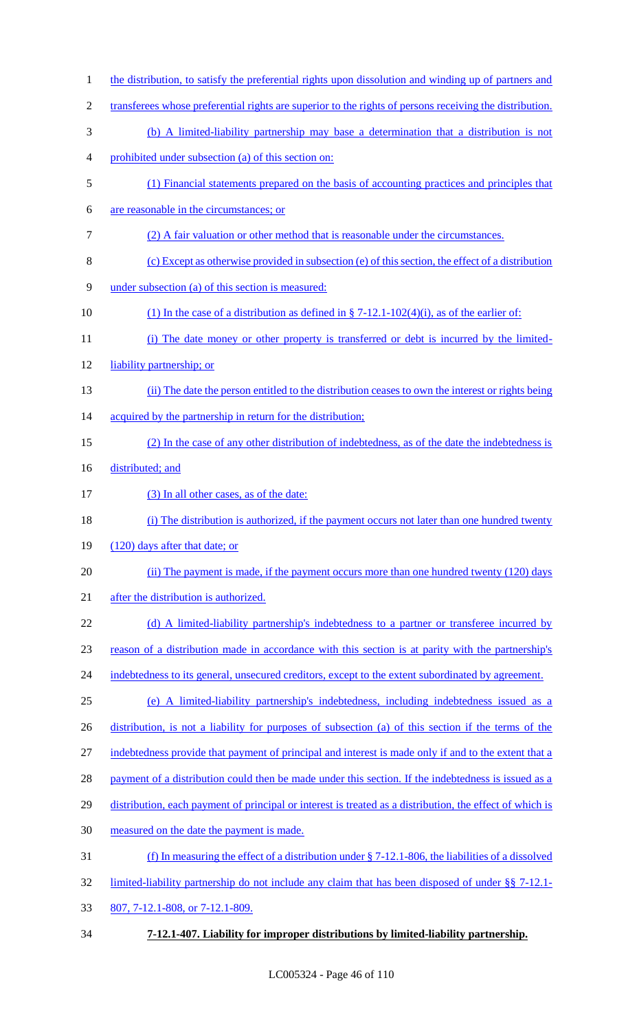| $\mathbf{1}$   | the distribution, to satisfy the preferential rights upon dissolution and winding up of partners and     |
|----------------|----------------------------------------------------------------------------------------------------------|
| $\sqrt{2}$     | transferees whose preferential rights are superior to the rights of persons receiving the distribution.  |
| 3              | (b) A limited-liability partnership may base a determination that a distribution is not                  |
| $\overline{4}$ | prohibited under subsection (a) of this section on:                                                      |
| 5              | (1) Financial statements prepared on the basis of accounting practices and principles that               |
| 6              | are reasonable in the circumstances; or                                                                  |
| $\tau$         | (2) A fair valuation or other method that is reasonable under the circumstances.                         |
| 8              | (c) Except as otherwise provided in subsection (e) of this section, the effect of a distribution         |
| 9              | under subsection (a) of this section is measured:                                                        |
| 10             | (1) In the case of a distribution as defined in § 7-12.1-102(4)(i), as of the earlier of:                |
| 11             | (i) The date money or other property is transferred or debt is incurred by the limited-                  |
| 12             | liability partnership; or                                                                                |
| 13             | (ii) The date the person entitled to the distribution ceases to own the interest or rights being         |
| 14             | acquired by the partnership in return for the distribution;                                              |
| 15             | (2) In the case of any other distribution of indebtedness, as of the date the indebtedness is            |
| 16             | distributed; and                                                                                         |
| 17             | (3) In all other cases, as of the date:                                                                  |
| 18             | (i) The distribution is authorized, if the payment occurs not later than one hundred twenty              |
| 19             | (120) days after that date; or                                                                           |
| 20             | (ii) The payment is made, if the payment occurs more than one hundred twenty (120) days                  |
| 21             | after the distribution is authorized.                                                                    |
| 22             | (d) A limited-liability partnership's indebtedness to a partner or transferee incurred by                |
| 23             | reason of a distribution made in accordance with this section is at parity with the partnership's        |
| 24             | indebtedness to its general, unsecured creditors, except to the extent subordinated by agreement.        |
| 25             | (e) A limited-liability partnership's indebtedness, including indebtedness issued as a                   |
| 26             | distribution, is not a liability for purposes of subsection (a) of this section if the terms of the      |
| 27             | indebtedness provide that payment of principal and interest is made only if and to the extent that a     |
| 28             | payment of a distribution could then be made under this section. If the indebtedness is issued as a      |
| 29             | distribution, each payment of principal or interest is treated as a distribution, the effect of which is |
| 30             | measured on the date the payment is made.                                                                |
| 31             | (f) In measuring the effect of a distribution under $\S$ 7-12.1-806, the liabilities of a dissolved      |
| 32             | limited-liability partnership do not include any claim that has been disposed of under $\S$ § 7-12.1-    |
| 33             | 807, 7-12.1-808, or 7-12.1-809.                                                                          |
| 34             | 7-12.1-407. Liability for improper distributions by limited-liability partnership.                       |

LC005324 - Page 46 of 110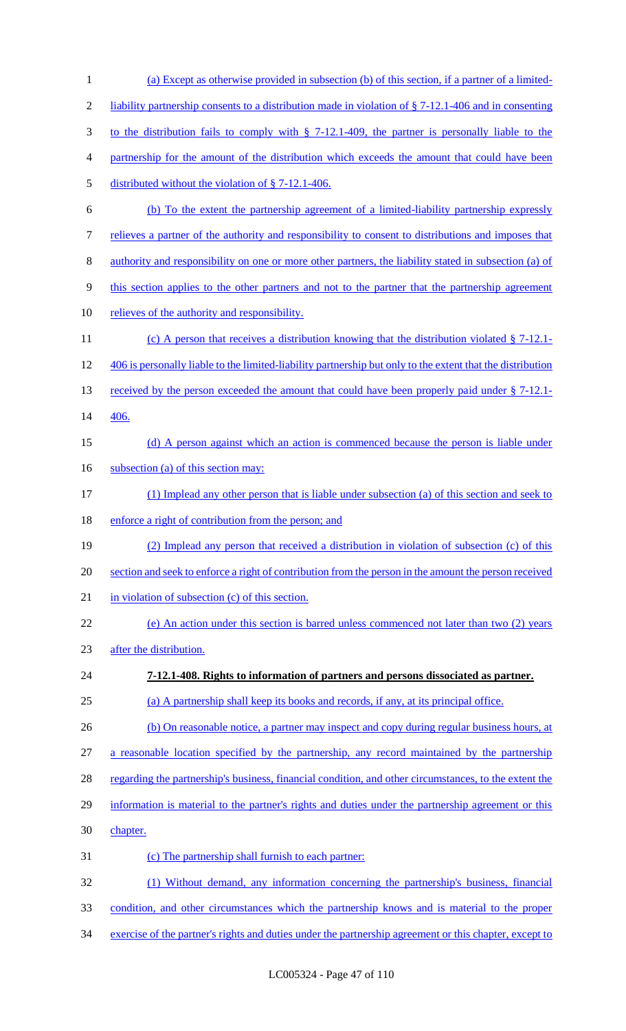| $\mathbf{1}$   | (a) Except as otherwise provided in subsection (b) of this section, if a partner of a limited-             |
|----------------|------------------------------------------------------------------------------------------------------------|
| $\overline{c}$ | liability partnership consents to a distribution made in violation of $\S$ 7-12.1-406 and in consenting    |
| 3              | to the distribution fails to comply with $\S$ 7-12.1-409, the partner is personally liable to the          |
| 4              | partnership for the amount of the distribution which exceeds the amount that could have been               |
| 5              | distributed without the violation of $\S$ 7-12.1-406.                                                      |
| 6              | (b) To the extent the partnership agreement of a limited-liability partnership expressly                   |
| $\tau$         | relieves a partner of the authority and responsibility to consent to distributions and imposes that        |
| $8\,$          | authority and responsibility on one or more other partners, the liability stated in subsection (a) of      |
| $\mathbf{9}$   | this section applies to the other partners and not to the partner that the partnership agreement           |
| 10             | relieves of the authority and responsibility.                                                              |
| 11             | (c) A person that receives a distribution knowing that the distribution violated $\S$ 7-12.1-              |
| 12             | 406 is personally liable to the limited-liability partnership but only to the extent that the distribution |
| 13             | received by the person exceeded the amount that could have been properly paid under $\S$ 7-12.1-           |
| 14             | 406.                                                                                                       |
| 15             | (d) A person against which an action is commenced because the person is liable under                       |
| 16             | subsection (a) of this section may:                                                                        |
| 17             | (1) Implead any other person that is liable under subsection (a) of this section and seek to               |
| 18             | enforce a right of contribution from the person; and                                                       |
| 19             | (2) Implead any person that received a distribution in violation of subsection (c) of this                 |
| 20             | section and seek to enforce a right of contribution from the person in the amount the person received      |
| 21             | in violation of subsection (c) of this section.                                                            |
| 22             | (e) An action under this section is barred unless commenced not later than two (2) years                   |
| 23             | after the distribution.                                                                                    |
| 24             | 7-12.1-408. Rights to information of partners and persons dissociated as partner.                          |
| 25             | (a) A partnership shall keep its books and records, if any, at its principal office.                       |
| 26             | (b) On reasonable notice, a partner may inspect and copy during regular business hours, at                 |
| 27             | a reasonable location specified by the partnership, any record maintained by the partnership               |
| 28             | regarding the partnership's business, financial condition, and other circumstances, to the extent the      |
| 29             | information is material to the partner's rights and duties under the partnership agreement or this         |
| 30             | chapter.                                                                                                   |
| 31             | (c) The partnership shall furnish to each partner:                                                         |
| 32             | (1) Without demand, any information concerning the partnership's business, financial                       |
| 33             | condition, and other circumstances which the partnership knows and is material to the proper               |
| 34             | exercise of the partner's rights and duties under the partnership agreement or this chapter, except to     |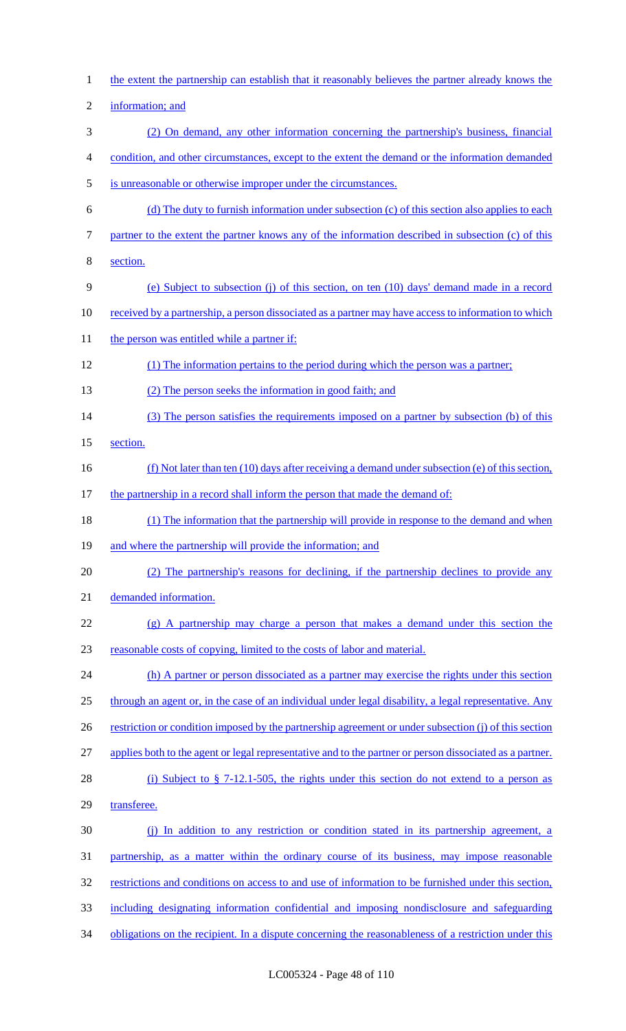| $\mathbf{1}$   | the extent the partnership can establish that it reasonably believes the partner already knows the       |
|----------------|----------------------------------------------------------------------------------------------------------|
| $\overline{c}$ | information; and                                                                                         |
| 3              | (2) On demand, any other information concerning the partnership's business, financial                    |
| 4              | condition, and other circumstances, except to the extent the demand or the information demanded          |
| 5              | is unreasonable or otherwise improper under the circumstances.                                           |
| 6              | (d) The duty to furnish information under subsection (c) of this section also applies to each            |
| $\tau$         | partner to the extent the partner knows any of the information described in subsection (c) of this       |
| 8              | section.                                                                                                 |
| 9              | (e) Subject to subsection (j) of this section, on ten (10) days' demand made in a record                 |
| 10             | received by a partnership, a person dissociated as a partner may have access to information to which     |
| 11             | the person was entitled while a partner if:                                                              |
| 12             | (1) The information pertains to the period during which the person was a partner;                        |
| 13             | (2) The person seeks the information in good faith; and                                                  |
| 14             | (3) The person satisfies the requirements imposed on a partner by subsection (b) of this                 |
| 15             | section.                                                                                                 |
| 16             | (f) Not later than ten (10) days after receiving a demand under subsection (e) of this section,          |
| 17             | the partnership in a record shall inform the person that made the demand of:                             |
| 18             | (1) The information that the partnership will provide in response to the demand and when                 |
| 19             | and where the partnership will provide the information; and                                              |
| 20             | (2) The partnership's reasons for declining, if the partnership declines to provide any                  |
| 21             | demanded information.                                                                                    |
| 22             | $(g)$ A partnership may charge a person that makes a demand under this section the                       |
| 23             | reasonable costs of copying, limited to the costs of labor and material.                                 |
| 24             | (h) A partner or person dissociated as a partner may exercise the rights under this section              |
| 25             | through an agent or, in the case of an individual under legal disability, a legal representative. Any    |
| 26             | restriction or condition imposed by the partnership agreement or under subsection (j) of this section    |
| 27             | applies both to the agent or legal representative and to the partner or person dissociated as a partner. |
| 28             | (i) Subject to $\S$ 7-12.1-505, the rights under this section do not extend to a person as               |
| 29             | transferee.                                                                                              |
| 30             | (j) In addition to any restriction or condition stated in its partnership agreement, a                   |
| 31             | partnership, as a matter within the ordinary course of its business, may impose reasonable               |
| 32             | restrictions and conditions on access to and use of information to be furnished under this section,      |
| 33             | including designating information confidential and imposing nondisclosure and safeguarding               |
| 34             | obligations on the recipient. In a dispute concerning the reasonableness of a restriction under this     |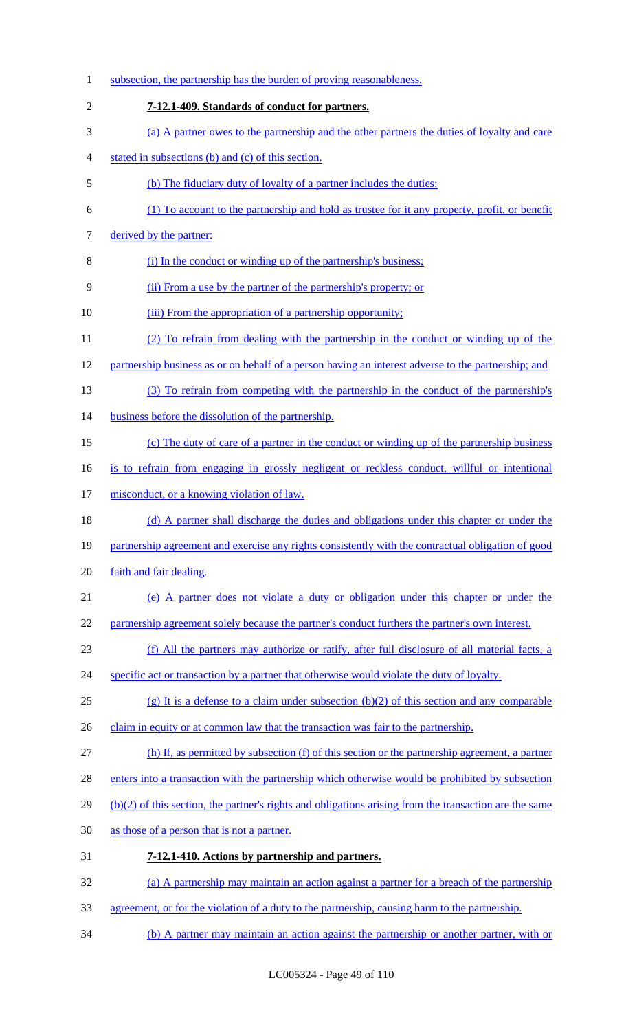| $\mathbf{1}$   | subsection, the partnership has the burden of proving reasonableness.                                  |
|----------------|--------------------------------------------------------------------------------------------------------|
| $\overline{2}$ | 7-12.1-409. Standards of conduct for partners.                                                         |
| 3              | (a) A partner owes to the partnership and the other partners the duties of loyalty and care            |
| 4              | stated in subsections (b) and (c) of this section.                                                     |
| 5              | (b) The fiduciary duty of loyalty of a partner includes the duties:                                    |
| 6              | (1) To account to the partnership and hold as trustee for it any property, profit, or benefit          |
| 7              | derived by the partner:                                                                                |
| 8              | (i) In the conduct or winding up of the partnership's business;                                        |
| 9              | (ii) From a use by the partner of the partnership's property; or                                       |
| 10             | (iii) From the appropriation of a partnership opportunity;                                             |
| 11             | (2) To refrain from dealing with the partnership in the conduct or winding up of the                   |
| 12             | partnership business as or on behalf of a person having an interest adverse to the partnership; and    |
| 13             | (3) To refrain from competing with the partnership in the conduct of the partnership's                 |
| 14             | business before the dissolution of the partnership.                                                    |
| 15             | (c) The duty of care of a partner in the conduct or winding up of the partnership business             |
| 16             | is to refrain from engaging in grossly negligent or reckless conduct, willful or intentional           |
| 17             | misconduct, or a knowing violation of law.                                                             |
| 18             | (d) A partner shall discharge the duties and obligations under this chapter or under the               |
| 19             | partnership agreement and exercise any rights consistently with the contractual obligation of good     |
| 20             | faith and fair dealing.                                                                                |
| 21             | (e) A partner does not violate a duty or obligation under this chapter or under the                    |
| 22             | partnership agreement solely because the partner's conduct furthers the partner's own interest.        |
| 23             | (f) All the partners may authorize or ratify, after full disclosure of all material facts, a           |
| 24             | specific act or transaction by a partner that otherwise would violate the duty of loyalty.             |
| 25             | $(g)$ It is a defense to a claim under subsection (b)(2) of this section and any comparable            |
| 26             | claim in equity or at common law that the transaction was fair to the partnership.                     |
| 27             | (h) If, as permitted by subsection (f) of this section or the partnership agreement, a partner         |
| 28             | enters into a transaction with the partnership which otherwise would be prohibited by subsection       |
| 29             | (b)(2) of this section, the partner's rights and obligations arising from the transaction are the same |
| 30             | as those of a person that is not a partner.                                                            |
| 31             | 7-12.1-410. Actions by partnership and partners.                                                       |
| 32             | (a) A partnership may maintain an action against a partner for a breach of the partnership             |
| 33             | agreement, or for the violation of a duty to the partnership, causing harm to the partnership.         |
| 34             | (b) A partner may maintain an action against the partnership or another partner, with or               |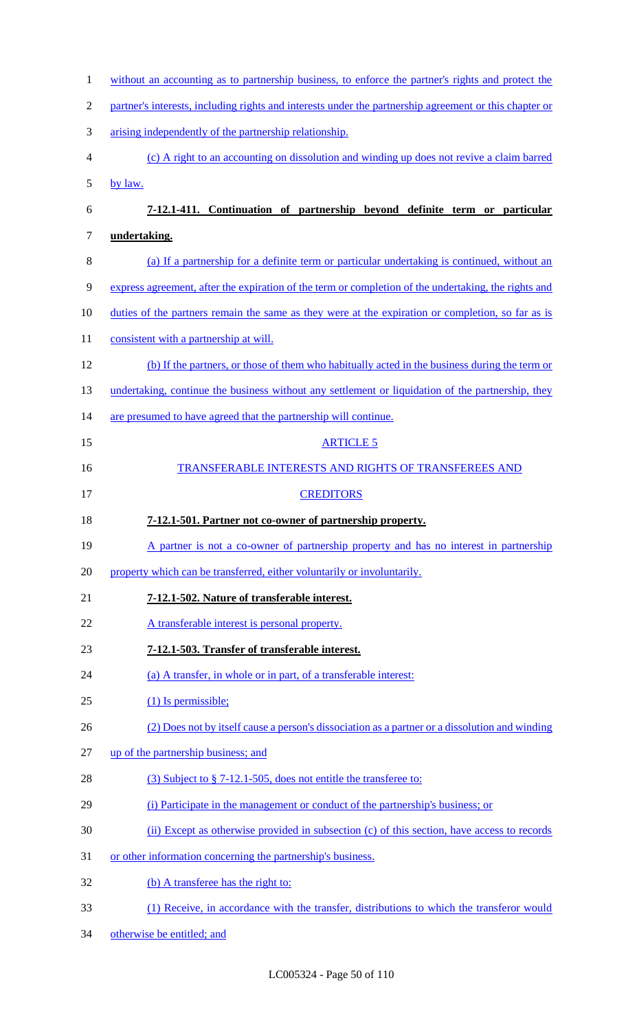| $\mathbf{1}$   | without an accounting as to partnership business, to enforce the partner's rights and protect the      |
|----------------|--------------------------------------------------------------------------------------------------------|
| $\mathfrak{2}$ | partner's interests, including rights and interests under the partnership agreement or this chapter or |
| 3              | arising independently of the partnership relationship.                                                 |
| 4              | (c) A right to an accounting on dissolution and winding up does not revive a claim barred              |
| 5              | by law.                                                                                                |
| 6              | 7-12.1-411. Continuation of partnership beyond definite term or particular                             |
| 7              | undertaking.                                                                                           |
| 8              | (a) If a partnership for a definite term or particular undertaking is continued, without an            |
| 9              | express agreement, after the expiration of the term or completion of the undertaking, the rights and   |
| 10             | duties of the partners remain the same as they were at the expiration or completion, so far as is      |
| 11             | consistent with a partnership at will.                                                                 |
| 12             | (b) If the partners, or those of them who habitually acted in the business during the term or          |
| 13             | undertaking, continue the business without any settlement or liquidation of the partnership, they      |
| 14             | are presumed to have agreed that the partnership will continue.                                        |
| 15             | <b>ARTICLE 5</b>                                                                                       |
| 16             | TRANSFERABLE INTERESTS AND RIGHTS OF TRANSFEREES AND                                                   |
| 17             | <b>CREDITORS</b>                                                                                       |
| 18             | 7-12.1-501. Partner not co-owner of partnership property.                                              |
| 19             | A partner is not a co-owner of partnership property and has no interest in partnership                 |
| 20             | property which can be transferred, either voluntarily or involuntarily.                                |
| 21             | 7-12.1-502. Nature of transferable interest.                                                           |
| 22             | A transferable interest is personal property.                                                          |
| 23             | 7-12.1-503. Transfer of transferable interest.                                                         |
| 24             | (a) A transfer, in whole or in part, of a transferable interest:                                       |
| 25             | (1) Is permissible;                                                                                    |
| 26             | (2) Does not by itself cause a person's dissociation as a partner or a dissolution and winding         |
| 27             | up of the partnership business; and                                                                    |
| 28             | $(3)$ Subject to § 7-12.1-505, does not entitle the transferee to:                                     |
| 29             | (i) Participate in the management or conduct of the partnership's business; or                         |
| 30             | (ii) Except as otherwise provided in subsection (c) of this section, have access to records            |
| 31             | or other information concerning the partnership's business.                                            |
|                |                                                                                                        |
| 32             | (b) A transferee has the right to:                                                                     |
| 33             | (1) Receive, in accordance with the transfer, distributions to which the transferor would              |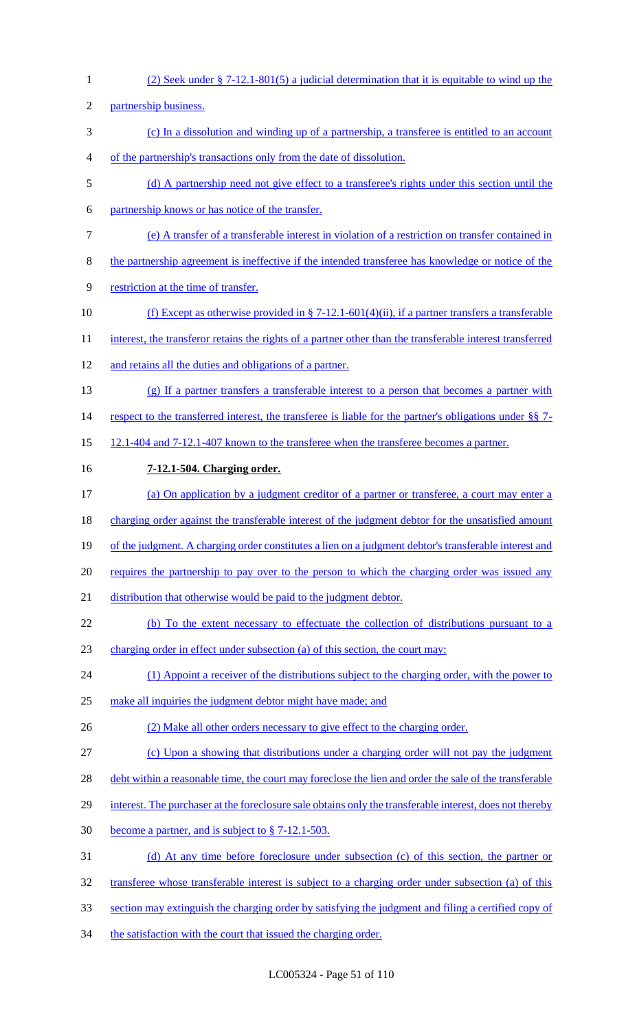(2) Seek under § 7-12.1-801(5) a judicial determination that it is equitable to wind up the partnership business. (c) In a dissolution and winding up of a partnership, a transferee is entitled to an account of the partnership's transactions only from the date of dissolution. (d) A partnership need not give effect to a transferee's rights under this section until the partnership knows or has notice of the transfer. (e) A transfer of a transferable interest in violation of a restriction on transfer contained in the partnership agreement is ineffective if the intended transferee has knowledge or notice of the restriction at the time of transfer. (f) Except as otherwise provided in § 7-12.1-601(4)(ii), if a partner transfers a transferable 11 interest, the transferor retains the rights of a partner other than the transferable interest transferred and retains all the duties and obligations of a partner. (g) If a partner transfers a transferable interest to a person that becomes a partner with 14 respect to the transferred interest, the transferee is liable for the partner's obligations under §§ 7- 12.1-404 and 7-12.1-407 known to the transferee when the transferee becomes a partner. **7-12.1-504. Charging order.**  (a) On application by a judgment creditor of a partner or transferee, a court may enter a 18 charging order against the transferable interest of the judgment debtor for the unsatisfied amount of the judgment. A charging order constitutes a lien on a judgment debtor's transferable interest and 20 requires the partnership to pay over to the person to which the charging order was issued any distribution that otherwise would be paid to the judgment debtor. (b) To the extent necessary to effectuate the collection of distributions pursuant to a charging order in effect under subsection (a) of this section, the court may: (1) Appoint a receiver of the distributions subject to the charging order, with the power to make all inquiries the judgment debtor might have made; and (2) Make all other orders necessary to give effect to the charging order. (c) Upon a showing that distributions under a charging order will not pay the judgment debt within a reasonable time, the court may foreclose the lien and order the sale of the transferable interest. The purchaser at the foreclosure sale obtains only the transferable interest, does not thereby become a partner, and is subject to § 7-12.1-503. (d) At any time before foreclosure under subsection (c) of this section, the partner or transferee whose transferable interest is subject to a charging order under subsection (a) of this section may extinguish the charging order by satisfying the judgment and filing a certified copy of 34 the satisfaction with the court that issued the charging order.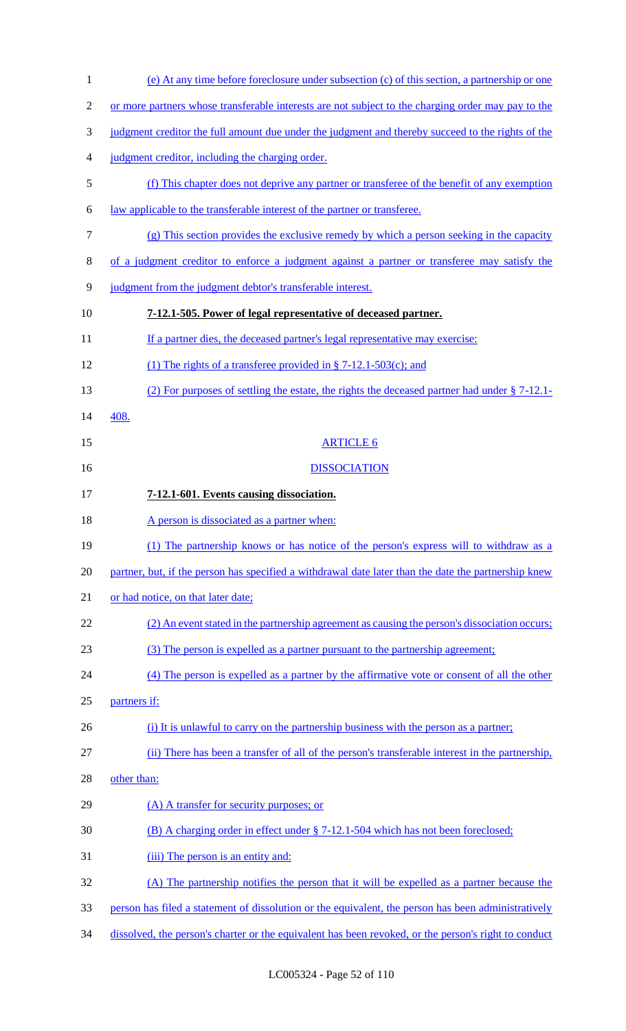| $\mathbf{1}$   | (e) At any time before foreclosure under subsection (c) of this section, a partnership or one        |
|----------------|------------------------------------------------------------------------------------------------------|
| $\overline{2}$ | or more partners whose transferable interests are not subject to the charging order may pay to the   |
| 3              | judgment creditor the full amount due under the judgment and thereby succeed to the rights of the    |
| $\overline{4}$ | judgment creditor, including the charging order.                                                     |
| 5              | (f) This chapter does not deprive any partner or transferee of the benefit of any exemption          |
| 6              | law applicable to the transferable interest of the partner or transferee.                            |
| $\overline{7}$ | (g) This section provides the exclusive remedy by which a person seeking in the capacity             |
| $8\,$          | of a judgment creditor to enforce a judgment against a partner or transferee may satisfy the         |
| 9              | judgment from the judgment debtor's transferable interest.                                           |
| 10             | 7-12.1-505. Power of legal representative of deceased partner.                                       |
| 11             | If a partner dies, the deceased partner's legal representative may exercise:                         |
| 12             | (1) The rights of a transferee provided in $\S$ 7-12.1-503(c); and                                   |
| 13             | (2) For purposes of settling the estate, the rights the deceased partner had under $\S$ 7-12.1-      |
| 14             | 408.                                                                                                 |
| 15             | <b>ARTICLE 6</b>                                                                                     |
| 16             | <b>DISSOCIATION</b>                                                                                  |
| 17             | 7-12.1-601. Events causing dissociation.                                                             |
| 18             | A person is dissociated as a partner when:                                                           |
| 19             | (1) The partnership knows or has notice of the person's express will to withdraw as a                |
| 20             | partner, but, if the person has specified a withdrawal date later than the date the partnership knew |
| 21             | or had notice, on that later date;                                                                   |
| 22             | (2) An event stated in the partnership agreement as causing the person's dissociation occurs;        |
| 23             | (3) The person is expelled as a partner pursuant to the partnership agreement;                       |
| 24             | (4) The person is expelled as a partner by the affirmative vote or consent of all the other          |
| 25             | partners if:                                                                                         |
| 26             | (i) It is unlawful to carry on the partnership business with the person as a partner;                |
| 27             | (ii) There has been a transfer of all of the person's transferable interest in the partnership,      |
| 28             | other than:                                                                                          |
| 29             | (A) A transfer for security purposes; or                                                             |
| 30             | (B) A charging order in effect under § 7-12.1-504 which has not been foreclosed;                     |
| 31             | (iii) The person is an entity and:                                                                   |
| 32             | (A) The partnership notifies the person that it will be expelled as a partner because the            |
| 33             | person has filed a statement of dissolution or the equivalent, the person has been administratively  |
| 34             | dissolved, the person's charter or the equivalent has been revoked, or the person's right to conduct |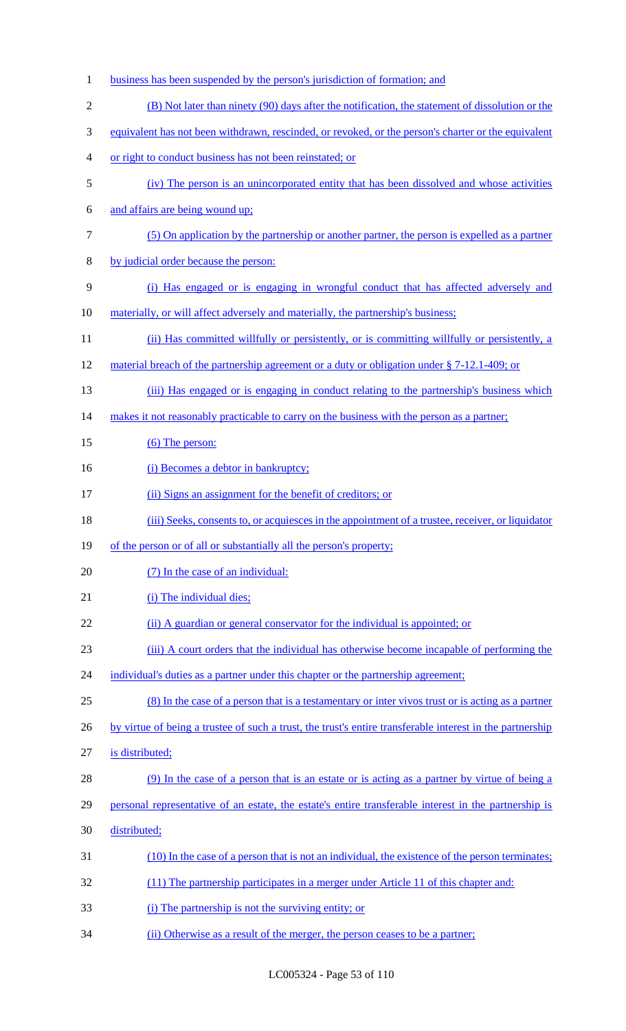- 1 business has been suspended by the person's jurisdiction of formation; and (B) Not later than ninety (90) days after the notification, the statement of dissolution or the equivalent has not been withdrawn, rescinded, or revoked, or the person's charter or the equivalent or right to conduct business has not been reinstated; or (iv) The person is an unincorporated entity that has been dissolved and whose activities and affairs are being wound up; (5) On application by the partnership or another partner, the person is expelled as a partner by judicial order because the person: (i) Has engaged or is engaging in wrongful conduct that has affected adversely and materially, or will affect adversely and materially, the partnership's business; (ii) Has committed willfully or persistently, or is committing willfully or persistently, a material breach of the partnership agreement or a duty or obligation under § 7-12.1-409; or 13 (iii) Has engaged or is engaging in conduct relating to the partnership's business which 14 makes it not reasonably practicable to carry on the business with the person as a partner; 15 (6) The person: 16 (i) Becomes a debtor in bankruptcy; 17 (ii) Signs an assignment for the benefit of creditors; or (iii) Seeks, consents to, or acquiesces in the appointment of a trustee, receiver, or liquidator of the person or of all or substantially all the person's property; 20 (7) In the case of an individual: 21 (i) The individual dies; 22 (ii) A guardian or general conservator for the individual is appointed; or (iii) A court orders that the individual has otherwise become incapable of performing the 24 individual's duties as a partner under this chapter or the partnership agreement; (8) In the case of a person that is a testamentary or inter vivos trust or is acting as a partner 26 by virtue of being a trustee of such a trust, the trust's entire transferable interest in the partnership is distributed; (9) In the case of a person that is an estate or is acting as a partner by virtue of being a personal representative of an estate, the estate's entire transferable interest in the partnership is distributed; (10) In the case of a person that is not an individual, the existence of the person terminates; (11) The partnership participates in a merger under Article 11 of this chapter and: (i) The partnership is not the surviving entity; or
- (ii) Otherwise as a result of the merger, the person ceases to be a partner;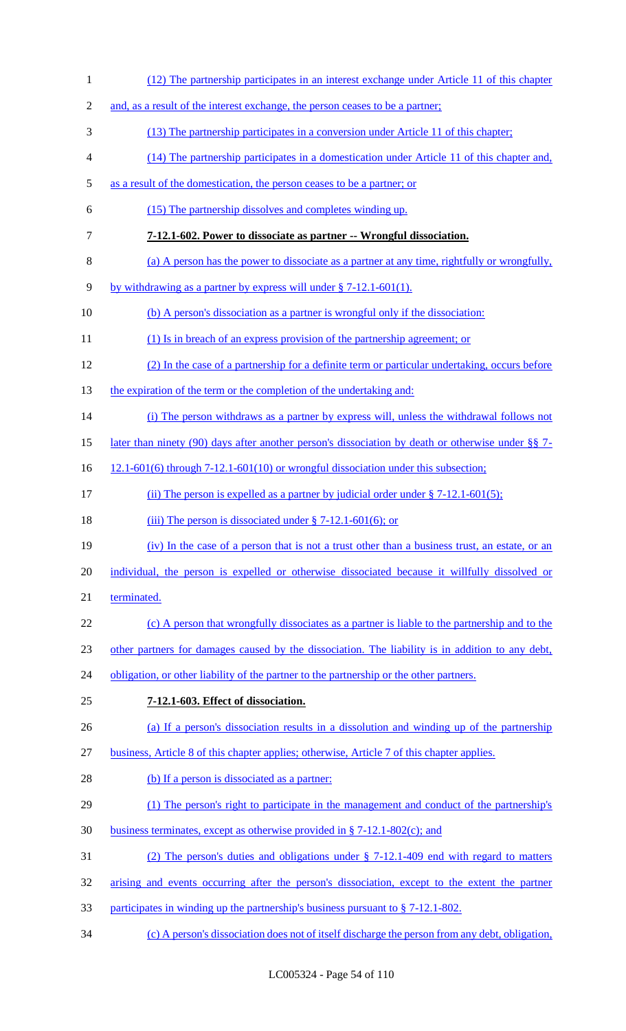| $\mathbf{1}$   | (12) The partnership participates in an interest exchange under Article 11 of this chapter        |
|----------------|---------------------------------------------------------------------------------------------------|
| $\overline{2}$ | and, as a result of the interest exchange, the person ceases to be a partner;                     |
| 3              | (13) The partnership participates in a conversion under Article 11 of this chapter;               |
| $\overline{4}$ | (14) The partnership participates in a domestication under Article 11 of this chapter and,        |
| 5              | as a result of the domestication, the person ceases to be a partner; or                           |
| 6              | (15) The partnership dissolves and completes winding up.                                          |
| $\tau$         | 7-12.1-602. Power to dissociate as partner -- Wrongful dissociation.                              |
| 8              | (a) A person has the power to dissociate as a partner at any time, rightfully or wrongfully,      |
| 9              | by withdrawing as a partner by express will under $\S$ 7-12.1-601(1).                             |
| 10             | (b) A person's dissociation as a partner is wrongful only if the dissociation:                    |
| 11             | (1) Is in breach of an express provision of the partnership agreement; or                         |
| 12             | (2) In the case of a partnership for a definite term or particular undertaking, occurs before     |
| 13             | the expiration of the term or the completion of the undertaking and:                              |
| 14             | (i) The person withdraws as a partner by express will, unless the withdrawal follows not          |
| 15             | later than ninety (90) days after another person's dissociation by death or otherwise under §§ 7. |
| 16             | $12.1-601(6)$ through $7-12.1-601(10)$ or wrongful dissociation under this subsection;            |
| 17             | (ii) The person is expelled as a partner by judicial order under $\S$ 7-12.1-601(5);              |
| 18             | (iii) The person is dissociated under $\S$ 7-12.1-601(6); or                                      |
| 19             | (iv) In the case of a person that is not a trust other than a business trust, an estate, or an    |
| 20             | individual, the person is expelled or otherwise dissociated because it willfully dissolved or     |
| 21             | terminated.                                                                                       |
| 22             | (c) A person that wrongfully dissociates as a partner is liable to the partnership and to the     |
| 23             | other partners for damages caused by the dissociation. The liability is in addition to any debt,  |
| 24             | obligation, or other liability of the partner to the partnership or the other partners.           |
| 25             | 7-12.1-603. Effect of dissociation.                                                               |
| 26             | (a) If a person's dissociation results in a dissolution and winding up of the partnership         |
| 27             | business, Article 8 of this chapter applies; otherwise, Article 7 of this chapter applies.        |
| 28             | (b) If a person is dissociated as a partner:                                                      |
| 29             | (1) The person's right to participate in the management and conduct of the partnership's          |
| 30             | business terminates, except as otherwise provided in $\S$ 7-12.1-802(c); and                      |
| 31             | (2) The person's duties and obligations under $\S$ 7-12.1-409 end with regard to matters          |
| 32             | arising and events occurring after the person's dissociation, except to the extent the partner    |
| 33             | participates in winding up the partnership's business pursuant to § 7-12.1-802.                   |
| 34             | (c) A person's dissociation does not of itself discharge the person from any debt, obligation,    |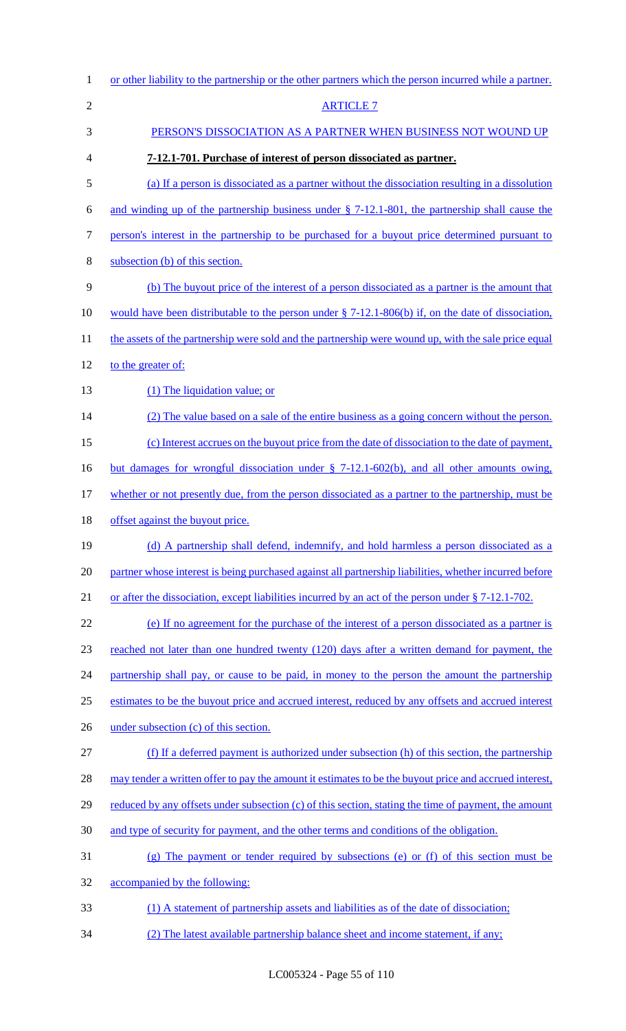| $\mathbf{1}$   | or other liability to the partnership or the other partners which the person incurred while a partner. |
|----------------|--------------------------------------------------------------------------------------------------------|
| $\overline{2}$ | <b>ARTICLE 7</b>                                                                                       |
| 3              | PERSON'S DISSOCIATION AS A PARTNER WHEN BUSINESS NOT WOUND UP                                          |
| 4              | 7-12.1-701. Purchase of interest of person dissociated as partner.                                     |
| 5              | (a) If a person is dissociated as a partner without the dissociation resulting in a dissolution        |
| 6              | and winding up of the partnership business under $\S$ 7-12.1-801, the partnership shall cause the      |
| 7              | person's interest in the partnership to be purchased for a buyout price determined pursuant to         |
| 8              | subsection (b) of this section.                                                                        |
| 9              | (b) The buyout price of the interest of a person dissociated as a partner is the amount that           |
| 10             | would have been distributable to the person under $\S$ 7-12.1-806(b) if, on the date of dissociation,  |
| 11             | the assets of the partnership were sold and the partnership were wound up, with the sale price equal   |
| 12             | to the greater of:                                                                                     |
| 13             | (1) The liquidation value; or                                                                          |
| 14             | (2) The value based on a sale of the entire business as a going concern without the person.            |
| 15             | (c) Interest accrues on the buyout price from the date of dissociation to the date of payment,         |
| 16             | but damages for wrongful dissociation under § 7-12.1-602(b), and all other amounts owing,              |
| 17             | whether or not presently due, from the person dissociated as a partner to the partnership, must be     |
| 18             | offset against the buyout price.                                                                       |
| 19             | (d) A partnership shall defend, indemnify, and hold harmless a person dissociated as a                 |
| 20             | partner whose interest is being purchased against all partnership liabilities, whether incurred before |
| 21             | or after the dissociation, except liabilities incurred by an act of the person under § 7-12.1-702.     |
| 22             | (e) If no agreement for the purchase of the interest of a person dissociated as a partner is           |
| 23             | reached not later than one hundred twenty (120) days after a written demand for payment, the           |
| 24             | partnership shall pay, or cause to be paid, in money to the person the amount the partnership          |
| 25             | estimates to be the buyout price and accrued interest, reduced by any offsets and accrued interest     |
| 26             | under subsection (c) of this section.                                                                  |
| 27             | (f) If a deferred payment is authorized under subsection (h) of this section, the partnership          |
| 28             | may tender a written offer to pay the amount it estimates to be the buyout price and accrued interest, |
| 29             | reduced by any offsets under subsection (c) of this section, stating the time of payment, the amount   |
| 30             | and type of security for payment, and the other terms and conditions of the obligation.                |
| 31             | $(g)$ The payment or tender required by subsections (e) or (f) of this section must be                 |
| 32             | accompanied by the following:                                                                          |
| 33             | (1) A statement of partnership assets and liabilities as of the date of dissociation;                  |
| 34             | (2) The latest available partnership balance sheet and income statement, if any;                       |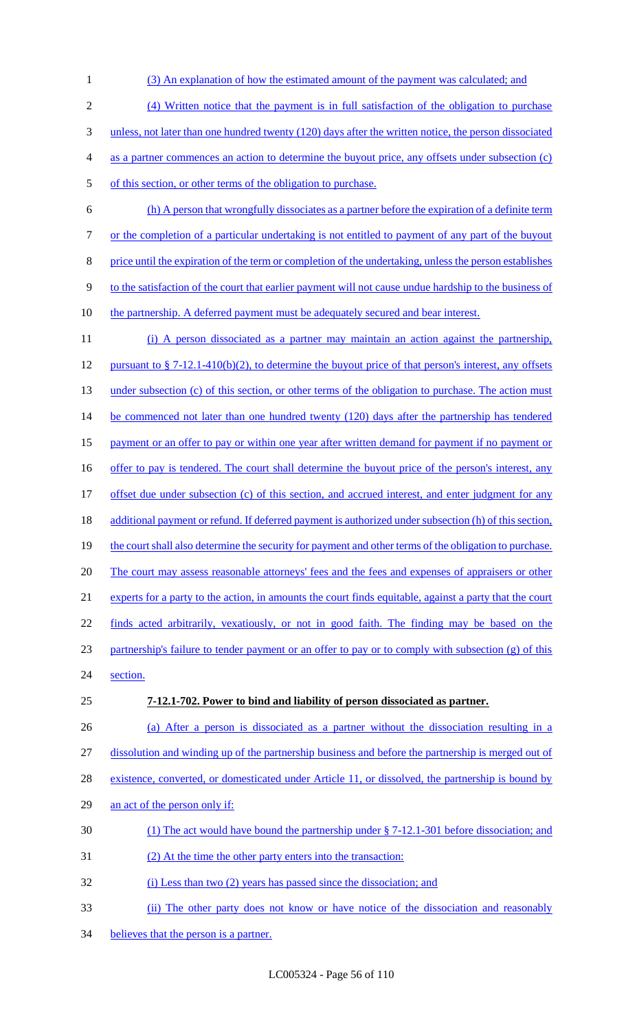(3) An explanation of how the estimated amount of the payment was calculated; and (4) Written notice that the payment is in full satisfaction of the obligation to purchase unless, not later than one hundred twenty (120) days after the written notice, the person dissociated as a partner commences an action to determine the buyout price, any offsets under subsection (c) of this section, or other terms of the obligation to purchase.

 (h) A person that wrongfully dissociates as a partner before the expiration of a definite term or the completion of a particular undertaking is not entitled to payment of any part of the buyout price until the expiration of the term or completion of the undertaking, unless the person establishes to the satisfaction of the court that earlier payment will not cause undue hardship to the business of 10 the partnership. A deferred payment must be adequately secured and bear interest.

11 (i) A person dissociated as a partner may maintain an action against the partnership, 12 pursuant to § 7-12.1-410(b)(2), to determine the buyout price of that person's interest, any offsets 13 under subsection (c) of this section, or other terms of the obligation to purchase. The action must 14 be commenced not later than one hundred twenty (120) days after the partnership has tendered payment or an offer to pay or within one year after written demand for payment if no payment or 16 offer to pay is tendered. The court shall determine the buyout price of the person's interest, any 17 offset due under subsection (c) of this section, and accrued interest, and enter judgment for any 18 additional payment or refund. If deferred payment is authorized under subsection (h) of this section, 19 the court shall also determine the security for payment and other terms of the obligation to purchase. 20 The court may assess reasonable attorneys' fees and the fees and expenses of appraisers or other experts for a party to the action, in amounts the court finds equitable, against a party that the court finds acted arbitrarily, vexatiously, or not in good faith. The finding may be based on the partnership's failure to tender payment or an offer to pay or to comply with subsection (g) of this section. **7-12.1-702. Power to bind and liability of person dissociated as partner.**  (a) After a person is dissociated as a partner without the dissociation resulting in a dissolution and winding up of the partnership business and before the partnership is merged out of 28 existence, converted, or domesticated under Article 11, or dissolved, the partnership is bound by

- an act of the person only if:
- (1) The act would have bound the partnership under § 7-12.1-301 before dissociation; and
- (2) At the time the other party enters into the transaction:
- (i) Less than two (2) years has passed since the dissociation; and
- (ii) The other party does not know or have notice of the dissociation and reasonably
- 34 believes that the person is a partner.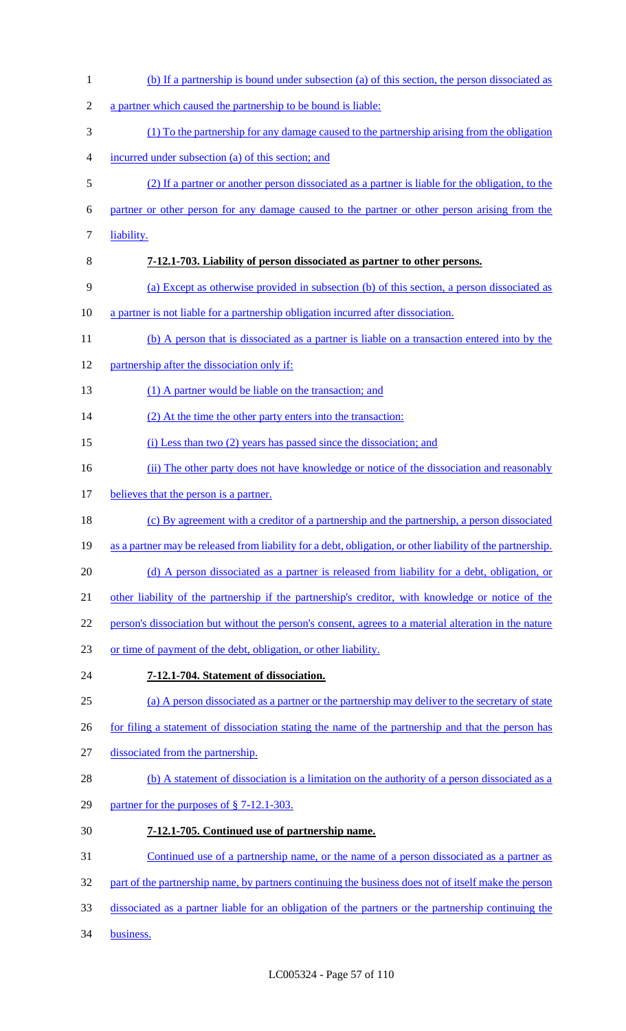| $\mathbf{1}$   | (b) If a partnership is bound under subsection (a) of this section, the person dissociated as              |
|----------------|------------------------------------------------------------------------------------------------------------|
| $\overline{2}$ | a partner which caused the partnership to be bound is liable:                                              |
| $\mathfrak{Z}$ | (1) To the partnership for any damage caused to the partnership arising from the obligation                |
| 4              | incurred under subsection (a) of this section; and                                                         |
| 5              | (2) If a partner or another person dissociated as a partner is liable for the obligation, to the           |
| 6              | partner or other person for any damage caused to the partner or other person arising from the              |
| $\overline{7}$ | liability.                                                                                                 |
| 8              | 7-12.1-703. Liability of person dissociated as partner to other persons.                                   |
| 9              | (a) Except as otherwise provided in subsection (b) of this section, a person dissociated as                |
| 10             | a partner is not liable for a partnership obligation incurred after dissociation.                          |
| 11             | (b) A person that is dissociated as a partner is liable on a transaction entered into by the               |
| 12             | partnership after the dissociation only if:                                                                |
| 13             | (1) A partner would be liable on the transaction; and                                                      |
| 14             | (2) At the time the other party enters into the transaction:                                               |
| 15             | (i) Less than two (2) years has passed since the dissociation; and                                         |
| 16             | (ii) The other party does not have knowledge or notice of the dissociation and reasonably                  |
| 17             | believes that the person is a partner.                                                                     |
| 18             | (c) By agreement with a creditor of a partnership and the partnership, a person dissociated                |
| 19             | as a partner may be released from liability for a debt, obligation, or other liability of the partnership. |
| 20             | (d) A person dissociated as a partner is released from liability for a debt, obligation, or                |
| 21             | other liability of the partnership if the partnership's creditor, with knowledge or notice of the          |
| 22             | person's dissociation but without the person's consent, agrees to a material alteration in the nature      |
| 23             | or time of payment of the debt, obligation, or other liability.                                            |
| 24             | 7-12.1-704. Statement of dissociation.                                                                     |
| 25             | (a) A person dissociated as a partner or the partnership may deliver to the secretary of state             |
| 26             | for filing a statement of dissociation stating the name of the partnership and that the person has         |
| 27             | dissociated from the partnership.                                                                          |
| 28             | (b) A statement of dissociation is a limitation on the authority of a person dissociated as a              |
| 29             | partner for the purposes of § 7-12.1-303.                                                                  |
| 30             | 7-12.1-705. Continued use of partnership name.                                                             |
| 31             | Continued use of a partnership name, or the name of a person dissociated as a partner as                   |
| 32             | part of the partnership name, by partners continuing the business does not of itself make the person       |
| 33             | dissociated as a partner liable for an obligation of the partners or the partnership continuing the        |
| 34             | business.                                                                                                  |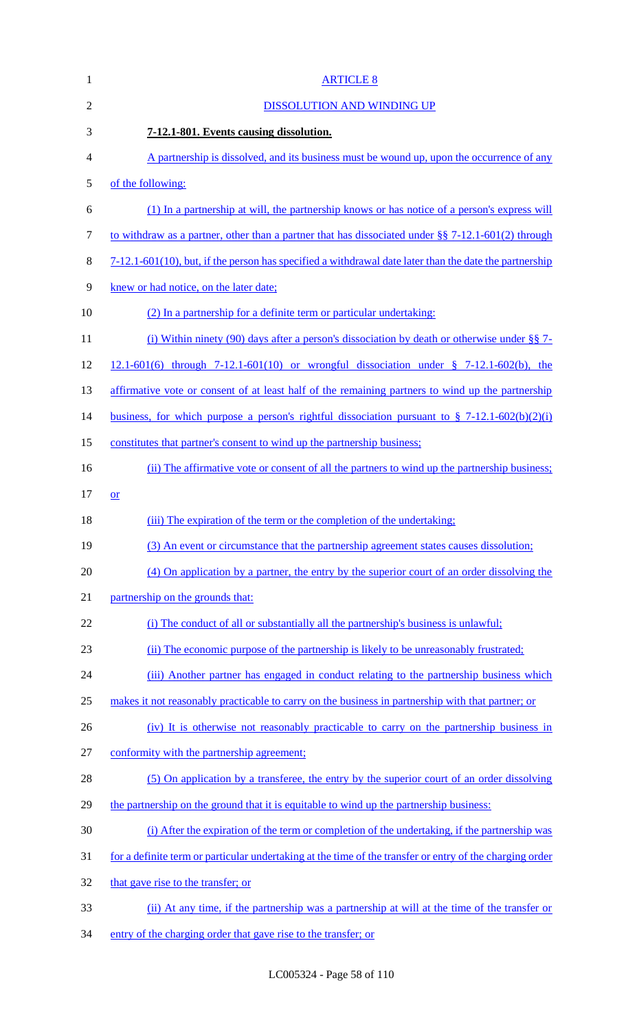| 1              | <b>ARTICLE 8</b>                                                                                          |
|----------------|-----------------------------------------------------------------------------------------------------------|
| $\overline{2}$ | DISSOLUTION AND WINDING UP                                                                                |
| 3              | 7-12.1-801. Events causing dissolution.                                                                   |
| $\overline{4}$ | A partnership is dissolved, and its business must be wound up, upon the occurrence of any                 |
| 5              | of the following:                                                                                         |
| 6              | (1) In a partnership at will, the partnership knows or has notice of a person's express will              |
| $\overline{7}$ | to withdraw as a partner, other than a partner that has dissociated under $\S$ § 7-12.1-601(2) through    |
| 8              | $7-12.1-601(10)$ , but, if the person has specified a withdrawal date later than the date the partnership |
| 9              | knew or had notice, on the later date;                                                                    |
| 10             | (2) In a partnership for a definite term or particular undertaking:                                       |
| 11             | (i) Within ninety (90) days after a person's dissociation by death or otherwise under $\S$ 7-             |
| 12             | 12.1-601(6) through 7-12.1-601(10) or wrongful dissociation under $\S$ 7-12.1-602(b), the                 |
| 13             | affirmative vote or consent of at least half of the remaining partners to wind up the partnership         |
| 14             | business, for which purpose a person's rightful dissociation pursuant to $\S$ 7-12.1-602(b)(2)(i)         |
| 15             | constitutes that partner's consent to wind up the partnership business;                                   |
| 16             | (ii) The affirmative vote or consent of all the partners to wind up the partnership business;             |
| 17             | or                                                                                                        |
| 18             | (iii) The expiration of the term or the completion of the undertaking:                                    |
| 19             | (3) An event or circumstance that the partnership agreement states causes dissolution;                    |
| 20             | (4) On application by a partner, the entry by the superior court of an order dissolving the               |
| 21             | partnership on the grounds that:                                                                          |
| 22             | (i) The conduct of all or substantially all the partnership's business is unlawful;                       |
| 23             | (ii) The economic purpose of the partnership is likely to be unreasonably frustrated;                     |
| 24             | (iii) Another partner has engaged in conduct relating to the partnership business which                   |
| 25             | makes it not reasonably practicable to carry on the business in partnership with that partner; or         |
| 26             | (iv) It is otherwise not reasonably practicable to carry on the partnership business in                   |
| 27             | conformity with the partnership agreement;                                                                |
| 28             | (5) On application by a transferee, the entry by the superior court of an order dissolving                |
| 29             | the partnership on the ground that it is equitable to wind up the partnership business:                   |
| 30             | (i) After the expiration of the term or completion of the undertaking, if the partnership was             |
| 31             | for a definite term or particular undertaking at the time of the transfer or entry of the charging order  |
| 32             | that gave rise to the transfer; or                                                                        |
| 33             | (ii) At any time, if the partnership was a partnership at will at the time of the transfer or             |
| 34             | entry of the charging order that gave rise to the transfer; or                                            |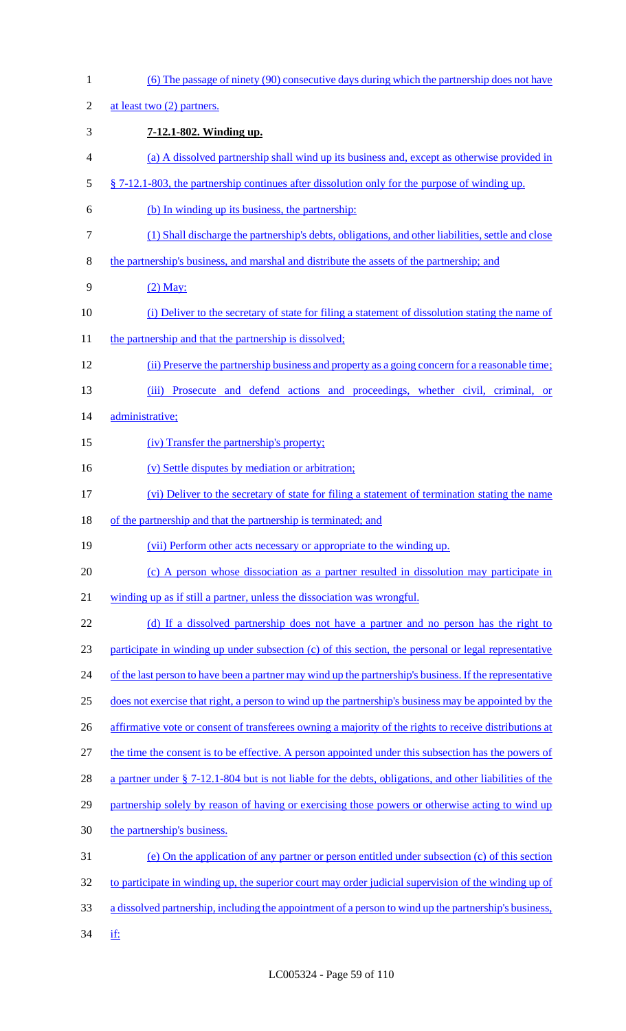| $\mathbf{1}$     | (6) The passage of ninety (90) consecutive days during which the partnership does not have                 |
|------------------|------------------------------------------------------------------------------------------------------------|
| $\mathfrak{2}$   | at least two (2) partners.                                                                                 |
| 3                | 7-12.1-802. Winding up.                                                                                    |
| 4                | (a) A dissolved partnership shall wind up its business and, except as otherwise provided in                |
| 5                | § 7-12.1-803, the partnership continues after dissolution only for the purpose of winding up.              |
| 6                | (b) In winding up its business, the partnership:                                                           |
| $\boldsymbol{7}$ | (1) Shall discharge the partnership's debts, obligations, and other liabilities, settle and close          |
| 8                | the partnership's business, and marshal and distribute the assets of the partnership; and                  |
| 9                | $(2)$ May:                                                                                                 |
| 10               | (i) Deliver to the secretary of state for filing a statement of dissolution stating the name of            |
| 11               | the partnership and that the partnership is dissolved;                                                     |
| 12               | (ii) Preserve the partnership business and property as a going concern for a reasonable time;              |
| 13               | (iii) Prosecute and defend actions and proceedings, whether civil, criminal, or                            |
| 14               | administrative;                                                                                            |
| 15               | (iv) Transfer the partnership's property;                                                                  |
| 16               | (v) Settle disputes by mediation or arbitration;                                                           |
| 17               | (vi) Deliver to the secretary of state for filing a statement of termination stating the name              |
| 18               | of the partnership and that the partnership is terminated; and                                             |
| 19               | (vii) Perform other acts necessary or appropriate to the winding up.                                       |
| 20               | (c) A person whose dissociation as a partner resulted in dissolution may participate in                    |
| 21               | winding up as if still a partner, unless the dissociation was wrongful.                                    |
| 22               | (d) If a dissolved partnership does not have a partner and no person has the right to                      |
| 23               | participate in winding up under subsection (c) of this section, the personal or legal representative       |
| 24               | of the last person to have been a partner may wind up the partnership's business. If the representative    |
| 25               | does not exercise that right, a person to wind up the partnership's business may be appointed by the       |
| 26               | affirmative vote or consent of transferees owning a majority of the rights to receive distributions at     |
| 27               | the time the consent is to be effective. A person appointed under this subsection has the powers of        |
| 28               | a partner under $\S$ 7-12.1-804 but is not liable for the debts, obligations, and other liabilities of the |
| 29               | partnership solely by reason of having or exercising those powers or otherwise acting to wind up           |
| 30               | the partnership's business.                                                                                |
| 31               | (e) On the application of any partner or person entitled under subsection (c) of this section              |
| 32               | to participate in winding up, the superior court may order judicial supervision of the winding up of       |
| 33               | a dissolved partnership, including the appointment of a person to wind up the partnership's business,      |
| 34               | if:                                                                                                        |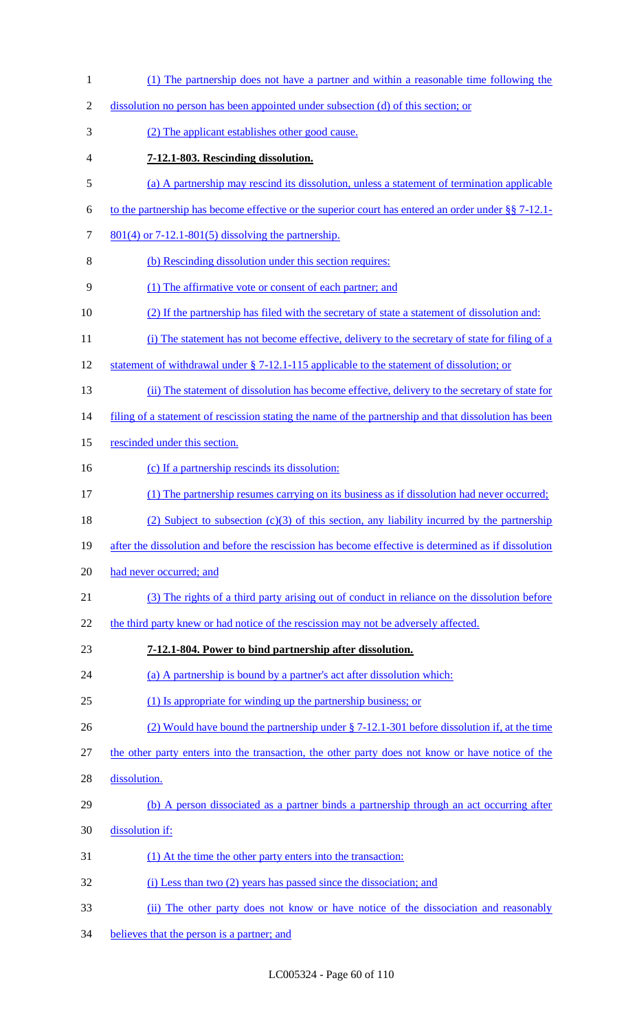| $\mathbf{1}$   | (1) The partnership does not have a partner and within a reasonable time following the                |
|----------------|-------------------------------------------------------------------------------------------------------|
| $\mathfrak{2}$ | dissolution no person has been appointed under subsection (d) of this section; or                     |
| 3              | (2) The applicant establishes other good cause.                                                       |
| 4              | 7-12.1-803. Rescinding dissolution.                                                                   |
| 5              | (a) A partnership may rescind its dissolution, unless a statement of termination applicable           |
| 6              | to the partnership has become effective or the superior court has entered an order under $\S$ 7-12.1- |
| 7              | $801(4)$ or 7-12.1-801(5) dissolving the partnership.                                                 |
| 8              | (b) Rescinding dissolution under this section requires:                                               |
| 9              | (1) The affirmative vote or consent of each partner; and                                              |
| 10             | (2) If the partnership has filed with the secretary of state a statement of dissolution and:          |
| 11             | (i) The statement has not become effective, delivery to the secretary of state for filing of a        |
| 12             | statement of withdrawal under $\S$ 7-12.1-115 applicable to the statement of dissolution; or          |
| 13             | (ii) The statement of dissolution has become effective, delivery to the secretary of state for        |
| 14             | filing of a statement of rescission stating the name of the partnership and that dissolution has been |
| 15             | rescinded under this section.                                                                         |
| 16             | (c) If a partnership rescinds its dissolution:                                                        |
| 17             | (1) The partnership resumes carrying on its business as if dissolution had never occurred;            |
| 18             | (2) Subject to subsection (c)(3) of this section, any liability incurred by the partnership           |
| 19             | after the dissolution and before the rescission has become effective is determined as if dissolution  |
| 20             | had never occurred; and                                                                               |
| 21             | (3) The rights of a third party arising out of conduct in reliance on the dissolution before          |
| 22             | the third party knew or had notice of the rescission may not be adversely affected.                   |
| 23             | 7-12.1-804. Power to bind partnership after dissolution.                                              |
| 24             | (a) A partnership is bound by a partner's act after dissolution which:                                |
| 25             | (1) Is appropriate for winding up the partnership business; or                                        |
| 26             | (2) Would have bound the partnership under $\S$ 7-12.1-301 before dissolution if, at the time         |
| 27             | the other party enters into the transaction, the other party does not know or have notice of the      |
| 28             | dissolution.                                                                                          |
| 29             | (b) A person dissociated as a partner binds a partnership through an act occurring after              |
| 30             | dissolution if:                                                                                       |
| 31             | (1) At the time the other party enters into the transaction:                                          |
| 32             | (i) Less than two (2) years has passed since the dissociation; and                                    |
| 33             | (ii) The other party does not know or have notice of the dissociation and reasonably                  |
| 34             | believes that the person is a partner; and                                                            |

LC005324 - Page 60 of 110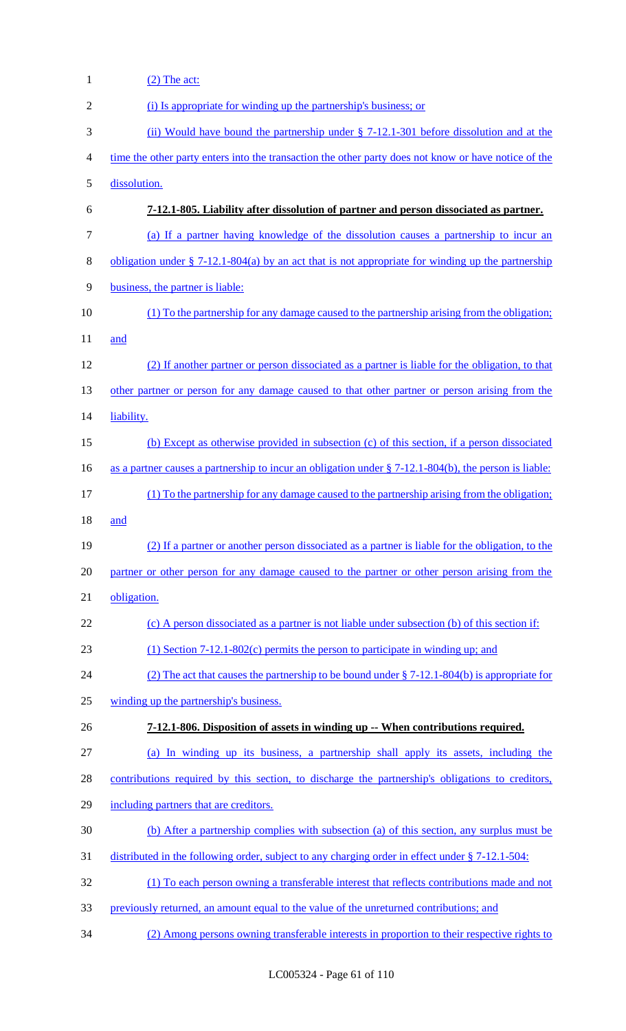| $\mathbf{1}$   | $(2)$ The act:                                                                                           |
|----------------|----------------------------------------------------------------------------------------------------------|
| $\overline{2}$ | (i) Is appropriate for winding up the partnership's business; or                                         |
| 3              | (ii) Would have bound the partnership under $\S$ 7-12.1-301 before dissolution and at the                |
| 4              | time the other party enters into the transaction the other party does not know or have notice of the     |
| 5              | dissolution.                                                                                             |
| 6              | 7-12.1-805. Liability after dissolution of partner and person dissociated as partner.                    |
| 7              | (a) If a partner having knowledge of the dissolution causes a partnership to incur an                    |
| $8\,$          | obligation under $\S$ 7-12.1-804(a) by an act that is not appropriate for winding up the partnership     |
| 9              | business, the partner is liable:                                                                         |
| 10             | (1) To the partnership for any damage caused to the partnership arising from the obligation;             |
| 11             | and                                                                                                      |
| 12             | (2) If another partner or person dissociated as a partner is liable for the obligation, to that          |
| 13             | other partner or person for any damage caused to that other partner or person arising from the           |
| 14             | liability.                                                                                               |
| 15             | (b) Except as otherwise provided in subsection (c) of this section, if a person dissociated              |
| 16             | as a partner causes a partnership to incur an obligation under $\S$ 7-12.1-804(b), the person is liable: |
| 17             | (1) To the partnership for any damage caused to the partnership arising from the obligation;             |
| 18             | <u>and</u>                                                                                               |
| 19             | (2) If a partner or another person dissociated as a partner is liable for the obligation, to the         |
| 20             | partner or other person for any damage caused to the partner or other person arising from the            |
| 21             | obligation.                                                                                              |
| 22             | (c) A person dissociated as a partner is not liable under subsection (b) of this section if:             |
| 23             | $(1)$ Section 7-12.1-802(c) permits the person to participate in winding up; and                         |
| 24             | (2) The act that causes the partnership to be bound under $\S$ 7-12.1-804(b) is appropriate for          |
| 25             | winding up the partnership's business.                                                                   |
| 26             | 7-12.1-806. Disposition of assets in winding up -- When contributions required.                          |
| 27             | (a) In winding up its business, a partnership shall apply its assets, including the                      |
| 28             | contributions required by this section, to discharge the partnership's obligations to creditors,         |
| 29             | including partners that are creditors.                                                                   |
| 30             | (b) After a partnership complies with subsection (a) of this section, any surplus must be                |
| 31             | <u>distributed in the following order, subject to any charging order in effect under § 7-12.1-504:</u>   |
| 32             | (1) To each person owning a transferable interest that reflects contributions made and not               |
| 33             | previously returned, an amount equal to the value of the unreturned contributions; and                   |
| 34             | (2) Among persons owning transferable interests in proportion to their respective rights to              |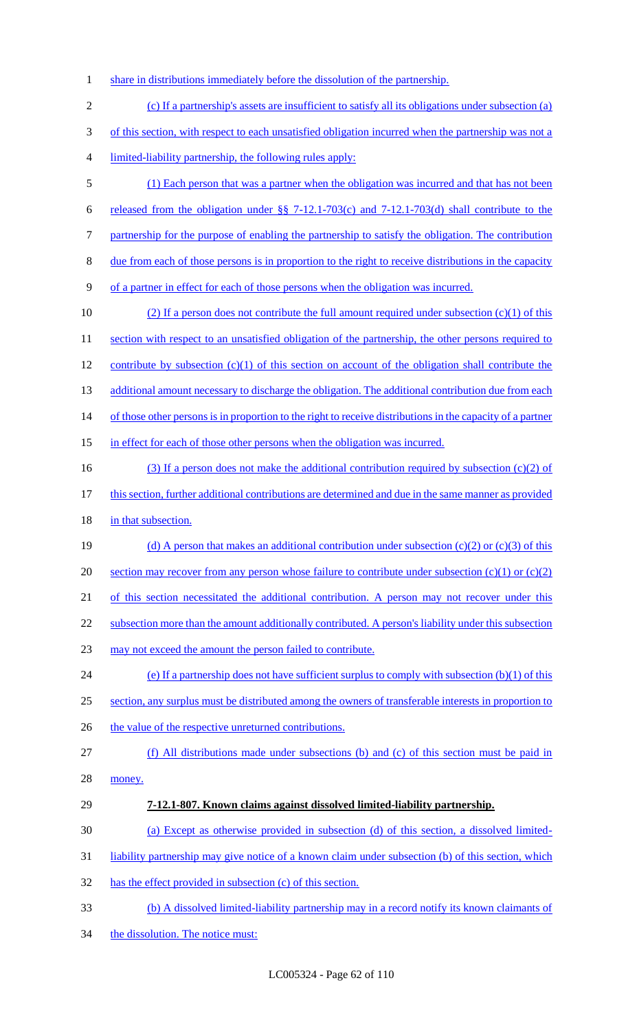- 1 share in distributions immediately before the dissolution of the partnership.
- 2 (c) If a partnership's assets are insufficient to satisfy all its obligations under subsection (a) 3 of this section, with respect to each unsatisfied obligation incurred when the partnership was not a 4 limited-liability partnership, the following rules apply: 5 (1) Each person that was a partner when the obligation was incurred and that has not been 6 released from the obligation under §§ 7-12.1-703(c) and 7-12.1-703(d) shall contribute to the
- 7 partnership for the purpose of enabling the partnership to satisfy the obligation. The contribution
- 8 due from each of those persons is in proportion to the right to receive distributions in the capacity
- 9 of a partner in effect for each of those persons when the obligation was incurred.
- 10 (2) If a person does not contribute the full amount required under subsection  $(c)(1)$  of this 11 section with respect to an unsatisfied obligation of the partnership, the other persons required to 12 contribute by subsection (c)(1) of this section on account of the obligation shall contribute the 13 additional amount necessary to discharge the obligation. The additional contribution due from each 14 of those other persons is in proportion to the right to receive distributions in the capacity of a partner 15 in effect for each of those other persons when the obligation was incurred. 16 (3) If a person does not make the additional contribution required by subsection (c)(2) of
- 17 this section, further additional contributions are determined and due in the same manner as provided 18 in that subsection.
- 19 (d) A person that makes an additional contribution under subsection  $(c)(2)$  or  $(c)(3)$  of this 20 section may recover from any person whose failure to contribute under subsection  $(c)(1)$  or  $(c)(2)$
- 21 of this section necessitated the additional contribution. A person may not recover under this

22 subsection more than the amount additionally contributed. A person's liability under this subsection

23 may not exceed the amount the person failed to contribute.

24 (e) If a partnership does not have sufficient surplus to comply with subsection (b)(1) of this 25 section, any surplus must be distributed among the owners of transferable interests in proportion to

- 26 the value of the respective unreturned contributions.
- 27 (f) All distributions made under subsections (b) and (c) of this section must be paid in
- 28 money.

## 29 **7-12.1-807. Known claims against dissolved limited-liability partnership.**

- 30 (a) Except as otherwise provided in subsection (d) of this section, a dissolved limited-
- 31 liability partnership may give notice of a known claim under subsection (b) of this section, which
- 32 has the effect provided in subsection (c) of this section.
- 33 (b) A dissolved limited-liability partnership may in a record notify its known claimants of
- 34 the dissolution. The notice must: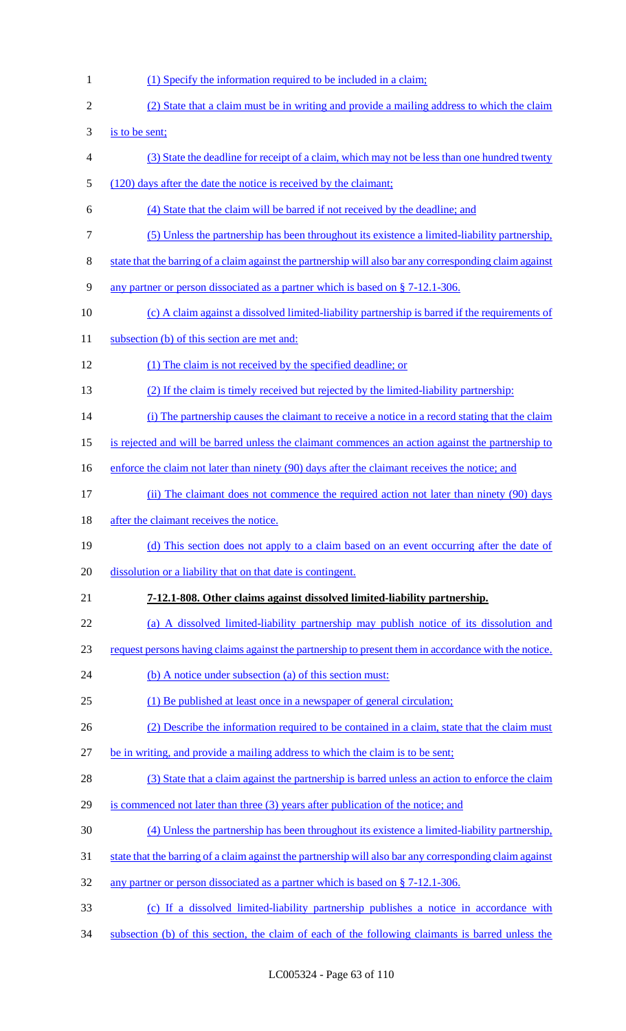- (1) Specify the information required to be included in a claim;
- (2) State that a claim must be in writing and provide a mailing address to which the claim
- is to be sent;
- (3) State the deadline for receipt of a claim, which may not be less than one hundred twenty
- (120) days after the date the notice is received by the claimant;
- (4) State that the claim will be barred if not received by the deadline; and
- (5) Unless the partnership has been throughout its existence a limited-liability partnership,
- state that the barring of a claim against the partnership will also bar any corresponding claim against
- any partner or person dissociated as a partner which is based on § 7-12.1-306.
- (c) A claim against a dissolved limited-liability partnership is barred if the requirements of
- 11 subsection (b) of this section are met and:
- (1) The claim is not received by the specified deadline; or
- (2) If the claim is timely received but rejected by the limited-liability partnership:
- 14 (i) The partnership causes the claimant to receive a notice in a record stating that the claim
- is rejected and will be barred unless the claimant commences an action against the partnership to
- 16 enforce the claim not later than ninety (90) days after the claimant receives the notice; and
- 17 (ii) The claimant does not commence the required action not later than ninety (90) days
- 18 after the claimant receives the notice.
- 19 (d) This section does not apply to a claim based on an event occurring after the date of
- 20 dissolution or a liability that on that date is contingent.
- **7-12.1-808. Other claims against dissolved limited-liability partnership.**
- (a) A dissolved limited-liability partnership may publish notice of its dissolution and
- request persons having claims against the partnership to present them in accordance with the notice.
- 24 (b) A notice under subsection (a) of this section must:
- (1) Be published at least once in a newspaper of general circulation;
- (2) Describe the information required to be contained in a claim, state that the claim must
- be in writing, and provide a mailing address to which the claim is to be sent;
- 28 (3) State that a claim against the partnership is barred unless an action to enforce the claim
- 29 is commenced not later than three (3) years after publication of the notice; and
- (4) Unless the partnership has been throughout its existence a limited-liability partnership,
- 31 state that the barring of a claim against the partnership will also bar any corresponding claim against
- any partner or person dissociated as a partner which is based on § 7-12.1-306.
- (c) If a dissolved limited-liability partnership publishes a notice in accordance with
- subsection (b) of this section, the claim of each of the following claimants is barred unless the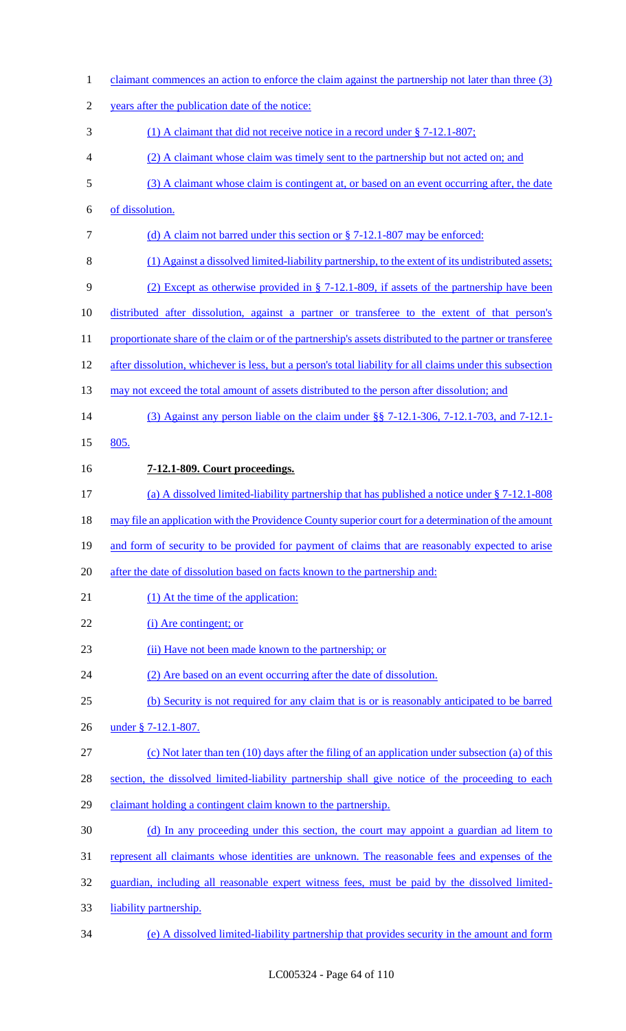| claimant commences an action to enforce the claim against the partnership not later than three $(3)$      |
|-----------------------------------------------------------------------------------------------------------|
| years after the publication date of the notice:                                                           |
| (1) A claimant that did not receive notice in a record under § 7-12.1-807;                                |
| (2) A claimant whose claim was timely sent to the partnership but not acted on; and                       |
| (3) A claimant whose claim is contingent at, or based on an event occurring after, the date               |
| of dissolution.                                                                                           |
| (d) A claim not barred under this section or $\S$ 7-12.1-807 may be enforced:                             |
| (1) Against a dissolved limited-liability partnership, to the extent of its undistributed assets;         |
| (2) Except as otherwise provided in § 7-12.1-809, if assets of the partnership have been                  |
| distributed after dissolution, against a partner or transferee to the extent of that person's             |
| proportionate share of the claim or of the partnership's assets distributed to the partner or transferee  |
| after dissolution, whichever is less, but a person's total liability for all claims under this subsection |
| may not exceed the total amount of assets distributed to the person after dissolution; and                |
| (3) Against any person liable on the claim under $\S$ § 7-12.1-306, 7-12.1-703, and 7-12.1-               |
| 805.                                                                                                      |
| 7-12.1-809. Court proceedings.                                                                            |
| (a) A dissolved limited-liability partnership that has published a notice under $\S$ 7-12.1-808           |
| may file an application with the Providence County superior court for a determination of the amount       |
| and form of security to be provided for payment of claims that are reasonably expected to arise           |
| after the date of dissolution based on facts known to the partnership and:                                |
| (1) At the time of the application:                                                                       |
| (i) Are contingent; or                                                                                    |
| (ii) Have not been made known to the partnership; or                                                      |
| (2) Are based on an event occurring after the date of dissolution.                                        |
| (b) Security is not required for any claim that is or is reasonably anticipated to be barred              |
| under § 7-12.1-807.                                                                                       |
| (c) Not later than ten (10) days after the filing of an application under subsection (a) of this          |
| section, the dissolved limited-liability partnership shall give notice of the proceeding to each          |
| claimant holding a contingent claim known to the partnership.                                             |
| (d) In any proceeding under this section, the court may appoint a guardian ad litem to                    |
| represent all claimants whose identities are unknown. The reasonable fees and expenses of the             |
| guardian, including all reasonable expert witness fees, must be paid by the dissolved limited-            |
| liability partnership.                                                                                    |
|                                                                                                           |

(e) A dissolved limited-liability partnership that provides security in the amount and form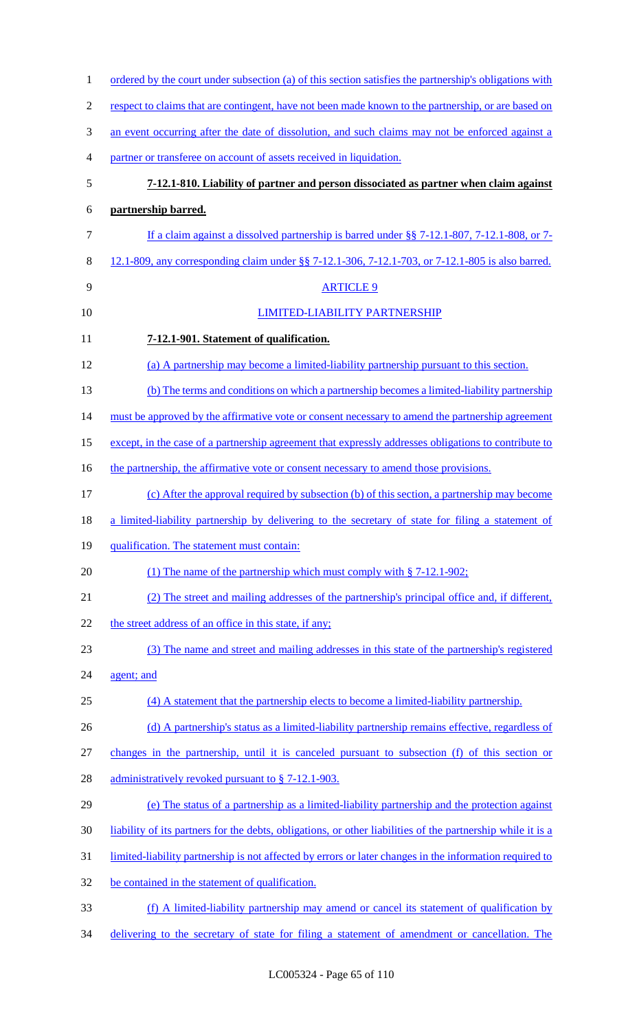| $\mathbf{1}$   | <u>ordered by the court under subsection (a) of this section satisfies the partnership's obligations with</u> |
|----------------|---------------------------------------------------------------------------------------------------------------|
| $\sqrt{2}$     | respect to claims that are contingent, have not been made known to the partnership, or are based on           |
| $\mathfrak{Z}$ | an event occurring after the date of dissolution, and such claims may not be enforced against a               |
| $\overline{4}$ | partner or transferee on account of assets received in liquidation.                                           |
| 5              | 7-12.1-810. Liability of partner and person dissociated as partner when claim against                         |
| 6              | partnership barred.                                                                                           |
| $\tau$         | If a claim against a dissolved partnership is barred under $\S$ § 7-12.1-807, 7-12.1-808, or 7-               |
| $8\,$          | 12.1-809, any corresponding claim under §§ 7-12.1-306, 7-12.1-703, or 7-12.1-805 is also barred.              |
| 9              | <b>ARTICLE 9</b>                                                                                              |
| 10             | <b>LIMITED-LIABILITY PARTNERSHIP</b>                                                                          |
| 11             | 7-12.1-901. Statement of qualification.                                                                       |
| 12             | (a) A partnership may become a limited-liability partnership pursuant to this section.                        |
| 13             | (b) The terms and conditions on which a partnership becomes a limited-liability partnership                   |
| 14             | must be approved by the affirmative vote or consent necessary to amend the partnership agreement              |
| 15             | except, in the case of a partnership agreement that expressly addresses obligations to contribute to          |
| 16             | the partnership, the affirmative vote or consent necessary to amend those provisions.                         |
| 17             | (c) After the approval required by subsection (b) of this section, a partnership may become                   |
| 18             | a limited-liability partnership by delivering to the secretary of state for filing a statement of             |
| 19             | qualification. The statement must contain:                                                                    |
| 20             | (1) The name of the partnership which must comply with $\S$ 7-12.1-902;                                       |
| 21             | (2) The street and mailing addresses of the partnership's principal office and, if different,                 |
| 22             | the street address of an office in this state, if any;                                                        |
| 23             | (3) The name and street and mailing addresses in this state of the partnership's registered                   |
| 24             | agent; and                                                                                                    |
| 25             | (4) A statement that the partnership elects to become a limited-liability partnership.                        |
| 26             | (d) A partnership's status as a limited-liability partnership remains effective, regardless of                |
| 27             | changes in the partnership, until it is canceled pursuant to subsection (f) of this section or                |
| 28             | administratively revoked pursuant to § 7-12.1-903.                                                            |
| 29             | (e) The status of a partnership as a limited-liability partnership and the protection against                 |
| 30             | liability of its partners for the debts, obligations, or other liabilities of the partnership while it is a   |
| 31             | limited-liability partnership is not affected by errors or later changes in the information required to       |
| 32             | be contained in the statement of qualification.                                                               |
| 33             | (f) A limited-liability partnership may amend or cancel its statement of qualification by                     |
| 34             | delivering to the secretary of state for filing a statement of amendment or cancellation. The                 |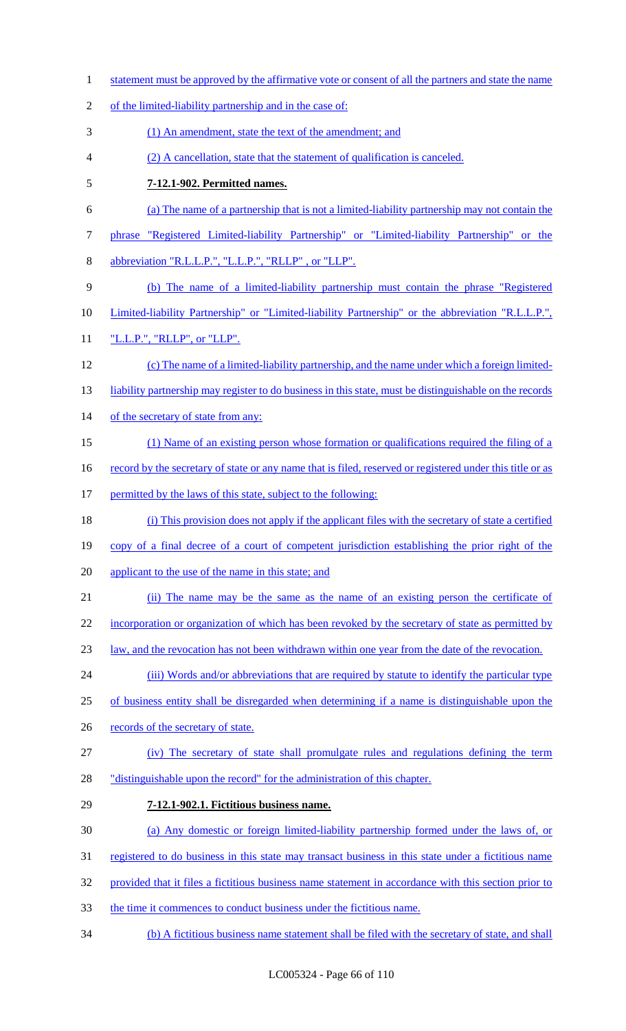1 statement must be approved by the affirmative vote or consent of all the partners and state the name of the limited-liability partnership and in the case of: (1) An amendment, state the text of the amendment; and (2) A cancellation, state that the statement of qualification is canceled. **7-12.1-902. Permitted names.**  (a) The name of a partnership that is not a limited-liability partnership may not contain the phrase "Registered Limited-liability Partnership" or "Limited-liability Partnership" or the abbreviation "R.L.L.P.", "L.L.P.", "RLLP" , or "LLP". (b) The name of a limited-liability partnership must contain the phrase "Registered Limited-liability Partnership" or "Limited-liability Partnership" or the abbreviation "R.L.L.P.", "L.L.P.", "RLLP", or "LLP". (c) The name of a limited-liability partnership, and the name under which a foreign limited-13 liability partnership may register to do business in this state, must be distinguishable on the records 14 of the secretary of state from any: (1) Name of an existing person whose formation or qualifications required the filing of a 16 record by the secretary of state or any name that is filed, reserved or registered under this title or as 17 permitted by the laws of this state, subject to the following: (i) This provision does not apply if the applicant files with the secretary of state a certified copy of a final decree of a court of competent jurisdiction establishing the prior right of the applicant to the use of the name in this state; and (ii) The name may be the same as the name of an existing person the certificate of 22 incorporation or organization of which has been revoked by the secretary of state as permitted by law, and the revocation has not been withdrawn within one year from the date of the revocation. 24 (iii) Words and/or abbreviations that are required by statute to identify the particular type of business entity shall be disregarded when determining if a name is distinguishable upon the 26 records of the secretary of state. (iv) The secretary of state shall promulgate rules and regulations defining the term "distinguishable upon the record" for the administration of this chapter. **7-12.1-902.1. Fictitious business name.**  (a) Any domestic or foreign limited-liability partnership formed under the laws of, or registered to do business in this state may transact business in this state under a fictitious name provided that it files a fictitious business name statement in accordance with this section prior to the time it commences to conduct business under the fictitious name. (b) A fictitious business name statement shall be filed with the secretary of state, and shall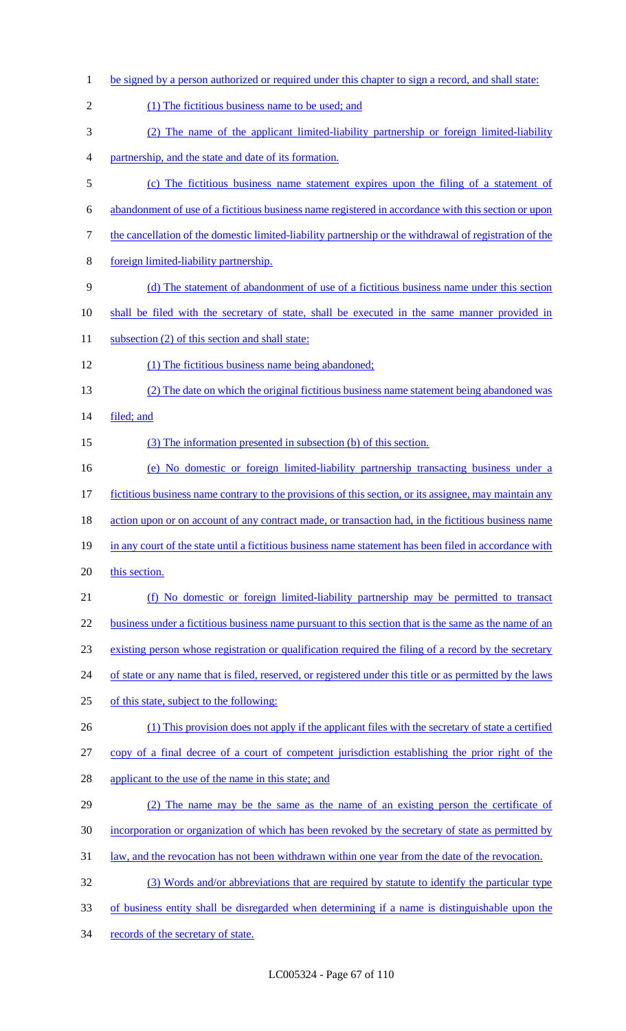1 be signed by a person authorized or required under this chapter to sign a record, and shall state: 2 (1) The fictitious business name to be used; and (2) The name of the applicant limited-liability partnership or foreign limited-liability partnership, and the state and date of its formation. (c) The fictitious business name statement expires upon the filing of a statement of abandonment of use of a fictitious business name registered in accordance with this section or upon the cancellation of the domestic limited-liability partnership or the withdrawal of registration of the foreign limited-liability partnership. (d) The statement of abandonment of use of a fictitious business name under this section shall be filed with the secretary of state, shall be executed in the same manner provided in 11 subsection (2) of this section and shall state: 12 (1) The fictitious business name being abandoned; (2) The date on which the original fictitious business name statement being abandoned was filed; and (3) The information presented in subsection (b) of this section. (e) No domestic or foreign limited-liability partnership transacting business under a fictitious business name contrary to the provisions of this section, or its assignee, may maintain any 18 action upon or on account of any contract made, or transaction had, in the fictitious business name 19 in any court of the state until a fictitious business name statement has been filed in accordance with 20 this section. (f) No domestic or foreign limited-liability partnership may be permitted to transact 22 business under a fictitious business name pursuant to this section that is the same as the name of an existing person whose registration or qualification required the filing of a record by the secretary 24 of state or any name that is filed, reserved, or registered under this title or as permitted by the laws of this state, subject to the following: (1) This provision does not apply if the applicant files with the secretary of state a certified copy of a final decree of a court of competent jurisdiction establishing the prior right of the 28 applicant to the use of the name in this state; and (2) The name may be the same as the name of an existing person the certificate of incorporation or organization of which has been revoked by the secretary of state as permitted by 31 law, and the revocation has not been withdrawn within one year from the date of the revocation. (3) Words and/or abbreviations that are required by statute to identify the particular type of business entity shall be disregarded when determining if a name is distinguishable upon the 34 records of the secretary of state.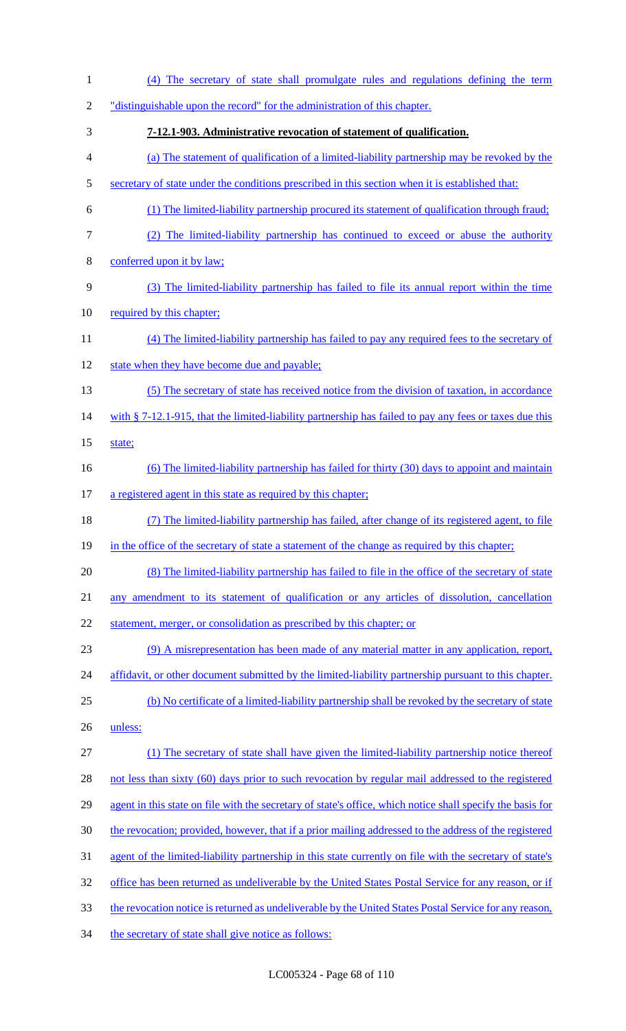| $\mathbf{1}$   | (4) The secretary of state shall promulgate rules and regulations defining the term                        |
|----------------|------------------------------------------------------------------------------------------------------------|
| $\overline{2}$ | "distinguishable upon the record" for the administration of this chapter.                                  |
| 3              | 7-12.1-903. Administrative revocation of statement of qualification.                                       |
| 4              | (a) The statement of qualification of a limited-liability partnership may be revoked by the                |
| 5              | secretary of state under the conditions prescribed in this section when it is established that:            |
| 6              | (1) The limited-liability partnership procured its statement of qualification through fraud;               |
| 7              | (2) The limited-liability partnership has continued to exceed or abuse the authority                       |
| 8              | conferred upon it by law;                                                                                  |
| 9              | (3) The limited-liability partnership has failed to file its annual report within the time                 |
| 10             | required by this chapter;                                                                                  |
| 11             | (4) The limited-liability partnership has failed to pay any required fees to the secretary of              |
| 12             | state when they have become due and payable;                                                               |
| 13             | (5) The secretary of state has received notice from the division of taxation, in accordance                |
| 14             | with $\S$ 7-12.1-915, that the limited-liability partnership has failed to pay any fees or taxes due this  |
| 15             | state;                                                                                                     |
| 16             | (6) The limited-liability partnership has failed for thirty (30) days to appoint and maintain              |
| 17             | a registered agent in this state as required by this chapter;                                              |
| 18             | (7) The limited-liability partnership has failed, after change of its registered agent, to file            |
| 19             | in the office of the secretary of state a statement of the change as required by this chapter;             |
| 20             | (8) The limited-liability partnership has failed to file in the office of the secretary of state           |
| 21             | any amendment to its statement of qualification or any articles of dissolution, cancellation               |
| 22             | statement, merger, or consolidation as prescribed by this chapter; or                                      |
| 23             | (9) A misrepresentation has been made of any material matter in any application, report,                   |
| 24             | affidavit, or other document submitted by the limited-liability partnership pursuant to this chapter.      |
| 25             | (b) No certificate of a limited-liability partnership shall be revoked by the secretary of state           |
| 26             | unless:                                                                                                    |
| 27             | (1) The secretary of state shall have given the limited-liability partnership notice thereof               |
| 28             | not less than sixty (60) days prior to such revocation by regular mail addressed to the registered         |
| 29             | agent in this state on file with the secretary of state's office, which notice shall specify the basis for |
| 30             | the revocation; provided, however, that if a prior mailing addressed to the address of the registered      |
| 31             | agent of the limited-liability partnership in this state currently on file with the secretary of state's   |
| 32             | office has been returned as undeliverable by the United States Postal Service for any reason, or if        |
| 33             | the revocation notice is returned as undeliverable by the United States Postal Service for any reason,     |
| 34             | the secretary of state shall give notice as follows:                                                       |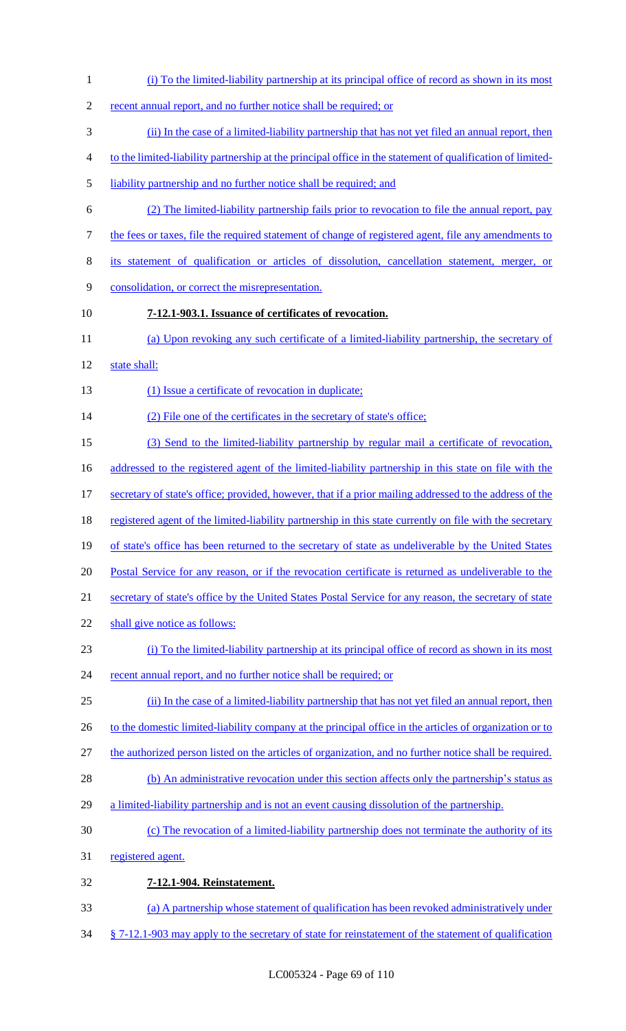(i) To the limited-liability partnership at its principal office of record as shown in its most 2 recent annual report, and no further notice shall be required; or (ii) In the case of a limited-liability partnership that has not yet filed an annual report, then to the limited-liability partnership at the principal office in the statement of qualification of limited- liability partnership and no further notice shall be required; and (2) The limited-liability partnership fails prior to revocation to file the annual report, pay the fees or taxes, file the required statement of change of registered agent, file any amendments to its statement of qualification or articles of dissolution, cancellation statement, merger, or consolidation, or correct the misrepresentation. **7-12.1-903.1. Issuance of certificates of revocation.**  (a) Upon revoking any such certificate of a limited-liability partnership, the secretary of state shall: 13 (1) Issue a certificate of revocation in duplicate; 14 (2) File one of the certificates in the secretary of state's office; (3) Send to the limited-liability partnership by regular mail a certificate of revocation, 16 addressed to the registered agent of the limited-liability partnership in this state on file with the 17 secretary of state's office; provided, however, that if a prior mailing addressed to the address of the 18 registered agent of the limited-liability partnership in this state currently on file with the secretary of state's office has been returned to the secretary of state as undeliverable by the United States 20 Postal Service for any reason, or if the revocation certificate is returned as undeliverable to the secretary of state's office by the United States Postal Service for any reason, the secretary of state shall give notice as follows: (i) To the limited-liability partnership at its principal office of record as shown in its most 24 recent annual report, and no further notice shall be required; or (ii) In the case of a limited-liability partnership that has not yet filed an annual report, then 26 to the domestic limited-liability company at the principal office in the articles of organization or to the authorized person listed on the articles of organization, and no further notice shall be required. 28 (b) An administrative revocation under this section affects only the partnership's status as 29 a limited-liability partnership and is not an event causing dissolution of the partnership. (c) The revocation of a limited-liability partnership does not terminate the authority of its registered agent. **7-12.1-904. Reinstatement.**  (a) A partnership whose statement of qualification has been revoked administratively under § 7-12.1-903 may apply to the secretary of state for reinstatement of the statement of qualification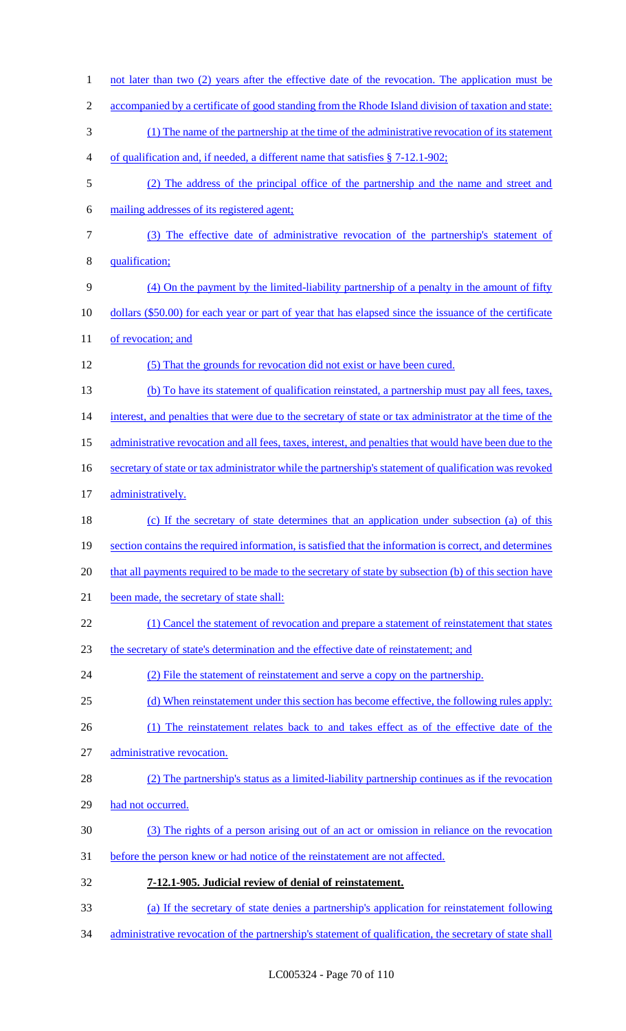| $\mathbf{1}$   | not later than two (2) years after the effective date of the revocation. The application must be        |
|----------------|---------------------------------------------------------------------------------------------------------|
| $\overline{2}$ | accompanied by a certificate of good standing from the Rhode Island division of taxation and state:     |
| 3              | (1) The name of the partnership at the time of the administrative revocation of its statement           |
| 4              | of qualification and, if needed, a different name that satisfies § 7-12.1-902;                          |
| 5              | (2) The address of the principal office of the partnership and the name and street and                  |
| 6              | mailing addresses of its registered agent;                                                              |
| 7              | (3) The effective date of administrative revocation of the partnership's statement of                   |
| 8              | qualification;                                                                                          |
| 9              | (4) On the payment by the limited-liability partnership of a penalty in the amount of fifty             |
| 10             | dollars (\$50.00) for each year or part of year that has elapsed since the issuance of the certificate  |
| 11             | of revocation; and                                                                                      |
| 12             | (5) That the grounds for revocation did not exist or have been cured.                                   |
| 13             | (b) To have its statement of qualification reinstated, a partnership must pay all fees, taxes,          |
| 14             | interest, and penalties that were due to the secretary of state or tax administrator at the time of the |
| 15             | administrative revocation and all fees, taxes, interest, and penalties that would have been due to the  |
| 16             | secretary of state or tax administrator while the partnership's statement of qualification was revoked  |
| 17             | administratively.                                                                                       |
| 18             | (c) If the secretary of state determines that an application under subsection (a) of this               |
| 19             | section contains the required information, is satisfied that the information is correct, and determines |
| 20             | that all payments required to be made to the secretary of state by subsection (b) of this section have  |
| 21             | been made, the secretary of state shall:                                                                |
| 22             | (1) Cancel the statement of revocation and prepare a statement of reinstatement that states             |
| 23             | the secretary of state's determination and the effective date of reinstatement; and                     |
| 24             | (2) File the statement of reinstatement and serve a copy on the partnership.                            |
| 25             | (d) When reinstatement under this section has become effective, the following rules apply:              |
| 26             | (1) The reinstatement relates back to and takes effect as of the effective date of the                  |
| 27             | administrative revocation.                                                                              |
| 28             | (2) The partnership's status as a limited-liability partnership continues as if the revocation          |
| 29             | had not occurred.                                                                                       |
| 30             | (3) The rights of a person arising out of an act or omission in reliance on the revocation              |
| 31             | before the person knew or had notice of the reinstatement are not affected.                             |
| 32             | 7-12.1-905. Judicial review of denial of reinstatement.                                                 |
| 33             | (a) If the secretary of state denies a partnership's application for reinstatement following            |
|                |                                                                                                         |

34 administrative revocation of the partnership's statement of qualification, the secretary of state shall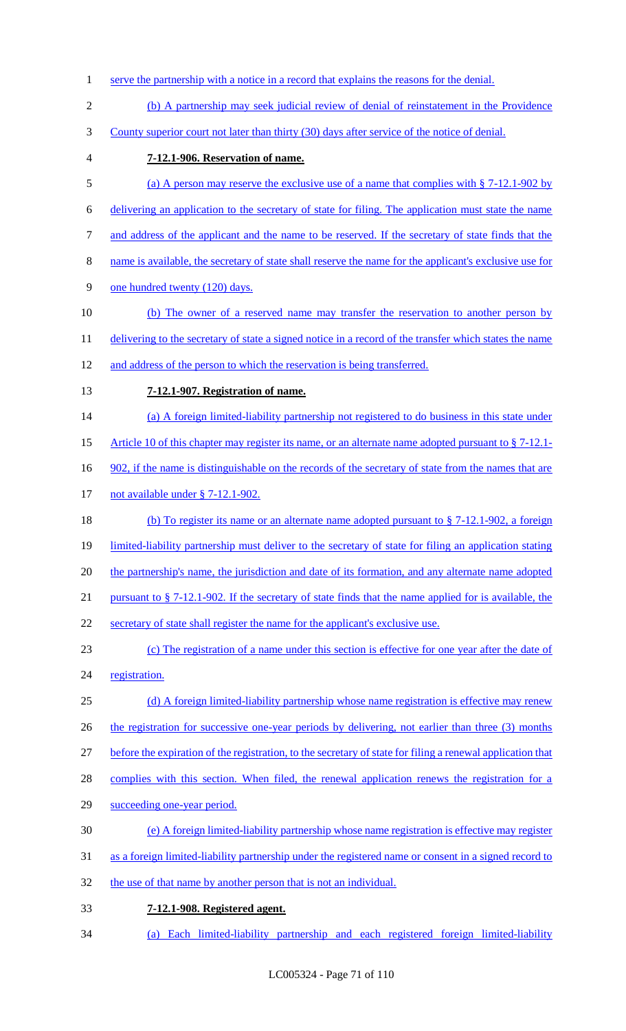- 1 serve the partnership with a notice in a record that explains the reasons for the denial. (b) A partnership may seek judicial review of denial of reinstatement in the Providence County superior court not later than thirty (30) days after service of the notice of denial. **7-12.1-906. Reservation of name.**  (a) A person may reserve the exclusive use of a name that complies with § 7-12.1-902 by delivering an application to the secretary of state for filing. The application must state the name and address of the applicant and the name to be reserved. If the secretary of state finds that the name is available, the secretary of state shall reserve the name for the applicant's exclusive use for 9 one hundred twenty (120) days. (b) The owner of a reserved name may transfer the reservation to another person by 11 delivering to the secretary of state a signed notice in a record of the transfer which states the name 12 and address of the person to which the reservation is being transferred. **7-12.1-907. Registration of name.**  (a) A foreign limited-liability partnership not registered to do business in this state under 15 Article 10 of this chapter may register its name, or an alternate name adopted pursuant to § 7-12.1-16 902, if the name is distinguishable on the records of the secretary of state from the names that are not available under § 7-12.1-902. 18 (b) To register its name or an alternate name adopted pursuant to § 7-12.1-902, a foreign limited-liability partnership must deliver to the secretary of state for filing an application stating 20 the partnership's name, the jurisdiction and date of its formation, and any alternate name adopted pursuant to § 7-12.1-902. If the secretary of state finds that the name applied for is available, the secretary of state shall register the name for the applicant's exclusive use. (c) The registration of a name under this section is effective for one year after the date of 24 registration. (d) A foreign limited-liability partnership whose name registration is effective may renew 26 the registration for successive one-year periods by delivering, not earlier than three (3) months
- before the expiration of the registration, to the secretary of state for filing a renewal application that

28 complies with this section. When filed, the renewal application renews the registration for a

- succeeding one-year period.
- (e) A foreign limited-liability partnership whose name registration is effective may register
- as a foreign limited-liability partnership under the registered name or consent in a signed record to
- 32 the use of that name by another person that is not an individual.
- **7-12.1-908. Registered agent.**
- (a) Each limited-liability partnership and each registered foreign limited-liability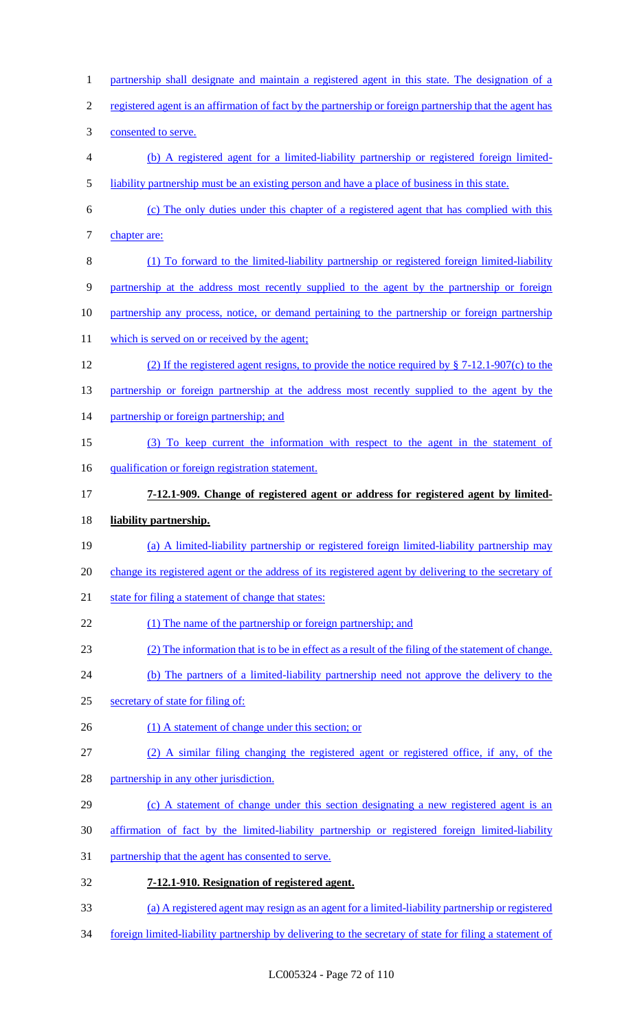1 partnership shall designate and maintain a registered agent in this state. The designation of a registered agent is an affirmation of fact by the partnership or foreign partnership that the agent has consented to serve. (b) A registered agent for a limited-liability partnership or registered foreign limited- liability partnership must be an existing person and have a place of business in this state. (c) The only duties under this chapter of a registered agent that has complied with this 7 chapter are: (1) To forward to the limited-liability partnership or registered foreign limited-liability partnership at the address most recently supplied to the agent by the partnership or foreign partnership any process, notice, or demand pertaining to the partnership or foreign partnership 11 which is served on or received by the agent; (2) If the registered agent resigns, to provide the notice required by § 7-12.1-907(c) to the 13 partnership or foreign partnership at the address most recently supplied to the agent by the 14 partnership or foreign partnership; and (3) To keep current the information with respect to the agent in the statement of 16 qualification or foreign registration statement. **7-12.1-909. Change of registered agent or address for registered agent by limited- liability partnership.**  (a) A limited-liability partnership or registered foreign limited-liability partnership may change its registered agent or the address of its registered agent by delivering to the secretary of 21 state for filing a statement of change that states: 22 (1) The name of the partnership or foreign partnership; and (2) The information that is to be in effect as a result of the filing of the statement of change. (b) The partners of a limited-liability partnership need not approve the delivery to the secretary of state for filing of: 26 (1) A statement of change under this section; or (2) A similar filing changing the registered agent or registered office, if any, of the partnership in any other jurisdiction. 29 (c) A statement of change under this section designating a new registered agent is an affirmation of fact by the limited-liability partnership or registered foreign limited-liability partnership that the agent has consented to serve. **7-12.1-910. Resignation of registered agent.**  (a) A registered agent may resign as an agent for a limited-liability partnership or registered foreign limited-liability partnership by delivering to the secretary of state for filing a statement of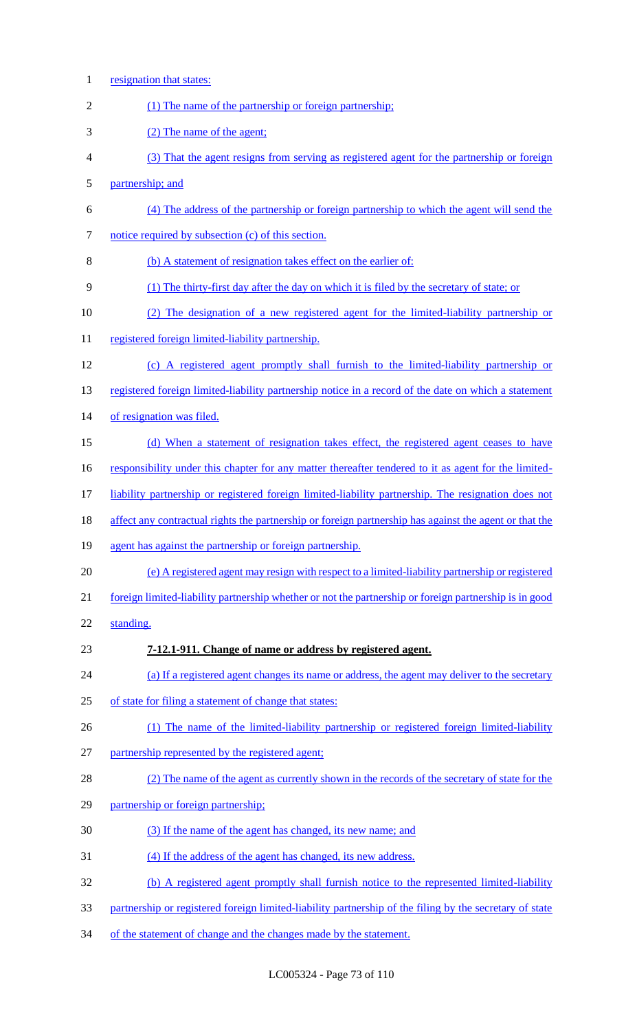1 resignation that states: 2 (1) The name of the partnership or foreign partnership; (2) The name of the agent; (3) That the agent resigns from serving as registered agent for the partnership or foreign partnership; and (4) The address of the partnership or foreign partnership to which the agent will send the 7 notice required by subsection (c) of this section. (b) A statement of resignation takes effect on the earlier of: (1) The thirty-first day after the day on which it is filed by the secretary of state; or (2) The designation of a new registered agent for the limited-liability partnership or 11 registered foreign limited-liability partnership. (c) A registered agent promptly shall furnish to the limited-liability partnership or 13 registered foreign limited-liability partnership notice in a record of the date on which a statement 14 of resignation was filed. (d) When a statement of resignation takes effect, the registered agent ceases to have 16 responsibility under this chapter for any matter thereafter tendered to it as agent for the limited- liability partnership or registered foreign limited-liability partnership. The resignation does not 18 affect any contractual rights the partnership or foreign partnership has against the agent or that the agent has against the partnership or foreign partnership. (e) A registered agent may resign with respect to a limited-liability partnership or registered foreign limited-liability partnership whether or not the partnership or foreign partnership is in good standing. **7-12.1-911. Change of name or address by registered agent.**  (a) If a registered agent changes its name or address, the agent may deliver to the secretary of state for filing a statement of change that states: (1) The name of the limited-liability partnership or registered foreign limited-liability partnership represented by the registered agent; (2) The name of the agent as currently shown in the records of the secretary of state for the partnership or foreign partnership; (3) If the name of the agent has changed, its new name; and (4) If the address of the agent has changed, its new address. (b) A registered agent promptly shall furnish notice to the represented limited-liability partnership or registered foreign limited-liability partnership of the filing by the secretary of state 34 of the statement of change and the changes made by the statement.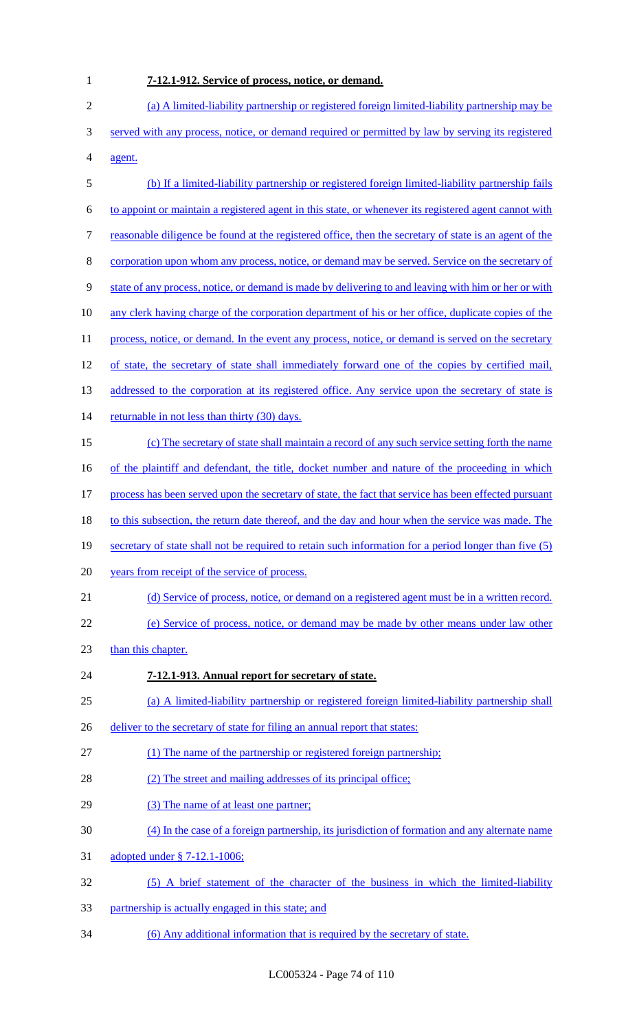## **7-12.1-912. Service of process, notice, or demand.**

| $\overline{2}$ | (a) A limited-liability partnership or registered foreign limited-liability partnership may be         |
|----------------|--------------------------------------------------------------------------------------------------------|
| 3              | served with any process, notice, or demand required or permitted by law by serving its registered      |
| 4              | agent.                                                                                                 |
| 5              | (b) If a limited-liability partnership or registered foreign limited-liability partnership fails       |
| 6              | to appoint or maintain a registered agent in this state, or whenever its registered agent cannot with  |
| 7              | reasonable diligence be found at the registered office, then the secretary of state is an agent of the |
| 8              | corporation upon whom any process, notice, or demand may be served. Service on the secretary of        |
| 9              | state of any process, notice, or demand is made by delivering to and leaving with him or her or with   |
| 10             | any clerk having charge of the corporation department of his or her office, duplicate copies of the    |
| 11             | process, notice, or demand. In the event any process, notice, or demand is served on the secretary     |
| 12             | of state, the secretary of state shall immediately forward one of the copies by certified mail,        |
| 13             | addressed to the corporation at its registered office. Any service upon the secretary of state is      |
| 14             | returnable in not less than thirty (30) days.                                                          |
| 15             | (c) The secretary of state shall maintain a record of any such service setting forth the name          |
| 16             | of the plaintiff and defendant, the title, docket number and nature of the proceeding in which         |
| 17             | process has been served upon the secretary of state, the fact that service has been effected pursuant  |
| 18             | to this subsection, the return date thereof, and the day and hour when the service was made. The       |
| 19             | secretary of state shall not be required to retain such information for a period longer than five (5)  |
| 20             | years from receipt of the service of process.                                                          |
| 21             | (d) Service of process, notice, or demand on a registered agent must be in a written record.           |
| 22             | (e) Service of process, notice, or demand may be made by other means under law other                   |
| 23             | than this chapter.                                                                                     |
| 24             | 7-12.1-913. Annual report for secretary of state.                                                      |
| 25             | (a) A limited-liability partnership or registered foreign limited-liability partnership shall          |
| 26             | deliver to the secretary of state for filing an annual report that states:                             |
| 27             | (1) The name of the partnership or registered foreign partnership;                                     |
| 28             | (2) The street and mailing addresses of its principal office;                                          |
| 29             | (3) The name of at least one partner;                                                                  |
| 30             | (4) In the case of a foreign partnership, its jurisdiction of formation and any alternate name         |
| 31             | adopted under § 7-12.1-1006;                                                                           |
| 32             | (5) A brief statement of the character of the business in which the limited-liability                  |
| 33             | partnership is actually engaged in this state; and                                                     |

(6) Any additional information that is required by the secretary of state.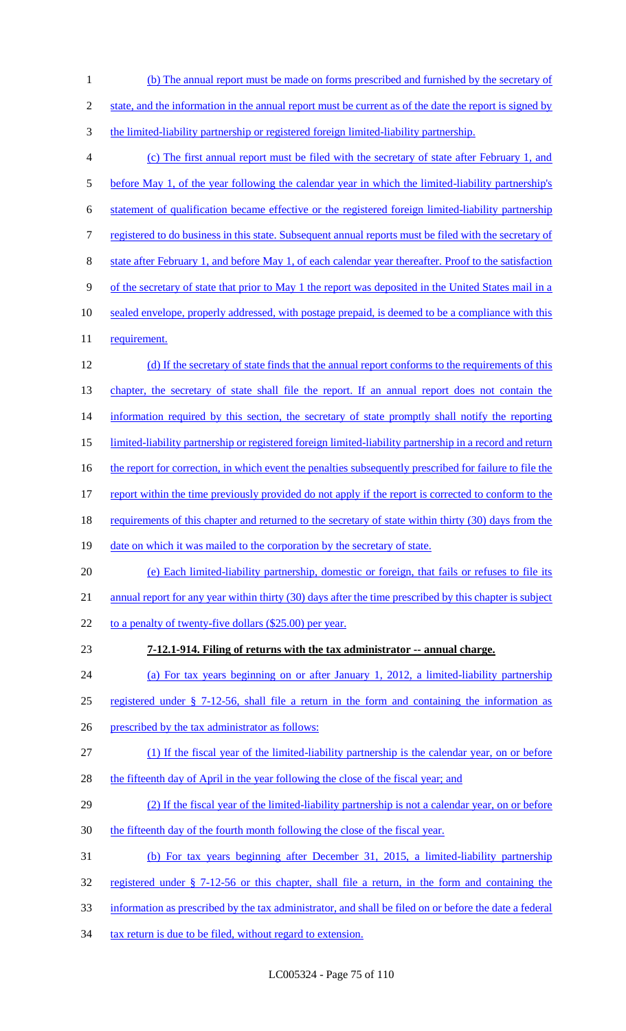1 (b) The annual report must be made on forms prescribed and furnished by the secretary of 2 state, and the information in the annual report must be current as of the date the report is signed by 3 the limited-liability partnership or registered foreign limited-liability partnership. 4 (c) The first annual report must be filed with the secretary of state after February 1, and 5 before May 1, of the year following the calendar year in which the limited-liability partnership's 6 statement of qualification became effective or the registered foreign limited-liability partnership 7 registered to do business in this state. Subsequent annual reports must be filed with the secretary of 8 state after February 1, and before May 1, of each calendar year thereafter. Proof to the satisfaction 9 of the secretary of state that prior to May 1 the report was deposited in the United States mail in a 10 sealed envelope, properly addressed, with postage prepaid, is deemed to be a compliance with this 11 requirement. 12 (d) If the secretary of state finds that the annual report conforms to the requirements of this 13 chapter, the secretary of state shall file the report. If an annual report does not contain the 14 information required by this section, the secretary of state promptly shall notify the reporting 15 limited-liability partnership or registered foreign limited-liability partnership in a record and return 16 the report for correction, in which event the penalties subsequently prescribed for failure to file the 17 report within the time previously provided do not apply if the report is corrected to conform to the 18 requirements of this chapter and returned to the secretary of state within thirty (30) days from the 19 date on which it was mailed to the corporation by the secretary of state. 20 (e) Each limited-liability partnership, domestic or foreign, that fails or refuses to file its 21 annual report for any year within thirty (30) days after the time prescribed by this chapter is subject 22 to a penalty of twenty-five dollars (\$25.00) per year. 23 **7-12.1-914. Filing of returns with the tax administrator -- annual charge.**  24 (a) For tax years beginning on or after January 1, 2012, a limited-liability partnership 25 registered under § 7-12-56, shall file a return in the form and containing the information as 26 prescribed by the tax administrator as follows: 27 (1) If the fiscal year of the limited-liability partnership is the calendar year, on or before 28 the fifteenth day of April in the year following the close of the fiscal year; and 29 (2) If the fiscal year of the limited-liability partnership is not a calendar year, on or before 30 the fifteenth day of the fourth month following the close of the fiscal year. 31 (b) For tax years beginning after December 31, 2015, a limited-liability partnership 32 registered under § 7-12-56 or this chapter, shall file a return, in the form and containing the 33 information as prescribed by the tax administrator, and shall be filed on or before the date a federal 34 tax return is due to be filed, without regard to extension.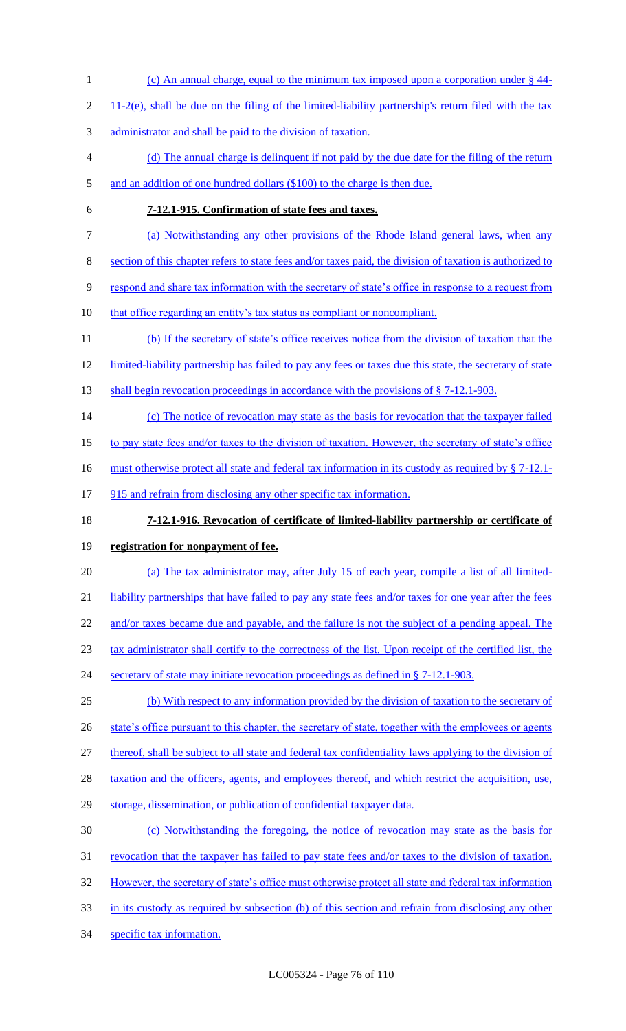1 (c) An annual charge, equal to the minimum tax imposed upon a corporation under § 44- $2 \frac{11-2(e)}{e}$ , shall be due on the filing of the limited-liability partnership's return filed with the tax administrator and shall be paid to the division of taxation. (d) The annual charge is delinquent if not paid by the due date for the filing of the return 5 and an addition of one hundred dollars (\$100) to the charge is then due. **7-12.1-915. Confirmation of state fees and taxes.**  (a) Notwithstanding any other provisions of the Rhode Island general laws, when any section of this chapter refers to state fees and/or taxes paid, the division of taxation is authorized to respond and share tax information with the secretary of state's office in response to a request from 10 that office regarding an entity's tax status as compliant or noncompliant. (b) If the secretary of state's office receives notice from the division of taxation that the 12 limited-liability partnership has failed to pay any fees or taxes due this state, the secretary of state 13 shall begin revocation proceedings in accordance with the provisions of § 7-12.1-903. 14 (c) The notice of revocation may state as the basis for revocation that the taxpayer failed to pay state fees and/or taxes to the division of taxation. However, the secretary of state's office 16 must otherwise protect all state and federal tax information in its custody as required by § 7-12.1-17 915 and refrain from disclosing any other specific tax information. **7-12.1-916. Revocation of certificate of limited-liability partnership or certificate of registration for nonpayment of fee.**  (a) The tax administrator may, after July 15 of each year, compile a list of all limited-21 liability partnerships that have failed to pay any state fees and/or taxes for one year after the fees 22 and/or taxes became due and payable, and the failure is not the subject of a pending appeal. The tax administrator shall certify to the correctness of the list. Upon receipt of the certified list, the secretary of state may initiate revocation proceedings as defined in § 7-12.1-903. (b) With respect to any information provided by the division of taxation to the secretary of 26 state's office pursuant to this chapter, the secretary of state, together with the employees or agents thereof, shall be subject to all state and federal tax confidentiality laws applying to the division of 28 taxation and the officers, agents, and employees thereof, and which restrict the acquisition, use, storage, dissemination, or publication of confidential taxpayer data. (c) Notwithstanding the foregoing, the notice of revocation may state as the basis for revocation that the taxpayer has failed to pay state fees and/or taxes to the division of taxation. However, the secretary of state's office must otherwise protect all state and federal tax information in its custody as required by subsection (b) of this section and refrain from disclosing any other specific tax information.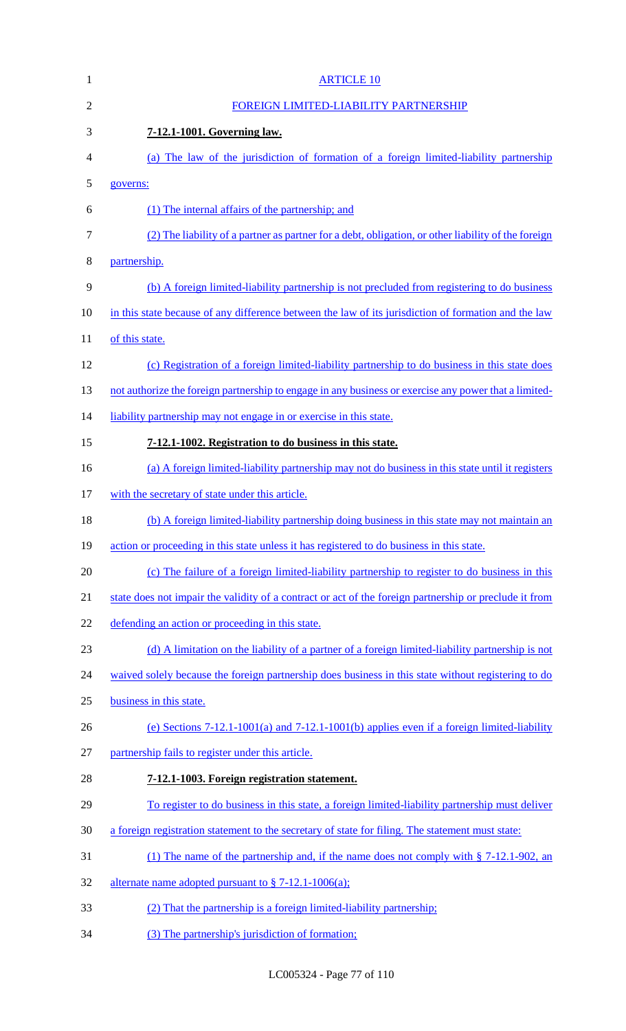| $\mathbf{1}$   | <b>ARTICLE 10</b>                                                                                      |
|----------------|--------------------------------------------------------------------------------------------------------|
| $\overline{2}$ | FOREIGN LIMITED-LIABILITY PARTNERSHIP                                                                  |
| 3              | 7-12.1-1001. Governing law.                                                                            |
| 4              | (a) The law of the jurisdiction of formation of a foreign limited-liability partnership                |
| 5              | governs:                                                                                               |
| 6              | (1) The internal affairs of the partnership; and                                                       |
| $\tau$         | (2) The liability of a partner as partner for a debt, obligation, or other liability of the foreign    |
| 8              | partnership.                                                                                           |
| 9              | (b) A foreign limited-liability partnership is not precluded from registering to do business           |
| 10             | in this state because of any difference between the law of its jurisdiction of formation and the law   |
| 11             | of this state.                                                                                         |
| 12             | (c) Registration of a foreign limited-liability partnership to do business in this state does          |
| 13             | not authorize the foreign partnership to engage in any business or exercise any power that a limited-  |
| 14             | liability partnership may not engage in or exercise in this state.                                     |
| 15             | 7-12.1-1002. Registration to do business in this state.                                                |
| 16             | (a) A foreign limited-liability partnership may not do business in this state until it registers       |
| 17             | with the secretary of state under this article.                                                        |
| 18             | (b) A foreign limited-liability partnership doing business in this state may not maintain an           |
| 19             | action or proceeding in this state unless it has registered to do business in this state.              |
| 20             | (c) The failure of a foreign limited-liability partnership to register to do business in this          |
| 21             | state does not impair the validity of a contract or act of the foreign partnership or preclude it from |
| 22             | defending an action or proceeding in this state.                                                       |
| 23             | (d) A limitation on the liability of a partner of a foreign limited-liability partnership is not       |
| 24             | waived solely because the foreign partnership does business in this state without registering to do    |
| 25             | business in this state.                                                                                |
| 26             | (e) Sections 7-12.1-1001(a) and 7-12.1-1001(b) applies even if a foreign limited-liability             |
| 27             | partnership fails to register under this article.                                                      |
| 28             | 7-12.1-1003. Foreign registration statement.                                                           |
| 29             | To register to do business in this state, a foreign limited-liability partnership must deliver         |
| 30             | a foreign registration statement to the secretary of state for filing. The statement must state:       |
| 31             | (1) The name of the partnership and, if the name does not comply with $\S$ 7-12.1-902, an              |
| 32             | alternate name adopted pursuant to $\S$ 7-12.1-1006(a);                                                |
| 33             | (2) That the partnership is a foreign limited-liability partnership;                                   |
| 34             | (3) The partnership's jurisdiction of formation;                                                       |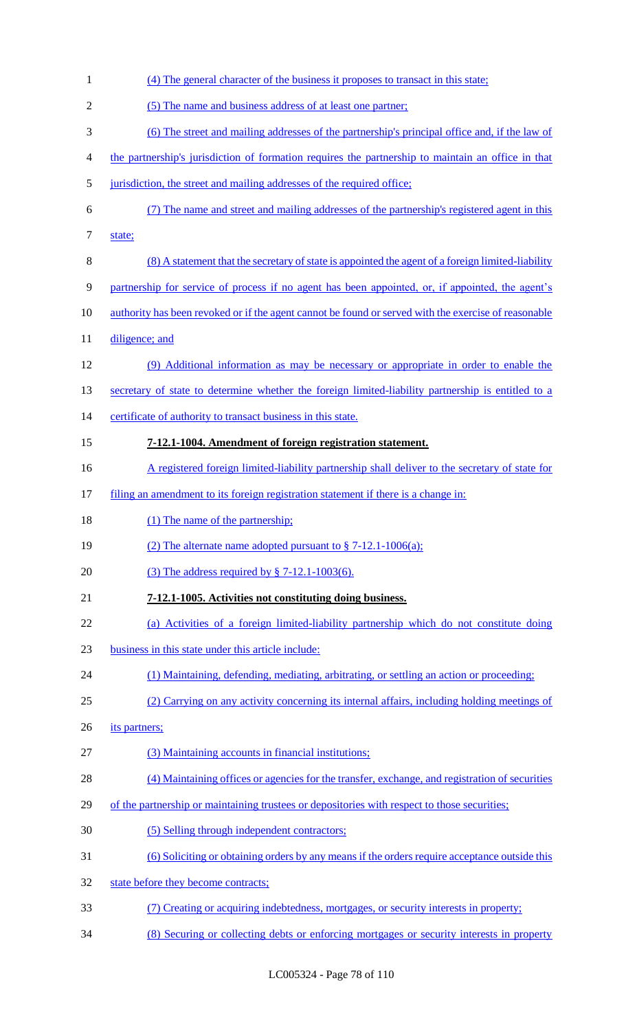| $\mathbf{1}$   | (4) The general character of the business it proposes to transact in this state;                     |
|----------------|------------------------------------------------------------------------------------------------------|
| $\overline{2}$ | (5) The name and business address of at least one partner;                                           |
| 3              | (6) The street and mailing addresses of the partnership's principal office and, if the law of        |
| 4              | the partnership's jurisdiction of formation requires the partnership to maintain an office in that   |
| $\mathfrak{S}$ | jurisdiction, the street and mailing addresses of the required office;                               |
| 6              | (7) The name and street and mailing addresses of the partnership's registered agent in this          |
| $\tau$         | state;                                                                                               |
| 8              | (8) A statement that the secretary of state is appointed the agent of a foreign limited-liability    |
| 9              | partnership for service of process if no agent has been appointed, or, if appointed, the agent's     |
| 10             | authority has been revoked or if the agent cannot be found or served with the exercise of reasonable |
| 11             | diligence; and                                                                                       |
| 12             | (9) Additional information as may be necessary or appropriate in order to enable the                 |
| 13             | secretary of state to determine whether the foreign limited-liability partnership is entitled to a   |
| 14             | certificate of authority to transact business in this state.                                         |
| 15             | 7-12.1-1004. Amendment of foreign registration statement.                                            |
| 16             | A registered foreign limited-liability partnership shall deliver to the secretary of state for       |
| 17             | filing an amendment to its foreign registration statement if there is a change in:                   |
| 18             | (1) The name of the partnership:                                                                     |
| 19             | (2) The alternate name adopted pursuant to $\S$ 7-12.1-1006(a);                                      |
| 20             | (3) The address required by $\S$ 7-12.1-1003(6).                                                     |
| 21             | 7-12.1-1005. Activities not constituting doing business.                                             |
| 22             | (a) Activities of a foreign limited-liability partnership which do not constitute doing              |
| 23             | business in this state under this article include:                                                   |
| 24             | (1) Maintaining, defending, mediating, arbitrating, or settling an action or proceeding;             |
| 25             | (2) Carrying on any activity concerning its internal affairs, including holding meetings of          |
| 26             | its partners;                                                                                        |
| 27             | (3) Maintaining accounts in financial institutions;                                                  |
| 28             | (4) Maintaining offices or agencies for the transfer, exchange, and registration of securities       |
| 29             | of the partnership or maintaining trustees or depositories with respect to those securities;         |
| 30             | (5) Selling through independent contractors;                                                         |
| 31             | <u>(6) Soliciting or obtaining orders by any means if the orders require acceptance outside this</u> |
| 32             | state before they become contracts;                                                                  |
| 33             | (7) Creating or acquiring indebtedness, mortgages, or security interests in property;                |
| 34             | (8) Securing or collecting debts or enforcing mortgages or security interests in property            |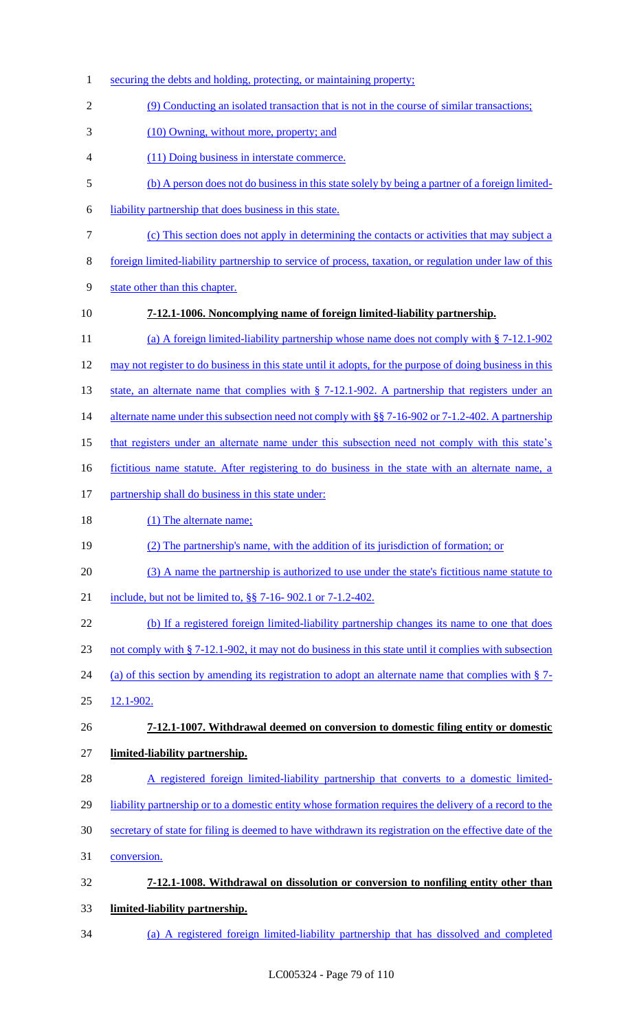| $\mathbf{1}$ | securing the debts and holding, protecting, or maintaining property;                                     |
|--------------|----------------------------------------------------------------------------------------------------------|
| 2            | (9) Conducting an isolated transaction that is not in the course of similar transactions;                |
| 3            | (10) Owning, without more, property; and                                                                 |
| 4            | (11) Doing business in interstate commerce.                                                              |
| 5            | (b) A person does not do business in this state solely by being a partner of a foreign limited-          |
| 6            | liability partnership that does business in this state.                                                  |
| $\tau$       | (c) This section does not apply in determining the contacts or activities that may subject a             |
| 8            | foreign limited-liability partnership to service of process, taxation, or regulation under law of this   |
| 9            | state other than this chapter.                                                                           |
| 10           | 7-12.1-1006. Noncomplying name of foreign limited-liability partnership.                                 |
| 11           | (a) A foreign limited-liability partnership whose name does not comply with $\S$ 7-12.1-902              |
| 12           | may not register to do business in this state until it adopts, for the purpose of doing business in this |
| 13           | state, an alternate name that complies with $\S$ 7-12.1-902. A partnership that registers under an       |
| 14           | alternate name under this subsection need not comply with §§ 7-16-902 or 7-1.2-402. A partnership        |
| 15           | that registers under an alternate name under this subsection need not comply with this state's           |
| 16           | fictitious name statute. After registering to do business in the state with an alternate name, a         |
| 17           | partnership shall do business in this state under:                                                       |
| 18           | (1) The alternate name;                                                                                  |
| 19           | (2) The partnership's name, with the addition of its jurisdiction of formation; or                       |
| 20           | (3) A name the partnership is authorized to use under the state's fictitious name statute to             |
| 21           | include, but not be limited to, §§ 7-16-902.1 or 7-1.2-402.                                              |
| 22           | (b) If a registered foreign limited-liability partnership changes its name to one that does              |
| 23           | not comply with § 7-12.1-902, it may not do business in this state until it complies with subsection     |
| 24           | (a) of this section by amending its registration to adopt an alternate name that complies with § 7-      |
| 25           | 12.1-902.                                                                                                |
| 26           | 7-12.1-1007. Withdrawal deemed on conversion to domestic filing entity or domestic                       |
| 27           | limited-liability partnership.                                                                           |
| 28           | A registered foreign limited-liability partnership that converts to a domestic limited-                  |
| 29           | liability partnership or to a domestic entity whose formation requires the delivery of a record to the   |
| 30           | secretary of state for filing is deemed to have withdrawn its registration on the effective date of the  |
| 31           | conversion.                                                                                              |
| 32           | 7-12.1-1008. Withdrawal on dissolution or conversion to nonfiling entity other than                      |
| 33           | limited-liability partnership.                                                                           |
| 34           | (a) A registered foreign limited-liability partnership that has dissolved and completed                  |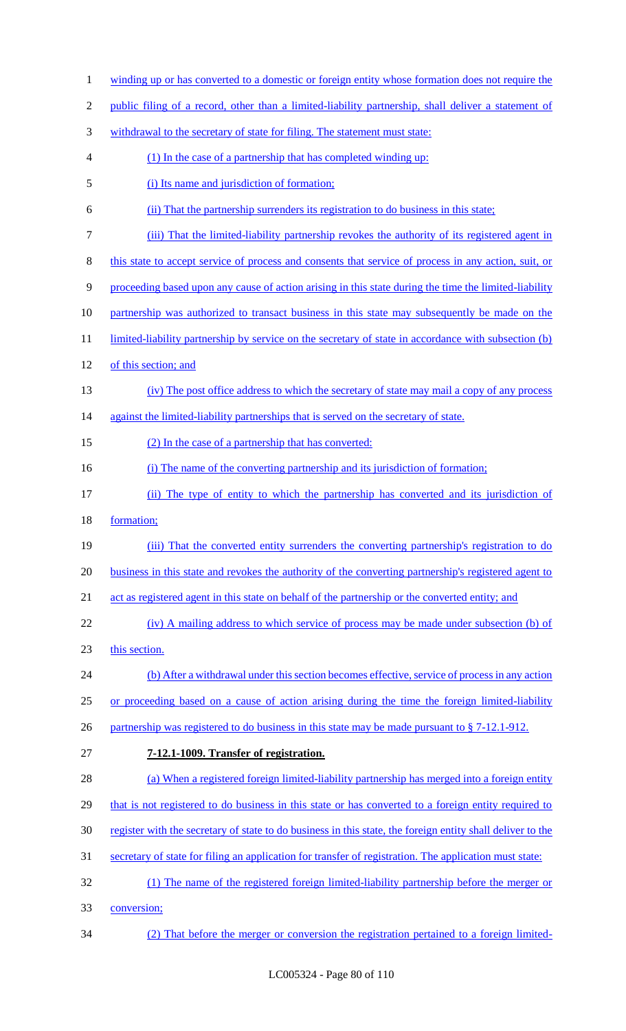1 winding up or has converted to a domestic or foreign entity whose formation does not require the public filing of a record, other than a limited-liability partnership, shall deliver a statement of withdrawal to the secretary of state for filing. The statement must state: (1) In the case of a partnership that has completed winding up: (i) Its name and jurisdiction of formation; (ii) That the partnership surrenders its registration to do business in this state; (iii) That the limited-liability partnership revokes the authority of its registered agent in this state to accept service of process and consents that service of process in any action, suit, or proceeding based upon any cause of action arising in this state during the time the limited-liability partnership was authorized to transact business in this state may subsequently be made on the 11 limited-liability partnership by service on the secretary of state in accordance with subsection (b) of this section; and (iv) The post office address to which the secretary of state may mail a copy of any process 14 against the limited-liability partnerships that is served on the secretary of state. (2) In the case of a partnership that has converted: 16 (i) The name of the converting partnership and its jurisdiction of formation; (ii) The type of entity to which the partnership has converted and its jurisdiction of formation; 19 (iii) That the converted entity surrenders the converting partnership's registration to do business in this state and revokes the authority of the converting partnership's registered agent to 21 act as registered agent in this state on behalf of the partnership or the converted entity; and (iv) A mailing address to which service of process may be made under subsection (b) of this section. (b) After a withdrawal under this section becomes effective, service of process in any action or proceeding based on a cause of action arising during the time the foreign limited-liability 26 partnership was registered to do business in this state may be made pursuant to § 7-12.1-912. **7-12.1-1009. Transfer of registration.**  (a) When a registered foreign limited-liability partnership has merged into a foreign entity 29 that is not registered to do business in this state or has converted to a foreign entity required to register with the secretary of state to do business in this state, the foreign entity shall deliver to the secretary of state for filing an application for transfer of registration. The application must state: (1) The name of the registered foreign limited-liability partnership before the merger or conversion; (2) That before the merger or conversion the registration pertained to a foreign limited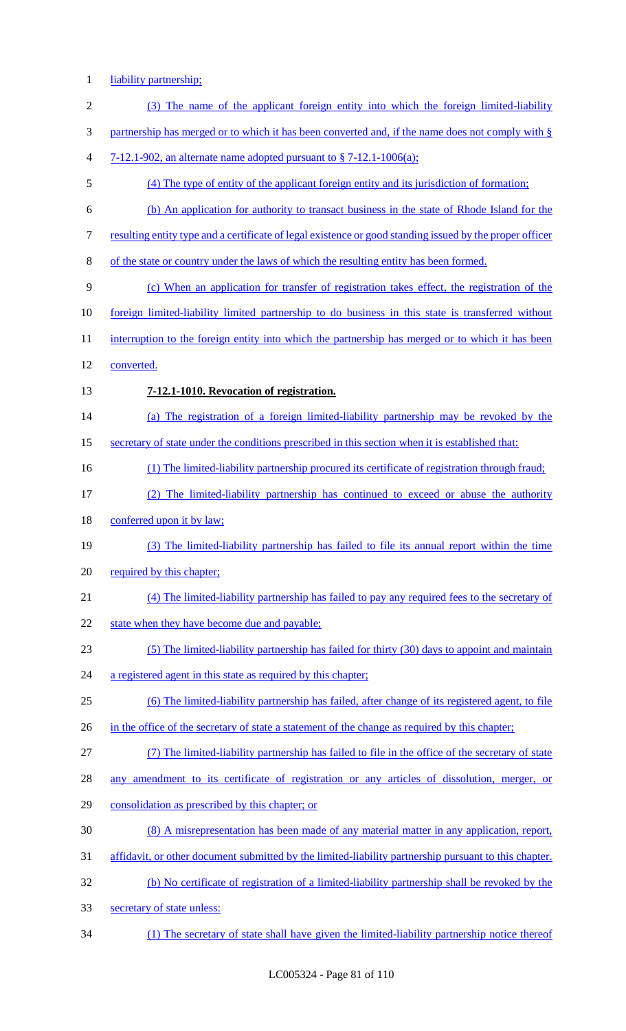1 liability partnership;

| $\sqrt{2}$       | (3) The name of the applicant foreign entity into which the foreign limited-liability                    |
|------------------|----------------------------------------------------------------------------------------------------------|
| 3                | partnership has merged or to which it has been converted and, if the name does not comply with §         |
| $\overline{4}$   | 7-12.1-902, an alternate name adopted pursuant to $\S$ 7-12.1-1006(a);                                   |
| 5                | (4) The type of entity of the applicant foreign entity and its jurisdiction of formation;                |
| 6                | (b) An application for authority to transact business in the state of Rhode Island for the               |
| $\boldsymbol{7}$ | resulting entity type and a certificate of legal existence or good standing issued by the proper officer |
| $8\,$            | of the state or country under the laws of which the resulting entity has been formed.                    |
| 9                | (c) When an application for transfer of registration takes effect, the registration of the               |
| 10               | foreign limited-liability limited partnership to do business in this state is transferred without        |
| 11               | interruption to the foreign entity into which the partnership has merged or to which it has been         |
| 12               | converted.                                                                                               |
| 13               | 7-12.1-1010. Revocation of registration.                                                                 |
| 14               | (a) The registration of a foreign limited-liability partnership may be revoked by the                    |
| 15               | secretary of state under the conditions prescribed in this section when it is established that:          |
| 16               | (1) The limited-liability partnership procured its certificate of registration through fraud;            |
| 17               | (2) The limited-liability partnership has continued to exceed or abuse the authority                     |
| 18               | conferred upon it by law;                                                                                |
| 19               | (3) The limited-liability partnership has failed to file its annual report within the time               |
| 20               | required by this chapter;                                                                                |
| 21               | (4) The limited-liability partnership has failed to pay any required fees to the secretary of            |
| 22               | state when they have become due and payable;                                                             |
| 23               | (5) The limited-liability partnership has failed for thirty (30) days to appoint and maintain            |
| 24               | a registered agent in this state as required by this chapter;                                            |
| 25               | (6) The limited-liability partnership has failed, after change of its registered agent, to file          |
| 26               | in the office of the secretary of state a statement of the change as required by this chapter;           |
| 27               | (7) The limited-liability partnership has failed to file in the office of the secretary of state         |
| 28               | any amendment to its certificate of registration or any articles of dissolution, merger, or              |
| 29               | consolidation as prescribed by this chapter; or                                                          |
| 30               | (8) A misrepresentation has been made of any material matter in any application, report,                 |
| 31               | affidavit, or other document submitted by the limited-liability partnership pursuant to this chapter.    |
| 32               | (b) No certificate of registration of a limited-liability partnership shall be revoked by the            |
| 33               | secretary of state unless:                                                                               |
| 34               | (1) The secretary of state shall have given the limited-liability partnership notice thereof             |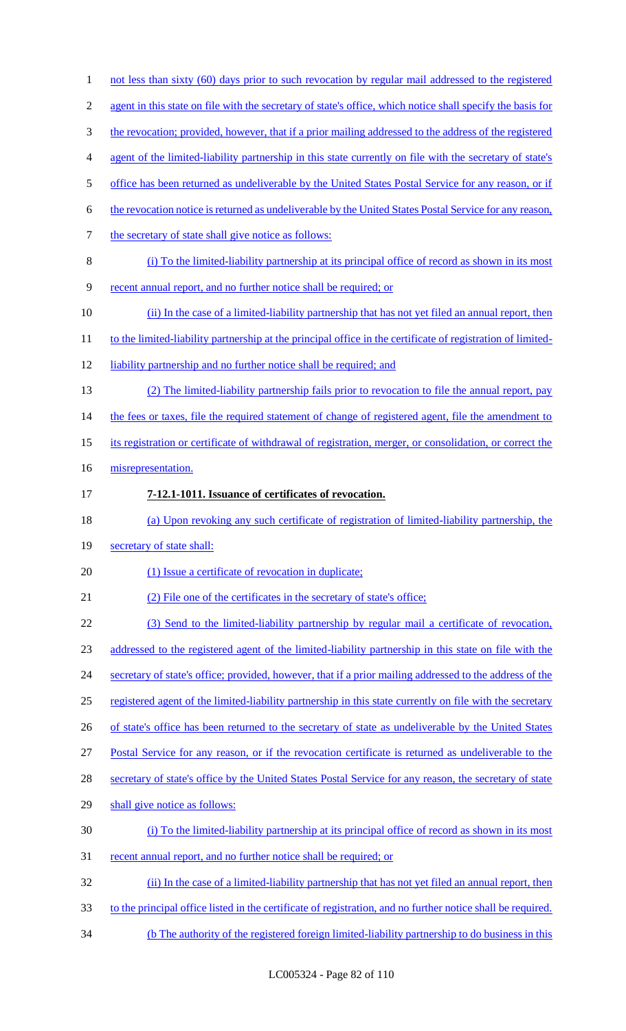| $\mathbf{1}$   | not less than sixty (60) days prior to such revocation by regular mail addressed to the registered          |
|----------------|-------------------------------------------------------------------------------------------------------------|
| $\overline{c}$ | agent in this state on file with the secretary of state's office, which notice shall specify the basis for  |
| 3              | the revocation; provided, however, that if a prior mailing addressed to the address of the registered       |
| 4              | agent of the limited-liability partnership in this state currently on file with the secretary of state's    |
| 5              | office has been returned as undeliverable by the United States Postal Service for any reason, or if         |
| 6              | the revocation notice is returned as undeliverable by the United States Postal Service for any reason,      |
| 7              | the secretary of state shall give notice as follows:                                                        |
| 8              | (i) To the limited-liability partnership at its principal office of record as shown in its most             |
| 9              | recent annual report, and no further notice shall be required; or                                           |
| 10             | (ii) In the case of a limited-liability partnership that has not yet filed an annual report, then           |
| 11             | to the limited-liability partnership at the principal office in the certificate of registration of limited- |
| 12             | liability partnership and no further notice shall be required; and                                          |
| 13             | (2) The limited-liability partnership fails prior to revocation to file the annual report, pay              |
| 14             | the fees or taxes, file the required statement of change of registered agent, file the amendment to         |
| 15             | its registration or certificate of withdrawal of registration, merger, or consolidation, or correct the     |
| 16             | misrepresentation.                                                                                          |
| 17             | 7-12.1-1011. Issuance of certificates of revocation.                                                        |
|                |                                                                                                             |
| 18             | (a) Upon revoking any such certificate of registration of limited-liability partnership, the                |
| 19             | secretary of state shall:                                                                                   |
| 20             | (1) Issue a certificate of revocation in duplicate;                                                         |
| 21             | (2) File one of the certificates in the secretary of state's office;                                        |
| 22             | (3) Send to the limited-liability partnership by regular mail a certificate of revocation,                  |
| 23             | addressed to the registered agent of the limited-liability partnership in this state on file with the       |
| 24             | secretary of state's office; provided, however, that if a prior mailing addressed to the address of the     |
| 25             | registered agent of the limited-liability partnership in this state currently on file with the secretary    |
| 26             | of state's office has been returned to the secretary of state as undeliverable by the United States         |
| 27             | Postal Service for any reason, or if the revocation certificate is returned as undeliverable to the         |
| 28             | secretary of state's office by the United States Postal Service for any reason, the secretary of state      |
| 29             | shall give notice as follows:                                                                               |
| 30             | (i) To the limited-liability partnership at its principal office of record as shown in its most             |
| 31             | recent annual report, and no further notice shall be required; or                                           |
| 32             | (ii) In the case of a limited-liability partnership that has not yet filed an annual report, then           |
| 33             | to the principal office listed in the certificate of registration, and no further notice shall be required. |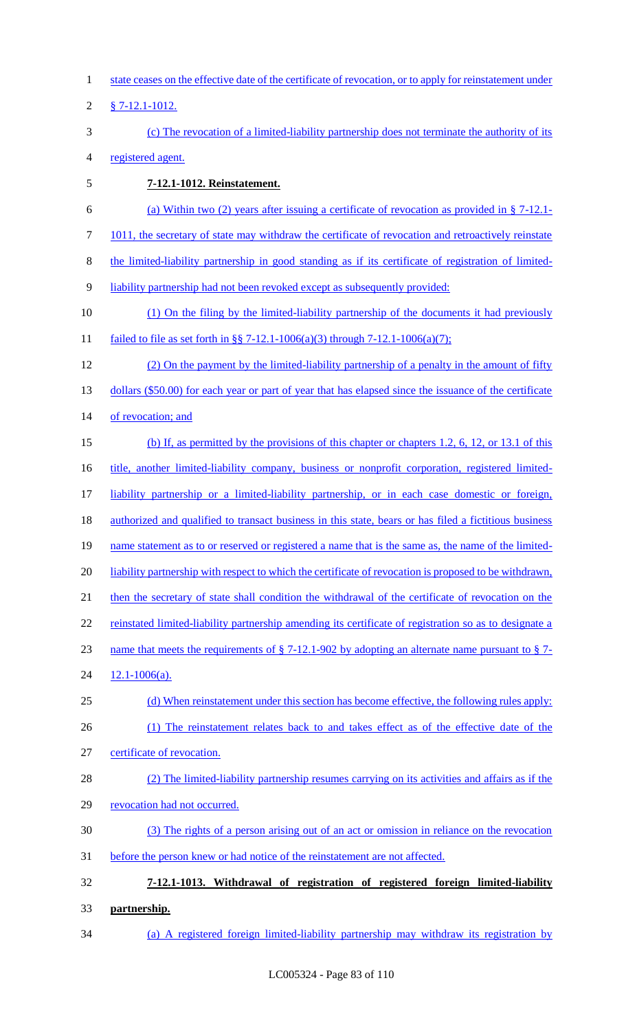- state ceases on the effective date of the certificate of revocation, or to apply for reinstatement under
- § 7-12.1-1012.
- (c) The revocation of a limited-liability partnership does not terminate the authority of its registered agent.
- 

## **7-12.1-1012. Reinstatement.**

- (a) Within two (2) years after issuing a certificate of revocation as provided in § 7-12.1- 7 1011, the secretary of state may withdraw the certificate of revocation and retroactively reinstate
- the limited-liability partnership in good standing as if its certificate of registration of limited-

liability partnership had not been revoked except as subsequently provided:

- (1) On the filing by the limited-liability partnership of the documents it had previously
- failed to file as set forth in §§ 7-12.1-1006(a)(3) through 7-12.1-1006(a)(7);

 (2) On the payment by the limited-liability partnership of a penalty in the amount of fifty 13 dollars (\$50.00) for each year or part of year that has elapsed since the issuance of the certificate

- of revocation; and
- (b) If, as permitted by the provisions of this chapter or chapters 1.2, 6, 12, or 13.1 of this 16 title, another limited-liability company, business or nonprofit corporation, registered limited- liability partnership or a limited-liability partnership, or in each case domestic or foreign, 18 authorized and qualified to transact business in this state, bears or has filed a fictitious business
- name statement as to or reserved or registered a name that is the same as, the name of the limited-
- 20 liability partnership with respect to which the certificate of revocation is proposed to be withdrawn,
- 21 then the secretary of state shall condition the withdrawal of the certificate of revocation on the
- 22 reinstated limited-liability partnership amending its certificate of registration so as to designate a
- name that meets the requirements of § 7-12.1-902 by adopting an alternate name pursuant to § 7-
- 24  $12.1-1006(a)$ .
- (d) When reinstatement under this section has become effective, the following rules apply:
- 26 (1) The reinstatement relates back to and takes effect as of the effective date of the
- certificate of revocation.
- (2) The limited-liability partnership resumes carrying on its activities and affairs as if the
- revocation had not occurred.
- (3) The rights of a person arising out of an act or omission in reliance on the revocation
- before the person knew or had notice of the reinstatement are not affected.
- **7-12.1-1013. Withdrawal of registration of registered foreign limited-liability partnership.**
- (a) A registered foreign limited-liability partnership may withdraw its registration by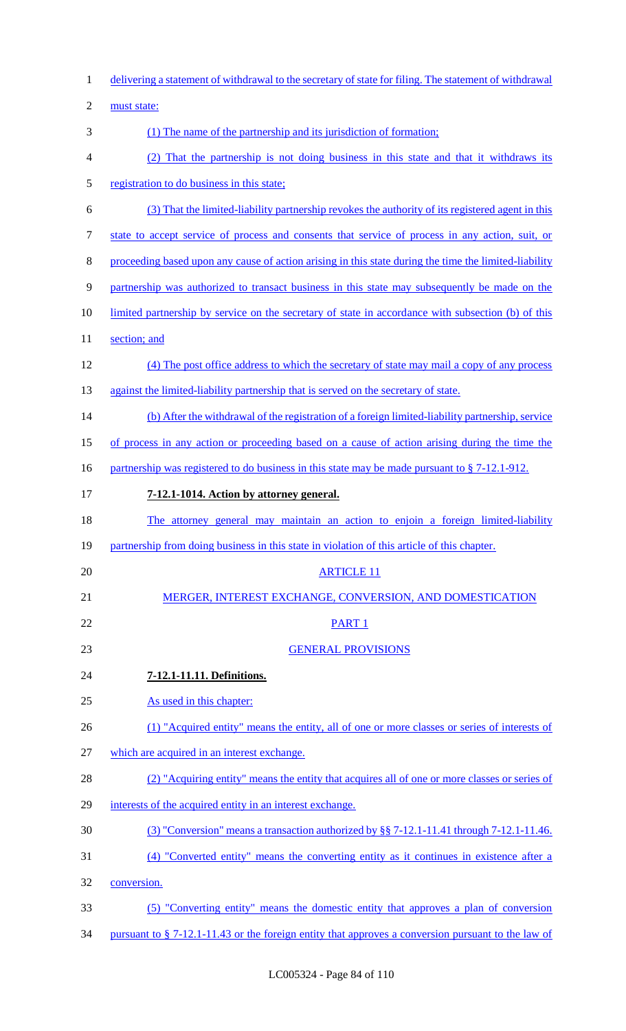| $\mathbf{1}$   | delivering a statement of withdrawal to the secretary of state for filing. The statement of withdrawal |
|----------------|--------------------------------------------------------------------------------------------------------|
| $\overline{2}$ | must state:                                                                                            |
| 3              | (1) The name of the partnership and its jurisdiction of formation;                                     |
| 4              | (2) That the partnership is not doing business in this state and that it withdraws its                 |
| $\mathfrak{S}$ | registration to do business in this state;                                                             |
| 6              | (3) That the limited-liability partnership revokes the authority of its registered agent in this       |
| $\tau$         | state to accept service of process and consents that service of process in any action, suit, or        |
| $8\,$          | proceeding based upon any cause of action arising in this state during the time the limited-liability  |
| 9              | partnership was authorized to transact business in this state may subsequently be made on the          |
| 10             | limited partnership by service on the secretary of state in accordance with subsection (b) of this     |
| 11             | section; and                                                                                           |
| 12             | (4) The post office address to which the secretary of state may mail a copy of any process             |
| 13             | against the limited-liability partnership that is served on the secretary of state.                    |
| 14             | (b) After the withdrawal of the registration of a foreign limited-liability partnership, service       |
| 15             | of process in any action or proceeding based on a cause of action arising during the time the          |
| 16             | partnership was registered to do business in this state may be made pursuant to $\S$ 7-12.1-912.       |
| 17             | 7-12.1-1014. Action by attorney general.                                                               |
| 18             | The attorney general may maintain an action to enjoin a foreign limited-liability                      |
| 19             | partnership from doing business in this state in violation of this article of this chapter.            |
| 20             | <b>ARTICLE 11</b>                                                                                      |
| 21             | MERGER, INTEREST EXCHANGE, CONVERSION, AND DOMESTICATION                                               |
| 22             | PART <sub>1</sub>                                                                                      |
| 23             | <b>GENERAL PROVISIONS</b>                                                                              |
| 24             | 7-12.1-11.11. Definitions.                                                                             |
| 25             | As used in this chapter:                                                                               |
| 26             | (1) "Acquired entity" means the entity, all of one or more classes or series of interests of           |
| 27             | which are acquired in an interest exchange.                                                            |
| 28             | (2) "Acquiring entity" means the entity that acquires all of one or more classes or series of          |
| 29             | interests of the acquired entity in an interest exchange.                                              |
| 30             | (3) "Conversion" means a transaction authorized by $\S$ 7-12.1-11.41 through 7-12.1-11.46.             |
| 31             | (4) "Converted entity" means the converting entity as it continues in existence after a                |
| 32             | conversion.                                                                                            |
| 33             | (5) "Converting entity" means the domestic entity that approves a plan of conversion                   |
| 34             | pursuant to $\S$ 7-12.1-11.43 or the foreign entity that approves a conversion pursuant to the law of  |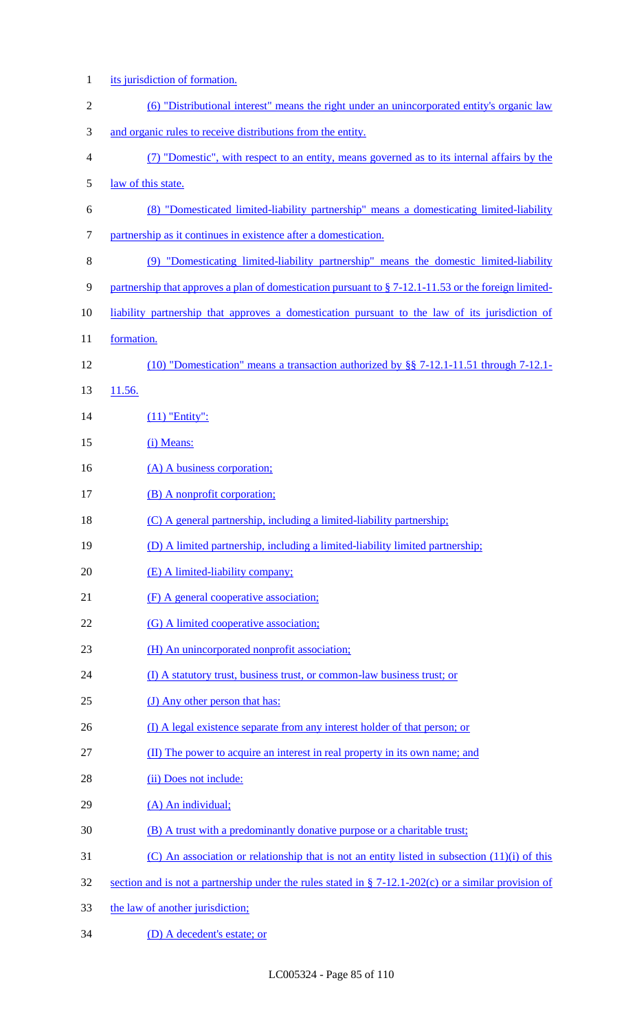| 1              | its jurisdiction of formation.                                                                          |
|----------------|---------------------------------------------------------------------------------------------------------|
| $\mathbf{2}$   | (6) "Distributional interest" means the right under an unincorporated entity's organic law              |
| $\mathfrak{Z}$ | and organic rules to receive distributions from the entity.                                             |
| $\overline{4}$ | (7) "Domestic", with respect to an entity, means governed as to its internal affairs by the             |
| 5              | law of this state.                                                                                      |
| 6              | (8) "Domesticated limited-liability partnership" means a domesticating limited-liability                |
| $\tau$         | partnership as it continues in existence after a domestication.                                         |
| $8\,$          | (9) "Domesticating limited-liability partnership" means the domestic limited-liability                  |
| $\mathbf{9}$   | partnership that approves a plan of domestication pursuant to $\S$ 7-12.1-11.53 or the foreign limited- |
| 10             | liability partnership that approves a domestication pursuant to the law of its jurisdiction of          |
| 11             | formation.                                                                                              |
| 12             | (10) "Domestication" means a transaction authorized by §§ 7-12.1-11.51 through 7-12.1-                  |
| 13             | 11.56.                                                                                                  |
| 14             | $(11)$ "Entity":                                                                                        |
| 15             | (i) Means:                                                                                              |
| 16             | (A) A business corporation;                                                                             |
| 17             | (B) A nonprofit corporation;                                                                            |
| 18             | (C) A general partnership, including a limited-liability partnership;                                   |
| 19             | (D) A limited partnership, including a limited-liability limited partnership;                           |
| 20             | (E) A limited-liability company;                                                                        |
| 21             | (F) A general cooperative association;                                                                  |
| 22             | (G) A limited cooperative association;                                                                  |
| 23             | (H) An unincorporated nonprofit association;                                                            |
| 24             | (I) A statutory trust, business trust, or common-law business trust; or                                 |
| 25             | (J) Any other person that has:                                                                          |
| 26             | (I) A legal existence separate from any interest holder of that person; or                              |
| 27             | (II) The power to acquire an interest in real property in its own name; and                             |
| 28             | (ii) Does not include:                                                                                  |
| 29             | (A) An individual;                                                                                      |
| 30             | (B) A trust with a predominantly donative purpose or a charitable trust;                                |
| 31             | (C) An association or relationship that is not an entity listed in subsection $(11)(i)$ of this         |
| 32             | section and is not a partnership under the rules stated in $\S$ 7-12.1-202(c) or a similar provision of |
| 33             | the law of another jurisdiction;                                                                        |
| 34             | (D) A decedent's estate; or                                                                             |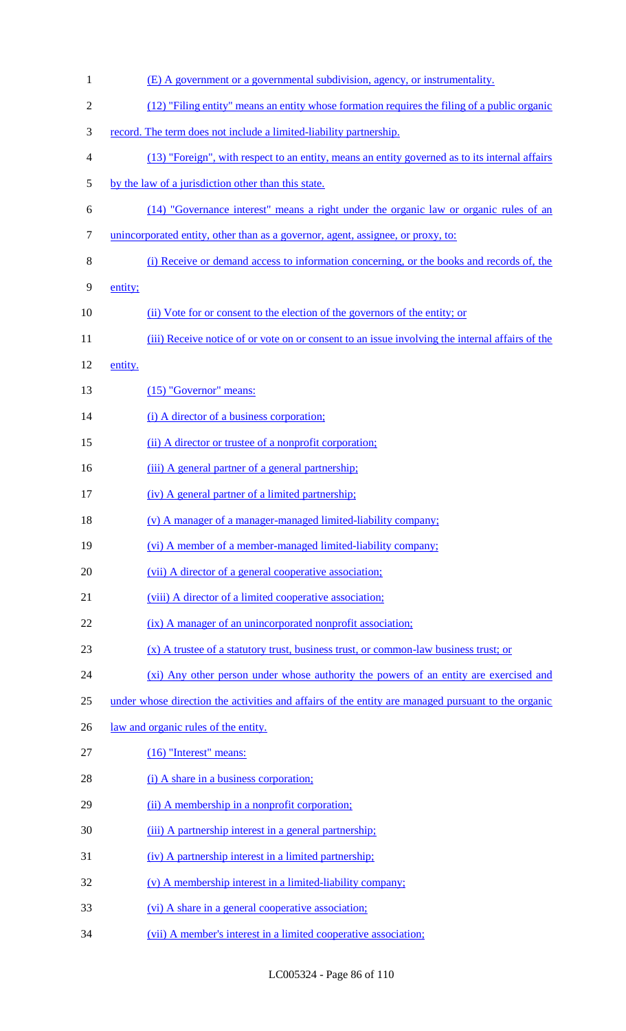| $\mathbf{1}$   | (E) A government or a governmental subdivision, agency, or instrumentality.                        |
|----------------|----------------------------------------------------------------------------------------------------|
| $\overline{2}$ | (12) "Filing entity" means an entity whose formation requires the filing of a public organic       |
| 3              | record. The term does not include a limited-liability partnership.                                 |
| 4              | (13) "Foreign", with respect to an entity, means an entity governed as to its internal affairs     |
| 5              | by the law of a jurisdiction other than this state.                                                |
| 6              | (14) "Governance interest" means a right under the organic law or organic rules of an              |
| 7              | unincorporated entity, other than as a governor, agent, assignee, or proxy, to:                    |
| 8              | (i) Receive or demand access to information concerning, or the books and records of, the           |
| 9              | entity;                                                                                            |
| 10             | (ii) Vote for or consent to the election of the governors of the entity; or                        |
| 11             | (iii) Receive notice of or vote on or consent to an issue involving the internal affairs of the    |
| 12             | entity.                                                                                            |
| 13             | (15) "Governor" means:                                                                             |
| 14             | (i) A director of a business corporation;                                                          |
| 15             | (ii) A director or trustee of a nonprofit corporation;                                             |
| 16             | (iii) A general partner of a general partnership;                                                  |
| 17             | (iv) A general partner of a limited partnership;                                                   |
| 18             | (v) A manager of a manager-managed limited-liability company;                                      |
| 19             | (vi) A member of a member-managed limited-liability company;                                       |
| 20             | (vii) A director of a general cooperative association;                                             |
| 21             | (viii) A director of a limited cooperative association;                                            |
| 22             | (ix) A manager of an unincorporated nonprofit association;                                         |
| 23             | (x) A trustee of a statutory trust, business trust, or common-law business trust; or               |
| 24             | (xi) Any other person under whose authority the powers of an entity are exercised and              |
| 25             | under whose direction the activities and affairs of the entity are managed pursuant to the organic |
| 26             | law and organic rules of the entity.                                                               |
| 27             | (16) "Interest" means:                                                                             |
| 28             | (i) A share in a business corporation;                                                             |
| 29             | (ii) A membership in a nonprofit corporation;                                                      |
| 30             | (iii) A partnership interest in a general partnership;                                             |
| 31             | (iv) A partnership interest in a limited partnership;                                              |
| 32             | (v) A membership interest in a limited-liability company;                                          |
| 33             | (vi) A share in a general cooperative association;                                                 |
| 34             | (vii) A member's interest in a limited cooperative association;                                    |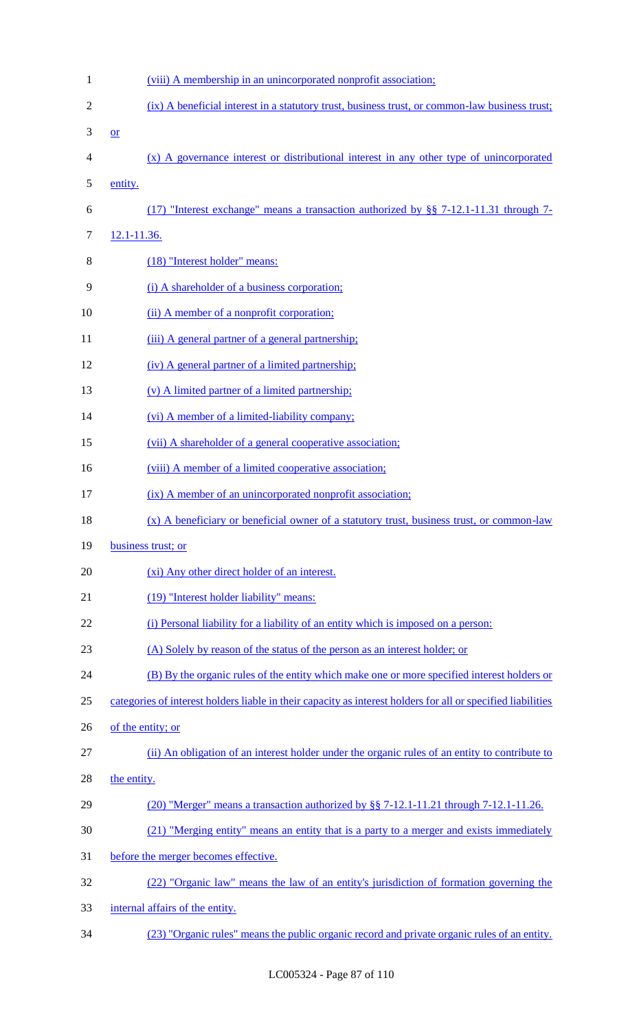| $\mathbf{1}$   | (viii) A membership in an unincorporated nonprofit association;                                              |
|----------------|--------------------------------------------------------------------------------------------------------------|
| $\mathfrak{2}$ | (ix) A beneficial interest in a statutory trust, business trust, or common-law business trust;               |
| 3              | or                                                                                                           |
| $\overline{4}$ | $(x)$ A governance interest or distributional interest in any other type of unincorporated                   |
| 5              | entity.                                                                                                      |
| 6              | (17) "Interest exchange" means a transaction authorized by §§ 7-12.1-11.31 through 7-                        |
| $\tau$         | 12.1-11.36.                                                                                                  |
| 8              | (18) "Interest holder" means:                                                                                |
| 9              | (i) A shareholder of a business corporation;                                                                 |
| 10             | (ii) A member of a nonprofit corporation;                                                                    |
| 11             | (iii) A general partner of a general partnership;                                                            |
| 12             | (iv) A general partner of a limited partnership;                                                             |
| 13             | (v) A limited partner of a limited partnership;                                                              |
| 14             | (vi) A member of a limited-liability company;                                                                |
| 15             | (vii) A shareholder of a general cooperative association;                                                    |
| 16             | (viii) A member of a limited cooperative association;                                                        |
| 17             | (ix) A member of an unincorporated nonprofit association;                                                    |
| 18             | $(x)$ A beneficiary or beneficial owner of a statutory trust, business trust, or common-law                  |
| 19             | business trust; or                                                                                           |
| 20             | (xi) Any other direct holder of an interest.                                                                 |
| 21             | (19) "Interest holder liability" means:                                                                      |
| 22             | (i) Personal liability for a liability of an entity which is imposed on a person:                            |
| 23             | (A) Solely by reason of the status of the person as an interest holder; or                                   |
| 24             | (B) By the organic rules of the entity which make one or more specified interest holders or                  |
| 25             | categories of interest holders liable in their capacity as interest holders for all or specified liabilities |
| 26             | of the entity; or                                                                                            |
| 27             | (ii) An obligation of an interest holder under the organic rules of an entity to contribute to               |
| 28             | the entity.                                                                                                  |
| 29             | $(20)$ "Merger" means a transaction authorized by §§ 7-12.1-11.21 through 7-12.1-11.26.                      |
| 30             | (21) "Merging entity" means an entity that is a party to a merger and exists immediately                     |
| 31             | before the merger becomes effective.                                                                         |
| 32             | (22) "Organic law" means the law of an entity's jurisdiction of formation governing the                      |
| 33             | internal affairs of the entity.                                                                              |
| 34             | (23) "Organic rules" means the public organic record and private organic rules of an entity.                 |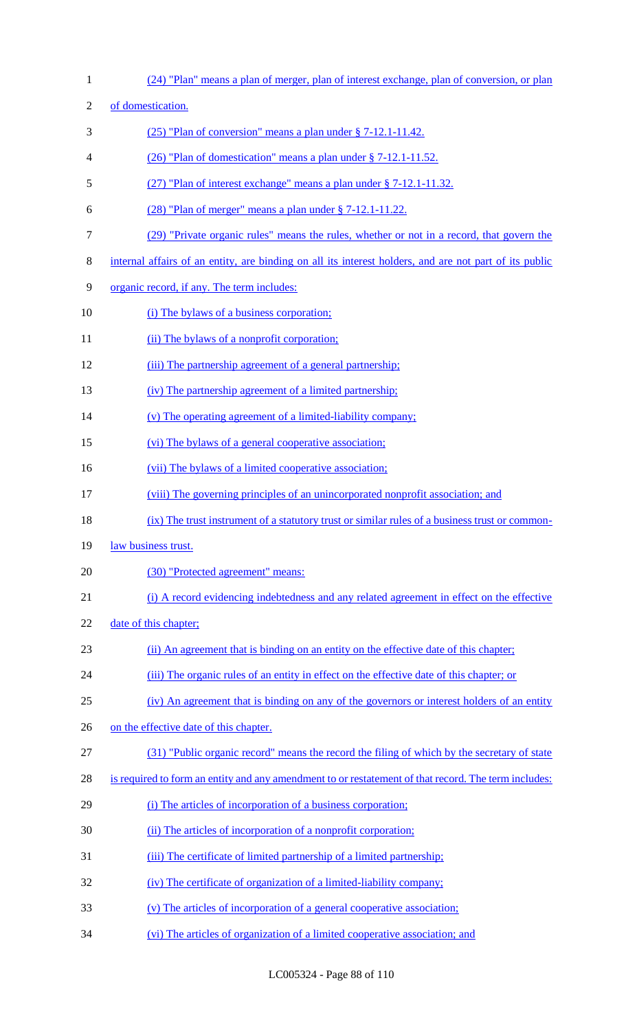| $\mathbf{1}$   | (24) "Plan" means a plan of merger, plan of interest exchange, plan of conversion, or plan             |
|----------------|--------------------------------------------------------------------------------------------------------|
| $\overline{2}$ | of domestication.                                                                                      |
| 3              | (25) "Plan of conversion" means a plan under § 7-12.1-11.42.                                           |
| 4              | (26) "Plan of domestication" means a plan under § 7-12.1-11.52.                                        |
| 5              | (27) "Plan of interest exchange" means a plan under § 7-12.1-11.32.                                    |
| 6              | (28) "Plan of merger" means a plan under § 7-12.1-11.22.                                               |
| $\tau$         | (29) "Private organic rules" means the rules, whether or not in a record, that govern the              |
| 8              | internal affairs of an entity, are binding on all its interest holders, and are not part of its public |
| 9              | organic record, if any. The term includes:                                                             |
| 10             | (i) The bylaws of a business corporation;                                                              |
| 11             | (ii) The bylaws of a nonprofit corporation;                                                            |
| 12             | (iii) The partnership agreement of a general partnership;                                              |
| 13             | (iv) The partnership agreement of a limited partnership;                                               |
| 14             | (v) The operating agreement of a limited-liability company;                                            |
| 15             | (vi) The bylaws of a general cooperative association;                                                  |
| 16             | (vii) The bylaws of a limited cooperative association;                                                 |
| 17             | (viii) The governing principles of an unincorporated nonprofit association; and                        |
| 18             | (ix) The trust instrument of a statutory trust or similar rules of a business trust or common-         |
| 19             | law business trust.                                                                                    |
| 20             | (30) "Protected agreement" means:                                                                      |
| 21             | (i) A record evidencing indebtedness and any related agreement in effect on the effective              |
| 22             | date of this chapter;                                                                                  |
| 23             | (ii) An agreement that is binding on an entity on the effective date of this chapter;                  |
| 24             | (iii) The organic rules of an entity in effect on the effective date of this chapter; or               |
| 25             | (iv) An agreement that is binding on any of the governors or interest holders of an entity             |
| 26             | on the effective date of this chapter.                                                                 |
| 27             | (31) "Public organic record" means the record the filing of which by the secretary of state            |
| 28             | is required to form an entity and any amendment to or restatement of that record. The term includes:   |
| 29             | (i) The articles of incorporation of a business corporation;                                           |
| 30             | (ii) The articles of incorporation of a nonprofit corporation;                                         |
| 31             | (iii) The certificate of limited partnership of a limited partnership:                                 |
| 32             | (iv) The certificate of organization of a limited-liability company;                                   |
| 33             | (v) The articles of incorporation of a general cooperative association;                                |
| 34             | (vi) The articles of organization of a limited cooperative association; and                            |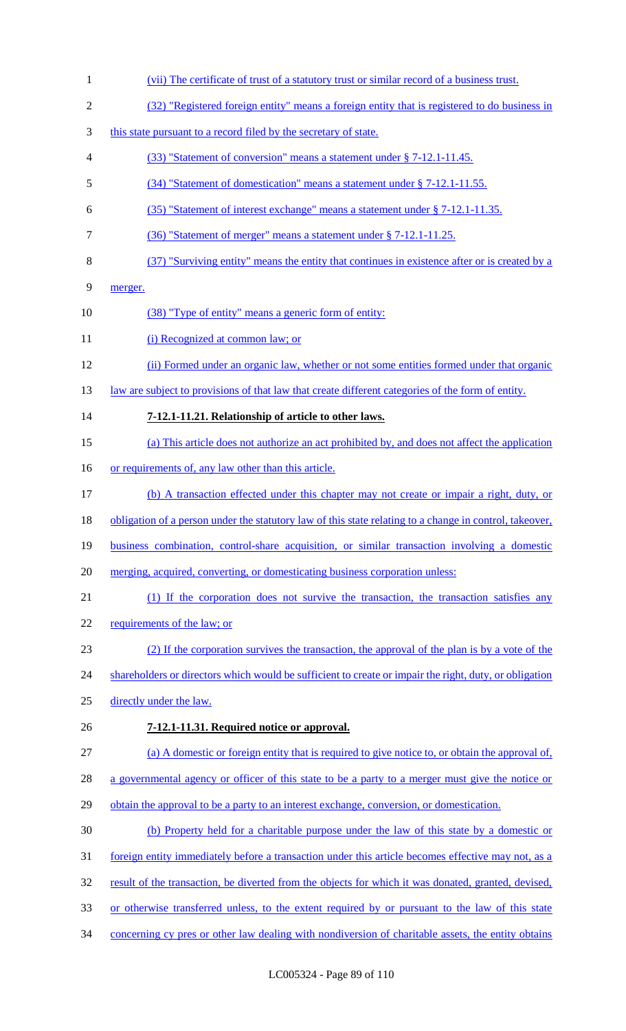(32) "Registered foreign entity" means a foreign entity that is registered to do business in this state pursuant to a record filed by the secretary of state. (33) "Statement of conversion" means a statement under § 7-12.1-11.45. (34) "Statement of domestication" means a statement under § 7-12.1-11.55. (35) "Statement of interest exchange" means a statement under § 7-12.1-11.35. (36) "Statement of merger" means a statement under § 7-12.1-11.25. (37) "Surviving entity" means the entity that continues in existence after or is created by a merger. 10 (38) "Type of entity" means a generic form of entity: 11 (i) Recognized at common law; or (ii) Formed under an organic law, whether or not some entities formed under that organic 13 law are subject to provisions of that law that create different categories of the form of entity. **7-12.1-11.21. Relationship of article to other laws.**  (a) This article does not authorize an act prohibited by, and does not affect the application 16 or requirements of, any law other than this article. (b) A transaction effected under this chapter may not create or impair a right, duty, or 18 obligation of a person under the statutory law of this state relating to a change in control, takeover, business combination, control-share acquisition, or similar transaction involving a domestic merging, acquired, converting, or domesticating business corporation unless: (1) If the corporation does not survive the transaction, the transaction satisfies any 22 requirements of the law; or (2) If the corporation survives the transaction, the approval of the plan is by a vote of the 24 shareholders or directors which would be sufficient to create or impair the right, duty, or obligation directly under the law. **7-12.1-11.31. Required notice or approval.**  (a) A domestic or foreign entity that is required to give notice to, or obtain the approval of, 28 a governmental agency or officer of this state to be a party to a merger must give the notice or 29 obtain the approval to be a party to an interest exchange, conversion, or domestication. (b) Property held for a charitable purpose under the law of this state by a domestic or foreign entity immediately before a transaction under this article becomes effective may not, as a result of the transaction, be diverted from the objects for which it was donated, granted, devised, 33 or otherwise transferred unless, to the extent required by or pursuant to the law of this state concerning cy pres or other law dealing with nondiversion of charitable assets, the entity obtains

(vii) The certificate of trust of a statutory trust or similar record of a business trust.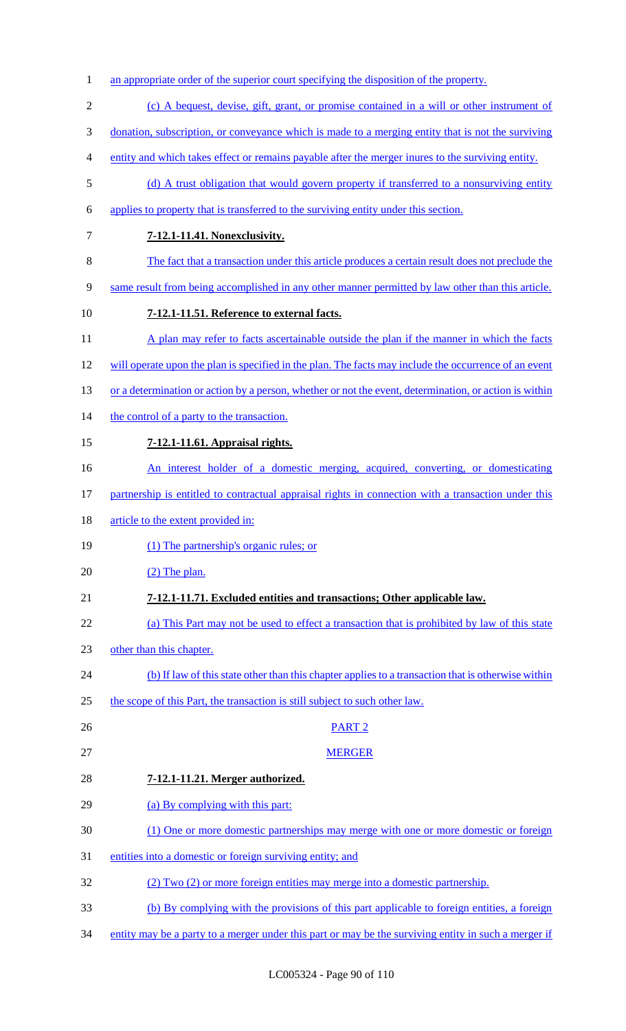| $\mathbf{1}$   | an appropriate order of the superior court specifying the disposition of the property.                 |
|----------------|--------------------------------------------------------------------------------------------------------|
| $\sqrt{2}$     | (c) A bequest, devise, gift, grant, or promise contained in a will or other instrument of              |
| 3              | donation, subscription, or conveyance which is made to a merging entity that is not the surviving      |
| $\overline{4}$ | entity and which takes effect or remains payable after the merger inures to the surviving entity.      |
| 5              | (d) A trust obligation that would govern property if transferred to a nonsurviving entity              |
| 6              | applies to property that is transferred to the surviving entity under this section.                    |
| $\tau$         | 7-12.1-11.41. Nonexclusivity.                                                                          |
| $8\,$          | The fact that a transaction under this article produces a certain result does not preclude the         |
| $\mathbf{9}$   | same result from being accomplished in any other manner permitted by law other than this article.      |
| 10             | 7-12.1-11.51. Reference to external facts.                                                             |
| 11             | A plan may refer to facts ascertainable outside the plan if the manner in which the facts              |
| 12             | will operate upon the plan is specified in the plan. The facts may include the occurrence of an event  |
| 13             | or a determination or action by a person, whether or not the event, determination, or action is within |
| 14             | the control of a party to the transaction.                                                             |
| 15             | 7-12.1-11.61. Appraisal rights.                                                                        |
| 16             | An interest holder of a domestic merging, acquired, converting, or domesticating                       |
| 17             | partnership is entitled to contractual appraisal rights in connection with a transaction under this    |
| 18             | article to the extent provided in:                                                                     |
| 19             | (1) The partnership's organic rules; or                                                                |
| 20             | $(2)$ The plan.                                                                                        |
| 21             | 7-12.1-11.71. Excluded entities and transactions; Other applicable law.                                |
| 22             | (a) This Part may not be used to effect a transaction that is prohibited by law of this state          |
| 23             | other than this chapter.                                                                               |
| 24             | (b) If law of this state other than this chapter applies to a transaction that is otherwise within     |
| 25             | the scope of this Part, the transaction is still subject to such other law.                            |
| 26             | PART <sub>2</sub>                                                                                      |
| 27             | <b>MERGER</b>                                                                                          |
| 28             | 7-12.1-11.21. Merger authorized.                                                                       |
| 29             | (a) By complying with this part:                                                                       |
| 30             | (1) One or more domestic partnerships may merge with one or more domestic or foreign                   |
| 31             | entities into a domestic or foreign surviving entity; and                                              |
| 32             | (2) Two (2) or more foreign entities may merge into a domestic partnership.                            |
| 33             | (b) By complying with the provisions of this part applicable to foreign entities, a foreign            |
| 34             | entity may be a party to a merger under this part or may be the surviving entity in such a merger if   |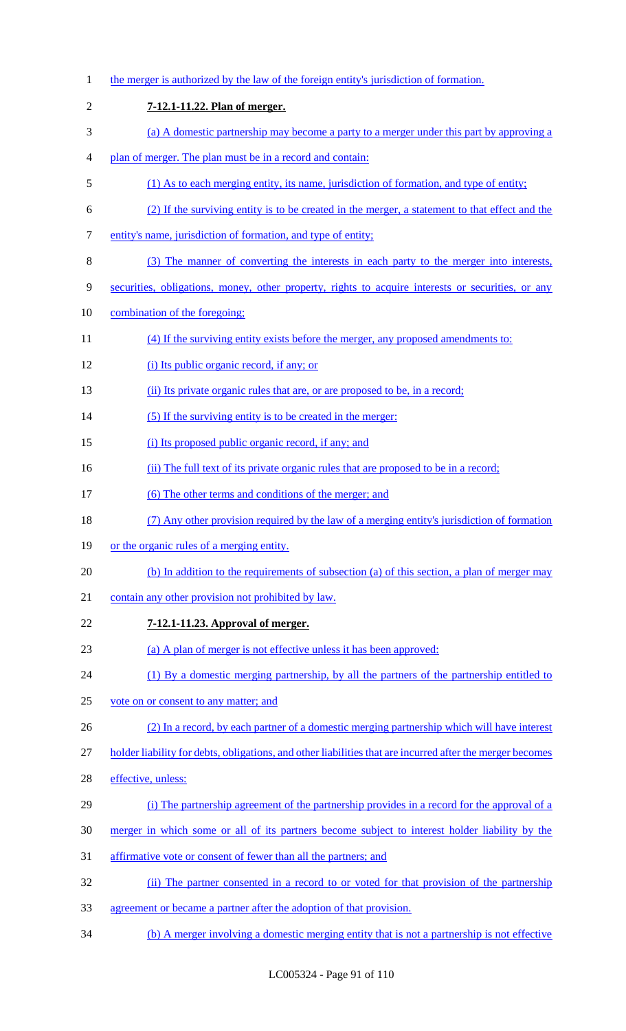| $\mathbf{1}$   | the merger is authorized by the law of the foreign entity's jurisdiction of formation.                    |
|----------------|-----------------------------------------------------------------------------------------------------------|
| $\mathfrak{2}$ | 7-12.1-11.22. Plan of merger.                                                                             |
| 3              | (a) A domestic partnership may become a party to a merger under this part by approving a                  |
| 4              | plan of merger. The plan must be in a record and contain:                                                 |
| 5              | (1) As to each merging entity, its name, jurisdiction of formation, and type of entity;                   |
| 6              | (2) If the surviving entity is to be created in the merger, a statement to that effect and the            |
| 7              | entity's name, jurisdiction of formation, and type of entity;                                             |
| 8              | (3) The manner of converting the interests in each party to the merger into interests,                    |
| 9              | securities, obligations, money, other property, rights to acquire interests or securities, or any         |
| 10             | combination of the foregoing:                                                                             |
| 11             | (4) If the surviving entity exists before the merger, any proposed amendments to:                         |
| 12             | (i) Its public organic record, if any; or                                                                 |
| 13             | (ii) Its private organic rules that are, or are proposed to be, in a record;                              |
| 14             | (5) If the surviving entity is to be created in the merger:                                               |
| 15             | (i) Its proposed public organic record, if any; and                                                       |
| 16             | (ii) The full text of its private organic rules that are proposed to be in a record;                      |
| 17             | (6) The other terms and conditions of the merger; and                                                     |
| 18             | (7) Any other provision required by the law of a merging entity's jurisdiction of formation               |
| 19             | or the organic rules of a merging entity.                                                                 |
| 20             | (b) In addition to the requirements of subsection (a) of this section, a plan of merger may               |
| 21             | contain any other provision not prohibited by law.                                                        |
| 22             | 7-12.1-11.23. Approval of merger.                                                                         |
| 23             | (a) A plan of merger is not effective unless it has been approved:                                        |
| 24             | (1) By a domestic merging partnership, by all the partners of the partnership entitled to                 |
| 25             | vote on or consent to any matter; and                                                                     |
| 26             | (2) In a record, by each partner of a domestic merging partnership which will have interest               |
| 27             | holder liability for debts, obligations, and other liabilities that are incurred after the merger becomes |
| 28             | effective, unless:                                                                                        |
| 29             | (i) The partnership agreement of the partnership provides in a record for the approval of a               |
| 30             | merger in which some or all of its partners become subject to interest holder liability by the            |
| 31             | affirmative vote or consent of fewer than all the partners; and                                           |
| 32             | (ii) The partner consented in a record to or voted for that provision of the partnership                  |
| 33             | agreement or became a partner after the adoption of that provision.                                       |
| 34             | (b) A merger involving a domestic merging entity that is not a partnership is not effective               |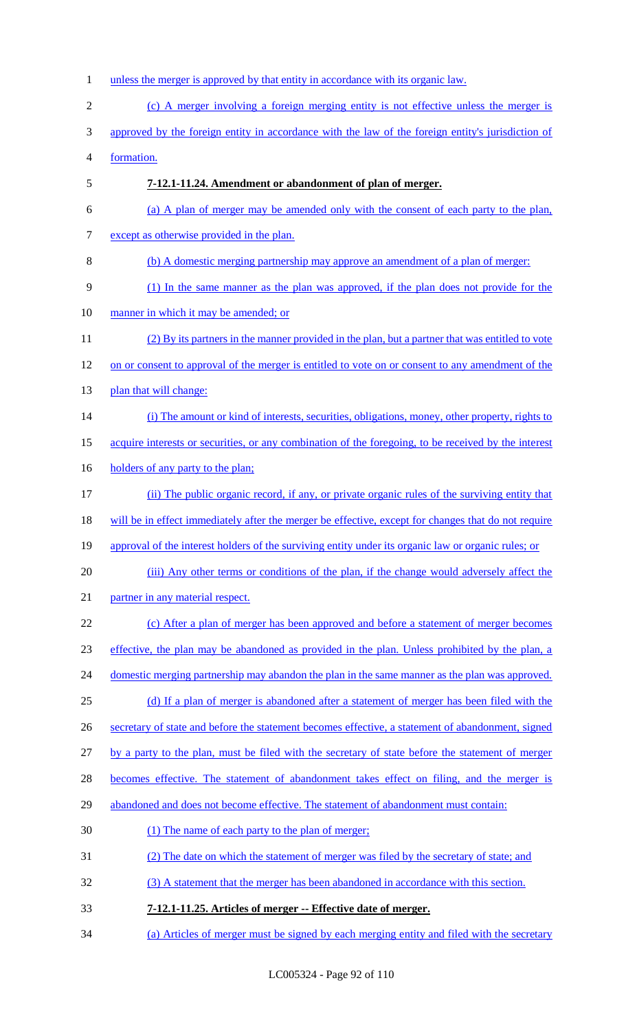unless the merger is approved by that entity in accordance with its organic law. (c) A merger involving a foreign merging entity is not effective unless the merger is approved by the foreign entity in accordance with the law of the foreign entity's jurisdiction of formation. **7-12.1-11.24. Amendment or abandonment of plan of merger.**  (a) A plan of merger may be amended only with the consent of each party to the plan, 7 except as otherwise provided in the plan. (b) A domestic merging partnership may approve an amendment of a plan of merger: (1) In the same manner as the plan was approved, if the plan does not provide for the manner in which it may be amended; or (2) By its partners in the manner provided in the plan, but a partner that was entitled to vote on or consent to approval of the merger is entitled to vote on or consent to any amendment of the 13 plan that will change: 14 (i) The amount or kind of interests, securities, obligations, money, other property, rights to acquire interests or securities, or any combination of the foregoing, to be received by the interest 16 holders of any party to the plan; (ii) The public organic record, if any, or private organic rules of the surviving entity that 18 will be in effect immediately after the merger be effective, except for changes that do not require approval of the interest holders of the surviving entity under its organic law or organic rules; or 20 (iii) Any other terms or conditions of the plan, if the change would adversely affect the partner in any material respect. 22 (c) After a plan of merger has been approved and before a statement of merger becomes effective, the plan may be abandoned as provided in the plan. Unless prohibited by the plan, a 24 domestic merging partnership may abandon the plan in the same manner as the plan was approved. (d) If a plan of merger is abandoned after a statement of merger has been filed with the 26 secretary of state and before the statement becomes effective, a statement of abandonment, signed by a party to the plan, must be filed with the secretary of state before the statement of merger becomes effective. The statement of abandonment takes effect on filing, and the merger is 29 abandoned and does not become effective. The statement of abandonment must contain: (1) The name of each party to the plan of merger; (2) The date on which the statement of merger was filed by the secretary of state; and (3) A statement that the merger has been abandoned in accordance with this section. **7-12.1-11.25. Articles of merger -- Effective date of merger.**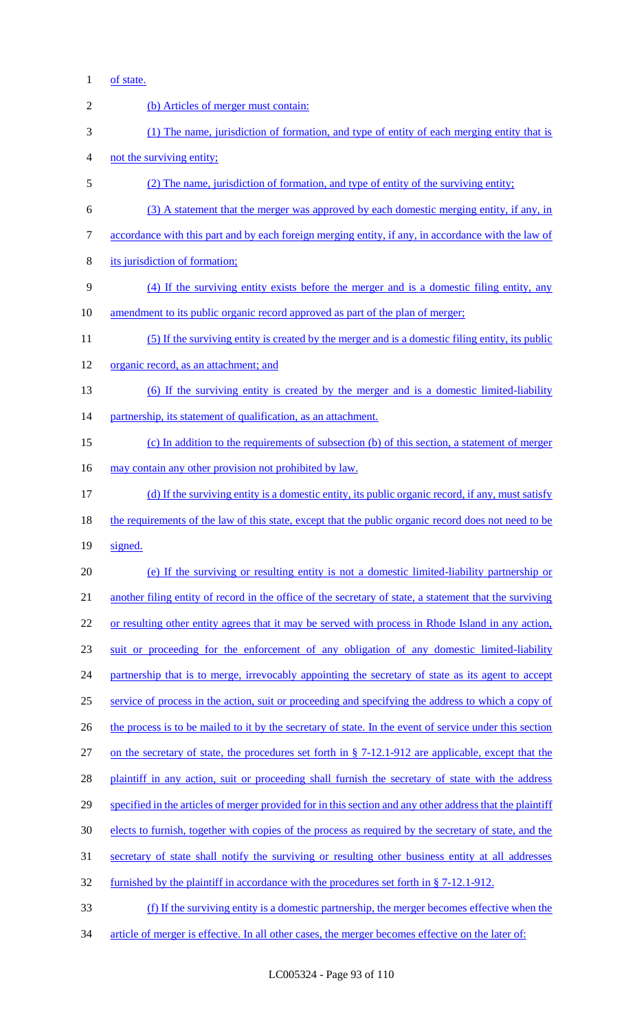1 of state.

| $\overline{2}$ | (b) Articles of merger must contain:                                                                      |
|----------------|-----------------------------------------------------------------------------------------------------------|
| 3              | (1) The name, jurisdiction of formation, and type of entity of each merging entity that is                |
| 4              | not the surviving entity;                                                                                 |
| 5              | (2) The name, jurisdiction of formation, and type of entity of the surviving entity;                      |
| 6              | (3) A statement that the merger was approved by each domestic merging entity, if any, in                  |
| 7              | accordance with this part and by each foreign merging entity, if any, in accordance with the law of       |
| 8              | its jurisdiction of formation;                                                                            |
| 9              | (4) If the surviving entity exists before the merger and is a domestic filing entity, any                 |
| 10             | amendment to its public organic record approved as part of the plan of merger;                            |
| 11             | (5) If the surviving entity is created by the merger and is a domestic filing entity, its public          |
| 12             | organic record, as an attachment; and                                                                     |
| 13             | (6) If the surviving entity is created by the merger and is a domestic limited-liability                  |
| 14             | partnership, its statement of qualification, as an attachment.                                            |
| 15             | (c) In addition to the requirements of subsection (b) of this section, a statement of merger              |
| 16             | may contain any other provision not prohibited by law.                                                    |
| 17             | (d) If the surviving entity is a domestic entity, its public organic record, if any, must satisfy         |
| 18             | the requirements of the law of this state, except that the public organic record does not need to be      |
| 19             | signed.                                                                                                   |
| 20             | (e) If the surviving or resulting entity is not a domestic limited-liability partnership or               |
| 21             | another filing entity of record in the office of the secretary of state, a statement that the surviving   |
| 22             | or resulting other entity agrees that it may be served with process in Rhode Island in any action,        |
| 23             | suit or proceeding for the enforcement of any obligation of any domestic limited-liability                |
| 24             | partnership that is to merge, irrevocably appointing the secretary of state as its agent to accept        |
| 25             | service of process in the action, suit or proceeding and specifying the address to which a copy of        |
| 26             | the process is to be mailed to it by the secretary of state. In the event of service under this section   |
| 27             | on the secretary of state, the procedures set forth in $\S$ 7-12.1-912 are applicable, except that the    |
| 28             | plaintiff in any action, suit or proceeding shall furnish the secretary of state with the address         |
| 29             | specified in the articles of merger provided for in this section and any other address that the plaintiff |
| 30             | elects to furnish, together with copies of the process as required by the secretary of state, and the     |
| 31             | secretary of state shall notify the surviving or resulting other business entity at all addresses         |
| 32             | furnished by the plaintiff in accordance with the procedures set forth in $\S$ 7-12.1-912.                |
|                |                                                                                                           |

article of merger is effective. In all other cases, the merger becomes effective on the later of: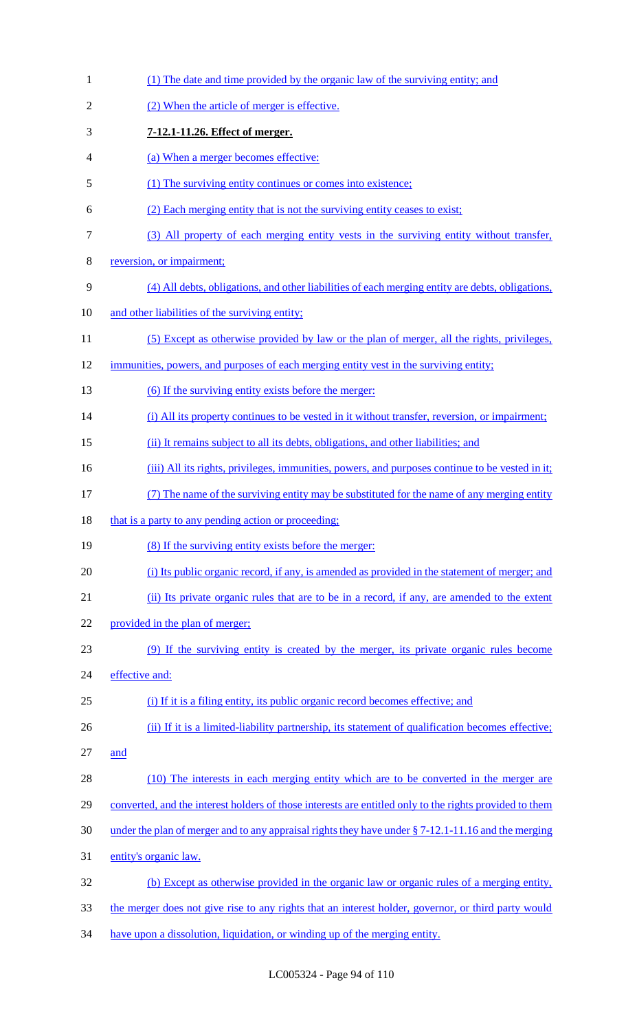| $\mathbf{1}$   | (1) The date and time provided by the organic law of the surviving entity; and                          |
|----------------|---------------------------------------------------------------------------------------------------------|
| $\overline{2}$ | (2) When the article of merger is effective.                                                            |
| 3              | 7-12.1-11.26. Effect of merger.                                                                         |
| 4              | (a) When a merger becomes effective:                                                                    |
| 5              | (1) The surviving entity continues or comes into existence;                                             |
| 6              | (2) Each merging entity that is not the surviving entity ceases to exist;                               |
| $\tau$         | (3) All property of each merging entity vests in the surviving entity without transfer,                 |
| 8              | reversion, or impairment;                                                                               |
| 9              | (4) All debts, obligations, and other liabilities of each merging entity are debts, obligations,        |
| 10             | and other liabilities of the surviving entity;                                                          |
| 11             | (5) Except as otherwise provided by law or the plan of merger, all the rights, privileges,              |
| 12             | immunities, powers, and purposes of each merging entity vest in the surviving entity;                   |
| 13             | (6) If the surviving entity exists before the merger:                                                   |
| 14             | (i) All its property continues to be vested in it without transfer, reversion, or impairment;           |
| 15             | (ii) It remains subject to all its debts, obligations, and other liabilities; and                       |
| 16             | (iii) All its rights, privileges, immunities, powers, and purposes continue to be vested in it;         |
| 17             | (7) The name of the surviving entity may be substituted for the name of any merging entity              |
| 18             | that is a party to any pending action or proceeding:                                                    |
| 19             | (8) If the surviving entity exists before the merger:                                                   |
| 20             | (i) Its public organic record, if any, is amended as provided in the statement of merger; and           |
| 21             | (ii) Its private organic rules that are to be in a record, if any, are amended to the extent            |
| 22             | provided in the plan of merger;                                                                         |
| 23             | (9) If the surviving entity is created by the merger, its private organic rules become                  |
| 24             | effective and:                                                                                          |
| 25             | (i) If it is a filing entity, its public organic record becomes effective; and                          |
| 26             | (ii) If it is a limited-liability partnership, its statement of qualification becomes effective;        |
| 27             | and                                                                                                     |
| 28             | (10) The interests in each merging entity which are to be converted in the merger are                   |
| 29             | converted, and the interest holders of those interests are entitled only to the rights provided to them |
| 30             | under the plan of merger and to any appraisal rights they have under § 7-12.1-11.16 and the merging     |
| 31             | entity's organic law.                                                                                   |
| 32             | (b) Except as otherwise provided in the organic law or organic rules of a merging entity,               |
| 33             | the merger does not give rise to any rights that an interest holder, governor, or third party would     |
| 34             | have upon a dissolution, liquidation, or winding up of the merging entity.                              |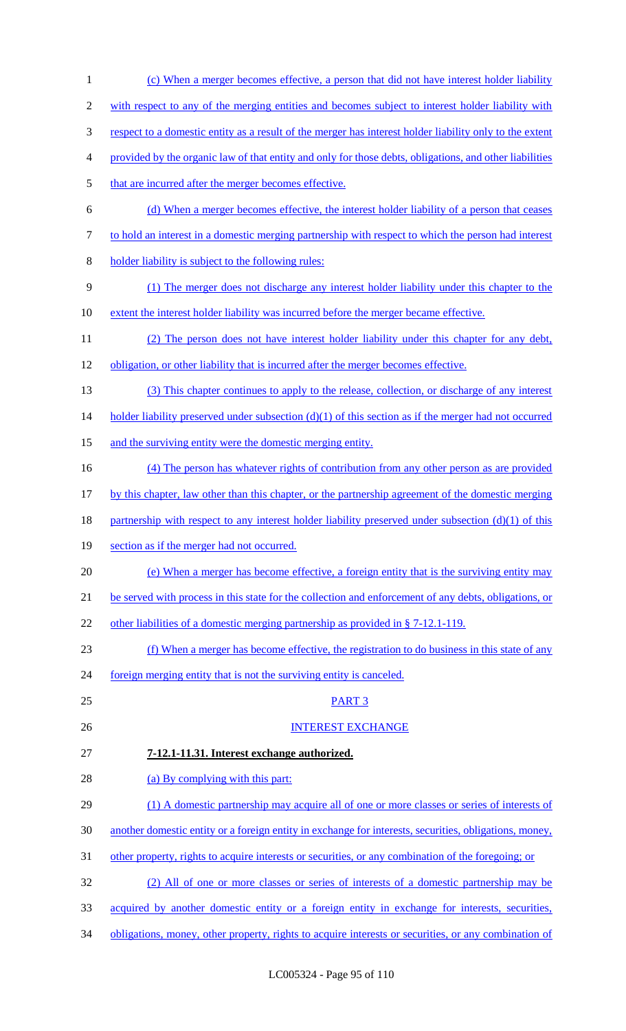| $\mathbf{1}$   | (c) When a merger becomes effective, a person that did not have interest holder liability               |
|----------------|---------------------------------------------------------------------------------------------------------|
| $\overline{2}$ | with respect to any of the merging entities and becomes subject to interest holder liability with       |
| $\mathfrak{Z}$ | respect to a domestic entity as a result of the merger has interest holder liability only to the extent |
| $\overline{4}$ | provided by the organic law of that entity and only for those debts, obligations, and other liabilities |
| 5              | that are incurred after the merger becomes effective.                                                   |
| 6              | (d) When a merger becomes effective, the interest holder liability of a person that ceases              |
| $\tau$         | to hold an interest in a domestic merging partnership with respect to which the person had interest     |
| $8\,$          | holder liability is subject to the following rules:                                                     |
| 9              | (1) The merger does not discharge any interest holder liability under this chapter to the               |
| 10             | extent the interest holder liability was incurred before the merger became effective.                   |
| 11             | (2) The person does not have interest holder liability under this chapter for any debt,                 |
| 12             | obligation, or other liability that is incurred after the merger becomes effective.                     |
| 13             | (3) This chapter continues to apply to the release, collection, or discharge of any interest            |
| 14             | holder liability preserved under subsection $(d)(1)$ of this section as if the merger had not occurred  |
| 15             | and the surviving entity were the domestic merging entity.                                              |
| 16             | (4) The person has whatever rights of contribution from any other person as are provided                |
| 17             | by this chapter, law other than this chapter, or the partnership agreement of the domestic merging      |
| 18             | partnership with respect to any interest holder liability preserved under subsection $(d)(1)$ of this   |
| 19             | section as if the merger had not occurred.                                                              |
| 20             | (e) When a merger has become effective, a foreign entity that is the surviving entity may               |
| 21             | be served with process in this state for the collection and enforcement of any debts, obligations, or   |
| 22             | other liabilities of a domestic merging partnership as provided in § 7-12.1-119.                        |
| 23             | (f) When a merger has become effective, the registration to do business in this state of any            |
| 24             | foreign merging entity that is not the surviving entity is canceled.                                    |
| 25             | PART <sub>3</sub>                                                                                       |
| 26             | <b>INTEREST EXCHANGE</b>                                                                                |
| 27             | 7-12.1-11.31. Interest exchange authorized.                                                             |
| 28             | (a) By complying with this part:                                                                        |
| 29             | (1) A domestic partnership may acquire all of one or more classes or series of interests of             |
| 30             | another domestic entity or a foreign entity in exchange for interests, securities, obligations, money,  |
| 31             | other property, rights to acquire interests or securities, or any combination of the foregoing; or      |
| 32             | (2) All of one or more classes or series of interests of a domestic partnership may be                  |
| 33             | acquired by another domestic entity or a foreign entity in exchange for interests, securities,          |
| 34             | obligations, money, other property, rights to acquire interests or securities, or any combination of    |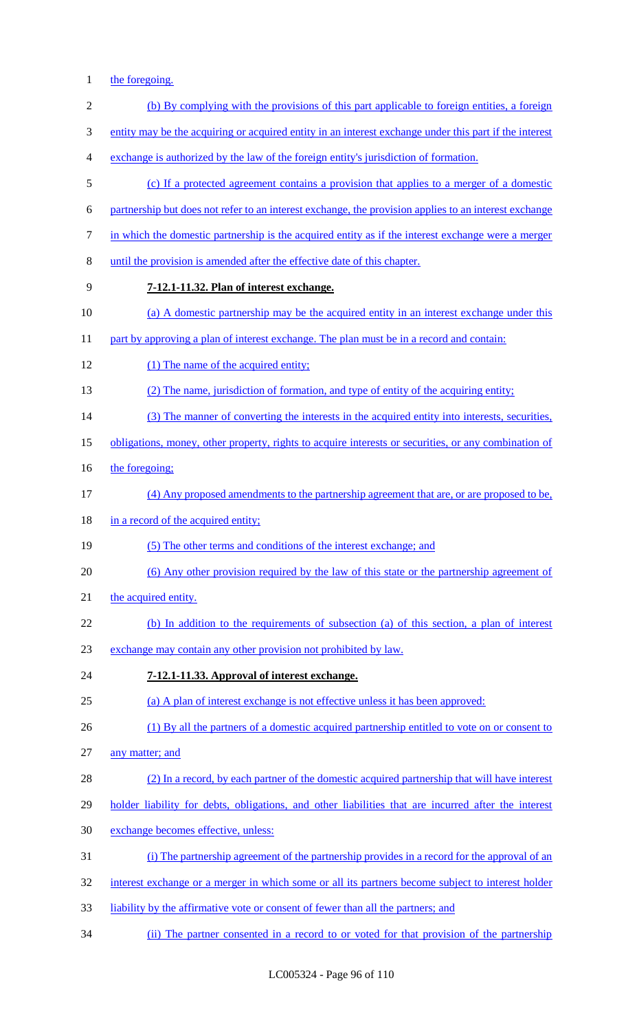1 the foregoing.

| $\overline{2}$ | (b) By complying with the provisions of this part applicable to foreign entities, a foreign            |
|----------------|--------------------------------------------------------------------------------------------------------|
| 3              | entity may be the acquiring or acquired entity in an interest exchange under this part if the interest |
| $\overline{4}$ | exchange is authorized by the law of the foreign entity's jurisdiction of formation.                   |
| $\mathfrak{S}$ | (c) If a protected agreement contains a provision that applies to a merger of a domestic               |
| 6              | partnership but does not refer to an interest exchange, the provision applies to an interest exchange  |
| $\tau$         | in which the domestic partnership is the acquired entity as if the interest exchange were a merger     |
| 8              | until the provision is amended after the effective date of this chapter.                               |
| 9              | 7-12.1-11.32. Plan of interest exchange.                                                               |
| 10             | (a) A domestic partnership may be the acquired entity in an interest exchange under this               |
| 11             | part by approving a plan of interest exchange. The plan must be in a record and contain:               |
| 12             | (1) The name of the acquired entity;                                                                   |
| 13             | (2) The name, jurisdiction of formation, and type of entity of the acquiring entity;                   |
| 14             | (3) The manner of converting the interests in the acquired entity into interests, securities,          |
| 15             | obligations, money, other property, rights to acquire interests or securities, or any combination of   |
| 16             | the foregoing;                                                                                         |
| 17             | (4) Any proposed amendments to the partnership agreement that are, or are proposed to be,              |
| 18             | in a record of the acquired entity;                                                                    |
| 19             | (5) The other terms and conditions of the interest exchange; and                                       |
| 20             | (6) Any other provision required by the law of this state or the partnership agreement of              |
| 21             | the acquired entity.                                                                                   |
| 22             | (b) In addition to the requirements of subsection (a) of this section, a plan of interest              |
| 23             | exchange may contain any other provision not prohibited by law.                                        |
| 24             | 7-12.1-11.33. Approval of interest exchange.                                                           |
| 25             | (a) A plan of interest exchange is not effective unless it has been approved:                          |
| 26             | (1) By all the partners of a domestic acquired partnership entitled to vote on or consent to           |
| 27             | any matter; and                                                                                        |
| 28             | (2) In a record, by each partner of the domestic acquired partnership that will have interest          |
| 29             | holder liability for debts, obligations, and other liabilities that are incurred after the interest    |
| 30             | exchange becomes effective, unless:                                                                    |
| 31             | (i) The partnership agreement of the partnership provides in a record for the approval of an           |
| 32             | interest exchange or a merger in which some or all its partners become subject to interest holder      |
| 33             | liability by the affirmative vote or consent of fewer than all the partners; and                       |
| 34             | (ii) The partner consented in a record to or voted for that provision of the partnership               |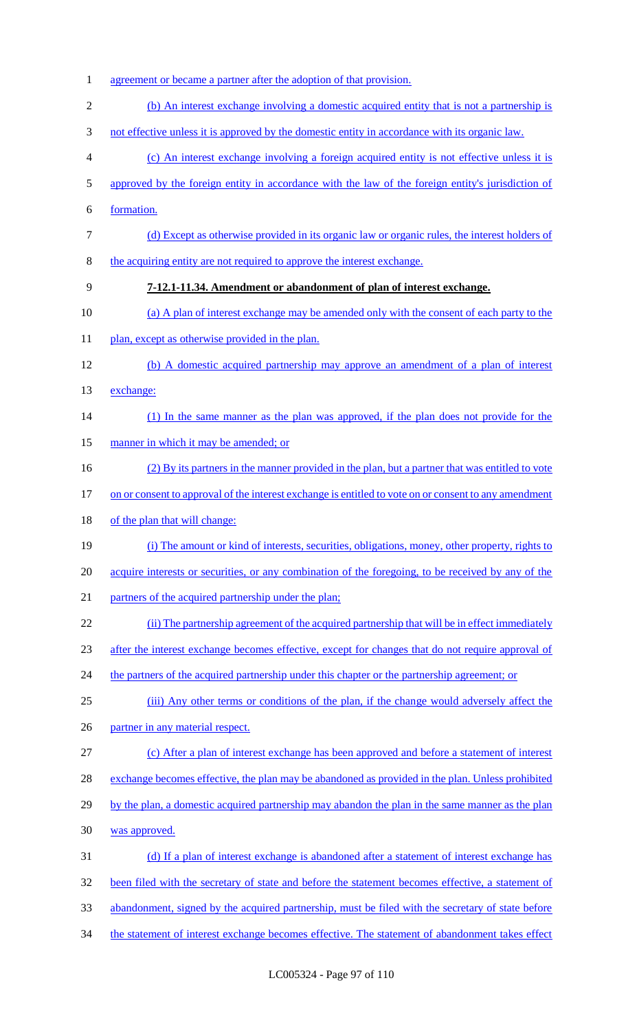1 agreement or became a partner after the adoption of that provision. (b) An interest exchange involving a domestic acquired entity that is not a partnership is 3 not effective unless it is approved by the domestic entity in accordance with its organic law. (c) An interest exchange involving a foreign acquired entity is not effective unless it is approved by the foreign entity in accordance with the law of the foreign entity's jurisdiction of formation. (d) Except as otherwise provided in its organic law or organic rules, the interest holders of the acquiring entity are not required to approve the interest exchange. **7-12.1-11.34. Amendment or abandonment of plan of interest exchange.**  (a) A plan of interest exchange may be amended only with the consent of each party to the 11 plan, except as otherwise provided in the plan. (b) A domestic acquired partnership may approve an amendment of a plan of interest exchange: 14 (1) In the same manner as the plan was approved, if the plan does not provide for the 15 manner in which it may be amended; or (2) By its partners in the manner provided in the plan, but a partner that was entitled to vote 17 on or consent to approval of the interest exchange is entitled to vote on or consent to any amendment 18 of the plan that will change: (i) The amount or kind of interests, securities, obligations, money, other property, rights to acquire interests or securities, or any combination of the foregoing, to be received by any of the 21 partners of the acquired partnership under the plan; (ii) The partnership agreement of the acquired partnership that will be in effect immediately after the interest exchange becomes effective, except for changes that do not require approval of 24 the partners of the acquired partnership under this chapter or the partnership agreement; or (iii) Any other terms or conditions of the plan, if the change would adversely affect the 26 partner in any material respect. (c) After a plan of interest exchange has been approved and before a statement of interest exchange becomes effective, the plan may be abandoned as provided in the plan. Unless prohibited 29 by the plan, a domestic acquired partnership may abandon the plan in the same manner as the plan was approved. (d) If a plan of interest exchange is abandoned after a statement of interest exchange has been filed with the secretary of state and before the statement becomes effective, a statement of abandonment, signed by the acquired partnership, must be filed with the secretary of state before 34 the statement of interest exchange becomes effective. The statement of abandonment takes effect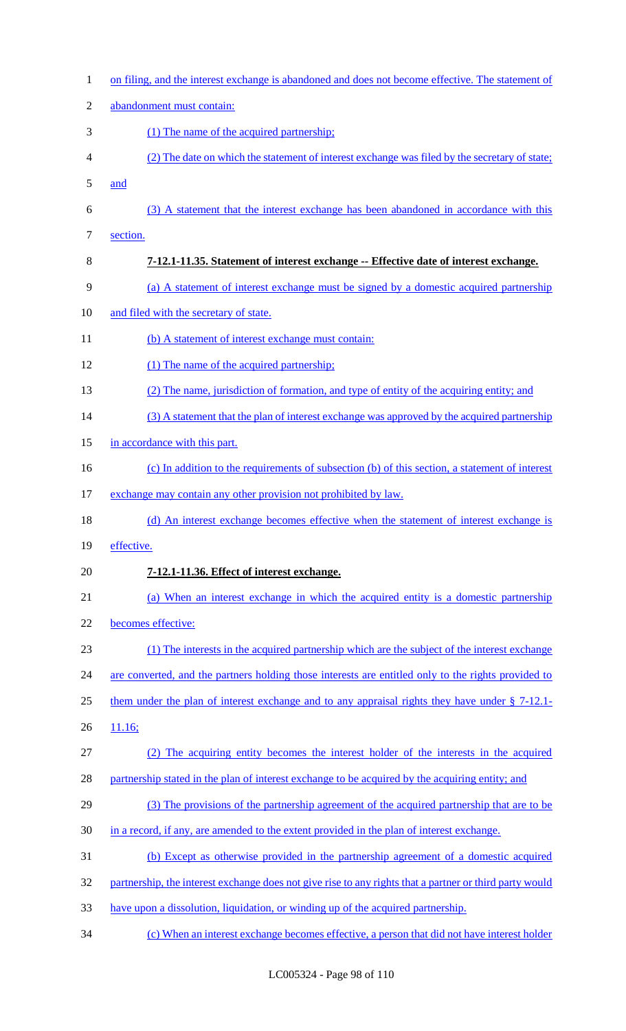| $\mathbf{1}$   | on filing, and the interest exchange is abandoned and does not become effective. The statement of       |
|----------------|---------------------------------------------------------------------------------------------------------|
| $\overline{2}$ | abandonment must contain:                                                                               |
| 3              | (1) The name of the acquired partnership:                                                               |
| $\overline{4}$ | (2) The date on which the statement of interest exchange was filed by the secretary of state;           |
| 5              | and                                                                                                     |
| 6              | (3) A statement that the interest exchange has been abandoned in accordance with this                   |
| $\overline{7}$ | section.                                                                                                |
| 8              | 7-12.1-11.35. Statement of interest exchange -- Effective date of interest exchange.                    |
| 9              | (a) A statement of interest exchange must be signed by a domestic acquired partnership                  |
| 10             | and filed with the secretary of state.                                                                  |
| 11             | (b) A statement of interest exchange must contain:                                                      |
| 12             | (1) The name of the acquired partnership;                                                               |
| 13             | (2) The name, jurisdiction of formation, and type of entity of the acquiring entity; and                |
| 14             | (3) A statement that the plan of interest exchange was approved by the acquired partnership             |
| 15             | in accordance with this part.                                                                           |
| 16             | (c) In addition to the requirements of subsection (b) of this section, a statement of interest          |
| 17             | exchange may contain any other provision not prohibited by law.                                         |
| 18             | (d) An interest exchange becomes effective when the statement of interest exchange is                   |
| 19             | effective.                                                                                              |
| 20             | 7-12.1-11.36. Effect of interest exchange.                                                              |
| 21             | (a) When an interest exchange in which the acquired entity is a domestic partnership                    |
| 22             | becomes effective:                                                                                      |
| 23             | (1) The interests in the acquired partnership which are the subject of the interest exchange            |
| 24             | are converted, and the partners holding those interests are entitled only to the rights provided to     |
| 25             | them under the plan of interest exchange and to any appraisal rights they have under $\S$ 7-12.1-       |
| 26             | 11.16;                                                                                                  |
| 27             | (2) The acquiring entity becomes the interest holder of the interests in the acquired                   |
| 28             | partnership stated in the plan of interest exchange to be acquired by the acquiring entity; and         |
| 29             | (3) The provisions of the partnership agreement of the acquired partnership that are to be              |
| 30             | in a record, if any, are amended to the extent provided in the plan of interest exchange.               |
| 31             | (b) Except as otherwise provided in the partnership agreement of a domestic acquired                    |
| 32             | partnership, the interest exchange does not give rise to any rights that a partner or third party would |
| 33             | have upon a dissolution, liquidation, or winding up of the acquired partnership.                        |
| 34             | (c) When an interest exchange becomes effective, a person that did not have interest holder             |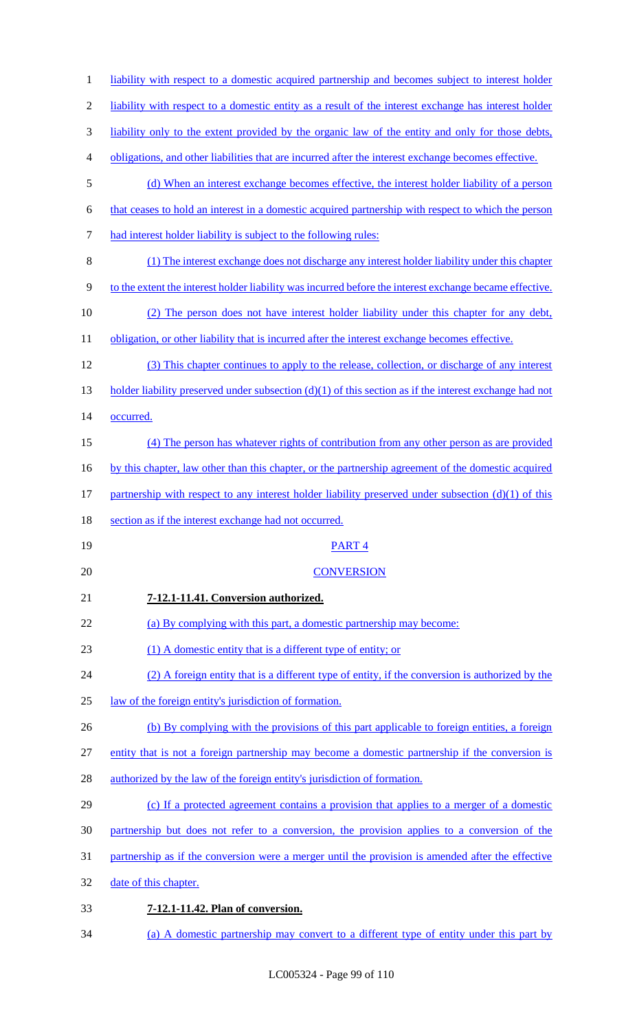| $\mathbf{1}$   | liability with respect to a domestic acquired partnership and becomes subject to interest holder         |
|----------------|----------------------------------------------------------------------------------------------------------|
| $\overline{2}$ | liability with respect to a domestic entity as a result of the interest exchange has interest holder     |
| $\mathfrak{Z}$ | liability only to the extent provided by the organic law of the entity and only for those debts,         |
| $\overline{4}$ | obligations, and other liabilities that are incurred after the interest exchange becomes effective.      |
| $\mathfrak{S}$ | (d) When an interest exchange becomes effective, the interest holder liability of a person               |
| 6              | that ceases to hold an interest in a domestic acquired partnership with respect to which the person      |
| $\tau$         | had interest holder liability is subject to the following rules:                                         |
| $\,8\,$        | (1) The interest exchange does not discharge any interest holder liability under this chapter            |
| 9              | to the extent the interest holder liability was incurred before the interest exchange became effective.  |
| 10             | (2) The person does not have interest holder liability under this chapter for any debt,                  |
| 11             | obligation, or other liability that is incurred after the interest exchange becomes effective.           |
| 12             | (3) This chapter continues to apply to the release, collection, or discharge of any interest             |
| 13             | holder liability preserved under subsection $(d)(1)$ of this section as if the interest exchange had not |
| 14             | occurred.                                                                                                |
| 15             | (4) The person has whatever rights of contribution from any other person as are provided                 |
| 16             | by this chapter, law other than this chapter, or the partnership agreement of the domestic acquired      |
| 17             | partnership with respect to any interest holder liability preserved under subsection $(d)(1)$ of this    |
|                |                                                                                                          |
| 18             | section as if the interest exchange had not occurred.                                                    |
| 19             | PART <sub>4</sub>                                                                                        |
| 20             | <b>CONVERSION</b>                                                                                        |
| 21             | 7-12.1-11.41. Conversion authorized.                                                                     |
| 22             | (a) By complying with this part, a domestic partnership may become:                                      |
| 23             | (1) A domestic entity that is a different type of entity; or                                             |
| 24             | (2) A foreign entity that is a different type of entity, if the conversion is authorized by the          |
| 25             | law of the foreign entity's jurisdiction of formation.                                                   |
| 26             | (b) By complying with the provisions of this part applicable to foreign entities, a foreign              |
| 27             | entity that is not a foreign partnership may become a domestic partnership if the conversion is          |
| 28             | authorized by the law of the foreign entity's jurisdiction of formation.                                 |
| 29             | (c) If a protected agreement contains a provision that applies to a merger of a domestic                 |
| 30             | partnership but does not refer to a conversion, the provision applies to a conversion of the             |
| 31             | partnership as if the conversion were a merger until the provision is amended after the effective        |
| 32             | date of this chapter.                                                                                    |
| 33             | 7-12.1-11.42. Plan of conversion.                                                                        |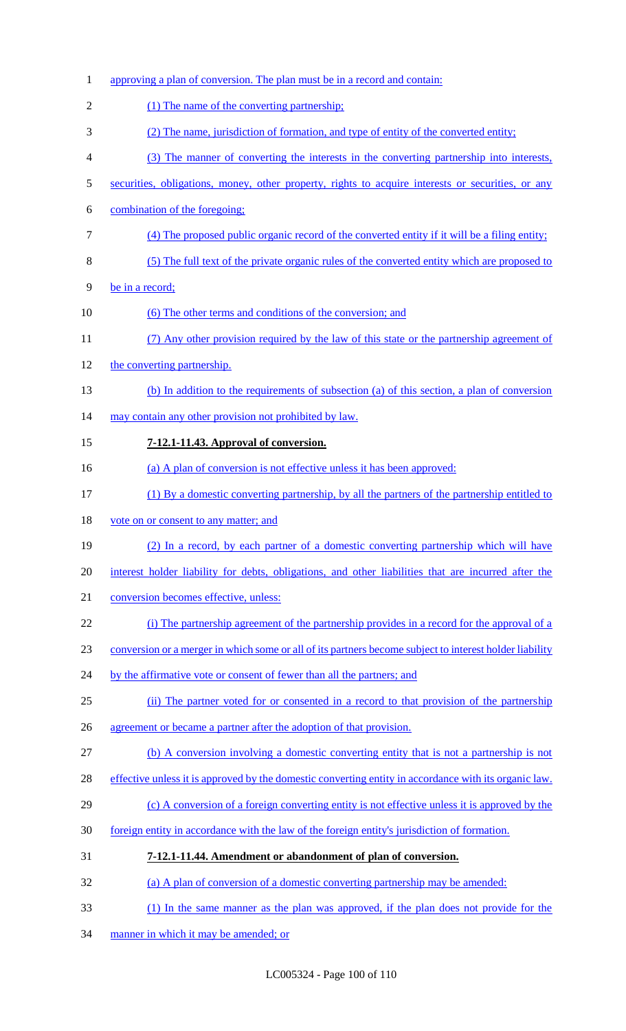| $\mathbf{1}$   | approving a plan of conversion. The plan must be in a record and contain:                               |
|----------------|---------------------------------------------------------------------------------------------------------|
| $\overline{2}$ | (1) The name of the converting partnership;                                                             |
| 3              | (2) The name, jurisdiction of formation, and type of entity of the converted entity;                    |
| 4              | (3) The manner of converting the interests in the converting partnership into interests,                |
| 5              | securities, obligations, money, other property, rights to acquire interests or securities, or any       |
| 6              | combination of the foregoing;                                                                           |
| $\tau$         | (4) The proposed public organic record of the converted entity if it will be a filing entity;           |
| $8\,$          | (5) The full text of the private organic rules of the converted entity which are proposed to            |
| 9              | be in a record;                                                                                         |
| 10             | (6) The other terms and conditions of the conversion; and                                               |
| 11             | (7) Any other provision required by the law of this state or the partnership agreement of               |
| 12             | the converting partnership.                                                                             |
| 13             | (b) In addition to the requirements of subsection (a) of this section, a plan of conversion             |
| 14             | may contain any other provision not prohibited by law.                                                  |
| 15             | 7-12.1-11.43. Approval of conversion.                                                                   |
| 16             | (a) A plan of conversion is not effective unless it has been approved:                                  |
| 17             | (1) By a domestic converting partnership, by all the partners of the partnership entitled to            |
| 18             | vote on or consent to any matter; and                                                                   |
| 19             | (2) In a record, by each partner of a domestic converting partnership which will have                   |
| 20             | interest holder liability for debts, obligations, and other liabilities that are incurred after the     |
| 21             | conversion becomes effective, unless:                                                                   |
| 22             | (i) The partnership agreement of the partnership provides in a record for the approval of a             |
| 23             | conversion or a merger in which some or all of its partners become subject to interest holder liability |
| 24             | by the affirmative vote or consent of fewer than all the partners; and                                  |
| 25             | (ii) The partner voted for or consented in a record to that provision of the partnership                |
| 26             | agreement or became a partner after the adoption of that provision.                                     |
| 27             | (b) A conversion involving a domestic converting entity that is not a partnership is not                |
| 28             | effective unless it is approved by the domestic converting entity in accordance with its organic law.   |
| 29             | (c) A conversion of a foreign converting entity is not effective unless it is approved by the           |
| 30             | foreign entity in accordance with the law of the foreign entity's jurisdiction of formation.            |
| 31             | 7-12.1-11.44. Amendment or abandonment of plan of conversion.                                           |
| 32             | (a) A plan of conversion of a domestic converting partnership may be amended:                           |
| 33             | (1) In the same manner as the plan was approved, if the plan does not provide for the                   |
| 34             | manner in which it may be amended; or                                                                   |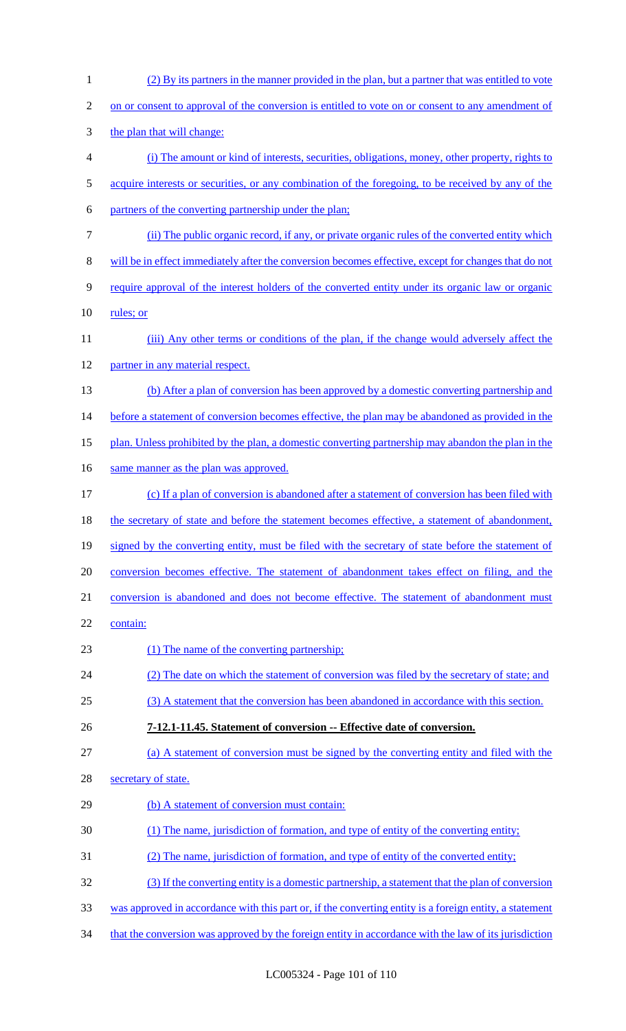| $\mathbf{1}$   | (2) By its partners in the manner provided in the plan, but a partner that was entitled to vote         |
|----------------|---------------------------------------------------------------------------------------------------------|
| $\overline{c}$ | on or consent to approval of the conversion is entitled to vote on or consent to any amendment of       |
| 3              | the plan that will change:                                                                              |
| 4              | (i) The amount or kind of interests, securities, obligations, money, other property, rights to          |
| 5              | acquire interests or securities, or any combination of the foregoing, to be received by any of the      |
| 6              | partners of the converting partnership under the plan;                                                  |
| 7              | (ii) The public organic record, if any, or private organic rules of the converted entity which          |
| 8              | will be in effect immediately after the conversion becomes effective, except for changes that do not    |
| 9              | require approval of the interest holders of the converted entity under its organic law or organic       |
| 10             | rules; or                                                                                               |
| 11             | (iii) Any other terms or conditions of the plan, if the change would adversely affect the               |
| 12             | partner in any material respect.                                                                        |
| 13             | (b) After a plan of conversion has been approved by a domestic converting partnership and               |
| 14             | before a statement of conversion becomes effective, the plan may be abandoned as provided in the        |
| 15             | plan. Unless prohibited by the plan, a domestic converting partnership may abandon the plan in the      |
| 16             | same manner as the plan was approved.                                                                   |
| 17             | (c) If a plan of conversion is abandoned after a statement of conversion has been filed with            |
| 18             | the secretary of state and before the statement becomes effective, a statement of abandonment,          |
| 19             | signed by the converting entity, must be filed with the secretary of state before the statement of      |
| 20             | conversion becomes effective. The statement of abandonment takes effect on filing, and the              |
| 21             | conversion is abandoned and does not become effective. The statement of abandonment must                |
| 22             | contain:                                                                                                |
| 23             | (1) The name of the converting partnership;                                                             |
| 24             | (2) The date on which the statement of conversion was filed by the secretary of state; and              |
| 25             | (3) A statement that the conversion has been abandoned in accordance with this section.                 |
| 26             | 7-12.1-11.45. Statement of conversion -- Effective date of conversion.                                  |
| 27             | (a) A statement of conversion must be signed by the converting entity and filed with the                |
| 28             | secretary of state.                                                                                     |
| 29             | (b) A statement of conversion must contain:                                                             |
| 30             | (1) The name, jurisdiction of formation, and type of entity of the converting entity;                   |
| 31             | (2) The name, jurisdiction of formation, and type of entity of the converted entity;                    |
| 32             | (3) If the converting entity is a domestic partnership, a statement that the plan of conversion         |
| 33             | was approved in accordance with this part or, if the converting entity is a foreign entity, a statement |
| 34             | that the conversion was approved by the foreign entity in accordance with the law of its jurisdiction   |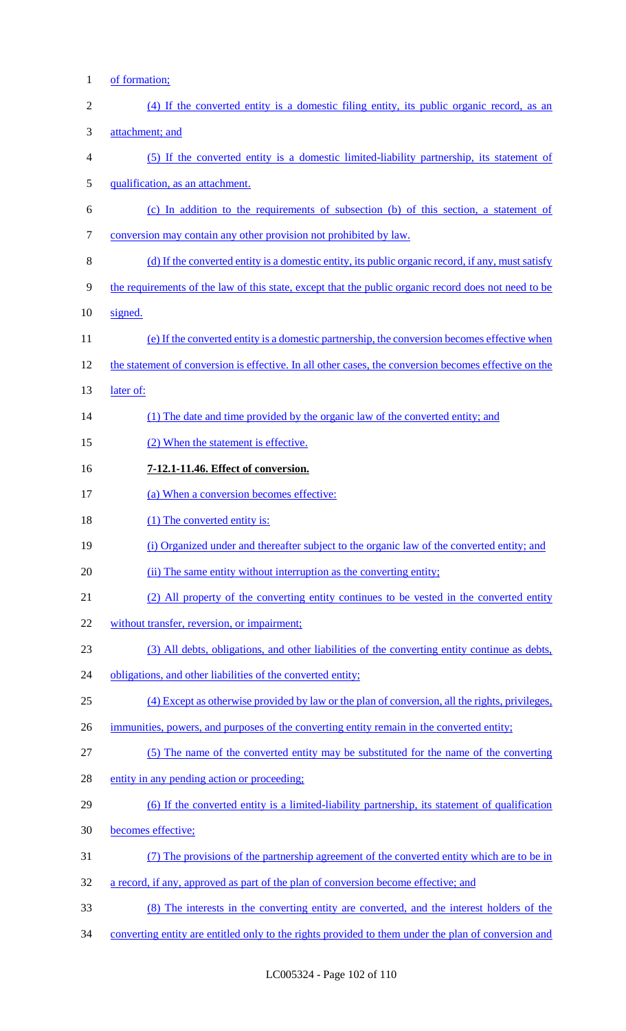of formation; (4) If the converted entity is a domestic filing entity, its public organic record, as an attachment; and (5) If the converted entity is a domestic limited-liability partnership, its statement of qualification, as an attachment. (c) In addition to the requirements of subsection (b) of this section, a statement of conversion may contain any other provision not prohibited by law. (d) If the converted entity is a domestic entity, its public organic record, if any, must satisfy the requirements of the law of this state, except that the public organic record does not need to be signed. (e) If the converted entity is a domestic partnership, the conversion becomes effective when the statement of conversion is effective. In all other cases, the conversion becomes effective on the 13 later of: 14 (1) The date and time provided by the organic law of the converted entity; and 15 (2) When the statement is effective. **7-12.1-11.46. Effect of conversion.**  17 (a) When a conversion becomes effective: 18 (1) The converted entity is: (i) Organized under and thereafter subject to the organic law of the converted entity; and 20 (ii) The same entity without interruption as the converting entity; (2) All property of the converting entity continues to be vested in the converted entity 22 without transfer, reversion, or impairment; (3) All debts, obligations, and other liabilities of the converting entity continue as debts, 24 obligations, and other liabilities of the converted entity; (4) Except as otherwise provided by law or the plan of conversion, all the rights, privileges, 26 immunities, powers, and purposes of the converting entity remain in the converted entity; (5) The name of the converted entity may be substituted for the name of the converting entity in any pending action or proceeding; (6) If the converted entity is a limited-liability partnership, its statement of qualification becomes effective; (7) The provisions of the partnership agreement of the converted entity which are to be in a record, if any, approved as part of the plan of conversion become effective; and (8) The interests in the converting entity are converted, and the interest holders of the converting entity are entitled only to the rights provided to them under the plan of conversion and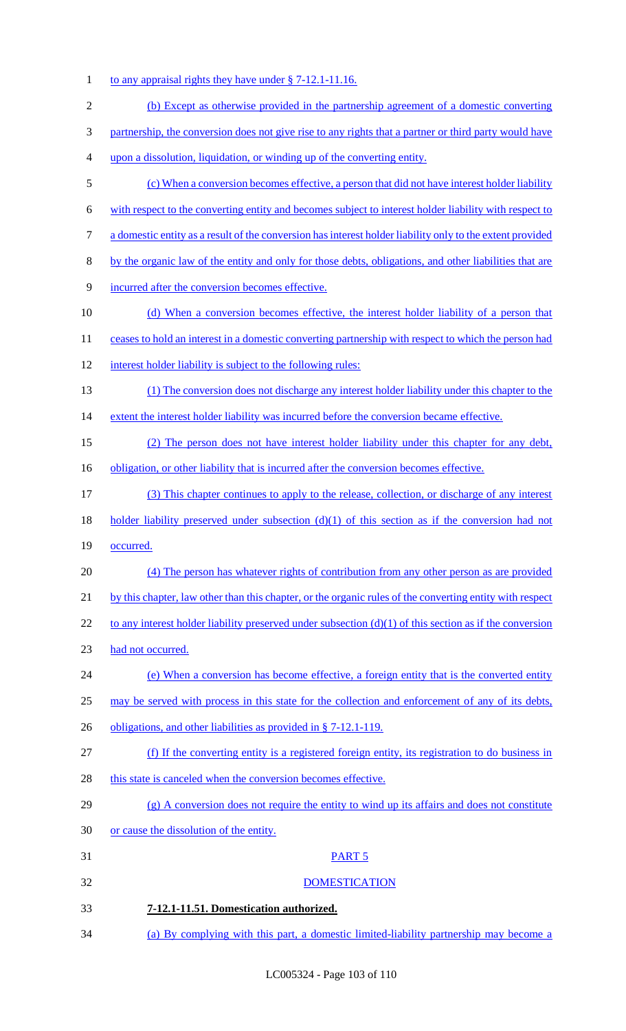- to any appraisal rights they have under § 7-12.1-11.16.
- (b) Except as otherwise provided in the partnership agreement of a domestic converting partnership, the conversion does not give rise to any rights that a partner or third party would have upon a dissolution, liquidation, or winding up of the converting entity. (c) When a conversion becomes effective, a person that did not have interest holder liability with respect to the converting entity and becomes subject to interest holder liability with respect to
- a domestic entity as a result of the conversion has interest holder liability only to the extent provided
- by the organic law of the entity and only for those debts, obligations, and other liabilities that are
- incurred after the conversion becomes effective.
- (d) When a conversion becomes effective, the interest holder liability of a person that
- 11 ceases to hold an interest in a domestic converting partnership with respect to which the person had
- 12 interest holder liability is subject to the following rules:
- (1) The conversion does not discharge any interest holder liability under this chapter to the
- 14 extent the interest holder liability was incurred before the conversion became effective.
- (2) The person does not have interest holder liability under this chapter for any debt,
- 16 obligation, or other liability that is incurred after the conversion becomes effective.
- (3) This chapter continues to apply to the release, collection, or discharge of any interest
- holder liability preserved under subsection (d)(1) of this section as if the conversion had not
- 19 occurred.
- (4) The person has whatever rights of contribution from any other person as are provided
- 21 by this chapter, law other than this chapter, or the organic rules of the converting entity with respect
- 22 to any interest holder liability preserved under subsection  $(d)(1)$  of this section as if the conversion
- had not occurred.
- (e) When a conversion has become effective, a foreign entity that is the converted entity
- may be served with process in this state for the collection and enforcement of any of its debts,
- 26 obligations, and other liabilities as provided in § 7-12.1-119.
- (f) If the converting entity is a registered foreign entity, its registration to do business in
- 28 this state is canceled when the conversion becomes effective.
- 29 (g) A conversion does not require the entity to wind up its affairs and does not constitute or cause the dissolution of the entity.
- PART 5 DOMESTICATION **7-12.1-11.51. Domestication authorized.**
- (a) By complying with this part, a domestic limited-liability partnership may become a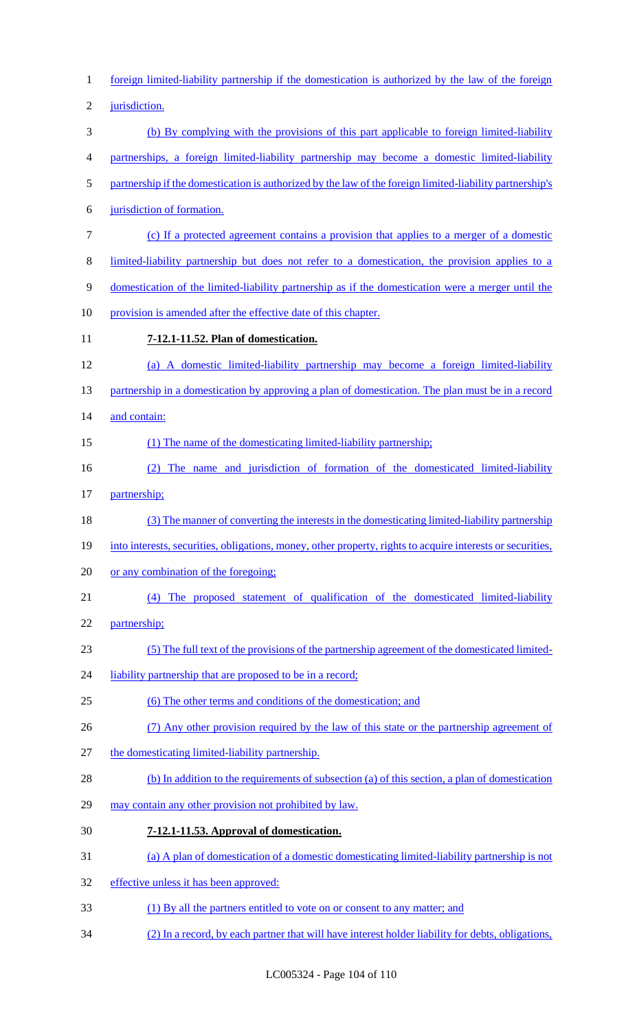| 1              | foreign limited-liability partnership if the domestication is authorized by the law of the foreign         |
|----------------|------------------------------------------------------------------------------------------------------------|
| $\overline{c}$ | jurisdiction.                                                                                              |
| 3              | (b) By complying with the provisions of this part applicable to foreign limited-liability                  |
| 4              | partnerships, a foreign limited-liability partnership may become a domestic limited-liability              |
| 5              | partnership if the domestication is authorized by the law of the foreign limited-liability partnership's   |
| 6              | jurisdiction of formation.                                                                                 |
| 7              | (c) If a protected agreement contains a provision that applies to a merger of a domestic                   |
| 8              | limited-liability partnership but does not refer to a domestication, the provision applies to a            |
| $\overline{9}$ | domestication of the limited-liability partnership as if the domestication were a merger until the         |
| 10             | provision is amended after the effective date of this chapter.                                             |
| 11             | 7-12.1-11.52. Plan of domestication.                                                                       |
| 12             | (a) A domestic limited-liability partnership may become a foreign limited-liability                        |
| 13             | partnership in a domestication by approving a plan of domestication. The plan must be in a record          |
| 14             | and contain:                                                                                               |
| 15             | (1) The name of the domesticating limited-liability partnership;                                           |
| 16             | (2) The name and jurisdiction of formation of the domesticated limited-liability                           |
| 17             | partnership;                                                                                               |
| 18             | (3) The manner of converting the interests in the domesticating limited-liability partnership              |
| 19             | into interests, securities, obligations, money, other property, rights to acquire interests or securities, |
| 20             | or any combination of the foregoing;                                                                       |
| 21             | (4) The proposed statement of qualification of the domesticated limited-liability                          |
| 22             | partnership;                                                                                               |
| 23             | (5) The full text of the provisions of the partnership agreement of the domesticated limited-              |
| 24             | liability partnership that are proposed to be in a record;                                                 |
| 25             | (6) The other terms and conditions of the domestication; and                                               |
| 26             | (7) Any other provision required by the law of this state or the partnership agreement of                  |
| 27             | the domesticating limited-liability partnership.                                                           |
| 28             | (b) In addition to the requirements of subsection (a) of this section, a plan of domestication             |
| 29             | may contain any other provision not prohibited by law.                                                     |
| 30             | 7-12.1-11.53. Approval of domestication.                                                                   |
| 31             | (a) A plan of domestication of a domestic domesticating limited-liability partnership is not               |
| 32             | effective unless it has been approved:                                                                     |
| 33             | (1) By all the partners entitled to vote on or consent to any matter; and                                  |
|                |                                                                                                            |

34 (2) In a record, by each partner that will have interest holder liability for debts, obligations,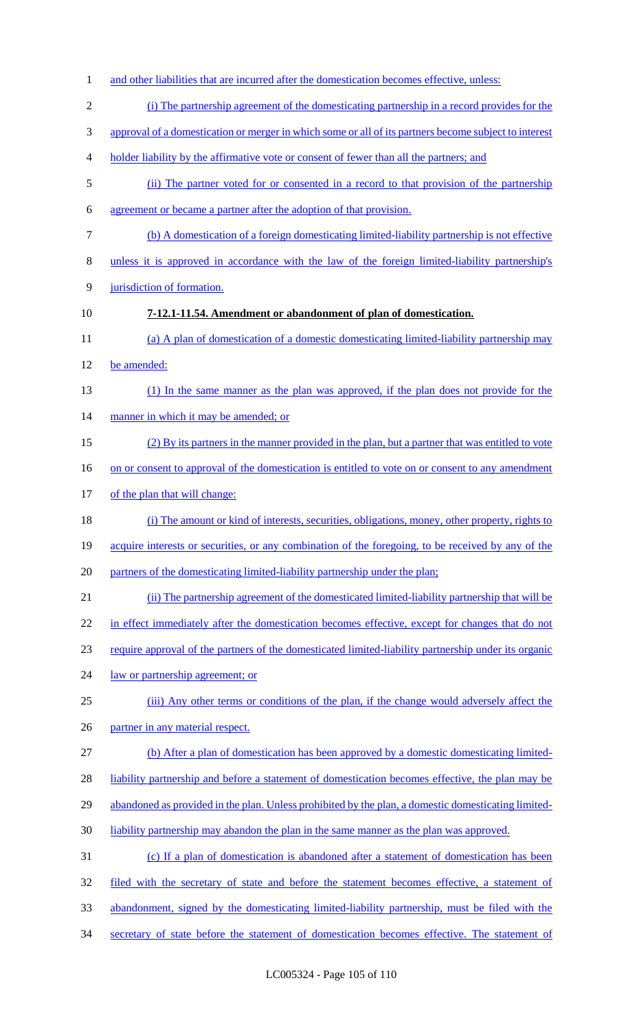- 1 and other liabilities that are incurred after the domestication becomes effective, unless: (i) The partnership agreement of the domesticating partnership in a record provides for the approval of a domestication or merger in which some or all of its partners become subject to interest holder liability by the affirmative vote or consent of fewer than all the partners; and (ii) The partner voted for or consented in a record to that provision of the partnership agreement or became a partner after the adoption of that provision. (b) A domestication of a foreign domesticating limited-liability partnership is not effective unless it is approved in accordance with the law of the foreign limited-liability partnership's jurisdiction of formation. **7-12.1-11.54. Amendment or abandonment of plan of domestication.**  11 (a) A plan of domestication of a domestic domesticating limited-liability partnership may be amended: (1) In the same manner as the plan was approved, if the plan does not provide for the 14 manner in which it may be amended; or (2) By its partners in the manner provided in the plan, but a partner that was entitled to vote 16 on or consent to approval of the domestication is entitled to vote on or consent to any amendment of the plan that will change: (i) The amount or kind of interests, securities, obligations, money, other property, rights to acquire interests or securities, or any combination of the foregoing, to be received by any of the 20 partners of the domesticating limited-liability partnership under the plan; (ii) The partnership agreement of the domesticated limited-liability partnership that will be 22 in effect immediately after the domestication becomes effective, except for changes that do not require approval of the partners of the domesticated limited-liability partnership under its organic 24 law or partnership agreement; or (iii) Any other terms or conditions of the plan, if the change would adversely affect the 26 partner in any material respect. (b) After a plan of domestication has been approved by a domestic domesticating limited-28 liability partnership and before a statement of domestication becomes effective, the plan may be 29 abandoned as provided in the plan. Unless prohibited by the plan, a domestic domesticating limited-30 liability partnership may abandon the plan in the same manner as the plan was approved. (c) If a plan of domestication is abandoned after a statement of domestication has been filed with the secretary of state and before the statement becomes effective, a statement of abandonment, signed by the domesticating limited-liability partnership, must be filed with the
- secretary of state before the statement of domestication becomes effective. The statement of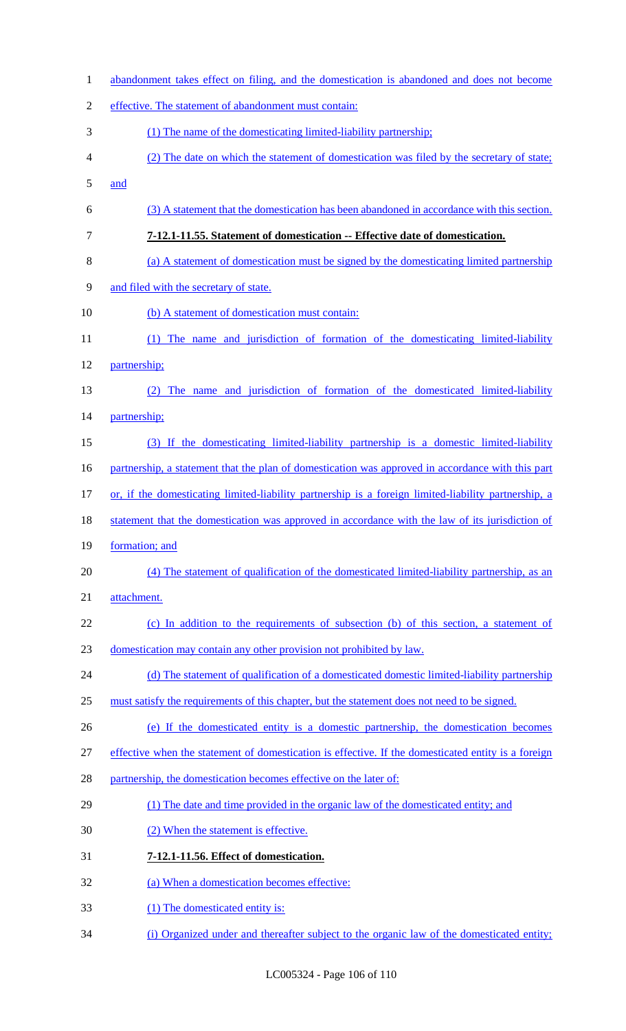| $\mathbf{1}$   | abandonment takes effect on filing, and the domestication is abandoned and does not become           |
|----------------|------------------------------------------------------------------------------------------------------|
| $\overline{2}$ | effective. The statement of abandonment must contain:                                                |
| 3              | (1) The name of the domesticating limited-liability partnership;                                     |
| $\overline{4}$ | (2) The date on which the statement of domestication was filed by the secretary of state;            |
| $\mathfrak s$  | and                                                                                                  |
| 6              | (3) A statement that the domestication has been abandoned in accordance with this section.           |
| $\tau$         | 7-12.1-11.55. Statement of domestication -- Effective date of domestication.                         |
| 8              | (a) A statement of domestication must be signed by the domesticating limited partnership             |
| 9              | and filed with the secretary of state.                                                               |
| 10             | (b) A statement of domestication must contain:                                                       |
| 11             | (1) The name and jurisdiction of formation of the domesticating limited-liability                    |
| 12             | partnership;                                                                                         |
| 13             | The name and jurisdiction of formation of the domesticated limited-liability<br>(2)                  |
| 14             | partnership;                                                                                         |
| 15             | (3) If the domesticating limited-liability partnership is a domestic limited-liability               |
| 16             | partnership, a statement that the plan of domestication was approved in accordance with this part    |
| 17             | or, if the domesticating limited-liability partnership is a foreign limited-liability partnership, a |
| 18             | statement that the domestication was approved in accordance with the law of its jurisdiction of      |
| 19             | formation; and                                                                                       |
| 20             | (4) The statement of qualification of the domesticated limited-liability partnership, as an          |
| 21             | attachment.                                                                                          |
| 22             | (c) In addition to the requirements of subsection (b) of this section, a statement of                |
| 23             | domestication may contain any other provision not prohibited by law.                                 |
| 24             | (d) The statement of qualification of a domesticated domestic limited-liability partnership          |
| 25             | must satisfy the requirements of this chapter, but the statement does not need to be signed.         |
| 26             | (e) If the domesticated entity is a domestic partnership, the domestication becomes                  |
| 27             | effective when the statement of domestication is effective. If the domesticated entity is a foreign  |
| 28             | partnership, the domestication becomes effective on the later of:                                    |
| 29             | (1) The date and time provided in the organic law of the domesticated entity; and                    |
| 30             | (2) When the statement is effective.                                                                 |
| 31             | 7-12.1-11.56. Effect of domestication.                                                               |
| 32             | (a) When a domestication becomes effective:                                                          |
| 33             | (1) The domesticated entity is:                                                                      |
| 34             | (i) Organized under and thereafter subject to the organic law of the domesticated entity;            |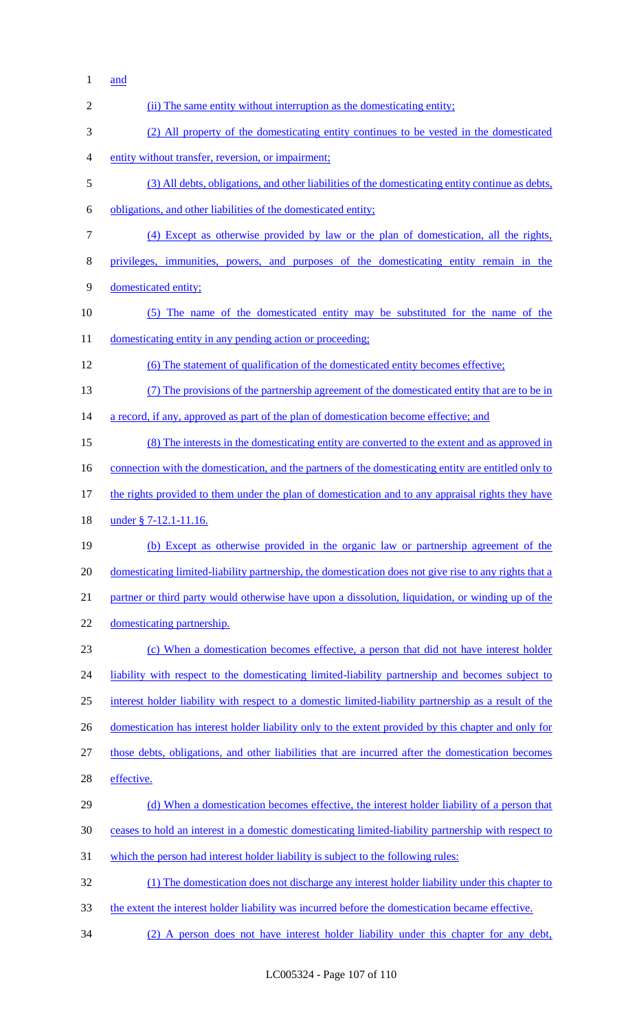and

| $\mathbf{2}$   | (ii) The same entity without interruption as the domesticating entity;                                      |
|----------------|-------------------------------------------------------------------------------------------------------------|
| 3              | (2) All property of the domesticating entity continues to be vested in the domesticated                     |
| $\overline{4}$ | entity without transfer, reversion, or impairment;                                                          |
| 5              | (3) All debts, obligations, and other liabilities of the domesticating entity continue as debts,            |
| 6              | obligations, and other liabilities of the domesticated entity;                                              |
| $\tau$         | (4) Except as otherwise provided by law or the plan of domestication, all the rights,                       |
| 8              | privileges, immunities, powers, and purposes of the domesticating entity remain in the                      |
| $\mathbf{9}$   | domesticated entity;                                                                                        |
| 10             | (5) The name of the domesticated entity may be substituted for the name of the                              |
| 11             | domesticating entity in any pending action or proceeding;                                                   |
| 12             | (6) The statement of qualification of the domesticated entity becomes effective;                            |
| 13             | (7) The provisions of the partnership agreement of the domesticated entity that are to be in                |
| 14             | a record, if any, approved as part of the plan of domestication become effective; and                       |
| 15             | (8) The interests in the domesticating entity are converted to the extent and as approved in                |
| 16             | <u>connection with the domestication, and the partners of the domesticating entity are entitled only to</u> |
| 17             | the rights provided to them under the plan of domestication and to any appraisal rights they have           |
| 18             | under § 7-12.1-11.16.                                                                                       |
| 19             | (b) Except as otherwise provided in the organic law or partnership agreement of the                         |
| 20             | domesticating limited-liability partnership, the domestication does not give rise to any rights that a      |
| 21             | partner or third party would otherwise have upon a dissolution, liquidation, or winding up of the           |
| 22             | domesticating partnership.                                                                                  |
| 23             | (c) When a domestication becomes effective, a person that did not have interest holder                      |
| 24             | liability with respect to the domesticating limited-liability partnership and becomes subject to            |
| 25             | interest holder liability with respect to a domestic limited-liability partnership as a result of the       |
| 26             | domestication has interest holder liability only to the extent provided by this chapter and only for        |
| 27             | those debts, obligations, and other liabilities that are incurred after the domestication becomes           |
| 28             | effective.                                                                                                  |
| 29             | (d) When a domestication becomes effective, the interest holder liability of a person that                  |
| 30             | ceases to hold an interest in a domestic domesticating limited-liability partnership with respect to        |
| 31             | which the person had interest holder liability is subject to the following rules:                           |
| 32             | (1) The domestication does not discharge any interest holder liability under this chapter to                |
| 33             | the extent the interest holder liability was incurred before the domestication became effective.            |
| 34             | (2) A person does not have interest holder liability under this chapter for any debt,                       |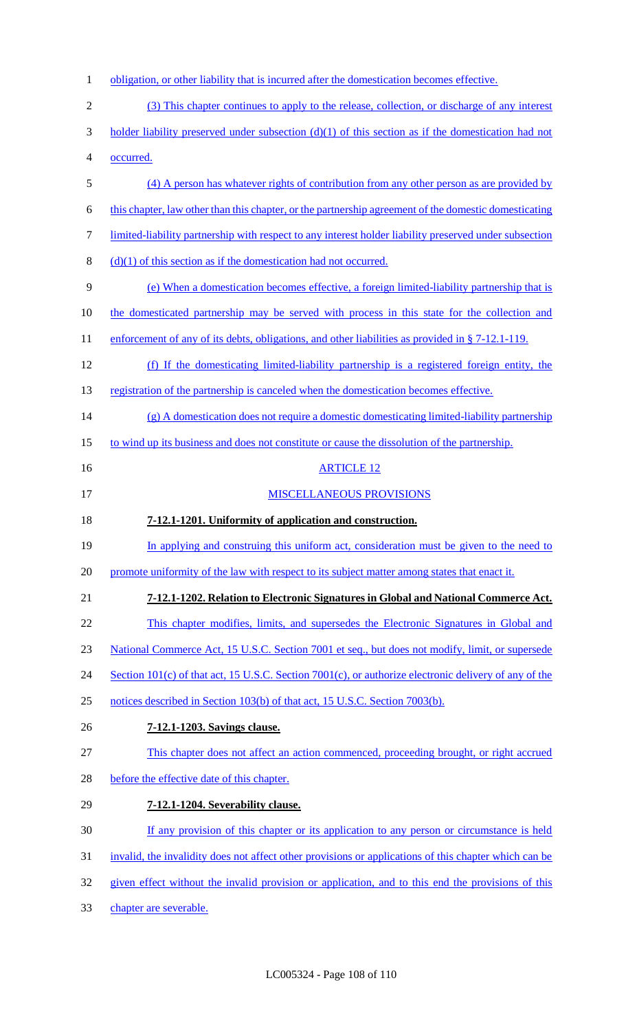| $\mathbf{1}$   | obligation, or other liability that is incurred after the domestication becomes effective.                             |
|----------------|------------------------------------------------------------------------------------------------------------------------|
| $\overline{2}$ | (3) This chapter continues to apply to the release, collection, or discharge of any interest                           |
| 3              | <u>holder liability preserved under subsection <math>(d)(1)</math> of this section as if the domestication had not</u> |
| 4              | occurred.                                                                                                              |
| 5              | (4) A person has whatever rights of contribution from any other person as are provided by                              |
| 6              | this chapter, law other than this chapter, or the partnership agreement of the domestic domesticating                  |
| 7              | limited-liability partnership with respect to any interest holder liability preserved under subsection                 |
| 8              | $(d)(1)$ of this section as if the domestication had not occurred.                                                     |
| 9              | (e) When a domestication becomes effective, a foreign limited-liability partnership that is                            |
| 10             | the domesticated partnership may be served with process in this state for the collection and                           |
| 11             | enforcement of any of its debts, obligations, and other liabilities as provided in $\S$ 7-12.1-119.                    |
| 12             | (f) If the domesticating limited-liability partnership is a registered foreign entity, the                             |
| 13             | registration of the partnership is canceled when the domestication becomes effective.                                  |
| 14             | (g) A domestication does not require a domestic domesticating limited-liability partnership                            |
| 15             | to wind up its business and does not constitute or cause the dissolution of the partnership.                           |
| 16             | <b>ARTICLE 12</b>                                                                                                      |
| 17             | <b>MISCELLANEOUS PROVISIONS</b>                                                                                        |
| 18             | 7-12.1-1201. Uniformity of application and construction.                                                               |
| 19             | In applying and construing this uniform act, consideration must be given to the need to                                |
| 20             | promote uniformity of the law with respect to its subject matter among states that enact it.                           |
| 21             | 7-12.1-1202. Relation to Electronic Signatures in Global and National Commerce Act.                                    |
| 22             | This chapter modifies, limits, and supersedes the Electronic Signatures in Global and                                  |
| 23             | National Commerce Act, 15 U.S.C. Section 7001 et seq., but does not modify, limit, or supersede                        |
| 24             | Section $101(c)$ of that act, 15 U.S.C. Section $7001(c)$ , or authorize electronic delivery of any of the             |
| 25             | notices described in Section 103(b) of that act, 15 U.S.C. Section 7003(b).                                            |
| 26             | 7-12.1-1203. Savings clause.                                                                                           |
| 27             | This chapter does not affect an action commenced, proceeding brought, or right accrued                                 |
| 28             | before the effective date of this chapter.                                                                             |
| 29             | 7-12.1-1204. Severability clause.                                                                                      |
| 30             | If any provision of this chapter or its application to any person or circumstance is held                              |
| 31             | invalid, the invalidity does not affect other provisions or applications of this chapter which can be                  |
| 32             | given effect without the invalid provision or application, and to this end the provisions of this                      |
| 33             | chapter are severable.                                                                                                 |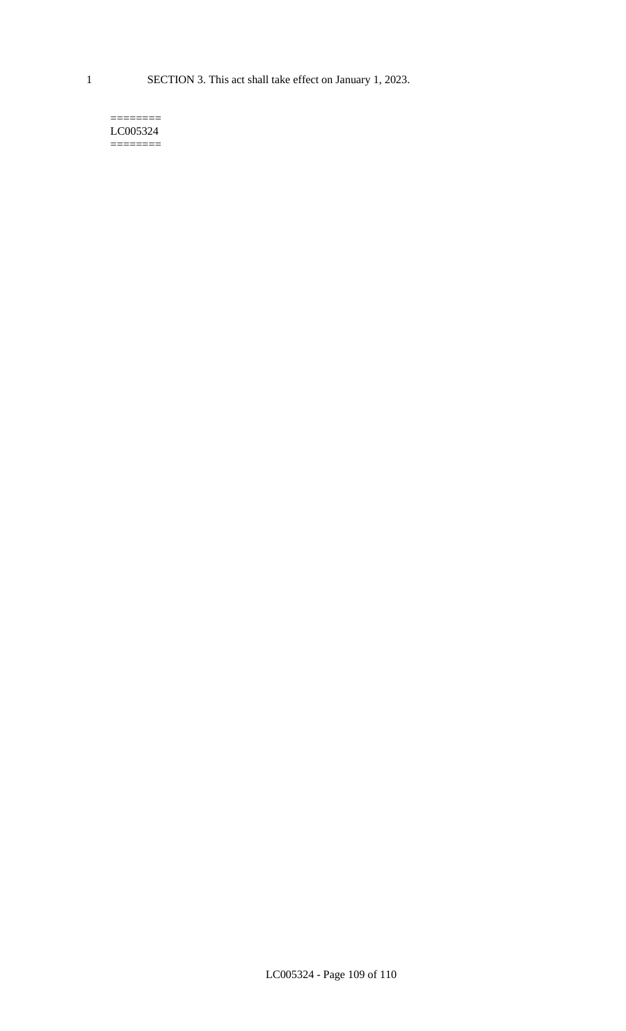1 SECTION 3. This act shall take effect on January 1, 2023.

#### $=$ LC005324  $=$